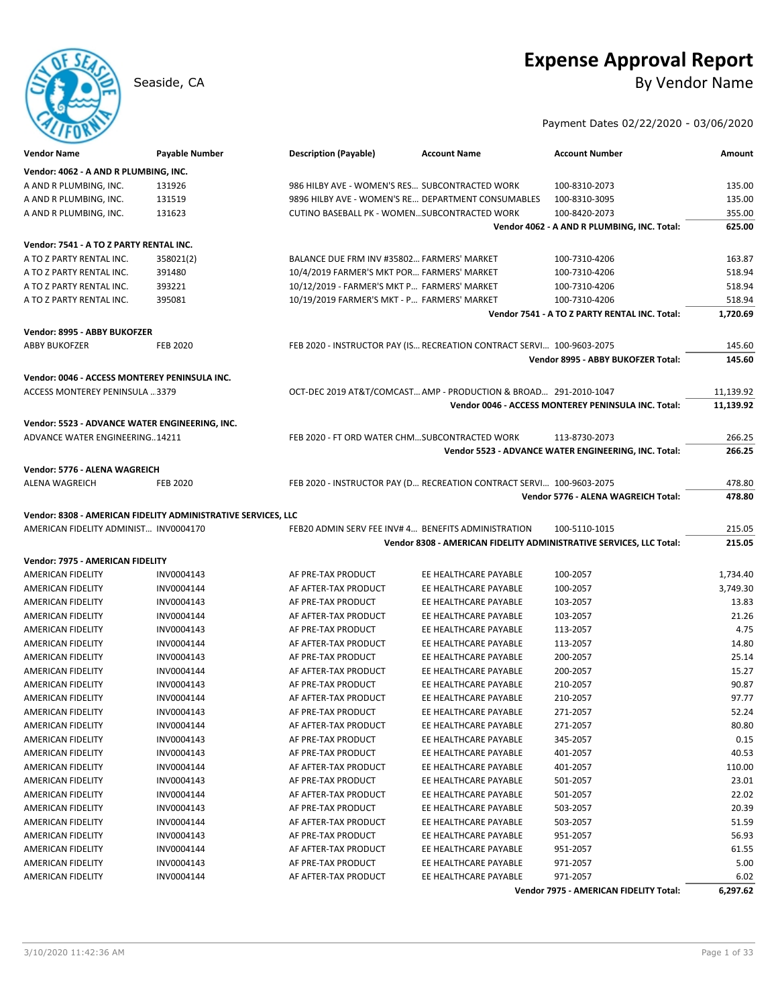# **Expense Approval Report**

Seaside, CA By Vendor Name

Payment Dates 02/22/2020 - 03/06/2020

| <b>Vendor Name</b>                                                                                     | <b>Payable Number</b>    | <b>Description (Payable)</b>                   | <b>Account Name</b>                                                   | <b>Account Number</b>                                | Amount         |
|--------------------------------------------------------------------------------------------------------|--------------------------|------------------------------------------------|-----------------------------------------------------------------------|------------------------------------------------------|----------------|
| Vendor: 4062 - A AND R PLUMBING, INC.                                                                  |                          |                                                |                                                                       |                                                      |                |
| A AND R PLUMBING, INC.                                                                                 | 131926                   | 986 HILBY AVE - WOMEN'S RES SUBCONTRACTED WORK |                                                                       | 100-8310-2073                                        | 135.00         |
| A AND R PLUMBING, INC.                                                                                 | 131519                   |                                                | 9896 HILBY AVE - WOMEN'S RE DEPARTMENT CONSUMABLES                    | 100-8310-3095                                        | 135.00         |
| A AND R PLUMBING, INC.                                                                                 | 131623                   | CUTINO BASEBALL PK - WOMENSUBCONTRACTED WORK   |                                                                       | 100-8420-2073                                        | 355.00         |
|                                                                                                        |                          |                                                |                                                                       | Vendor 4062 - A AND R PLUMBING, INC. Total:          | 625.00         |
| Vendor: 7541 - A TO Z PARTY RENTAL INC.                                                                |                          |                                                |                                                                       |                                                      |                |
| A TO Z PARTY RENTAL INC.                                                                               | 358021(2)                | BALANCE DUE FRM INV #35802 FARMERS' MARKET     |                                                                       | 100-7310-4206                                        | 163.87         |
| A TO Z PARTY RENTAL INC.                                                                               | 391480                   | 10/4/2019 FARMER'S MKT POR FARMERS' MARKET     |                                                                       | 100-7310-4206                                        | 518.94         |
| A TO Z PARTY RENTAL INC.                                                                               | 393221                   | 10/12/2019 - FARMER'S MKT P FARMERS' MARKET    |                                                                       | 100-7310-4206                                        | 518.94         |
| A TO Z PARTY RENTAL INC.                                                                               | 395081                   | 10/19/2019 FARMER'S MKT - P FARMERS' MARKET    |                                                                       | 100-7310-4206                                        | 518.94         |
|                                                                                                        |                          |                                                |                                                                       | Vendor 7541 - A TO Z PARTY RENTAL INC. Total:        | 1,720.69       |
|                                                                                                        |                          |                                                |                                                                       |                                                      |                |
| Vendor: 8995 - ABBY BUKOFZER<br><b>ABBY BUKOFZER</b>                                                   | <b>FEB 2020</b>          |                                                | FEB 2020 - INSTRUCTOR PAY (IS RECREATION CONTRACT SERVI 100-9603-2075 |                                                      | 145.60         |
|                                                                                                        |                          |                                                |                                                                       | Vendor 8995 - ABBY BUKOFZER Total:                   | 145.60         |
|                                                                                                        |                          |                                                |                                                                       |                                                      |                |
| Vendor: 0046 - ACCESS MONTEREY PENINSULA INC.                                                          |                          |                                                |                                                                       |                                                      |                |
| ACCESS MONTEREY PENINSULA 3379                                                                         |                          |                                                | OCT-DEC 2019 AT&T/COMCAST AMP - PRODUCTION & BROAD 291-2010-1047      |                                                      | 11,139.92      |
|                                                                                                        |                          |                                                |                                                                       | Vendor 0046 - ACCESS MONTEREY PENINSULA INC. Total:  | 11,139.92      |
| Vendor: 5523 - ADVANCE WATER ENGINEERING, INC.                                                         |                          |                                                |                                                                       |                                                      |                |
| ADVANCE WATER ENGINEERING14211                                                                         |                          | FEB 2020 - FT ORD WATER CHMSUBCONTRACTED WORK  |                                                                       | 113-8730-2073                                        | 266.25         |
|                                                                                                        |                          |                                                |                                                                       | Vendor 5523 - ADVANCE WATER ENGINEERING, INC. Total: | 266.25         |
| Vendor: 5776 - ALENA WAGREICH                                                                          |                          |                                                |                                                                       |                                                      |                |
| <b>ALENA WAGREICH</b>                                                                                  | <b>FEB 2020</b>          |                                                | FEB 2020 - INSTRUCTOR PAY (D RECREATION CONTRACT SERVI 100-9603-2075  |                                                      | 478.80         |
|                                                                                                        |                          |                                                |                                                                       | Vendor 5776 - ALENA WAGREICH Total:                  | 478.80         |
|                                                                                                        |                          |                                                |                                                                       |                                                      |                |
| Vendor: 8308 - AMERICAN FIDELITY ADMINISTRATIVE SERVICES, LLC<br>AMERICAN FIDELITY ADMINIST INV0004170 |                          |                                                | FEB20 ADMIN SERV FEE INV# 4 BENEFITS ADMINISTRATION                   | 100-5110-1015                                        | 215.05         |
|                                                                                                        |                          |                                                | Vendor 8308 - AMERICAN FIDELITY ADMINISTRATIVE SERVICES, LLC Total:   |                                                      | 215.05         |
|                                                                                                        |                          |                                                |                                                                       |                                                      |                |
| Vendor: 7975 - AMERICAN FIDELITY                                                                       |                          |                                                |                                                                       |                                                      |                |
| AMERICAN FIDELITY                                                                                      | INV0004143               | AF PRE-TAX PRODUCT                             | EE HEALTHCARE PAYABLE                                                 | 100-2057                                             | 1,734.40       |
| AMERICAN FIDELITY                                                                                      | INV0004144               | AF AFTER-TAX PRODUCT                           | EE HEALTHCARE PAYABLE                                                 | 100-2057                                             | 3,749.30       |
| AMERICAN FIDELITY                                                                                      | INV0004143               | AF PRE-TAX PRODUCT                             | EE HEALTHCARE PAYABLE                                                 | 103-2057                                             | 13.83          |
| AMERICAN FIDELITY                                                                                      | INV0004144               | AF AFTER-TAX PRODUCT                           | EE HEALTHCARE PAYABLE                                                 | 103-2057                                             | 21.26          |
| AMERICAN FIDELITY                                                                                      | INV0004143               | AF PRE-TAX PRODUCT                             | EE HEALTHCARE PAYABLE                                                 | 113-2057                                             | 4.75           |
| AMERICAN FIDELITY                                                                                      | INV0004144               | AF AFTER-TAX PRODUCT                           | EE HEALTHCARE PAYABLE                                                 | 113-2057                                             | 14.80          |
| AMERICAN FIDELITY<br>AMERICAN FIDELITY                                                                 | INV0004143<br>INV0004144 | AF PRE-TAX PRODUCT<br>AF AFTER-TAX PRODUCT     | EE HEALTHCARE PAYABLE<br>EE HEALTHCARE PAYABLE                        | 200-2057<br>200-2057                                 | 25.14<br>15.27 |
| AMERICAN FIDELITY                                                                                      | INV0004143               | AF PRE-TAX PRODUCT                             | EE HEALTHCARE PAYABLE                                                 | 210-2057                                             | 90.87          |
| AMERICAN FIDELITY                                                                                      | INV0004144               | AF AFTER-TAX PRODUCT                           | EE HEALTHCARE PAYABLE                                                 | 210-2057                                             | 97.77          |
| <b>AMERICAN FIDELITY</b>                                                                               | INV0004143               | AF PRE-TAX PRODUCT                             | EE HEALTHCARE PAYABLE                                                 | 271-2057                                             | 52.24          |
| AMERICAN FIDELITY                                                                                      | INV0004144               | AF AFTER-TAX PRODUCT                           | EE HEALTHCARE PAYABLE                                                 | 271-2057                                             | 80.80          |
| AMERICAN FIDELITY                                                                                      | INV0004143               | AF PRE-TAX PRODUCT                             | EE HEALTHCARE PAYABLE                                                 | 345-2057                                             | 0.15           |
| AMERICAN FIDELITY                                                                                      | INV0004143               | AF PRE-TAX PRODUCT                             | EE HEALTHCARE PAYABLE                                                 | 401-2057                                             | 40.53          |
| <b>AMERICAN FIDELITY</b>                                                                               | INV0004144               | AF AFTER-TAX PRODUCT                           | EE HEALTHCARE PAYABLE                                                 | 401-2057                                             | 110.00         |
| AMERICAN FIDELITY                                                                                      | INV0004143               | AF PRE-TAX PRODUCT                             | EE HEALTHCARE PAYABLE                                                 | 501-2057                                             | 23.01          |
| AMERICAN FIDELITY                                                                                      | INV0004144               | AF AFTER-TAX PRODUCT                           | EE HEALTHCARE PAYABLE                                                 | 501-2057                                             | 22.02          |
| AMERICAN FIDELITY                                                                                      | INV0004143               | AF PRE-TAX PRODUCT                             | EE HEALTHCARE PAYABLE                                                 | 503-2057                                             | 20.39          |
| AMERICAN FIDELITY                                                                                      | INV0004144               | AF AFTER-TAX PRODUCT                           | EE HEALTHCARE PAYABLE                                                 | 503-2057                                             | 51.59          |
| AMERICAN FIDELITY                                                                                      | INV0004143               | AF PRE-TAX PRODUCT                             | EE HEALTHCARE PAYABLE                                                 | 951-2057                                             | 56.93          |
| AMERICAN FIDELITY                                                                                      | INV0004144               | AF AFTER-TAX PRODUCT                           | EE HEALTHCARE PAYABLE                                                 | 951-2057                                             | 61.55          |
| AMERICAN FIDELITY                                                                                      | INV0004143               | AF PRE-TAX PRODUCT                             | EE HEALTHCARE PAYABLE                                                 | 971-2057                                             | 5.00           |
| AMERICAN FIDELITY                                                                                      | INV0004144               | AF AFTER-TAX PRODUCT                           | EE HEALTHCARE PAYABLE                                                 | 971-2057                                             | 6.02           |
|                                                                                                        |                          |                                                |                                                                       | Vendor 7975 - AMERICAN FIDELITY Total:               | 6,297.62       |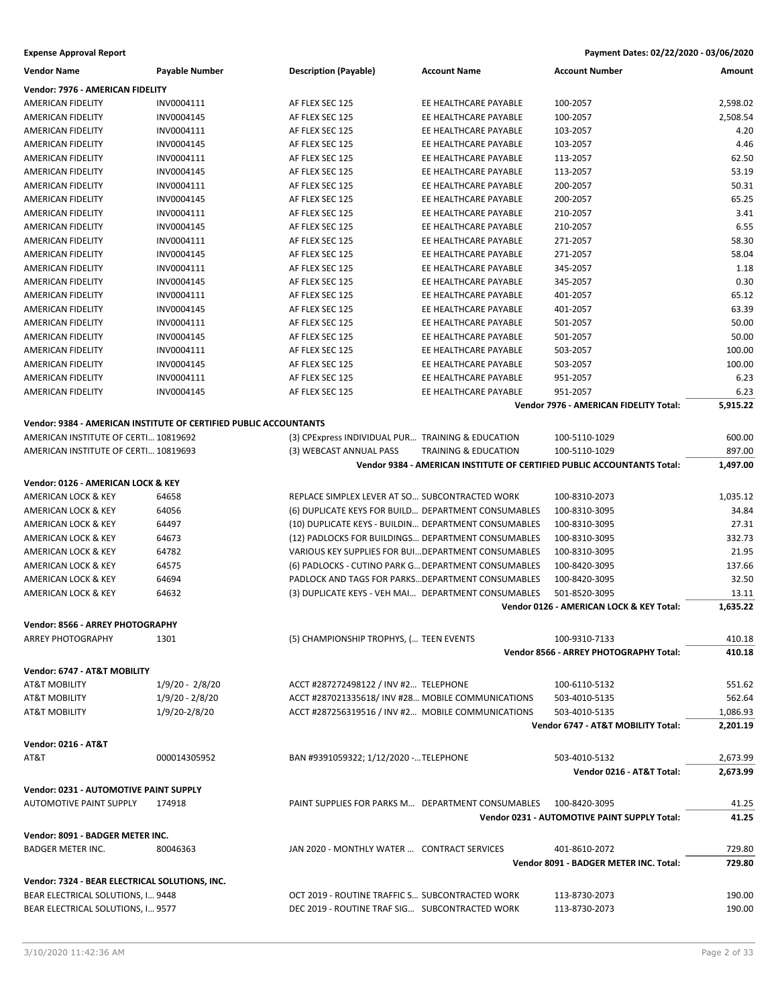| <b>Vendor Name</b>                             | <b>Payable Number</b>                                             | <b>Description (Payable)</b>                         | <b>Account Name</b>             | <b>Account Number</b>                                                   | Amount   |
|------------------------------------------------|-------------------------------------------------------------------|------------------------------------------------------|---------------------------------|-------------------------------------------------------------------------|----------|
| Vendor: 7976 - AMERICAN FIDELITY               |                                                                   |                                                      |                                 |                                                                         |          |
| AMERICAN FIDELITY                              | INV0004111                                                        | AF FLEX SEC 125                                      | EE HEALTHCARE PAYABLE           | 100-2057                                                                | 2,598.02 |
| AMERICAN FIDELITY                              | INV0004145                                                        | AF FLEX SEC 125                                      | EE HEALTHCARE PAYABLE           | 100-2057                                                                | 2,508.54 |
| AMERICAN FIDELITY                              | INV0004111                                                        | AF FLEX SEC 125                                      | EE HEALTHCARE PAYABLE           | 103-2057                                                                | 4.20     |
| AMERICAN FIDELITY                              | INV0004145                                                        | AF FLEX SEC 125                                      | EE HEALTHCARE PAYABLE           | 103-2057                                                                | 4.46     |
| AMERICAN FIDELITY                              | INV0004111                                                        | AF FLEX SEC 125                                      | EE HEALTHCARE PAYABLE           | 113-2057                                                                | 62.50    |
| AMERICAN FIDELITY                              | INV0004145                                                        | AF FLEX SEC 125                                      | EE HEALTHCARE PAYABLE           | 113-2057                                                                | 53.19    |
| AMERICAN FIDELITY                              | INV0004111                                                        | AF FLEX SEC 125                                      | EE HEALTHCARE PAYABLE           | 200-2057                                                                | 50.31    |
| <b>AMERICAN FIDELITY</b>                       | INV0004145                                                        | AF FLEX SEC 125                                      | EE HEALTHCARE PAYABLE           | 200-2057                                                                | 65.25    |
| AMERICAN FIDELITY                              | INV0004111                                                        | AF FLEX SEC 125                                      | EE HEALTHCARE PAYABLE           | 210-2057                                                                | 3.41     |
| <b>AMERICAN FIDELITY</b>                       | INV0004145                                                        | AF FLEX SEC 125                                      | EE HEALTHCARE PAYABLE           | 210-2057                                                                | 6.55     |
| AMERICAN FIDELITY                              | INV0004111                                                        | AF FLEX SEC 125                                      | EE HEALTHCARE PAYABLE           | 271-2057                                                                | 58.30    |
| AMERICAN FIDELITY                              | INV0004145                                                        | AF FLEX SEC 125                                      | EE HEALTHCARE PAYABLE           | 271-2057                                                                | 58.04    |
| AMERICAN FIDELITY                              | INV0004111                                                        | AF FLEX SEC 125                                      | EE HEALTHCARE PAYABLE           | 345-2057                                                                | 1.18     |
| AMERICAN FIDELITY                              | INV0004145                                                        | AF FLEX SEC 125                                      | EE HEALTHCARE PAYABLE           | 345-2057                                                                | 0.30     |
| AMERICAN FIDELITY                              | INV0004111                                                        | AF FLEX SEC 125                                      | EE HEALTHCARE PAYABLE           | 401-2057                                                                | 65.12    |
| AMERICAN FIDELITY                              | INV0004145                                                        | AF FLEX SEC 125                                      | EE HEALTHCARE PAYABLE           | 401-2057                                                                | 63.39    |
| <b>AMERICAN FIDELITY</b>                       | INV0004111                                                        | AF FLEX SEC 125                                      | EE HEALTHCARE PAYABLE           | 501-2057                                                                | 50.00    |
| AMERICAN FIDELITY                              | INV0004145                                                        | AF FLEX SEC 125                                      | EE HEALTHCARE PAYABLE           | 501-2057                                                                | 50.00    |
| <b>AMERICAN FIDELITY</b>                       | INV0004111                                                        | AF FLEX SEC 125                                      | EE HEALTHCARE PAYABLE           | 503-2057                                                                | 100.00   |
| AMERICAN FIDELITY                              | INV0004145                                                        | AF FLEX SEC 125                                      | EE HEALTHCARE PAYABLE           | 503-2057                                                                | 100.00   |
| <b>AMERICAN FIDELITY</b>                       | INV0004111                                                        | AF FLEX SEC 125                                      | EE HEALTHCARE PAYABLE           | 951-2057                                                                | 6.23     |
| AMERICAN FIDELITY                              | INV0004145                                                        | AF FLEX SEC 125                                      | EE HEALTHCARE PAYABLE           | 951-2057                                                                | 6.23     |
|                                                |                                                                   |                                                      |                                 | Vendor 7976 - AMERICAN FIDELITY Total:                                  | 5,915.22 |
|                                                | Vendor: 9384 - AMERICAN INSTITUTE OF CERTIFIED PUBLIC ACCOUNTANTS |                                                      |                                 |                                                                         |          |
| AMERICAN INSTITUTE OF CERTI 10819692           |                                                                   | (3) CPExpress INDIVIDUAL PUR TRAINING & EDUCATION    |                                 | 100-5110-1029                                                           | 600.00   |
| AMERICAN INSTITUTE OF CERTI 10819693           |                                                                   | (3) WEBCAST ANNUAL PASS                              | <b>TRAINING &amp; EDUCATION</b> | 100-5110-1029                                                           | 897.00   |
|                                                |                                                                   |                                                      |                                 | Vendor 9384 - AMERICAN INSTITUTE OF CERTIFIED PUBLIC ACCOUNTANTS Total: | 1,497.00 |
| Vendor: 0126 - AMERICAN LOCK & KEY             |                                                                   |                                                      |                                 |                                                                         |          |
| AMERICAN LOCK & KEY                            | 64658                                                             | REPLACE SIMPLEX LEVER AT SO SUBCONTRACTED WORK       |                                 | 100-8310-2073                                                           | 1,035.12 |
| AMERICAN LOCK & KEY                            | 64056                                                             | (6) DUPLICATE KEYS FOR BUILD DEPARTMENT CONSUMABLES  |                                 | 100-8310-3095                                                           | 34.84    |
| AMERICAN LOCK & KEY                            | 64497                                                             | (10) DUPLICATE KEYS - BUILDIN DEPARTMENT CONSUMABLES |                                 | 100-8310-3095                                                           | 27.31    |
| AMERICAN LOCK & KEY                            | 64673                                                             | (12) PADLOCKS FOR BUILDINGS DEPARTMENT CONSUMABLES   |                                 | 100-8310-3095                                                           | 332.73   |
| AMERICAN LOCK & KEY                            | 64782                                                             | VARIOUS KEY SUPPLIES FOR BUI DEPARTMENT CONSUMABLES  |                                 | 100-8310-3095                                                           | 21.95    |
| AMERICAN LOCK & KEY                            | 64575                                                             | (6) PADLOCKS - CUTINO PARK G DEPARTMENT CONSUMABLES  |                                 | 100-8420-3095                                                           | 137.66   |
| AMERICAN LOCK & KEY                            | 64694                                                             | PADLOCK AND TAGS FOR PARKS DEPARTMENT CONSUMABLES    |                                 | 100-8420-3095                                                           | 32.50    |
| AMERICAN LOCK & KEY                            | 64632                                                             | (3) DUPLICATE KEYS - VEH MAI DEPARTMENT CONSUMABLES  |                                 | 501-8520-3095                                                           | 13.11    |
|                                                |                                                                   |                                                      |                                 | Vendor 0126 - AMERICAN LOCK & KEY Total:                                | 1,635.22 |
| Vendor: 8566 - ARREY PHOTOGRAPHY               |                                                                   |                                                      |                                 |                                                                         |          |
| <b>ARREY PHOTOGRAPHY</b>                       | 1301                                                              | (5) CHAMPIONSHIP TROPHYS, ( TEEN EVENTS              |                                 | 100-9310-7133                                                           | 410.18   |
|                                                |                                                                   |                                                      |                                 | Vendor 8566 - ARREY PHOTOGRAPHY Total:                                  | 410.18   |
|                                                |                                                                   |                                                      |                                 |                                                                         |          |
| Vendor: 6747 - AT&T MOBILITY                   |                                                                   |                                                      |                                 |                                                                         |          |
| <b>AT&amp;T MOBILITY</b>                       | $1/9/20 - 2/8/20$                                                 | ACCT #287272498122 / INV #2 TELEPHONE                |                                 | 100-6110-5132                                                           | 551.62   |
| <b>AT&amp;T MOBILITY</b>                       | $1/9/20 - 2/8/20$                                                 | ACCT #287021335618/ INV #28 MOBILE COMMUNICATIONS    |                                 | 503-4010-5135                                                           | 562.64   |
| AT&T MOBILITY                                  | 1/9/20-2/8/20                                                     | ACCT #287256319516 / INV #2 MOBILE COMMUNICATIONS    |                                 | 503-4010-5135                                                           | 1,086.93 |
|                                                |                                                                   |                                                      |                                 | Vendor 6747 - AT&T MOBILITY Total:                                      | 2,201.19 |
| <b>Vendor: 0216 - AT&amp;T</b>                 |                                                                   |                                                      |                                 |                                                                         |          |
| AT&T                                           | 000014305952                                                      | BAN #9391059322; 1/12/2020 - TELEPHONE               |                                 | 503-4010-5132                                                           | 2,673.99 |
|                                                |                                                                   |                                                      |                                 | Vendor 0216 - AT&T Total:                                               | 2,673.99 |
| Vendor: 0231 - AUTOMOTIVE PAINT SUPPLY         |                                                                   |                                                      |                                 |                                                                         |          |
| <b>AUTOMOTIVE PAINT SUPPLY</b>                 | 174918                                                            | PAINT SUPPLIES FOR PARKS M DEPARTMENT CONSUMABLES    |                                 | 100-8420-3095                                                           | 41.25    |
|                                                |                                                                   |                                                      |                                 | Vendor 0231 - AUTOMOTIVE PAINT SUPPLY Total:                            | 41.25    |
| Vendor: 8091 - BADGER METER INC.               |                                                                   |                                                      |                                 |                                                                         |          |
| <b>BADGER METER INC.</b>                       | 80046363                                                          | JAN 2020 - MONTHLY WATER  CONTRACT SERVICES          |                                 | 401-8610-2072                                                           | 729.80   |
|                                                |                                                                   |                                                      |                                 | Vendor 8091 - BADGER METER INC. Total:                                  | 729.80   |
|                                                |                                                                   |                                                      |                                 |                                                                         |          |
| Vendor: 7324 - BEAR ELECTRICAL SOLUTIONS, INC. |                                                                   |                                                      |                                 |                                                                         |          |
| BEAR ELECTRICAL SOLUTIONS, I 9448              |                                                                   | OCT 2019 - ROUTINE TRAFFIC S SUBCONTRACTED WORK      |                                 | 113-8730-2073                                                           | 190.00   |
| BEAR ELECTRICAL SOLUTIONS, I 9577              |                                                                   | DEC 2019 - ROUTINE TRAF SIG SUBCONTRACTED WORK       |                                 | 113-8730-2073                                                           | 190.00   |
|                                                |                                                                   |                                                      |                                 |                                                                         |          |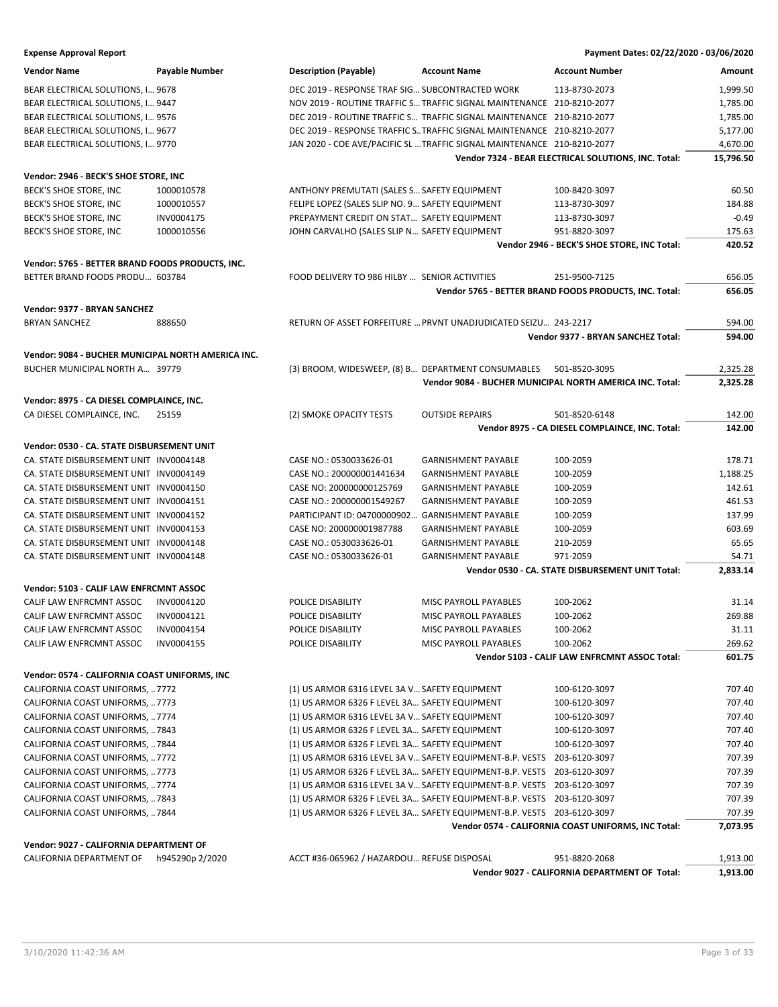| <b>Expense Approval Report</b>                     |                       |                                                 |                                                                         | Payment Dates: 02/22/2020 - 03/06/2020                   |           |
|----------------------------------------------------|-----------------------|-------------------------------------------------|-------------------------------------------------------------------------|----------------------------------------------------------|-----------|
| <b>Vendor Name</b>                                 | <b>Payable Number</b> | <b>Description (Payable)</b>                    | <b>Account Name</b>                                                     | <b>Account Number</b>                                    | Amount    |
| BEAR ELECTRICAL SOLUTIONS, I 9678                  |                       | DEC 2019 - RESPONSE TRAF SIG SUBCONTRACTED WORK |                                                                         | 113-8730-2073                                            | 1,999.50  |
| BEAR ELECTRICAL SOLUTIONS, I 9447                  |                       |                                                 | NOV 2019 - ROUTINE TRAFFIC S TRAFFIC SIGNAL MAINTENANCE 210-8210-2077   |                                                          | 1,785.00  |
| BEAR ELECTRICAL SOLUTIONS, I 9576                  |                       |                                                 | DEC 2019 - ROUTINE TRAFFIC S TRAFFIC SIGNAL MAINTENANCE 210-8210-2077   |                                                          | 1,785.00  |
| BEAR ELECTRICAL SOLUTIONS, I 9677                  |                       |                                                 | DEC 2019 - RESPONSE TRAFFIC S TRAFFIC SIGNAL MAINTENANCE 210-8210-2077  |                                                          | 5,177.00  |
| BEAR ELECTRICAL SOLUTIONS, I 9770                  |                       |                                                 | JAN 2020 - COE AVE/PACIFIC SL  TRAFFIC SIGNAL MAINTENANCE 210-8210-2077 |                                                          | 4,670.00  |
|                                                    |                       |                                                 |                                                                         | Vendor 7324 - BEAR ELECTRICAL SOLUTIONS, INC. Total:     | 15,796.50 |
| Vendor: 2946 - BECK'S SHOE STORE, INC              |                       |                                                 |                                                                         |                                                          |           |
| BECK'S SHOE STORE, INC                             | 1000010578            | ANTHONY PREMUTATI (SALES S SAFETY EQUIPMENT     |                                                                         | 100-8420-3097                                            | 60.50     |
| BECK'S SHOE STORE, INC                             | 1000010557            | FELIPE LOPEZ (SALES SLIP NO. 9 SAFETY EQUIPMENT |                                                                         | 113-8730-3097                                            | 184.88    |
| BECK'S SHOE STORE, INC                             | INV0004175            | PREPAYMENT CREDIT ON STAT SAFETY EQUIPMENT      |                                                                         | 113-8730-3097                                            | $-0.49$   |
| BECK'S SHOE STORE, INC                             | 1000010556            | JOHN CARVALHO (SALES SLIP N SAFETY EQUIPMENT    |                                                                         | 951-8820-3097                                            | 175.63    |
|                                                    |                       |                                                 |                                                                         | Vendor 2946 - BECK'S SHOE STORE, INC Total:              | 420.52    |
| Vendor: 5765 - BETTER BRAND FOODS PRODUCTS, INC.   |                       |                                                 |                                                                         |                                                          |           |
| BETTER BRAND FOODS PRODU 603784                    |                       | FOOD DELIVERY TO 986 HILBY  SENIOR ACTIVITIES   |                                                                         | 251-9500-7125                                            | 656.05    |
|                                                    |                       |                                                 |                                                                         | Vendor 5765 - BETTER BRAND FOODS PRODUCTS, INC. Total:   | 656.05    |
| Vendor: 9377 - BRYAN SANCHEZ                       |                       |                                                 |                                                                         |                                                          |           |
| <b>BRYAN SANCHEZ</b>                               | 888650                |                                                 | RETURN OF ASSET FORFEITURE  PRVNT UNADJUDICATED SEIZU 243-2217          |                                                          | 594.00    |
|                                                    |                       |                                                 |                                                                         | Vendor 9377 - BRYAN SANCHEZ Total:                       | 594.00    |
| Vendor: 9084 - BUCHER MUNICIPAL NORTH AMERICA INC. |                       |                                                 |                                                                         |                                                          |           |
| BUCHER MUNICIPAL NORTH A 39779                     |                       |                                                 | (3) BROOM, WIDESWEEP, (8) B DEPARTMENT CONSUMABLES                      | 501-8520-3095                                            | 2,325.28  |
|                                                    |                       |                                                 |                                                                         | Vendor 9084 - BUCHER MUNICIPAL NORTH AMERICA INC. Total: | 2,325.28  |
| Vendor: 8975 - CA DIESEL COMPLAINCE, INC.          |                       |                                                 |                                                                         |                                                          |           |
| CA DIESEL COMPLAINCE, INC.                         | 25159                 | (2) SMOKE OPACITY TESTS                         | <b>OUTSIDE REPAIRS</b>                                                  | 501-8520-6148                                            | 142.00    |
|                                                    |                       |                                                 |                                                                         | Vendor 8975 - CA DIESEL COMPLAINCE, INC. Total:          | 142.00    |
| Vendor: 0530 - CA. STATE DISBURSEMENT UNIT         |                       |                                                 |                                                                         |                                                          |           |
| CA. STATE DISBURSEMENT UNIT INV0004148             |                       | CASE NO.: 0530033626-01                         | <b>GARNISHMENT PAYABLE</b>                                              | 100-2059                                                 | 178.71    |
| CA. STATE DISBURSEMENT UNIT INV0004149             |                       | CASE NO.: 200000001441634                       | <b>GARNISHMENT PAYABLE</b>                                              | 100-2059                                                 | 1,188.25  |
| CA. STATE DISBURSEMENT UNIT INV0004150             |                       | CASE NO: 200000000125769                        | <b>GARNISHMENT PAYABLE</b>                                              | 100-2059                                                 | 142.61    |
| CA. STATE DISBURSEMENT UNIT INV0004151             |                       | CASE NO.: 200000001549267                       | <b>GARNISHMENT PAYABLE</b>                                              | 100-2059                                                 | 461.53    |
| CA. STATE DISBURSEMENT UNIT INV0004152             |                       | PARTICIPANT ID: 04700000902                     | <b>GARNISHMENT PAYABLE</b>                                              | 100-2059                                                 | 137.99    |
| CA. STATE DISBURSEMENT UNIT INV0004153             |                       | CASE NO: 200000001987788                        | <b>GARNISHMENT PAYABLE</b>                                              | 100-2059                                                 | 603.69    |
| CA. STATE DISBURSEMENT UNIT INV0004148             |                       | CASE NO.: 0530033626-01                         | <b>GARNISHMENT PAYABLE</b>                                              | 210-2059                                                 | 65.65     |
| CA. STATE DISBURSEMENT UNIT INV0004148             |                       | CASE NO.: 0530033626-01                         | <b>GARNISHMENT PAYABLE</b>                                              | 971-2059                                                 | 54.71     |
|                                                    |                       |                                                 |                                                                         | Vendor 0530 - CA. STATE DISBURSEMENT UNIT Total:         | 2,833.14  |
| Vendor: 5103 - CALIF LAW ENFRCMNT ASSOC            |                       |                                                 |                                                                         |                                                          |           |
| CALIF LAW ENFRCMNT ASSOC                           | INV0004120            | POLICE DISABILITY                               | <b>MISC PAYROLL PAYABLES</b>                                            | 100-2062                                                 | 31.14     |
| CALIF LAW ENFRCMNT ASSOC                           | INV0004121            | POLICE DISABILITY                               | MISC PAYROLL PAYABLES                                                   | 100-2062                                                 | 269.88    |
| CALIF LAW ENFRCMNT ASSOC                           | INV0004154            | POLICE DISABILITY                               | MISC PAYROLL PAYABLES                                                   | 100-2062                                                 | 31.11     |
| CALIF LAW ENFRCMNT ASSOC                           | INV0004155            | POLICE DISABILITY                               | MISC PAYROLL PAYABLES                                                   | 100-2062                                                 | 269.62    |
|                                                    |                       |                                                 |                                                                         | Vendor 5103 - CALIF LAW ENFRCMNT ASSOC Total:            | 601.75    |
| Vendor: 0574 - CALIFORNIA COAST UNIFORMS, INC      |                       |                                                 |                                                                         |                                                          |           |
| CALIFORNIA COAST UNIFORMS, 7772                    |                       | (1) US ARMOR 6316 LEVEL 3A V SAFETY EQUIPMENT   |                                                                         | 100-6120-3097                                            | 707.40    |
|                                                    |                       |                                                 |                                                                         |                                                          |           |

CALIFORNIA COAST UNIFORMS, ..7773 (1) US ARMOR 6326 F LEVEL 3A... SAFETY EQUIPMENT 100-6120-3097 707.40 CALIFORNIA COAST UNIFORMS, ..7774 (1) US ARMOR 6316 LEVEL 3A V... SAFETY EQUIPMENT 100-6120-3097 (707.40 CALIFORNIA COAST UNIFORMS, …7843 (1) US ARMOR 6326 F LEVEL 3A… SAFETY EQUIPMENT 100-6120-3097 707.40 CALIFORNIA COAST UNIFORMS, .. 7844 (1) US ARMOR 6326 F LEVEL 3A... SAFETY EQUIPMENT 100-6120-3097 707.40 CALIFORNIA COAST UNIFORMS, …7772 (1) US ARMOR 6316 LEVEL 3A V…SAFETY EQUIPMENT-B.P. VESTS 203-6120-3097 707.39 CALIFORNIA COAST UNIFORMS, …7773 (1) US ARMOR 6326 F LEVEL 3A… SAFETY EQUIPMENT-B.P. VESTS 203-6120-3097 707.39 CALIFORNIA COAST UNIFORMS, …7774 (1) US ARMOR 6316 LEVEL 3A V…SAFETY EQUIPMENT-B.P. VESTS 203-6120-3097 707.39 CALIFORNIA COAST UNIFORMS, …7843 (1) US ARMOR 6326 F LEVEL 3A… SAFETY EQUIPMENT-B.P. VESTS 203-6120-3097 707.39 CALIFORNIA COAST UNIFORMS, …7844 (1) US ARMOR 6326 F LEVEL 3A… SAFETY EQUIPMENT-B.P. VESTS 203-6120-3097 707.39

## **Vendor: 9027 - CALIFORNIA DEPARTMENT OF**

| CALIFORNIA DEPARTMENT OF | h945290p 2/2020 | ACCT #36-065962 / HAZARDOU REFUSE DISPOSAL | 951-8820-2068                                 | 1.913.00 |
|--------------------------|-----------------|--------------------------------------------|-----------------------------------------------|----------|
|                          |                 |                                            | Vendor 9027 - CALIFORNIA DEPARTMENT OF Total: | 1,913.00 |

**Vendor 0574 - CALIFORNIA COAST UNIFORMS, INC Total: 7,073.95**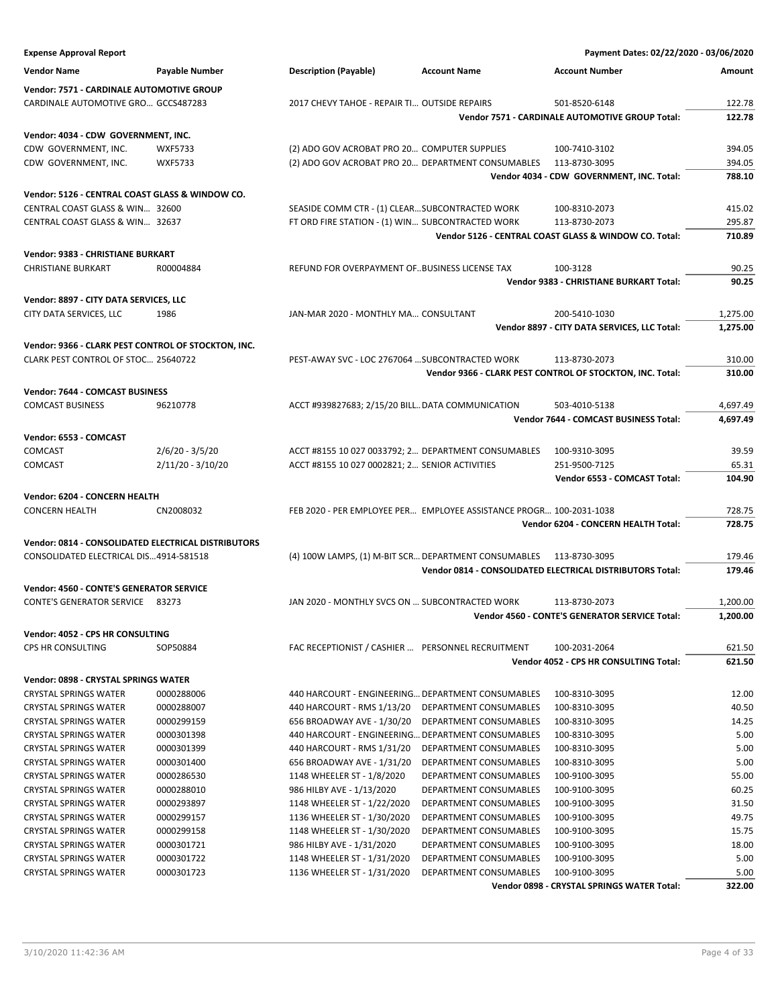| <b>Expense Approval Report</b>                      |                       |                                                      |                                                                     | Payment Dates: 02/22/2020 - 03/06/2020                     |                  |
|-----------------------------------------------------|-----------------------|------------------------------------------------------|---------------------------------------------------------------------|------------------------------------------------------------|------------------|
| <b>Vendor Name</b>                                  | <b>Payable Number</b> | <b>Description (Payable)</b>                         | <b>Account Name</b>                                                 | <b>Account Number</b>                                      | Amount           |
| Vendor: 7571 - CARDINALE AUTOMOTIVE GROUP           |                       |                                                      |                                                                     |                                                            |                  |
| CARDINALE AUTOMOTIVE GRO GCCS487283                 |                       | 2017 CHEVY TAHOE - REPAIR TI OUTSIDE REPAIRS         |                                                                     | 501-8520-6148                                              | 122.78           |
|                                                     |                       |                                                      |                                                                     | Vendor 7571 - CARDINALE AUTOMOTIVE GROUP Total:            | 122.78           |
|                                                     |                       |                                                      |                                                                     |                                                            |                  |
| Vendor: 4034 - CDW GOVERNMENT, INC.                 |                       |                                                      |                                                                     |                                                            |                  |
| CDW GOVERNMENT, INC.                                | <b>WXF5733</b>        | (2) ADO GOV ACROBAT PRO 20 COMPUTER SUPPLIES         |                                                                     | 100-7410-3102                                              | 394.05           |
| CDW GOVERNMENT, INC.                                | <b>WXF5733</b>        | (2) ADO GOV ACROBAT PRO 20 DEPARTMENT CONSUMABLES    |                                                                     | 113-8730-3095<br>Vendor 4034 - CDW GOVERNMENT, INC. Total: | 394.05<br>788.10 |
|                                                     |                       |                                                      |                                                                     |                                                            |                  |
| Vendor: 5126 - CENTRAL COAST GLASS & WINDOW CO.     |                       |                                                      |                                                                     |                                                            |                  |
| CENTRAL COAST GLASS & WIN 32600                     |                       | SEASIDE COMM CTR - (1) CLEAR SUBCONTRACTED WORK      |                                                                     | 100-8310-2073                                              | 415.02           |
| CENTRAL COAST GLASS & WIN 32637                     |                       | FT ORD FIRE STATION - (1) WIN SUBCONTRACTED WORK     |                                                                     | 113-8730-2073                                              | 295.87           |
|                                                     |                       |                                                      |                                                                     | Vendor 5126 - CENTRAL COAST GLASS & WINDOW CO. Total:      | 710.89           |
| Vendor: 9383 - CHRISTIANE BURKART                   |                       |                                                      |                                                                     |                                                            |                  |
| <b>CHRISTIANE BURKART</b>                           | R00004884             | REFUND FOR OVERPAYMENT OF. BUSINESS LICENSE TAX      |                                                                     | 100-3128                                                   | 90.25            |
|                                                     |                       |                                                      |                                                                     | Vendor 9383 - CHRISTIANE BURKART Total:                    | 90.25            |
| Vendor: 8897 - CITY DATA SERVICES, LLC              |                       |                                                      |                                                                     |                                                            |                  |
| CITY DATA SERVICES, LLC                             | 1986                  | JAN-MAR 2020 - MONTHLY MA CONSULTANT                 |                                                                     | 200-5410-1030                                              | 1,275.00         |
|                                                     |                       |                                                      |                                                                     | Vendor 8897 - CITY DATA SERVICES, LLC Total:               | 1,275.00         |
|                                                     |                       |                                                      |                                                                     |                                                            |                  |
| Vendor: 9366 - CLARK PEST CONTROL OF STOCKTON, INC. |                       |                                                      |                                                                     |                                                            |                  |
| CLARK PEST CONTROL OF STOC 25640722                 |                       | PEST-AWAY SVC - LOC 2767064  SUBCONTRACTED WORK      |                                                                     | 113-8730-2073                                              | 310.00           |
|                                                     |                       |                                                      |                                                                     | Vendor 9366 - CLARK PEST CONTROL OF STOCKTON, INC. Total:  | 310.00           |
| Vendor: 7644 - COMCAST BUSINESS                     |                       |                                                      |                                                                     |                                                            |                  |
| <b>COMCAST BUSINESS</b>                             | 96210778              | ACCT #939827683; 2/15/20 BILL DATA COMMUNICATION     |                                                                     | 503-4010-5138                                              | 4,697.49         |
|                                                     |                       |                                                      |                                                                     | Vendor 7644 - COMCAST BUSINESS Total:                      | 4,697.49         |
| Vendor: 6553 - COMCAST                              |                       |                                                      |                                                                     |                                                            |                  |
| COMCAST                                             | $2/6/20 - 3/5/20$     | ACCT #8155 10 027 0033792; 2 DEPARTMENT CONSUMABLES  |                                                                     | 100-9310-3095                                              | 39.59            |
| COMCAST                                             | $2/11/20 - 3/10/20$   | ACCT #8155 10 027 0002821; 2 SENIOR ACTIVITIES       |                                                                     | 251-9500-7125                                              | 65.31            |
|                                                     |                       |                                                      |                                                                     | Vendor 6553 - COMCAST Total:                               | 104.90           |
|                                                     |                       |                                                      |                                                                     |                                                            |                  |
| Vendor: 6204 - CONCERN HEALTH                       |                       |                                                      |                                                                     |                                                            |                  |
| <b>CONCERN HEALTH</b>                               | CN2008032             |                                                      | FEB 2020 - PER EMPLOYEE PER EMPLOYEE ASSISTANCE PROGR 100-2031-1038 |                                                            | 728.75           |
|                                                     |                       |                                                      |                                                                     | Vendor 6204 - CONCERN HEALTH Total:                        | 728.75           |
| Vendor: 0814 - CONSOLIDATED ELECTRICAL DISTRIBUTORS |                       |                                                      |                                                                     |                                                            |                  |
| CONSOLIDATED ELECTRICAL DIS4914-581518              |                       | (4) 100W LAMPS, (1) M-BIT SCR DEPARTMENT CONSUMABLES |                                                                     | 113-8730-3095                                              | 179.46           |
|                                                     |                       |                                                      |                                                                     | Vendor 0814 - CONSOLIDATED ELECTRICAL DISTRIBUTORS Total:  | 179.46           |
| Vendor: 4560 - CONTE'S GENERATOR SERVICE            |                       |                                                      |                                                                     |                                                            |                  |
| <b>CONTE'S GENERATOR SERVICE 83273</b>              |                       | JAN 2020 - MONTHLY SVCS ON  SUBCONTRACTED WORK       |                                                                     | 113-8730-2073                                              | 1,200.00         |
|                                                     |                       |                                                      |                                                                     | Vendor 4560 - CONTE'S GENERATOR SERVICE Total:             | 1,200.00         |
| Vendor: 4052 - CPS HR CONSULTING                    |                       |                                                      |                                                                     |                                                            |                  |
| CPS HR CONSULTING                                   | SOP50884              | FAC RECEPTIONIST / CASHIER  PERSONNEL RECRUITMENT    |                                                                     | 100-2031-2064                                              | 621.50           |
|                                                     |                       |                                                      |                                                                     | Vendor 4052 - CPS HR CONSULTING Total:                     | 621.50           |
|                                                     |                       |                                                      |                                                                     |                                                            |                  |
| Vendor: 0898 - CRYSTAL SPRINGS WATER                |                       |                                                      |                                                                     |                                                            |                  |
| <b>CRYSTAL SPRINGS WATER</b>                        | 0000288006            | 440 HARCOURT - ENGINEERING DEPARTMENT CONSUMABLES    |                                                                     | 100-8310-3095                                              | 12.00            |
| <b>CRYSTAL SPRINGS WATER</b>                        | 0000288007            | 440 HARCOURT - RMS 1/13/20                           | DEPARTMENT CONSUMABLES                                              | 100-8310-3095                                              | 40.50            |
| <b>CRYSTAL SPRINGS WATER</b>                        | 0000299159            | 656 BROADWAY AVE - 1/30/20                           | DEPARTMENT CONSUMABLES                                              | 100-8310-3095                                              | 14.25            |
| <b>CRYSTAL SPRINGS WATER</b>                        | 0000301398            | 440 HARCOURT - ENGINEERING DEPARTMENT CONSUMABLES    |                                                                     | 100-8310-3095                                              | 5.00             |
| <b>CRYSTAL SPRINGS WATER</b>                        | 0000301399            | 440 HARCOURT - RMS 1/31/20                           | DEPARTMENT CONSUMABLES                                              | 100-8310-3095                                              | 5.00             |
| <b>CRYSTAL SPRINGS WATER</b>                        | 0000301400            | 656 BROADWAY AVE - 1/31/20                           | DEPARTMENT CONSUMABLES                                              | 100-8310-3095                                              | 5.00             |
| <b>CRYSTAL SPRINGS WATER</b>                        | 0000286530            | 1148 WHEELER ST - 1/8/2020                           | DEPARTMENT CONSUMABLES                                              | 100-9100-3095                                              | 55.00            |
| <b>CRYSTAL SPRINGS WATER</b>                        | 0000288010            | 986 HILBY AVE - 1/13/2020                            | DEPARTMENT CONSUMABLES                                              | 100-9100-3095                                              | 60.25            |
| <b>CRYSTAL SPRINGS WATER</b>                        | 0000293897            | 1148 WHEELER ST - 1/22/2020                          | DEPARTMENT CONSUMABLES                                              | 100-9100-3095                                              | 31.50            |
| <b>CRYSTAL SPRINGS WATER</b>                        | 0000299157            | 1136 WHEELER ST - 1/30/2020                          | DEPARTMENT CONSUMABLES                                              | 100-9100-3095                                              | 49.75            |
| <b>CRYSTAL SPRINGS WATER</b>                        | 0000299158            | 1148 WHEELER ST - 1/30/2020                          | DEPARTMENT CONSUMABLES                                              | 100-9100-3095                                              | 15.75            |
| <b>CRYSTAL SPRINGS WATER</b>                        | 0000301721            | 986 HILBY AVE - 1/31/2020                            | DEPARTMENT CONSUMABLES                                              | 100-9100-3095                                              | 18.00            |
| <b>CRYSTAL SPRINGS WATER</b>                        | 0000301722            | 1148 WHEELER ST - 1/31/2020                          | DEPARTMENT CONSUMABLES                                              | 100-9100-3095                                              | 5.00             |
| <b>CRYSTAL SPRINGS WATER</b>                        | 0000301723            | 1136 WHEELER ST - 1/31/2020                          | DEPARTMENT CONSUMABLES                                              | 100-9100-3095                                              | 5.00             |
|                                                     |                       |                                                      |                                                                     | Vendor 0898 - CRYSTAL SPRINGS WATER Total:                 | 322.00           |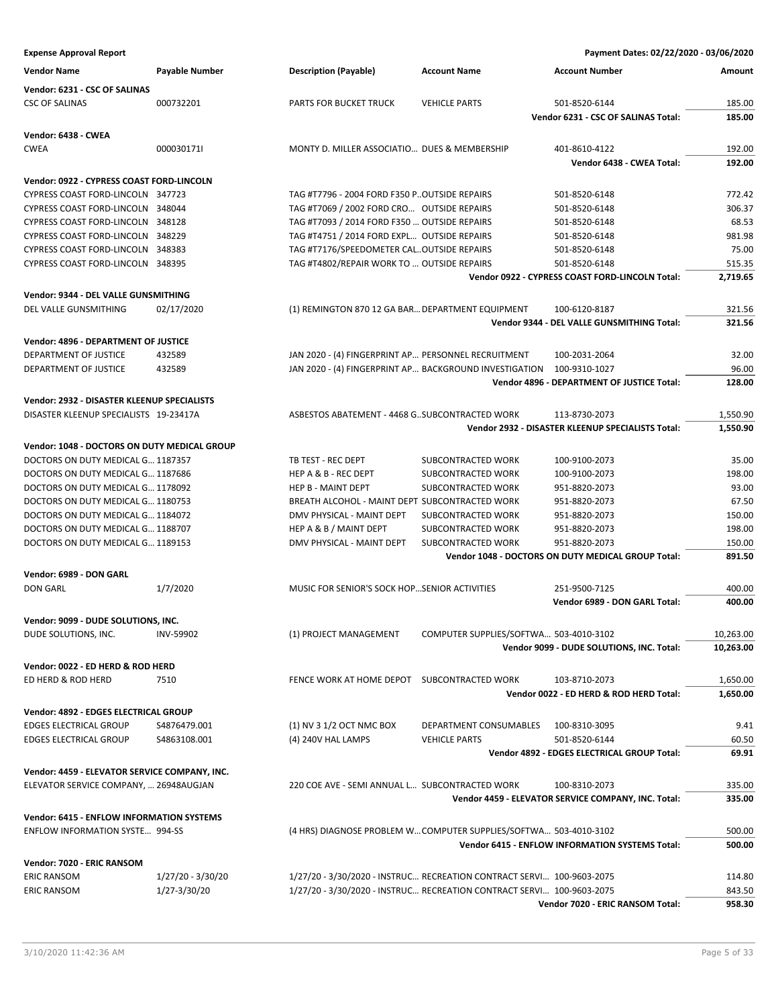| <b>Vendor Name</b>                               | Payable Number      | <b>Description (Payable)</b>                                          | <b>Account Name</b>                    | <b>Account Number</b>                               | Amount    |
|--------------------------------------------------|---------------------|-----------------------------------------------------------------------|----------------------------------------|-----------------------------------------------------|-----------|
| Vendor: 6231 - CSC OF SALINAS                    |                     |                                                                       |                                        |                                                     |           |
| <b>CSC OF SALINAS</b>                            | 000732201           | PARTS FOR BUCKET TRUCK                                                | <b>VEHICLE PARTS</b>                   | 501-8520-6144                                       | 185.00    |
|                                                  |                     |                                                                       |                                        | Vendor 6231 - CSC OF SALINAS Total:                 | 185.00    |
| Vendor: 6438 - CWEA                              |                     |                                                                       |                                        |                                                     |           |
| <b>CWEA</b>                                      | 000030171I          | MONTY D. MILLER ASSOCIATIO DUES & MEMBERSHIP                          |                                        | 401-8610-4122                                       | 192.00    |
|                                                  |                     |                                                                       |                                        | Vendor 6438 - CWEA Total:                           | 192.00    |
|                                                  |                     |                                                                       |                                        |                                                     |           |
| Vendor: 0922 - CYPRESS COAST FORD-LINCOLN        |                     |                                                                       |                                        |                                                     |           |
| CYPRESS COAST FORD-LINCOLN 347723                |                     | TAG #T7796 - 2004 FORD F350 P. OUTSIDE REPAIRS                        |                                        | 501-8520-6148                                       | 772.42    |
| CYPRESS COAST FORD-LINCOLN 348044                |                     | TAG #T7069 / 2002 FORD CRO OUTSIDE REPAIRS                            |                                        | 501-8520-6148                                       | 306.37    |
| CYPRESS COAST FORD-LINCOLN 348128                |                     | TAG #T7093 / 2014 FORD F350  OUTSIDE REPAIRS                          |                                        | 501-8520-6148                                       | 68.53     |
| CYPRESS COAST FORD-LINCOLN 348229                |                     | TAG #T4751 / 2014 FORD EXPL OUTSIDE REPAIRS                           |                                        | 501-8520-6148                                       | 981.98    |
| CYPRESS COAST FORD-LINCOLN 348383                |                     | TAG #T7176/SPEEDOMETER CALOUTSIDE REPAIRS                             |                                        | 501-8520-6148                                       | 75.00     |
| CYPRESS COAST FORD-LINCOLN 348395                |                     | TAG #T4802/REPAIR WORK TO  OUTSIDE REPAIRS                            |                                        | 501-8520-6148                                       | 515.35    |
|                                                  |                     |                                                                       |                                        | Vendor 0922 - CYPRESS COAST FORD-LINCOLN Total:     | 2,719.65  |
| Vendor: 9344 - DEL VALLE GUNSMITHING             |                     |                                                                       |                                        |                                                     |           |
| DEL VALLE GUNSMITHING                            | 02/17/2020          | (1) REMINGTON 870 12 GA BAR DEPARTMENT EQUIPMENT                      |                                        | 100-6120-8187                                       | 321.56    |
|                                                  |                     |                                                                       |                                        | Vendor 9344 - DEL VALLE GUNSMITHING Total:          | 321.56    |
| Vendor: 4896 - DEPARTMENT OF JUSTICE             |                     |                                                                       |                                        |                                                     |           |
| DEPARTMENT OF JUSTICE                            | 432589              | JAN 2020 - (4) FINGERPRINT AP PERSONNEL RECRUITMENT                   |                                        | 100-2031-2064                                       | 32.00     |
| DEPARTMENT OF JUSTICE                            | 432589              | JAN 2020 - (4) FINGERPRINT AP BACKGROUND INVESTIGATION                |                                        | 100-9310-1027                                       | 96.00     |
|                                                  |                     |                                                                       |                                        | Vendor 4896 - DEPARTMENT OF JUSTICE Total:          | 128.00    |
|                                                  |                     |                                                                       |                                        |                                                     |           |
| Vendor: 2932 - DISASTER KLEENUP SPECIALISTS      |                     |                                                                       |                                        |                                                     |           |
| DISASTER KLEENUP SPECIALISTS 19-23417A           |                     | ASBESTOS ABATEMENT - 4468 G. SUBCONTRACTED WORK                       |                                        | 113-8730-2073                                       | 1,550.90  |
|                                                  |                     |                                                                       |                                        | Vendor 2932 - DISASTER KLEENUP SPECIALISTS Total:   | 1,550.90  |
| Vendor: 1048 - DOCTORS ON DUTY MEDICAL GROUP     |                     |                                                                       |                                        |                                                     |           |
| DOCTORS ON DUTY MEDICAL G 1187357                |                     | TB TEST - REC DEPT                                                    | SUBCONTRACTED WORK                     | 100-9100-2073                                       | 35.00     |
| DOCTORS ON DUTY MEDICAL G 1187686                |                     | <b>HEP A &amp; B - REC DEPT</b>                                       | SUBCONTRACTED WORK                     | 100-9100-2073                                       | 198.00    |
| DOCTORS ON DUTY MEDICAL G 1178092                |                     | <b>HEP B - MAINT DEPT</b>                                             | SUBCONTRACTED WORK                     | 951-8820-2073                                       | 93.00     |
| DOCTORS ON DUTY MEDICAL G 1180753                |                     | BREATH ALCOHOL - MAINT DEPT SUBCONTRACTED WORK                        |                                        | 951-8820-2073                                       | 67.50     |
| DOCTORS ON DUTY MEDICAL G 1184072                |                     | DMV PHYSICAL - MAINT DEPT                                             | SUBCONTRACTED WORK                     | 951-8820-2073                                       | 150.00    |
| DOCTORS ON DUTY MEDICAL G 1188707                |                     | HEP A & B / MAINT DEPT                                                | SUBCONTRACTED WORK                     | 951-8820-2073                                       | 198.00    |
| DOCTORS ON DUTY MEDICAL G 1189153                |                     | DMV PHYSICAL - MAINT DEPT                                             | SUBCONTRACTED WORK                     | 951-8820-2073                                       | 150.00    |
|                                                  |                     |                                                                       |                                        | Vendor 1048 - DOCTORS ON DUTY MEDICAL GROUP Total:  | 891.50    |
| Vendor: 6989 - DON GARL                          |                     |                                                                       |                                        |                                                     |           |
| <b>DON GARL</b>                                  | 1/7/2020            | MUSIC FOR SENIOR'S SOCK HOP SENIOR ACTIVITIES                         |                                        | 251-9500-7125                                       | 400.00    |
|                                                  |                     |                                                                       |                                        | Vendor 6989 - DON GARL Total:                       | 400.00    |
|                                                  |                     |                                                                       |                                        |                                                     |           |
| Vendor: 9099 - DUDE SOLUTIONS, INC.              |                     |                                                                       |                                        |                                                     | 10,263.00 |
| DUDE SOLUTIONS, INC.                             | <b>INV-59902</b>    | (1) PROJECT MANAGEMENT                                                | COMPUTER SUPPLIES/SOFTWA 503-4010-3102 |                                                     |           |
|                                                  |                     |                                                                       |                                        | Vendor 9099 - DUDE SOLUTIONS, INC. Total:           | 10,263.00 |
| Vendor: 0022 - ED HERD & ROD HERD                |                     |                                                                       |                                        |                                                     |           |
| ED HERD & ROD HERD                               | 7510                | FENCE WORK AT HOME DEPOT SUBCONTRACTED WORK                           |                                        | 103-8710-2073                                       | 1,650.00  |
|                                                  |                     |                                                                       |                                        | Vendor 0022 - ED HERD & ROD HERD Total:             | 1,650.00  |
| Vendor: 4892 - EDGES ELECTRICAL GROUP            |                     |                                                                       |                                        |                                                     |           |
| <b>EDGES ELECTRICAL GROUP</b>                    | S4876479.001        | (1) NV 3 1/2 OCT NMC BOX                                              | DEPARTMENT CONSUMABLES 100-8310-3095   |                                                     | 9.41      |
| <b>EDGES ELECTRICAL GROUP</b>                    | S4863108.001        | (4) 240V HAL LAMPS                                                    | <b>VEHICLE PARTS</b>                   | 501-8520-6144                                       | 60.50     |
|                                                  |                     |                                                                       |                                        | Vendor 4892 - EDGES ELECTRICAL GROUP Total:         | 69.91     |
|                                                  |                     |                                                                       |                                        |                                                     |           |
| Vendor: 4459 - ELEVATOR SERVICE COMPANY, INC.    |                     |                                                                       |                                        |                                                     |           |
| ELEVATOR SERVICE COMPANY,  26948AUGJAN           |                     | 220 COE AVE - SEMI ANNUAL L SUBCONTRACTED WORK                        |                                        | 100-8310-2073                                       | 335.00    |
|                                                  |                     |                                                                       |                                        | Vendor 4459 - ELEVATOR SERVICE COMPANY, INC. Total: | 335.00    |
| <b>Vendor: 6415 - ENFLOW INFORMATION SYSTEMS</b> |                     |                                                                       |                                        |                                                     |           |
| <b>ENFLOW INFORMATION SYSTE 994-SS</b>           |                     | (4 HRS) DIAGNOSE PROBLEM W COMPUTER SUPPLIES/SOFTWA 503-4010-3102     |                                        |                                                     | 500.00    |
|                                                  |                     |                                                                       |                                        | Vendor 6415 - ENFLOW INFORMATION SYSTEMS Total:     | 500.00    |
| Vendor: 7020 - ERIC RANSOM                       |                     |                                                                       |                                        |                                                     |           |
| <b>ERIC RANSOM</b>                               | $1/27/20 - 3/30/20$ | 1/27/20 - 3/30/2020 - INSTRUC RECREATION CONTRACT SERVI 100-9603-2075 |                                        |                                                     | 114.80    |
| <b>ERIC RANSOM</b>                               | 1/27-3/30/20        | 1/27/20 - 3/30/2020 - INSTRUC RECREATION CONTRACT SERVI 100-9603-2075 |                                        |                                                     | 843.50    |
|                                                  |                     |                                                                       |                                        | Vendor 7020 - ERIC RANSOM Total:                    | 958.30    |
|                                                  |                     |                                                                       |                                        |                                                     |           |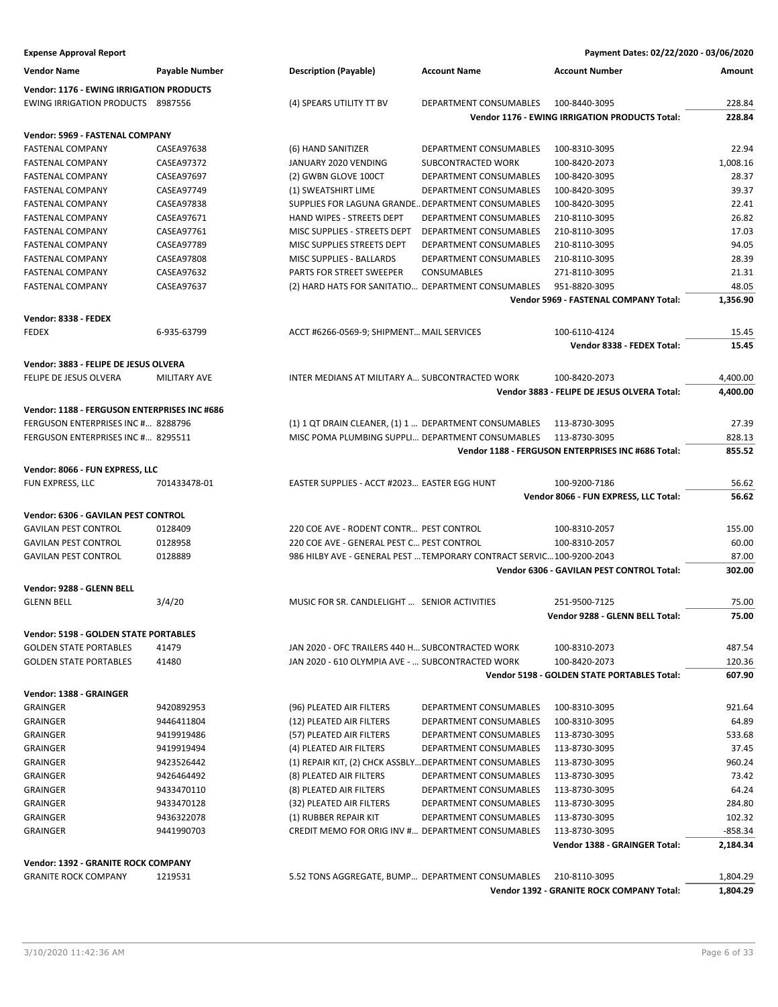| <b>Expense Approval Report</b>                  |                     |                                                                       |                        | Payment Dates: 02/22/2020 - 03/06/2020             |           |
|-------------------------------------------------|---------------------|-----------------------------------------------------------------------|------------------------|----------------------------------------------------|-----------|
| <b>Vendor Name</b>                              | Payable Number      | <b>Description (Payable)</b>                                          | <b>Account Name</b>    | <b>Account Number</b>                              | Amount    |
| <b>Vendor: 1176 - EWING IRRIGATION PRODUCTS</b> |                     |                                                                       |                        |                                                    |           |
| <b>EWING IRRIGATION PRODUCTS 8987556</b>        |                     | (4) SPEARS UTILITY TT BV                                              | DEPARTMENT CONSUMABLES | 100-8440-3095                                      | 228.84    |
|                                                 |                     |                                                                       |                        | Vendor 1176 - EWING IRRIGATION PRODUCTS Total:     | 228.84    |
| Vendor: 5969 - FASTENAL COMPANY                 |                     |                                                                       |                        |                                                    |           |
| <b>FASTENAL COMPANY</b>                         | CASEA97638          | (6) HAND SANITIZER                                                    | DEPARTMENT CONSUMABLES | 100-8310-3095                                      | 22.94     |
| <b>FASTENAL COMPANY</b>                         | CASEA97372          | JANUARY 2020 VENDING                                                  | SUBCONTRACTED WORK     | 100-8420-2073                                      | 1,008.16  |
| <b>FASTENAL COMPANY</b>                         | CASEA97697          | (2) GWBN GLOVE 100CT                                                  | DEPARTMENT CONSUMABLES | 100-8420-3095                                      | 28.37     |
| <b>FASTENAL COMPANY</b>                         | CASEA97749          | (1) SWEATSHIRT LIME                                                   | DEPARTMENT CONSUMABLES | 100-8420-3095                                      | 39.37     |
| <b>FASTENAL COMPANY</b>                         | CASEA97838          | SUPPLIES FOR LAGUNA GRANDE DEPARTMENT CONSUMABLES                     |                        | 100-8420-3095                                      | 22.41     |
| <b>FASTENAL COMPANY</b>                         | CASEA97671          | HAND WIPES - STREETS DEPT                                             | DEPARTMENT CONSUMABLES | 210-8110-3095                                      | 26.82     |
| <b>FASTENAL COMPANY</b>                         | CASEA97761          | MISC SUPPLIES - STREETS DEPT                                          | DEPARTMENT CONSUMABLES | 210-8110-3095                                      | 17.03     |
| <b>FASTENAL COMPANY</b>                         | CASEA97789          | MISC SUPPLIES STREETS DEPT                                            | DEPARTMENT CONSUMABLES | 210-8110-3095                                      | 94.05     |
| <b>FASTENAL COMPANY</b>                         | CASEA97808          | MISC SUPPLIES - BALLARDS                                              | DEPARTMENT CONSUMABLES | 210-8110-3095                                      | 28.39     |
| <b>FASTENAL COMPANY</b>                         | CASEA97632          | PARTS FOR STREET SWEEPER                                              | <b>CONSUMABLES</b>     | 271-8110-3095                                      | 21.31     |
| <b>FASTENAL COMPANY</b>                         | CASEA97637          | (2) HARD HATS FOR SANITATIO DEPARTMENT CONSUMABLES                    |                        | 951-8820-3095                                      | 48.05     |
|                                                 |                     |                                                                       |                        | <b>Vendor 5969 - FASTENAL COMPANY Total:</b>       | 1,356.90  |
| Vendor: 8338 - FEDEX                            |                     |                                                                       |                        |                                                    |           |
| <b>FEDEX</b>                                    | 6-935-63799         | ACCT #6266-0569-9; SHIPMENT MAIL SERVICES                             |                        | 100-6110-4124                                      | 15.45     |
|                                                 |                     |                                                                       |                        | Vendor 8338 - FEDEX Total:                         | 15.45     |
| Vendor: 3883 - FELIPE DE JESUS OLVERA           |                     |                                                                       |                        |                                                    |           |
| FELIPE DE JESUS OLVERA                          | <b>MILITARY AVE</b> | INTER MEDIANS AT MILITARY A SUBCONTRACTED WORK                        |                        | 100-8420-2073                                      | 4,400.00  |
|                                                 |                     |                                                                       |                        | Vendor 3883 - FELIPE DE JESUS OLVERA Total:        | 4,400.00  |
| Vendor: 1188 - FERGUSON ENTERPRISES INC #686    |                     |                                                                       |                        |                                                    |           |
| FERGUSON ENTERPRISES INC # 8288796              |                     | (1) 1 QT DRAIN CLEANER, (1) 1  DEPARTMENT CONSUMABLES                 |                        | 113-8730-3095                                      | 27.39     |
| FERGUSON ENTERPRISES INC # 8295511              |                     | MISC POMA PLUMBING SUPPLI DEPARTMENT CONSUMABLES                      |                        | 113-8730-3095                                      | 828.13    |
|                                                 |                     |                                                                       |                        | Vendor 1188 - FERGUSON ENTERPRISES INC #686 Total: | 855.52    |
|                                                 |                     |                                                                       |                        |                                                    |           |
| Vendor: 8066 - FUN EXPRESS, LLC                 |                     |                                                                       |                        |                                                    |           |
| FUN EXPRESS, LLC                                | 701433478-01        | EASTER SUPPLIES - ACCT #2023 EASTER EGG HUNT                          |                        | 100-9200-7186                                      | 56.62     |
|                                                 |                     |                                                                       |                        | Vendor 8066 - FUN EXPRESS, LLC Total:              | 56.62     |
| Vendor: 6306 - GAVILAN PEST CONTROL             |                     |                                                                       |                        |                                                    |           |
| <b>GAVILAN PEST CONTROL</b>                     | 0128409             | 220 COE AVE - RODENT CONTR PEST CONTROL                               |                        | 100-8310-2057                                      | 155.00    |
| <b>GAVILAN PEST CONTROL</b>                     | 0128958             | 220 COE AVE - GENERAL PEST C PEST CONTROL                             |                        | 100-8310-2057                                      | 60.00     |
| <b>GAVILAN PEST CONTROL</b>                     | 0128889             | 986 HILBY AVE - GENERAL PEST  TEMPORARY CONTRACT SERVIC 100-9200-2043 |                        |                                                    | 87.00     |
|                                                 |                     |                                                                       |                        | Vendor 6306 - GAVILAN PEST CONTROL Total:          | 302.00    |
| Vendor: 9288 - GLENN BELL                       |                     |                                                                       |                        |                                                    |           |
| <b>GLENN BELL</b>                               | 3/4/20              | MUSIC FOR SR. CANDLELIGHT  SENIOR ACTIVITIES                          |                        | 251-9500-7125                                      | 75.00     |
|                                                 |                     |                                                                       |                        | Vendor 9288 - GLENN BELL Total:                    | 75.00     |
| Vendor: 5198 - GOLDEN STATE PORTABLES           |                     |                                                                       |                        |                                                    |           |
| <b>GOLDEN STATE PORTABLES</b>                   | 41479               | JAN 2020 - OFC TRAILERS 440 H SUBCONTRACTED WORK                      |                        | 100-8310-2073                                      | 487.54    |
| <b>GOLDEN STATE PORTABLES</b>                   | 41480               | JAN 2020 - 610 OLYMPIA AVE -  SUBCONTRACTED WORK                      |                        | 100-8420-2073                                      | 120.36    |
|                                                 |                     |                                                                       |                        | Vendor 5198 - GOLDEN STATE PORTABLES Total:        | 607.90    |
| Vendor: 1388 - GRAINGER                         |                     |                                                                       |                        |                                                    |           |
| <b>GRAINGER</b>                                 | 9420892953          | (96) PLEATED AIR FILTERS                                              | DEPARTMENT CONSUMABLES | 100-8310-3095                                      | 921.64    |
| GRAINGER                                        | 9446411804          | (12) PLEATED AIR FILTERS                                              | DEPARTMENT CONSUMABLES | 100-8310-3095                                      | 64.89     |
| <b>GRAINGER</b>                                 | 9419919486          | (57) PLEATED AIR FILTERS                                              | DEPARTMENT CONSUMABLES | 113-8730-3095                                      | 533.68    |
| GRAINGER                                        | 9419919494          | (4) PLEATED AIR FILTERS                                               | DEPARTMENT CONSUMABLES | 113-8730-3095                                      | 37.45     |
| <b>GRAINGER</b>                                 | 9423526442          | (1) REPAIR KIT, (2) CHCK ASSBLY DEPARTMENT CONSUMABLES                |                        | 113-8730-3095                                      | 960.24    |
| <b>GRAINGER</b>                                 | 9426464492          | (8) PLEATED AIR FILTERS                                               | DEPARTMENT CONSUMABLES | 113-8730-3095                                      | 73.42     |
| <b>GRAINGER</b>                                 | 9433470110          | (8) PLEATED AIR FILTERS                                               | DEPARTMENT CONSUMABLES | 113-8730-3095                                      | 64.24     |
| <b>GRAINGER</b>                                 | 9433470128          | (32) PLEATED AIR FILTERS                                              | DEPARTMENT CONSUMABLES | 113-8730-3095                                      | 284.80    |
| <b>GRAINGER</b>                                 | 9436322078          | (1) RUBBER REPAIR KIT                                                 | DEPARTMENT CONSUMABLES | 113-8730-3095                                      | 102.32    |
| <b>GRAINGER</b>                                 | 9441990703          | CREDIT MEMO FOR ORIG INV # DEPARTMENT CONSUMABLES                     |                        | 113-8730-3095                                      | $-858.34$ |
|                                                 |                     |                                                                       |                        | Vendor 1388 - GRAINGER Total:                      | 2,184.34  |
|                                                 |                     |                                                                       |                        |                                                    |           |
| Vendor: 1392 - GRANITE ROCK COMPANY             |                     |                                                                       |                        |                                                    |           |
| <b>GRANITE ROCK COMPANY</b>                     | 1219531             | 5.52 TONS AGGREGATE, BUMP DEPARTMENT CONSUMABLES                      |                        | 210-8110-3095                                      | 1,804.29  |
|                                                 |                     |                                                                       |                        | Vendor 1392 - GRANITE ROCK COMPANY Total:          | 1,804.29  |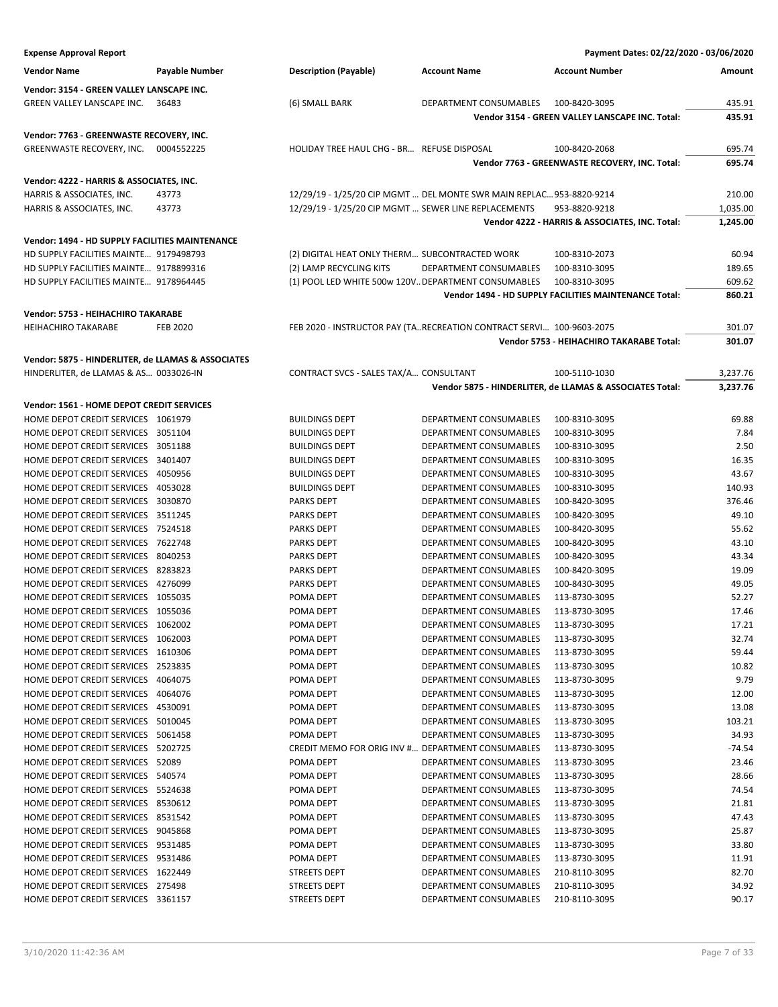| <b>Expense Approval Report</b>                                        |                 |                                                      |                                                                      | Payment Dates: 02/22/2020 - 03/06/2020                   |          |
|-----------------------------------------------------------------------|-----------------|------------------------------------------------------|----------------------------------------------------------------------|----------------------------------------------------------|----------|
| <b>Vendor Name</b>                                                    | Payable Number  | <b>Description (Payable)</b>                         | <b>Account Name</b>                                                  | <b>Account Number</b>                                    | Amount   |
| Vendor: 3154 - GREEN VALLEY LANSCAPE INC.                             |                 |                                                      |                                                                      |                                                          |          |
| <b>GREEN VALLEY LANSCAPE INC.</b>                                     | 36483           | (6) SMALL BARK                                       | DEPARTMENT CONSUMABLES                                               | 100-8420-3095                                            | 435.91   |
|                                                                       |                 |                                                      |                                                                      | Vendor 3154 - GREEN VALLEY LANSCAPE INC. Total:          | 435.91   |
|                                                                       |                 |                                                      |                                                                      |                                                          |          |
| Vendor: 7763 - GREENWASTE RECOVERY, INC.<br>GREENWASTE RECOVERY, INC. | 0004552225      | HOLIDAY TREE HAUL CHG - BR REFUSE DISPOSAL           |                                                                      | 100-8420-2068                                            | 695.74   |
|                                                                       |                 |                                                      |                                                                      | Vendor 7763 - GREENWASTE RECOVERY, INC. Total:           | 695.74   |
|                                                                       |                 |                                                      |                                                                      |                                                          |          |
| Vendor: 4222 - HARRIS & ASSOCIATES, INC.                              |                 |                                                      |                                                                      |                                                          |          |
| HARRIS & ASSOCIATES, INC.                                             | 43773           |                                                      | 12/29/19 - 1/25/20 CIP MGMT  DEL MONTE SWR MAIN REPLAC 953-8820-9214 |                                                          | 210.00   |
| HARRIS & ASSOCIATES, INC.                                             | 43773           | 12/29/19 - 1/25/20 CIP MGMT  SEWER LINE REPLACEMENTS |                                                                      | 953-8820-9218                                            | 1,035.00 |
|                                                                       |                 |                                                      |                                                                      | Vendor 4222 - HARRIS & ASSOCIATES, INC. Total:           | 1,245.00 |
| <b>Vendor: 1494 - HD SUPPLY FACILITIES MAINTENANCE</b>                |                 |                                                      |                                                                      |                                                          |          |
| HD SUPPLY FACILITIES MAINTE 9179498793                                |                 | (2) DIGITAL HEAT ONLY THERM SUBCONTRACTED WORK       |                                                                      | 100-8310-2073                                            | 60.94    |
| HD SUPPLY FACILITIES MAINTE 9178899316                                |                 | (2) LAMP RECYCLING KITS                              | DEPARTMENT CONSUMABLES                                               | 100-8310-3095                                            | 189.65   |
| HD SUPPLY FACILITIES MAINTE 9178964445                                |                 | (1) POOL LED WHITE 500w 120V DEPARTMENT CONSUMABLES  |                                                                      | 100-8310-3095                                            | 609.62   |
|                                                                       |                 |                                                      |                                                                      | Vendor 1494 - HD SUPPLY FACILITIES MAINTENANCE Total:    | 860.21   |
| Vendor: 5753 - HEIHACHIRO TAKARABE                                    |                 |                                                      |                                                                      |                                                          |          |
| <b>HEIHACHIRO TAKARABE</b>                                            | <b>FEB 2020</b> |                                                      | FEB 2020 - INSTRUCTOR PAY (TARECREATION CONTRACT SERVI 100-9603-2075 |                                                          | 301.07   |
|                                                                       |                 |                                                      |                                                                      | Vendor 5753 - HEIHACHIRO TAKARABE Total:                 | 301.07   |
| Vendor: 5875 - HINDERLITER, de LLAMAS & ASSOCIATES                    |                 |                                                      |                                                                      |                                                          |          |
| HINDERLITER, de LLAMAS & AS 0033026-IN                                |                 | CONTRACT SVCS - SALES TAX/A CONSULTANT               |                                                                      | 100-5110-1030                                            | 3,237.76 |
|                                                                       |                 |                                                      |                                                                      | Vendor 5875 - HINDERLITER, de LLAMAS & ASSOCIATES Total: | 3,237.76 |
| Vendor: 1561 - HOME DEPOT CREDIT SERVICES                             |                 |                                                      |                                                                      |                                                          |          |
| HOME DEPOT CREDIT SERVICES 1061979                                    |                 | <b>BUILDINGS DEPT</b>                                | DEPARTMENT CONSUMABLES                                               | 100-8310-3095                                            | 69.88    |
| HOME DEPOT CREDIT SERVICES 3051104                                    |                 | <b>BUILDINGS DEPT</b>                                | DEPARTMENT CONSUMABLES                                               | 100-8310-3095                                            | 7.84     |
| HOME DEPOT CREDIT SERVICES 3051188                                    |                 | <b>BUILDINGS DEPT</b>                                | DEPARTMENT CONSUMABLES                                               | 100-8310-3095                                            | 2.50     |
| HOME DEPOT CREDIT SERVICES 3401407                                    |                 | <b>BUILDINGS DEPT</b>                                | DEPARTMENT CONSUMABLES                                               | 100-8310-3095                                            | 16.35    |
| HOME DEPOT CREDIT SERVICES 4050956                                    |                 | <b>BUILDINGS DEPT</b>                                | DEPARTMENT CONSUMABLES                                               | 100-8310-3095                                            | 43.67    |
| HOME DEPOT CREDIT SERVICES 4053028                                    |                 | <b>BUILDINGS DEPT</b>                                | DEPARTMENT CONSUMABLES                                               | 100-8310-3095                                            | 140.93   |
| HOME DEPOT CREDIT SERVICES 3030870                                    |                 | <b>PARKS DEPT</b>                                    | DEPARTMENT CONSUMABLES                                               | 100-8420-3095                                            | 376.46   |
| HOME DEPOT CREDIT SERVICES 3511245                                    |                 | <b>PARKS DEPT</b>                                    | DEPARTMENT CONSUMABLES                                               | 100-8420-3095                                            | 49.10    |
| HOME DEPOT CREDIT SERVICES 7524518                                    |                 | <b>PARKS DEPT</b>                                    | DEPARTMENT CONSUMABLES                                               | 100-8420-3095                                            | 55.62    |
| HOME DEPOT CREDIT SERVICES 7622748                                    |                 | <b>PARKS DEPT</b>                                    | DEPARTMENT CONSUMABLES                                               | 100-8420-3095                                            | 43.10    |
| HOME DEPOT CREDIT SERVICES 8040253                                    |                 | <b>PARKS DEPT</b>                                    | DEPARTMENT CONSUMABLES                                               | 100-8420-3095                                            | 43.34    |
| HOME DEPOT CREDIT SERVICES 8283823                                    |                 | <b>PARKS DEPT</b>                                    | DEPARTMENT CONSUMABLES                                               | 100-8420-3095                                            | 19.09    |
| HOME DEPOT CREDIT SERVICES 4276099                                    |                 | <b>PARKS DEPT</b>                                    | DEPARTMENT CONSUMABLES                                               | 100-8430-3095                                            | 49.05    |
| HOME DEPOT CREDIT SERVICES 1055035                                    |                 | POMA DEPT                                            | DEPARTMENT CONSUMABLES                                               | 113-8730-3095                                            | 52.27    |
| HOME DEPOT CREDIT SERVICES 1055036                                    |                 | POMA DEPT                                            | DEPARTMENT CONSUMABLES                                               | 113-8730-3095                                            | 17.46    |
| HOME DEPOT CREDIT SERVICES 1062002                                    |                 | POMA DEPT                                            | DEPARTMENT CONSUMABLES                                               | 113-8730-3095                                            | 17.21    |
| HOME DEPOT CREDIT SERVICES 1062003                                    |                 | POMA DEPT                                            | DEPARTMENT CONSUMABLES                                               | 113-8730-3095                                            | 32.74    |
| HOME DEPOT CREDIT SERVICES 1610306                                    |                 | POMA DEPT                                            | DEPARTMENT CONSUMABLES                                               | 113-8730-3095                                            | 59.44    |
| HOME DEPOT CREDIT SERVICES 2523835                                    |                 | POMA DEPT                                            | DEPARTMENT CONSUMABLES                                               | 113-8730-3095                                            | 10.82    |
| HOME DEPOT CREDIT SERVICES 4064075                                    |                 | POMA DEPT                                            | DEPARTMENT CONSUMABLES                                               | 113-8730-3095                                            | 9.79     |
| HOME DEPOT CREDIT SERVICES 4064076                                    |                 | POMA DEPT                                            | DEPARTMENT CONSUMABLES                                               | 113-8730-3095                                            | 12.00    |
| HOME DEPOT CREDIT SERVICES 4530091                                    |                 | POMA DEPT                                            | DEPARTMENT CONSUMABLES                                               | 113-8730-3095                                            | 13.08    |
| HOME DEPOT CREDIT SERVICES 5010045                                    |                 | POMA DEPT                                            | DEPARTMENT CONSUMABLES                                               | 113-8730-3095                                            | 103.21   |
| HOME DEPOT CREDIT SERVICES 5061458                                    |                 | POMA DEPT                                            | DEPARTMENT CONSUMABLES                                               | 113-8730-3095                                            | 34.93    |
| HOME DEPOT CREDIT SERVICES 5202725                                    |                 | CREDIT MEMO FOR ORIG INV # DEPARTMENT CONSUMABLES    |                                                                      | 113-8730-3095                                            | -74.54   |
| HOME DEPOT CREDIT SERVICES 52089                                      |                 | POMA DEPT                                            | DEPARTMENT CONSUMABLES                                               | 113-8730-3095                                            | 23.46    |
| HOME DEPOT CREDIT SERVICES 540574                                     |                 | POMA DEPT                                            | DEPARTMENT CONSUMABLES                                               | 113-8730-3095                                            | 28.66    |
| HOME DEPOT CREDIT SERVICES 5524638                                    |                 | POMA DEPT                                            | DEPARTMENT CONSUMABLES                                               | 113-8730-3095                                            | 74.54    |
| HOME DEPOT CREDIT SERVICES 8530612                                    |                 | POMA DEPT                                            | DEPARTMENT CONSUMABLES                                               | 113-8730-3095                                            | 21.81    |
| HOME DEPOT CREDIT SERVICES 8531542                                    |                 | POMA DEPT                                            | DEPARTMENT CONSUMABLES                                               | 113-8730-3095                                            | 47.43    |
| HOME DEPOT CREDIT SERVICES 9045868                                    |                 | POMA DEPT                                            | DEPARTMENT CONSUMABLES                                               | 113-8730-3095                                            | 25.87    |
| HOME DEPOT CREDIT SERVICES 9531485                                    |                 | POMA DEPT                                            | DEPARTMENT CONSUMABLES                                               | 113-8730-3095                                            | 33.80    |
| HOME DEPOT CREDIT SERVICES 9531486                                    |                 | POMA DEPT                                            | DEPARTMENT CONSUMABLES                                               | 113-8730-3095                                            | 11.91    |
| HOME DEPOT CREDIT SERVICES 1622449                                    |                 | <b>STREETS DEPT</b>                                  | DEPARTMENT CONSUMABLES                                               | 210-8110-3095                                            | 82.70    |
| HOME DEPOT CREDIT SERVICES 275498                                     |                 | STREETS DEPT                                         | DEPARTMENT CONSUMABLES                                               | 210-8110-3095                                            | 34.92    |
| HOME DEPOT CREDIT SERVICES 3361157                                    |                 | <b>STREETS DEPT</b>                                  | DEPARTMENT CONSUMABLES                                               | 210-8110-3095                                            | 90.17    |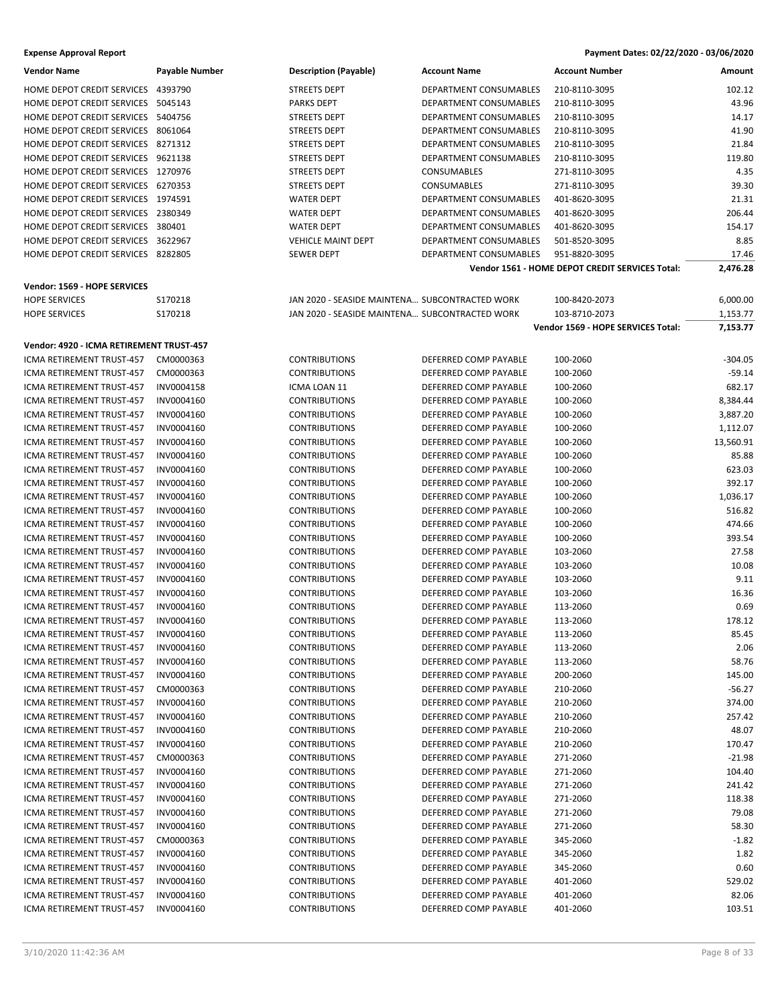| Vendor Name                              | <b>Payable Number</b> | <b>Description (Payable)</b>                   | <b>Account Name</b>           | <b>Account Number</b>                           | Amount    |
|------------------------------------------|-----------------------|------------------------------------------------|-------------------------------|-------------------------------------------------|-----------|
| HOME DEPOT CREDIT SERVICES 4393790       |                       | STREETS DEPT                                   | DEPARTMENT CONSUMABLES        | 210-8110-3095                                   | 102.12    |
| HOME DEPOT CREDIT SERVICES 5045143       |                       | <b>PARKS DEPT</b>                              | DEPARTMENT CONSUMABLES        | 210-8110-3095                                   | 43.96     |
| HOME DEPOT CREDIT SERVICES 5404756       |                       | <b>STREETS DEPT</b>                            | DEPARTMENT CONSUMABLES        | 210-8110-3095                                   | 14.17     |
| HOME DEPOT CREDIT SERVICES 8061064       |                       | <b>STREETS DEPT</b>                            | DEPARTMENT CONSUMABLES        | 210-8110-3095                                   | 41.90     |
| HOME DEPOT CREDIT SERVICES 8271312       |                       | <b>STREETS DEPT</b>                            | <b>DEPARTMENT CONSUMABLES</b> | 210-8110-3095                                   | 21.84     |
| HOME DEPOT CREDIT SERVICES 9621138       |                       | STREETS DEPT                                   | DEPARTMENT CONSUMABLES        | 210-8110-3095                                   | 119.80    |
| HOME DEPOT CREDIT SERVICES 1270976       |                       | STREETS DEPT                                   | <b>CONSUMABLES</b>            | 271-8110-3095                                   | 4.35      |
| HOME DEPOT CREDIT SERVICES 6270353       |                       | <b>STREETS DEPT</b>                            | <b>CONSUMABLES</b>            | 271-8110-3095                                   | 39.30     |
| HOME DEPOT CREDIT SERVICES 1974591       |                       | <b>WATER DEPT</b>                              | DEPARTMENT CONSUMABLES        | 401-8620-3095                                   | 21.31     |
| HOME DEPOT CREDIT SERVICES 2380349       |                       | <b>WATER DEPT</b>                              | DEPARTMENT CONSUMABLES        | 401-8620-3095                                   | 206.44    |
| HOME DEPOT CREDIT SERVICES 380401        |                       |                                                | DEPARTMENT CONSUMABLES        |                                                 | 154.17    |
|                                          |                       | <b>WATER DEPT</b>                              |                               | 401-8620-3095                                   |           |
| HOME DEPOT CREDIT SERVICES 3622967       |                       | <b>VEHICLE MAINT DEPT</b>                      | DEPARTMENT CONSUMABLES        | 501-8520-3095                                   | 8.85      |
| HOME DEPOT CREDIT SERVICES 8282805       |                       | <b>SEWER DEPT</b>                              | DEPARTMENT CONSUMABLES        | 951-8820-3095                                   | 17.46     |
|                                          |                       |                                                |                               | Vendor 1561 - HOME DEPOT CREDIT SERVICES Total: | 2,476.28  |
| Vendor: 1569 - HOPE SERVICES             |                       |                                                |                               |                                                 |           |
| <b>HOPE SERVICES</b>                     | S170218               | JAN 2020 - SEASIDE MAINTENA SUBCONTRACTED WORK |                               | 100-8420-2073                                   | 6,000.00  |
| <b>HOPE SERVICES</b>                     | S170218               | JAN 2020 - SEASIDE MAINTENA SUBCONTRACTED WORK |                               | 103-8710-2073                                   | 1,153.77  |
|                                          |                       |                                                |                               | Vendor 1569 - HOPE SERVICES Total:              | 7,153.77  |
| Vendor: 4920 - ICMA RETIREMENT TRUST-457 |                       |                                                |                               |                                                 |           |
| ICMA RETIREMENT TRUST-457                | CM0000363             | <b>CONTRIBUTIONS</b>                           | DEFERRED COMP PAYABLE         | 100-2060                                        | $-304.05$ |
| ICMA RETIREMENT TRUST-457                | CM0000363             | <b>CONTRIBUTIONS</b>                           | DEFERRED COMP PAYABLE         | 100-2060                                        | $-59.14$  |
| ICMA RETIREMENT TRUST-457                | INV0004158            | ICMA LOAN 11                                   | DEFERRED COMP PAYABLE         | 100-2060                                        | 682.17    |
| ICMA RETIREMENT TRUST-457                | INV0004160            | <b>CONTRIBUTIONS</b>                           | DEFERRED COMP PAYABLE         | 100-2060                                        | 8,384.44  |
| ICMA RETIREMENT TRUST-457                | INV0004160            | <b>CONTRIBUTIONS</b>                           | DEFERRED COMP PAYABLE         | 100-2060                                        | 3,887.20  |
| <b>ICMA RETIREMENT TRUST-457</b>         | INV0004160            | <b>CONTRIBUTIONS</b>                           | DEFERRED COMP PAYABLE         | 100-2060                                        | 1,112.07  |
|                                          |                       |                                                |                               |                                                 |           |
| ICMA RETIREMENT TRUST-457                | INV0004160            | <b>CONTRIBUTIONS</b>                           | DEFERRED COMP PAYABLE         | 100-2060                                        | 13,560.91 |
| ICMA RETIREMENT TRUST-457                | INV0004160            | <b>CONTRIBUTIONS</b>                           | DEFERRED COMP PAYABLE         | 100-2060                                        | 85.88     |
| ICMA RETIREMENT TRUST-457                | INV0004160            | <b>CONTRIBUTIONS</b>                           | DEFERRED COMP PAYABLE         | 100-2060                                        | 623.03    |
| ICMA RETIREMENT TRUST-457                | INV0004160            | <b>CONTRIBUTIONS</b>                           | DEFERRED COMP PAYABLE         | 100-2060                                        | 392.17    |
| ICMA RETIREMENT TRUST-457                | INV0004160            | <b>CONTRIBUTIONS</b>                           | DEFERRED COMP PAYABLE         | 100-2060                                        | 1,036.17  |
| ICMA RETIREMENT TRUST-457                | INV0004160            | <b>CONTRIBUTIONS</b>                           | DEFERRED COMP PAYABLE         | 100-2060                                        | 516.82    |
| ICMA RETIREMENT TRUST-457                | INV0004160            | <b>CONTRIBUTIONS</b>                           | DEFERRED COMP PAYABLE         | 100-2060                                        | 474.66    |
| ICMA RETIREMENT TRUST-457                | INV0004160            | <b>CONTRIBUTIONS</b>                           | DEFERRED COMP PAYABLE         | 100-2060                                        | 393.54    |
| ICMA RETIREMENT TRUST-457                | INV0004160            | <b>CONTRIBUTIONS</b>                           | DEFERRED COMP PAYABLE         | 103-2060                                        | 27.58     |
| ICMA RETIREMENT TRUST-457                | INV0004160            | <b>CONTRIBUTIONS</b>                           | DEFERRED COMP PAYABLE         | 103-2060                                        | 10.08     |
| ICMA RETIREMENT TRUST-457                | INV0004160            | <b>CONTRIBUTIONS</b>                           | DEFERRED COMP PAYABLE         | 103-2060                                        | 9.11      |
| ICMA RETIREMENT TRUST-457                | INV0004160            | <b>CONTRIBUTIONS</b>                           | DEFERRED COMP PAYABLE         | 103-2060                                        | 16.36     |
| ICMA RETIREMENT TRUST-457                | INV0004160            | <b>CONTRIBUTIONS</b>                           | DEFERRED COMP PAYABLE         | 113-2060                                        | 0.69      |
| ICMA RETIREMENT TRUST-457                | INV0004160            | <b>CONTRIBUTIONS</b>                           | DEFERRED COMP PAYABLE         | 113-2060                                        | 178.12    |
| ICMA RETIREMENT TRUST-457                | INV0004160            | CONTRIBUTIONS                                  | DEFERRED COMP PAYABLE         | 113-2060                                        | 85.45     |
| ICMA RETIREMENT TRUST-457                | INV0004160            | <b>CONTRIBUTIONS</b>                           | DEFERRED COMP PAYABLE         | 113-2060                                        | 2.06      |
| ICMA RETIREMENT TRUST-457                | INV0004160            | <b>CONTRIBUTIONS</b>                           | DEFERRED COMP PAYABLE         | 113-2060                                        | 58.76     |
| ICMA RETIREMENT TRUST-457                | INV0004160            | <b>CONTRIBUTIONS</b>                           | DEFERRED COMP PAYABLE         | 200-2060                                        | 145.00    |
| ICMA RETIREMENT TRUST-457                | CM0000363             | <b>CONTRIBUTIONS</b>                           | DEFERRED COMP PAYABLE         | 210-2060                                        | $-56.27$  |
| ICMA RETIREMENT TRUST-457                | INV0004160            | <b>CONTRIBUTIONS</b>                           | DEFERRED COMP PAYABLE         | 210-2060                                        | 374.00    |
| ICMA RETIREMENT TRUST-457                | INV0004160            | <b>CONTRIBUTIONS</b>                           | DEFERRED COMP PAYABLE         | 210-2060                                        | 257.42    |
| ICMA RETIREMENT TRUST-457                | INV0004160            | <b>CONTRIBUTIONS</b>                           | DEFERRED COMP PAYABLE         | 210-2060                                        | 48.07     |
| ICMA RETIREMENT TRUST-457                | INV0004160            | <b>CONTRIBUTIONS</b>                           | DEFERRED COMP PAYABLE         | 210-2060                                        | 170.47    |
| ICMA RETIREMENT TRUST-457                | CM0000363             | <b>CONTRIBUTIONS</b>                           | DEFERRED COMP PAYABLE         | 271-2060                                        | $-21.98$  |
| ICMA RETIREMENT TRUST-457                | INV0004160            | <b>CONTRIBUTIONS</b>                           | DEFERRED COMP PAYABLE         | 271-2060                                        | 104.40    |
| ICMA RETIREMENT TRUST-457                | INV0004160            | <b>CONTRIBUTIONS</b>                           | DEFERRED COMP PAYABLE         | 271-2060                                        | 241.42    |
| ICMA RETIREMENT TRUST-457                | INV0004160            | <b>CONTRIBUTIONS</b>                           | DEFERRED COMP PAYABLE         | 271-2060                                        | 118.38    |
| ICMA RETIREMENT TRUST-457                | INV0004160            | <b>CONTRIBUTIONS</b>                           | DEFERRED COMP PAYABLE         | 271-2060                                        | 79.08     |
| ICMA RETIREMENT TRUST-457                | INV0004160            | <b>CONTRIBUTIONS</b>                           | DEFERRED COMP PAYABLE         | 271-2060                                        | 58.30     |
| ICMA RETIREMENT TRUST-457                | CM0000363             | <b>CONTRIBUTIONS</b>                           | DEFERRED COMP PAYABLE         | 345-2060                                        | $-1.82$   |
| ICMA RETIREMENT TRUST-457                | INV0004160            | <b>CONTRIBUTIONS</b>                           | DEFERRED COMP PAYABLE         | 345-2060                                        | 1.82      |
| ICMA RETIREMENT TRUST-457                | INV0004160            | <b>CONTRIBUTIONS</b>                           | DEFERRED COMP PAYABLE         | 345-2060                                        | 0.60      |
| ICMA RETIREMENT TRUST-457                | INV0004160            | <b>CONTRIBUTIONS</b>                           | DEFERRED COMP PAYABLE         | 401-2060                                        | 529.02    |
| ICMA RETIREMENT TRUST-457                | INV0004160            | <b>CONTRIBUTIONS</b>                           | DEFERRED COMP PAYABLE         | 401-2060                                        | 82.06     |
| ICMA RETIREMENT TRUST-457                | INV0004160            | <b>CONTRIBUTIONS</b>                           | DEFERRED COMP PAYABLE         | 401-2060                                        | 103.51    |
|                                          |                       |                                                |                               |                                                 |           |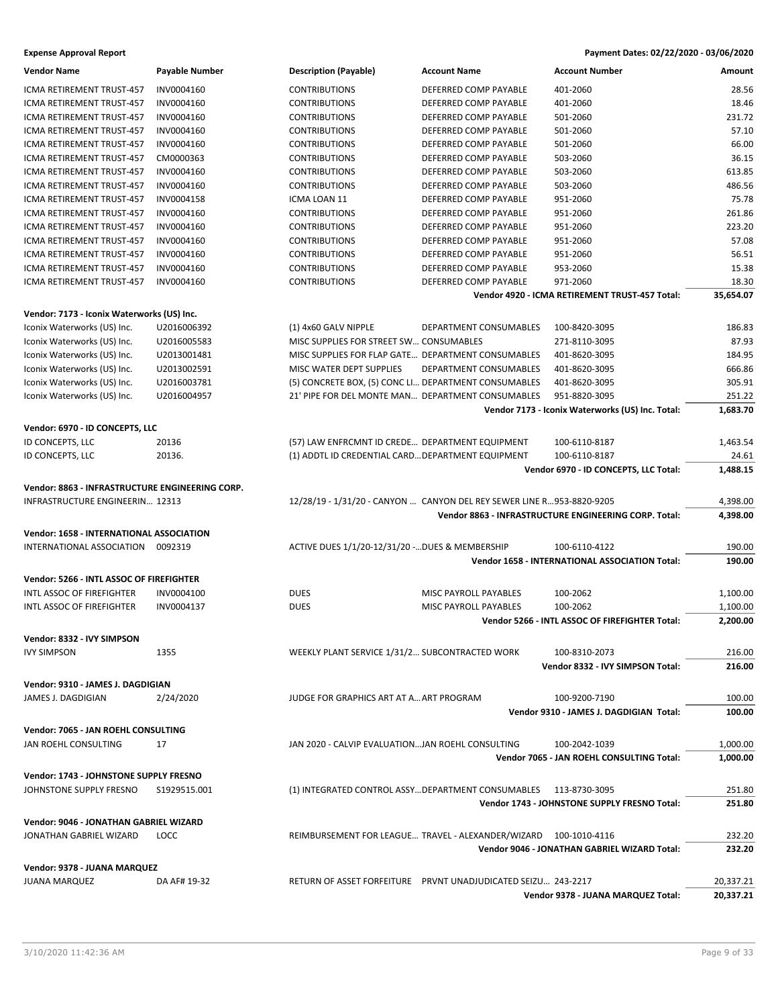| <b>Vendor Name</b>                              | Payable Number | <b>Description (Payable)</b>                         | <b>Account Name</b>                                                   | <b>Account Number</b>                                 | Amount    |
|-------------------------------------------------|----------------|------------------------------------------------------|-----------------------------------------------------------------------|-------------------------------------------------------|-----------|
| ICMA RETIREMENT TRUST-457                       | INV0004160     | <b>CONTRIBUTIONS</b>                                 | DEFERRED COMP PAYABLE                                                 | 401-2060                                              | 28.56     |
| ICMA RETIREMENT TRUST-457                       | INV0004160     | <b>CONTRIBUTIONS</b>                                 | DEFERRED COMP PAYABLE                                                 | 401-2060                                              | 18.46     |
| ICMA RETIREMENT TRUST-457                       | INV0004160     | <b>CONTRIBUTIONS</b>                                 | DEFERRED COMP PAYABLE                                                 | 501-2060                                              | 231.72    |
| ICMA RETIREMENT TRUST-457                       | INV0004160     | <b>CONTRIBUTIONS</b>                                 | DEFERRED COMP PAYABLE                                                 | 501-2060                                              | 57.10     |
| ICMA RETIREMENT TRUST-457                       | INV0004160     | <b>CONTRIBUTIONS</b>                                 | DEFERRED COMP PAYABLE                                                 | 501-2060                                              | 66.00     |
| ICMA RETIREMENT TRUST-457                       | CM0000363      | <b>CONTRIBUTIONS</b>                                 | DEFERRED COMP PAYABLE                                                 | 503-2060                                              | 36.15     |
| ICMA RETIREMENT TRUST-457                       | INV0004160     | <b>CONTRIBUTIONS</b>                                 | DEFERRED COMP PAYABLE                                                 | 503-2060                                              | 613.85    |
| ICMA RETIREMENT TRUST-457                       | INV0004160     | <b>CONTRIBUTIONS</b>                                 | DEFERRED COMP PAYABLE                                                 | 503-2060                                              | 486.56    |
| ICMA RETIREMENT TRUST-457                       | INV0004158     | ICMA LOAN 11                                         | DEFERRED COMP PAYABLE                                                 | 951-2060                                              | 75.78     |
| ICMA RETIREMENT TRUST-457                       | INV0004160     | <b>CONTRIBUTIONS</b>                                 | DEFERRED COMP PAYABLE                                                 | 951-2060                                              | 261.86    |
| ICMA RETIREMENT TRUST-457                       | INV0004160     | <b>CONTRIBUTIONS</b>                                 | DEFERRED COMP PAYABLE                                                 | 951-2060                                              | 223.20    |
| ICMA RETIREMENT TRUST-457                       | INV0004160     | <b>CONTRIBUTIONS</b>                                 | DEFERRED COMP PAYABLE                                                 | 951-2060                                              | 57.08     |
| ICMA RETIREMENT TRUST-457                       | INV0004160     | <b>CONTRIBUTIONS</b>                                 | DEFERRED COMP PAYABLE                                                 | 951-2060                                              | 56.51     |
| ICMA RETIREMENT TRUST-457                       | INV0004160     | <b>CONTRIBUTIONS</b>                                 | DEFERRED COMP PAYABLE                                                 | 953-2060                                              | 15.38     |
| ICMA RETIREMENT TRUST-457                       | INV0004160     | <b>CONTRIBUTIONS</b>                                 | DEFERRED COMP PAYABLE                                                 | 971-2060                                              | 18.30     |
|                                                 |                |                                                      |                                                                       | Vendor 4920 - ICMA RETIREMENT TRUST-457 Total:        | 35,654.07 |
|                                                 |                |                                                      |                                                                       |                                                       |           |
| Vendor: 7173 - Iconix Waterworks (US) Inc.      |                |                                                      |                                                                       |                                                       |           |
| Iconix Waterworks (US) Inc.                     | U2016006392    | (1) 4x60 GALV NIPPLE                                 | DEPARTMENT CONSUMABLES                                                | 100-8420-3095                                         | 186.83    |
| Iconix Waterworks (US) Inc.                     | U2016005583    | MISC SUPPLIES FOR STREET SW CONSUMABLES              |                                                                       | 271-8110-3095                                         | 87.93     |
| Iconix Waterworks (US) Inc.                     | U2013001481    | MISC SUPPLIES FOR FLAP GATE DEPARTMENT CONSUMABLES   |                                                                       | 401-8620-3095                                         | 184.95    |
| Iconix Waterworks (US) Inc.                     | U2013002591    | MISC WATER DEPT SUPPLIES                             | DEPARTMENT CONSUMABLES                                                | 401-8620-3095                                         | 666.86    |
| Iconix Waterworks (US) Inc.                     | U2016003781    | (5) CONCRETE BOX, (5) CONC LI DEPARTMENT CONSUMABLES |                                                                       | 401-8620-3095                                         | 305.91    |
| Iconix Waterworks (US) Inc.                     | U2016004957    | 21' PIPE FOR DEL MONTE MAN DEPARTMENT CONSUMABLES    |                                                                       | 951-8820-3095                                         | 251.22    |
|                                                 |                |                                                      |                                                                       | Vendor 7173 - Iconix Waterworks (US) Inc. Total:      | 1,683.70  |
| Vendor: 6970 - ID CONCEPTS, LLC                 |                |                                                      |                                                                       |                                                       |           |
| ID CONCEPTS, LLC                                | 20136          | (57) LAW ENFRCMNT ID CREDE DEPARTMENT EQUIPMENT      |                                                                       | 100-6110-8187                                         | 1,463.54  |
| ID CONCEPTS, LLC                                | 20136.         | (1) ADDTL ID CREDENTIAL CARD DEPARTMENT EQUIPMENT    |                                                                       | 100-6110-8187                                         | 24.61     |
|                                                 |                |                                                      |                                                                       | Vendor 6970 - ID CONCEPTS, LLC Total:                 | 1,488.15  |
| Vendor: 8863 - INFRASTRUCTURE ENGINEERING CORP. |                |                                                      |                                                                       |                                                       |           |
| INFRASTRUCTURE ENGINEERIN 12313                 |                |                                                      | 12/28/19 - 1/31/20 - CANYON  CANYON DEL REY SEWER LINE R953-8820-9205 |                                                       | 4,398.00  |
|                                                 |                |                                                      |                                                                       | Vendor 8863 - INFRASTRUCTURE ENGINEERING CORP. Total: | 4,398.00  |
|                                                 |                |                                                      |                                                                       |                                                       |           |
| <b>Vendor: 1658 - INTERNATIONAL ASSOCIATION</b> |                |                                                      |                                                                       |                                                       |           |
| INTERNATIONAL ASSOCIATION 0092319               |                | ACTIVE DUES 1/1/20-12/31/20 - DUES & MEMBERSHIP      |                                                                       | 100-6110-4122                                         | 190.00    |
|                                                 |                |                                                      |                                                                       | Vendor 1658 - INTERNATIONAL ASSOCIATION Total:        | 190.00    |
| Vendor: 5266 - INTL ASSOC OF FIREFIGHTER        |                |                                                      |                                                                       |                                                       |           |
| INTL ASSOC OF FIREFIGHTER                       | INV0004100     | <b>DUES</b>                                          | MISC PAYROLL PAYABLES                                                 | 100-2062                                              | 1,100.00  |
| INTL ASSOC OF FIREFIGHTER                       | INV0004137     | <b>DUES</b>                                          | MISC PAYROLL PAYABLES                                                 | 100-2062                                              | 1,100.00  |
|                                                 |                |                                                      |                                                                       | Vendor 5266 - INTL ASSOC OF FIREFIGHTER Total:        | 2,200.00  |
| Vendor: 8332 - IVY SIMPSON                      |                |                                                      |                                                                       |                                                       |           |
| <b>IVY SIMPSON</b>                              | 1355           | WEEKLY PLANT SERVICE 1/31/2 SUBCONTRACTED WORK       |                                                                       | 100-8310-2073                                         | 216.00    |
|                                                 |                |                                                      |                                                                       | Vendor 8332 - IVY SIMPSON Total:                      | 216.00    |
| Vendor: 9310 - JAMES J. DAGDIGIAN               |                |                                                      |                                                                       |                                                       |           |
| JAMES J. DAGDIGIAN                              | 2/24/2020      | JUDGE FOR GRAPHICS ART AT A ART PROGRAM              |                                                                       | 100-9200-7190                                         | 100.00    |
|                                                 |                |                                                      |                                                                       | Vendor 9310 - JAMES J. DAGDIGIAN Total:               | 100.00    |
|                                                 |                |                                                      |                                                                       |                                                       |           |
| Vendor: 7065 - JAN ROEHL CONSULTING             |                |                                                      |                                                                       |                                                       |           |
| JAN ROEHL CONSULTING                            | 17             | JAN 2020 - CALVIP EVALUATIONJAN ROEHL CONSULTING     |                                                                       | 100-2042-1039                                         | 1,000.00  |
|                                                 |                |                                                      |                                                                       | Vendor 7065 - JAN ROEHL CONSULTING Total:             | 1,000.00  |
| Vendor: 1743 - JOHNSTONE SUPPLY FRESNO          |                |                                                      |                                                                       |                                                       |           |
| JOHNSTONE SUPPLY FRESNO                         | S1929515.001   |                                                      | (1) INTEGRATED CONTROL ASSY DEPARTMENT CONSUMABLES 113-8730-3095      |                                                       | 251.80    |
|                                                 |                |                                                      |                                                                       | Vendor 1743 - JOHNSTONE SUPPLY FRESNO Total:          | 251.80    |
| Vendor: 9046 - JONATHAN GABRIEL WIZARD          |                |                                                      |                                                                       |                                                       |           |
| JONATHAN GABRIEL WIZARD                         | LOCC           |                                                      | REIMBURSEMENT FOR LEAGUE TRAVEL - ALEXANDER/WIZARD 100-1010-4116      |                                                       | 232.20    |
|                                                 |                |                                                      |                                                                       | Vendor 9046 - JONATHAN GABRIEL WIZARD Total:          | 232.20    |
|                                                 |                |                                                      |                                                                       |                                                       |           |
| Vendor: 9378 - JUANA MARQUEZ                    |                |                                                      |                                                                       |                                                       |           |
| <b>JUANA MARQUEZ</b>                            | DA AF# 19-32   |                                                      |                                                                       |                                                       | 20,337.21 |
|                                                 |                |                                                      |                                                                       | Vendor 9378 - JUANA MARQUEZ Total:                    | 20,337.21 |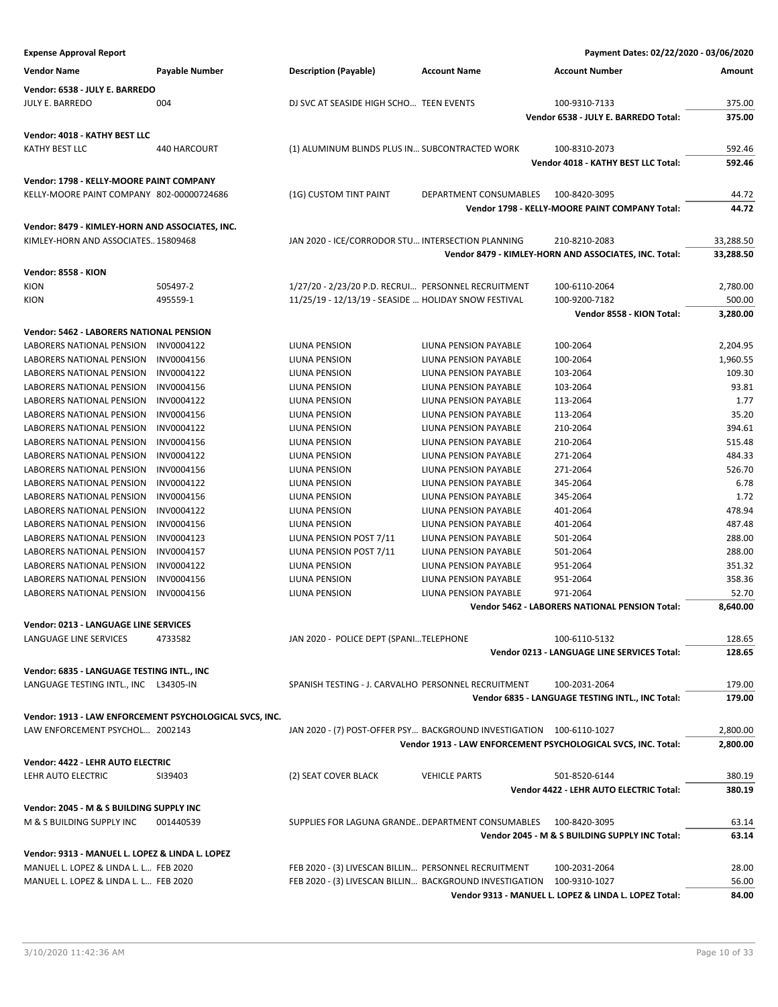| <b>Expense Approval Report</b>                          |                |                                                                       |                                                | Payment Dates: 02/22/2020 - 03/06/2020                        |                 |
|---------------------------------------------------------|----------------|-----------------------------------------------------------------------|------------------------------------------------|---------------------------------------------------------------|-----------------|
| <b>Vendor Name</b>                                      | Payable Number | <b>Description (Payable)</b>                                          | <b>Account Name</b>                            | <b>Account Number</b>                                         | Amount          |
| Vendor: 6538 - JULY E. BARREDO                          |                |                                                                       |                                                |                                                               |                 |
| <b>JULY E. BARREDO</b>                                  | 004            | DJ SVC AT SEASIDE HIGH SCHO TEEN EVENTS                               |                                                | 100-9310-7133                                                 | 375.00          |
|                                                         |                |                                                                       |                                                | Vendor 6538 - JULY E. BARREDO Total:                          | 375.00          |
| Vendor: 4018 - KATHY BEST LLC                           |                |                                                                       |                                                |                                                               |                 |
| <b>KATHY BEST LLC</b>                                   | 440 HARCOURT   | (1) ALUMINUM BLINDS PLUS IN SUBCONTRACTED WORK                        |                                                | 100-8310-2073                                                 | 592.46          |
|                                                         |                |                                                                       |                                                | Vendor 4018 - KATHY BEST LLC Total:                           | 592.46          |
|                                                         |                |                                                                       |                                                |                                                               |                 |
| Vendor: 1798 - KELLY-MOORE PAINT COMPANY                |                |                                                                       |                                                |                                                               |                 |
| KELLY-MOORE PAINT COMPANY 802-00000724686               |                | (1G) CUSTOM TINT PAINT                                                | DEPARTMENT CONSUMABLES                         | 100-8420-3095                                                 | 44.72           |
|                                                         |                |                                                                       |                                                | Vendor 1798 - KELLY-MOORE PAINT COMPANY Total:                | 44.72           |
| Vendor: 8479 - KIMLEY-HORN AND ASSOCIATES, INC.         |                |                                                                       |                                                |                                                               |                 |
| KIMLEY-HORN AND ASSOCIATES15809468                      |                | JAN 2020 - ICE/CORRODOR STU INTERSECTION PLANNING                     |                                                | 210-8210-2083                                                 | 33,288.50       |
|                                                         |                |                                                                       |                                                | Vendor 8479 - KIMLEY-HORN AND ASSOCIATES, INC. Total:         | 33,288.50       |
| Vendor: 8558 - KION                                     |                |                                                                       |                                                |                                                               |                 |
| <b>KION</b>                                             | 505497-2       | 1/27/20 - 2/23/20 P.D. RECRUI PERSONNEL RECRUITMENT                   |                                                | 100-6110-2064                                                 | 2,780.00        |
| KION                                                    | 495559-1       | 11/25/19 - 12/13/19 - SEASIDE  HOLIDAY SNOW FESTIVAL                  |                                                | 100-9200-7182                                                 | 500.00          |
|                                                         |                |                                                                       |                                                | Vendor 8558 - KION Total:                                     | 3,280.00        |
| Vendor: 5462 - LABORERS NATIONAL PENSION                |                |                                                                       |                                                |                                                               |                 |
| <b>LABORERS NATIONAL PENSION</b>                        | INV0004122     | <b>LIUNA PENSION</b>                                                  | LIUNA PENSION PAYABLE                          | 100-2064                                                      | 2,204.95        |
| LABORERS NATIONAL PENSION                               | INV0004156     | <b>LIUNA PENSION</b>                                                  | <b>LIUNA PENSION PAYABLE</b>                   | 100-2064                                                      | 1,960.55        |
| LABORERS NATIONAL PENSION                               | INV0004122     | LIUNA PENSION                                                         | <b>LIUNA PENSION PAYABLE</b>                   | 103-2064                                                      | 109.30          |
| LABORERS NATIONAL PENSION                               | INV0004156     | LIUNA PENSION                                                         | LIUNA PENSION PAYABLE                          | 103-2064                                                      | 93.81           |
| LABORERS NATIONAL PENSION                               | INV0004122     | LIUNA PENSION                                                         | LIUNA PENSION PAYABLE                          | 113-2064                                                      | 1.77            |
| LABORERS NATIONAL PENSION                               | INV0004156     | LIUNA PENSION                                                         | <b>LIUNA PENSION PAYABLE</b>                   | 113-2064                                                      | 35.20           |
| LABORERS NATIONAL PENSION                               | INV0004122     | LIUNA PENSION                                                         | LIUNA PENSION PAYABLE                          | 210-2064                                                      | 394.61          |
| LABORERS NATIONAL PENSION                               | INV0004156     | LIUNA PENSION                                                         | LIUNA PENSION PAYABLE                          | 210-2064                                                      | 515.48          |
| LABORERS NATIONAL PENSION                               | INV0004122     | LIUNA PENSION                                                         | LIUNA PENSION PAYABLE                          | 271-2064                                                      | 484.33          |
| LABORERS NATIONAL PENSION                               | INV0004156     | LIUNA PENSION                                                         | LIUNA PENSION PAYABLE                          | 271-2064                                                      | 526.70          |
| LABORERS NATIONAL PENSION                               | INV0004122     | LIUNA PENSION                                                         | LIUNA PENSION PAYABLE                          | 345-2064                                                      | 6.78            |
| LABORERS NATIONAL PENSION                               | INV0004156     | LIUNA PENSION                                                         | LIUNA PENSION PAYABLE                          | 345-2064                                                      | 1.72            |
| LABORERS NATIONAL PENSION                               | INV0004122     | LIUNA PENSION                                                         | LIUNA PENSION PAYABLE                          | 401-2064                                                      | 478.94          |
| LABORERS NATIONAL PENSION                               | INV0004156     | LIUNA PENSION                                                         | LIUNA PENSION PAYABLE                          | 401-2064                                                      | 487.48          |
| LABORERS NATIONAL PENSION                               | INV0004123     | LIUNA PENSION POST 7/11                                               | LIUNA PENSION PAYABLE                          | 501-2064                                                      | 288.00          |
| LABORERS NATIONAL PENSION                               | INV0004157     | LIUNA PENSION POST 7/11                                               | LIUNA PENSION PAYABLE                          | 501-2064                                                      | 288.00          |
| <b>LABORERS NATIONAL PENSION</b>                        | INV0004122     | <b>LIUNA PENSION</b>                                                  | LIUNA PENSION PAYABLE                          | 951-2064                                                      | 351.32          |
| LABORERS NATIONAL PENSION<br>LABORERS NATIONAL PENSION  | INV0004156     | LIUNA PENSION                                                         | LIUNA PENSION PAYABLE<br>LIUNA PENSION PAYABLE | 951-2064<br>971-2064                                          | 358.36<br>52.70 |
|                                                         | INV0004156     | LIUNA PENSION                                                         |                                                | <b>Vendor 5462 - LABORERS NATIONAL PENSION Total:</b>         | 8,640.00        |
|                                                         |                |                                                                       |                                                |                                                               |                 |
| Vendor: 0213 - LANGUAGE LINE SERVICES                   |                |                                                                       |                                                |                                                               |                 |
| LANGUAGE LINE SERVICES                                  | 4733582        | JAN 2020 - POLICE DEPT (SPANITELEPHONE                                |                                                | 100-6110-5132                                                 | 128.65          |
|                                                         |                |                                                                       |                                                | Vendor 0213 - LANGUAGE LINE SERVICES Total:                   | 128.65          |
| Vendor: 6835 - LANGUAGE TESTING INTL., INC              |                |                                                                       |                                                |                                                               |                 |
| LANGUAGE TESTING INTL., INC L34305-IN                   |                | SPANISH TESTING - J. CARVALHO PERSONNEL RECRUITMENT                   |                                                | 100-2031-2064                                                 | 179.00          |
|                                                         |                |                                                                       |                                                | Vendor 6835 - LANGUAGE TESTING INTL., INC Total:              | 179.00          |
| Vendor: 1913 - LAW ENFORCEMENT PSYCHOLOGICAL SVCS, INC. |                |                                                                       |                                                |                                                               |                 |
| LAW ENFORCEMENT PSYCHOL 2002143                         |                | JAN 2020 - (7) POST-OFFER PSY BACKGROUND INVESTIGATION 100-6110-1027  |                                                |                                                               | 2,800.00        |
|                                                         |                |                                                                       |                                                | Vendor 1913 - LAW ENFORCEMENT PSYCHOLOGICAL SVCS, INC. Total: | 2,800.00        |
| Vendor: 4422 - LEHR AUTO ELECTRIC                       |                |                                                                       |                                                |                                                               |                 |
| LEHR AUTO ELECTRIC                                      | SI39403        | (2) SEAT COVER BLACK                                                  | <b>VEHICLE PARTS</b>                           | 501-8520-6144                                                 | 380.19          |
|                                                         |                |                                                                       |                                                | Vendor 4422 - LEHR AUTO ELECTRIC Total:                       | 380.19          |
|                                                         |                |                                                                       |                                                |                                                               |                 |
| Vendor: 2045 - M & S BUILDING SUPPLY INC                |                |                                                                       |                                                |                                                               |                 |
| M & S BUILDING SUPPLY INC                               | 001440539      | SUPPLIES FOR LAGUNA GRANDE DEPARTMENT CONSUMABLES                     |                                                | 100-8420-3095                                                 | 63.14           |
|                                                         |                |                                                                       |                                                | Vendor 2045 - M & S BUILDING SUPPLY INC Total:                | 63.14           |
| Vendor: 9313 - MANUEL L. LOPEZ & LINDA L. LOPEZ         |                |                                                                       |                                                |                                                               |                 |
| MANUEL L. LOPEZ & LINDA L. L FEB 2020                   |                | FEB 2020 - (3) LIVESCAN BILLIN PERSONNEL RECRUITMENT                  |                                                | 100-2031-2064                                                 | 28.00           |
| MANUEL L. LOPEZ & LINDA L. L FEB 2020                   |                | FEB 2020 - (3) LIVESCAN BILLIN BACKGROUND INVESTIGATION 100-9310-1027 |                                                |                                                               | 56.00           |
|                                                         |                |                                                                       |                                                | Vendor 9313 - MANUEL L. LOPEZ & LINDA L. LOPEZ Total:         | 84.00           |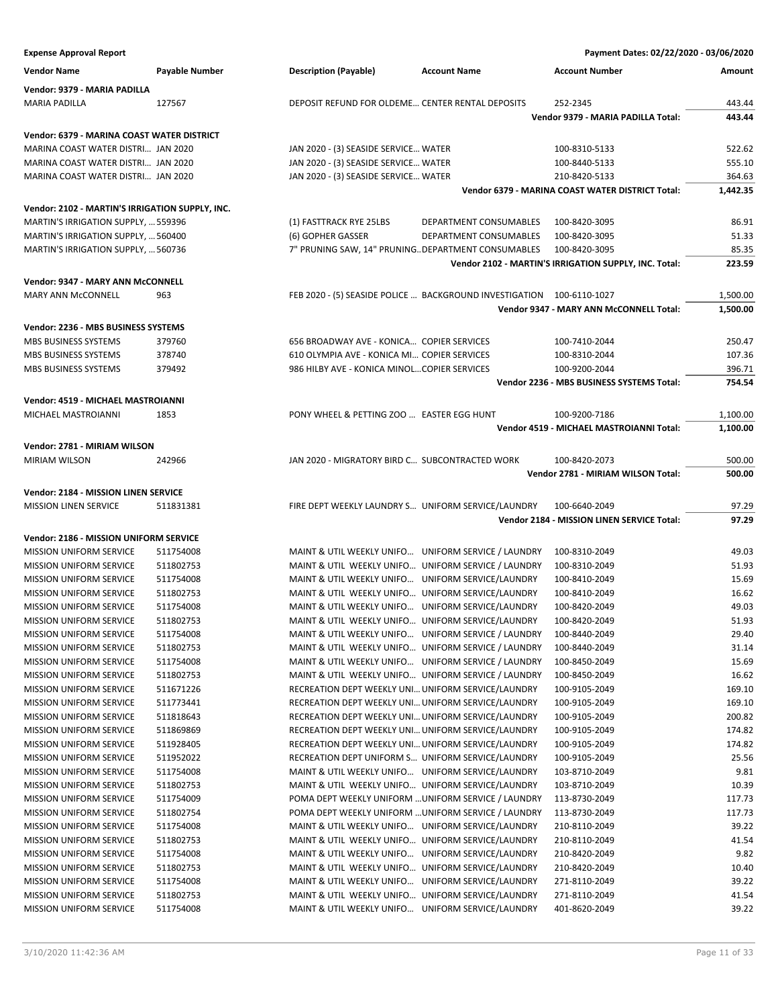| <b>Vendor Name</b>                              | Payable Number | <b>Description (Payable)</b>                     | <b>Account Name</b>                                                   | <b>Account Number</b>                                     | Amount   |
|-------------------------------------------------|----------------|--------------------------------------------------|-----------------------------------------------------------------------|-----------------------------------------------------------|----------|
| Vendor: 9379 - MARIA PADILLA                    |                |                                                  |                                                                       |                                                           |          |
| <b>MARIA PADILLA</b>                            | 127567         | DEPOSIT REFUND FOR OLDEME CENTER RENTAL DEPOSITS |                                                                       | 252-2345                                                  | 443.44   |
|                                                 |                |                                                  |                                                                       | Vendor 9379 - MARIA PADILLA Total:                        | 443.44   |
| Vendor: 6379 - MARINA COAST WATER DISTRICT      |                |                                                  |                                                                       |                                                           |          |
| MARINA COAST WATER DISTRI JAN 2020              |                | JAN 2020 - (3) SEASIDE SERVICE WATER             |                                                                       | 100-8310-5133                                             | 522.62   |
| MARINA COAST WATER DISTRI JAN 2020              |                | JAN 2020 - (3) SEASIDE SERVICE WATER             |                                                                       | 100-8440-5133                                             | 555.10   |
| MARINA COAST WATER DISTRI JAN 2020              |                | JAN 2020 - (3) SEASIDE SERVICE WATER             |                                                                       | 210-8420-5133                                             | 364.63   |
|                                                 |                |                                                  |                                                                       | Vendor 6379 - MARINA COAST WATER DISTRICT Total:          | 1,442.35 |
| Vendor: 2102 - MARTIN'S IRRIGATION SUPPLY, INC. |                |                                                  |                                                                       |                                                           |          |
| MARTIN'S IRRIGATION SUPPLY,  559396             |                | (1) FASTTRACK RYE 25LBS                          | DEPARTMENT CONSUMABLES                                                | 100-8420-3095                                             | 86.91    |
| MARTIN'S IRRIGATION SUPPLY,  560400             |                | (6) GOPHER GASSER                                | DEPARTMENT CONSUMABLES                                                | 100-8420-3095                                             | 51.33    |
| MARTIN'S IRRIGATION SUPPLY,  560736             |                |                                                  | 7" PRUNING SAW, 14" PRUNING DEPARTMENT CONSUMABLES                    | 100-8420-3095                                             | 85.35    |
|                                                 |                |                                                  |                                                                       | Vendor 2102 - MARTIN'S IRRIGATION SUPPLY, INC. Total:     | 223.59   |
| Vendor: 9347 - MARY ANN McCONNELL               |                |                                                  |                                                                       |                                                           |          |
| <b>MARY ANN McCONNELL</b>                       | 963            |                                                  | FEB 2020 - (5) SEASIDE POLICE  BACKGROUND INVESTIGATION 100-6110-1027 |                                                           | 1,500.00 |
|                                                 |                |                                                  |                                                                       | Vendor 9347 - MARY ANN McCONNELL Total:                   | 1,500.00 |
| Vendor: 2236 - MBS BUSINESS SYSTEMS             |                |                                                  |                                                                       |                                                           |          |
| MBS BUSINESS SYSTEMS                            | 379760         | 656 BROADWAY AVE - KONICA COPIER SERVICES        |                                                                       | 100-7410-2044                                             | 250.47   |
| MBS BUSINESS SYSTEMS                            | 378740         | 610 OLYMPIA AVE - KONICA MI COPIER SERVICES      |                                                                       | 100-8310-2044                                             | 107.36   |
| <b>MBS BUSINESS SYSTEMS</b>                     | 379492         | 986 HILBY AVE - KONICA MINOLCOPIER SERVICES      |                                                                       | 100-9200-2044                                             | 396.71   |
|                                                 |                |                                                  |                                                                       | Vendor 2236 - MBS BUSINESS SYSTEMS Total:                 | 754.54   |
|                                                 |                |                                                  |                                                                       |                                                           |          |
| Vendor: 4519 - MICHAEL MASTROIANNI              |                |                                                  |                                                                       |                                                           |          |
| MICHAEL MASTROIANNI                             | 1853           | PONY WHEEL & PETTING ZOO  EASTER EGG HUNT        |                                                                       | 100-9200-7186<br>Vendor 4519 - MICHAEL MASTROIANNI Total: | 1,100.00 |
|                                                 |                |                                                  |                                                                       |                                                           | 1,100.00 |
| Vendor: 2781 - MIRIAM WILSON                    |                |                                                  |                                                                       |                                                           |          |
| MIRIAM WILSON                                   | 242966         | JAN 2020 - MIGRATORY BIRD C SUBCONTRACTED WORK   |                                                                       | 100-8420-2073                                             | 500.00   |
|                                                 |                |                                                  |                                                                       | Vendor 2781 - MIRIAM WILSON Total:                        | 500.00   |
| Vendor: 2184 - MISSION LINEN SERVICE            |                |                                                  |                                                                       |                                                           |          |
| <b>MISSION LINEN SERVICE</b>                    | 511831381      |                                                  | FIRE DEPT WEEKLY LAUNDRY S UNIFORM SERVICE/LAUNDRY                    | 100-6640-2049                                             | 97.29    |
|                                                 |                |                                                  |                                                                       | Vendor 2184 - MISSION LINEN SERVICE Total:                | 97.29    |
| Vendor: 2186 - MISSION UNIFORM SERVICE          |                |                                                  |                                                                       |                                                           |          |
| <b>MISSION UNIFORM SERVICE</b>                  | 511754008      |                                                  | MAINT & UTIL WEEKLY UNIFO UNIFORM SERVICE / LAUNDRY                   | 100-8310-2049                                             | 49.03    |
| MISSION UNIFORM SERVICE                         | 511802753      |                                                  | MAINT & UTIL WEEKLY UNIFO UNIFORM SERVICE / LAUNDRY                   | 100-8310-2049                                             | 51.93    |
| <b>MISSION UNIFORM SERVICE</b>                  | 511754008      |                                                  | MAINT & UTIL WEEKLY UNIFO UNIFORM SERVICE/LAUNDRY                     | 100-8410-2049                                             | 15.69    |
| <b>MISSION UNIFORM SERVICE</b>                  | 511802753      |                                                  | MAINT & UTIL WEEKLY UNIFO UNIFORM SERVICE/LAUNDRY                     | 100-8410-2049                                             | 16.62    |
| <b>MISSION UNIFORM SERVICE</b>                  | 511754008      |                                                  | MAINT & UTIL WEEKLY UNIFO UNIFORM SERVICE/LAUNDRY                     | 100-8420-2049                                             | 49.03    |
| <b>MISSION UNIFORM SERVICE</b>                  | 511802753      |                                                  | MAINT & UTIL WEEKLY UNIFO UNIFORM SERVICE/LAUNDRY                     | 100-8420-2049                                             | 51.93    |
| <b>MISSION UNIFORM SERVICE</b>                  | 511754008      |                                                  | MAINT & UTIL WEEKLY UNIFO UNIFORM SERVICE / LAUNDRY                   | 100-8440-2049                                             | 29.40    |
| MISSION UNIFORM SERVICE                         | 511802753      |                                                  | MAINT & UTIL WEEKLY UNIFO UNIFORM SERVICE / LAUNDRY                   | 100-8440-2049                                             | 31.14    |
| <b>MISSION UNIFORM SERVICE</b>                  | 511754008      |                                                  | MAINT & UTIL WEEKLY UNIFO UNIFORM SERVICE / LAUNDRY                   | 100-8450-2049                                             | 15.69    |
| <b>MISSION UNIFORM SERVICE</b>                  | 511802753      |                                                  | MAINT & UTIL WEEKLY UNIFO UNIFORM SERVICE / LAUNDRY                   | 100-8450-2049                                             | 16.62    |
| <b>MISSION UNIFORM SERVICE</b>                  | 511671226      |                                                  | RECREATION DEPT WEEKLY UNI UNIFORM SERVICE/LAUNDRY                    | 100-9105-2049                                             | 169.10   |
| MISSION UNIFORM SERVICE                         | 511773441      |                                                  | RECREATION DEPT WEEKLY UNI UNIFORM SERVICE/LAUNDRY                    | 100-9105-2049                                             | 169.10   |
| <b>MISSION UNIFORM SERVICE</b>                  | 511818643      |                                                  | RECREATION DEPT WEEKLY UNI UNIFORM SERVICE/LAUNDRY                    | 100-9105-2049                                             | 200.82   |
| <b>MISSION UNIFORM SERVICE</b>                  | 511869869      |                                                  | RECREATION DEPT WEEKLY UNI UNIFORM SERVICE/LAUNDRY                    | 100-9105-2049                                             | 174.82   |
| <b>MISSION UNIFORM SERVICE</b>                  | 511928405      |                                                  | RECREATION DEPT WEEKLY UNI UNIFORM SERVICE/LAUNDRY                    | 100-9105-2049                                             | 174.82   |
| <b>MISSION UNIFORM SERVICE</b>                  | 511952022      |                                                  | RECREATION DEPT UNIFORM S UNIFORM SERVICE/LAUNDRY                     | 100-9105-2049                                             | 25.56    |
| MISSION UNIFORM SERVICE                         | 511754008      |                                                  | MAINT & UTIL WEEKLY UNIFO UNIFORM SERVICE/LAUNDRY                     | 103-8710-2049                                             | 9.81     |
| <b>MISSION UNIFORM SERVICE</b>                  | 511802753      |                                                  | MAINT & UTIL WEEKLY UNIFO UNIFORM SERVICE/LAUNDRY                     | 103-8710-2049                                             | 10.39    |
| <b>MISSION UNIFORM SERVICE</b>                  | 511754009      |                                                  | POMA DEPT WEEKLY UNIFORM  UNIFORM SERVICE / LAUNDRY                   | 113-8730-2049                                             | 117.73   |
| <b>MISSION UNIFORM SERVICE</b>                  | 511802754      |                                                  | POMA DEPT WEEKLY UNIFORM  UNIFORM SERVICE / LAUNDRY                   | 113-8730-2049                                             | 117.73   |
| <b>MISSION UNIFORM SERVICE</b>                  | 511754008      |                                                  | MAINT & UTIL WEEKLY UNIFO UNIFORM SERVICE/LAUNDRY                     | 210-8110-2049                                             | 39.22    |
| MISSION UNIFORM SERVICE                         | 511802753      |                                                  | MAINT & UTIL WEEKLY UNIFO UNIFORM SERVICE/LAUNDRY                     | 210-8110-2049                                             | 41.54    |
| <b>MISSION UNIFORM SERVICE</b>                  | 511754008      |                                                  | MAINT & UTIL WEEKLY UNIFO UNIFORM SERVICE/LAUNDRY                     | 210-8420-2049                                             | 9.82     |
| <b>MISSION UNIFORM SERVICE</b>                  | 511802753      |                                                  | MAINT & UTIL WEEKLY UNIFO UNIFORM SERVICE/LAUNDRY                     | 210-8420-2049                                             | 10.40    |
| MISSION UNIFORM SERVICE                         | 511754008      |                                                  | MAINT & UTIL WEEKLY UNIFO UNIFORM SERVICE/LAUNDRY                     | 271-8110-2049                                             | 39.22    |
| MISSION UNIFORM SERVICE                         | 511802753      |                                                  | MAINT & UTIL WEEKLY UNIFO UNIFORM SERVICE/LAUNDRY                     | 271-8110-2049                                             | 41.54    |
| MISSION UNIFORM SERVICE                         | 511754008      |                                                  | MAINT & UTIL WEEKLY UNIFO UNIFORM SERVICE/LAUNDRY                     | 401-8620-2049                                             | 39.22    |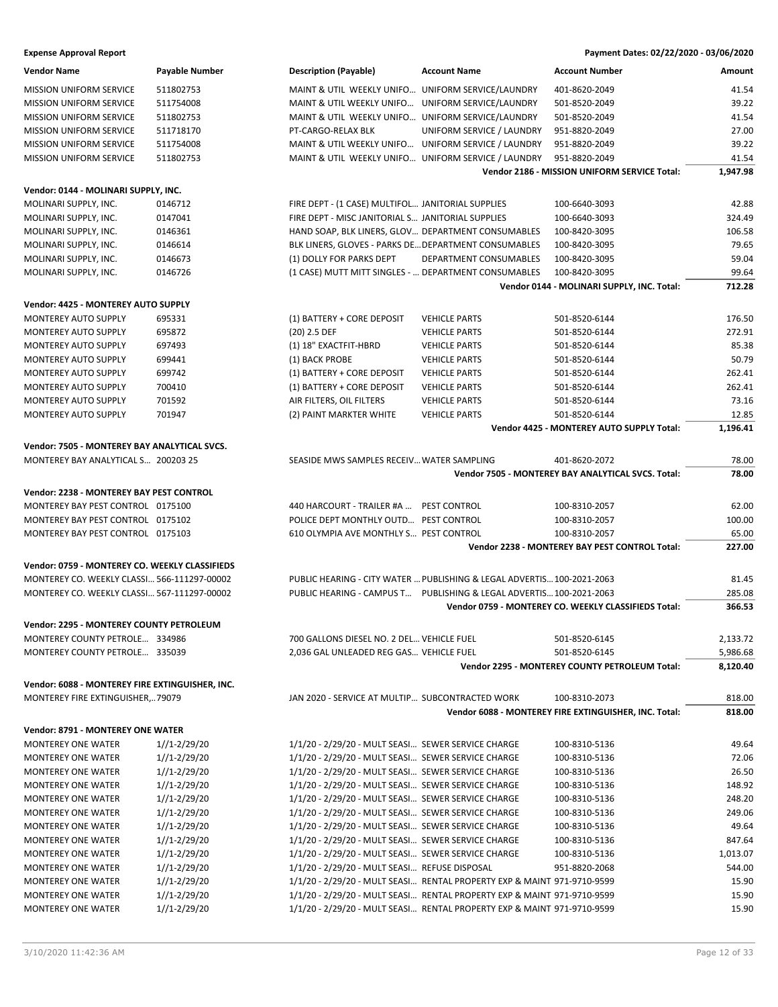| <b>Expense Approval Report</b>                  |                  |                                                      |                                                                         | Payment Dates: 02/22/2020 - 03/06/2020                |          |
|-------------------------------------------------|------------------|------------------------------------------------------|-------------------------------------------------------------------------|-------------------------------------------------------|----------|
| <b>Vendor Name</b>                              | Payable Number   | <b>Description (Payable)</b>                         | <b>Account Name</b>                                                     | <b>Account Number</b>                                 | Amount   |
| MISSION UNIFORM SERVICE                         | 511802753        | MAINT & UTIL WEEKLY UNIFO UNIFORM SERVICE/LAUNDRY    |                                                                         | 401-8620-2049                                         | 41.54    |
| <b>MISSION UNIFORM SERVICE</b>                  | 511754008        | MAINT & UTIL WEEKLY UNIFO UNIFORM SERVICE/LAUNDRY    |                                                                         | 501-8520-2049                                         | 39.22    |
| <b>MISSION UNIFORM SERVICE</b>                  | 511802753        | MAINT & UTIL WEEKLY UNIFO UNIFORM SERVICE/LAUNDRY    |                                                                         | 501-8520-2049                                         | 41.54    |
| <b>MISSION UNIFORM SERVICE</b>                  | 511718170        | PT-CARGO-RELAX BLK                                   | UNIFORM SERVICE / LAUNDRY                                               | 951-8820-2049                                         | 27.00    |
| <b>MISSION UNIFORM SERVICE</b>                  | 511754008        |                                                      | MAINT & UTIL WEEKLY UNIFO UNIFORM SERVICE / LAUNDRY                     | 951-8820-2049                                         | 39.22    |
| <b>MISSION UNIFORM SERVICE</b>                  | 511802753        |                                                      | MAINT & UTIL WEEKLY UNIFO UNIFORM SERVICE / LAUNDRY                     | 951-8820-2049                                         | 41.54    |
|                                                 |                  |                                                      |                                                                         | Vendor 2186 - MISSION UNIFORM SERVICE Total:          | 1,947.98 |
| Vendor: 0144 - MOLINARI SUPPLY, INC.            |                  |                                                      |                                                                         |                                                       |          |
| MOLINARI SUPPLY, INC.                           | 0146712          | FIRE DEPT - (1 CASE) MULTIFOL JANITORIAL SUPPLIES    |                                                                         | 100-6640-3093                                         | 42.88    |
| MOLINARI SUPPLY, INC.                           | 0147041          | FIRE DEPT - MISC JANITORIAL S JANITORIAL SUPPLIES    |                                                                         | 100-6640-3093                                         | 324.49   |
| MOLINARI SUPPLY, INC.                           | 0146361          | HAND SOAP, BLK LINERS, GLOV DEPARTMENT CONSUMABLES   |                                                                         | 100-8420-3095                                         | 106.58   |
| MOLINARI SUPPLY, INC.                           | 0146614          | BLK LINERS, GLOVES - PARKS DE DEPARTMENT CONSUMABLES |                                                                         | 100-8420-3095                                         | 79.65    |
| MOLINARI SUPPLY, INC.                           | 0146673          | (1) DOLLY FOR PARKS DEPT                             | DEPARTMENT CONSUMABLES                                                  | 100-8420-3095                                         | 59.04    |
| MOLINARI SUPPLY, INC.                           | 0146726          | (1 CASE) MUTT MITT SINGLES -  DEPARTMENT CONSUMABLES |                                                                         | 100-8420-3095                                         | 99.64    |
|                                                 |                  |                                                      |                                                                         | Vendor 0144 - MOLINARI SUPPLY, INC. Total:            | 712.28   |
| Vendor: 4425 - MONTEREY AUTO SUPPLY             |                  |                                                      |                                                                         |                                                       |          |
| <b>MONTEREY AUTO SUPPLY</b>                     | 695331           | (1) BATTERY + CORE DEPOSIT                           | <b>VEHICLE PARTS</b>                                                    | 501-8520-6144                                         | 176.50   |
| <b>MONTEREY AUTO SUPPLY</b>                     | 695872           | $(20)$ 2.5 DEF                                       | <b>VEHICLE PARTS</b>                                                    | 501-8520-6144                                         | 272.91   |
| MONTEREY AUTO SUPPLY                            | 697493           | (1) 18" EXACTFIT-HBRD                                | <b>VEHICLE PARTS</b>                                                    | 501-8520-6144                                         | 85.38    |
| <b>MONTEREY AUTO SUPPLY</b>                     | 699441           |                                                      |                                                                         | 501-8520-6144                                         | 50.79    |
|                                                 |                  | (1) BACK PROBE<br>(1) BATTERY + CORE DEPOSIT         | <b>VEHICLE PARTS</b>                                                    |                                                       |          |
| MONTEREY AUTO SUPPLY                            | 699742           |                                                      | <b>VEHICLE PARTS</b>                                                    | 501-8520-6144                                         | 262.41   |
| <b>MONTEREY AUTO SUPPLY</b>                     | 700410           | (1) BATTERY + CORE DEPOSIT                           | <b>VEHICLE PARTS</b>                                                    | 501-8520-6144                                         | 262.41   |
| MONTEREY AUTO SUPPLY                            | 701592           | AIR FILTERS, OIL FILTERS                             | <b>VEHICLE PARTS</b>                                                    | 501-8520-6144                                         | 73.16    |
| MONTEREY AUTO SUPPLY                            | 701947           | (2) PAINT MARKTER WHITE                              | <b>VEHICLE PARTS</b>                                                    | 501-8520-6144                                         | 12.85    |
|                                                 |                  |                                                      |                                                                         | Vendor 4425 - MONTEREY AUTO SUPPLY Total:             | 1,196.41 |
| Vendor: 7505 - MONTEREY BAY ANALYTICAL SVCS.    |                  |                                                      |                                                                         |                                                       |          |
| MONTEREY BAY ANALYTICAL S 200203 25             |                  | SEASIDE MWS SAMPLES RECEIV WATER SAMPLING            |                                                                         | 401-8620-2072                                         | 78.00    |
|                                                 |                  |                                                      |                                                                         | Vendor 7505 - MONTEREY BAY ANALYTICAL SVCS. Total:    | 78.00    |
| Vendor: 2238 - MONTEREY BAY PEST CONTROL        |                  |                                                      |                                                                         |                                                       |          |
| MONTEREY BAY PEST CONTROL 0175100               |                  | 440 HARCOURT - TRAILER #A  PEST CONTROL              |                                                                         | 100-8310-2057                                         | 62.00    |
| MONTEREY BAY PEST CONTROL 0175102               |                  | POLICE DEPT MONTHLY OUTD PEST CONTROL                |                                                                         | 100-8310-2057                                         | 100.00   |
| MONTEREY BAY PEST CONTROL 0175103               |                  | 610 OLYMPIA AVE MONTHLY S PEST CONTROL               |                                                                         | 100-8310-2057                                         | 65.00    |
|                                                 |                  |                                                      |                                                                         | Vendor 2238 - MONTEREY BAY PEST CONTROL Total:        | 227.00   |
| Vendor: 0759 - MONTEREY CO. WEEKLY CLASSIFIEDS  |                  |                                                      |                                                                         |                                                       |          |
| MONTEREY CO. WEEKLY CLASSI 566-111297-00002     |                  |                                                      | PUBLIC HEARING - CITY WATER  PUBLISHING & LEGAL ADVERTIS 100-2021-2063  |                                                       | 81.45    |
| MONTEREY CO. WEEKLY CLASSI 567-111297-00002     |                  |                                                      | PUBLIC HEARING - CAMPUS T PUBLISHING & LEGAL ADVERTIS 100-2021-2063     |                                                       | 285.08   |
|                                                 |                  |                                                      |                                                                         | Vendor 0759 - MONTEREY CO. WEEKLY CLASSIFIEDS Total:  | 366.53   |
|                                                 |                  |                                                      |                                                                         |                                                       |          |
| <b>Vendor: 2295 - MONTEREY COUNTY PETROLEUM</b> |                  |                                                      |                                                                         |                                                       |          |
| MONTEREY COUNTY PETROLE 334986                  |                  | 700 GALLONS DIESEL NO. 2 DEL VEHICLE FUEL            |                                                                         | 501-8520-6145                                         | 2,133.72 |
| MONTEREY COUNTY PETROLE 335039                  |                  | 2,036 GAL UNLEADED REG GAS VEHICLE FUEL              |                                                                         | 501-8520-6145                                         | 5,986.68 |
|                                                 |                  |                                                      |                                                                         | <b>Vendor 2295 - MONTEREY COUNTY PETROLEUM Total:</b> | 8,120.40 |
| Vendor: 6088 - MONTEREY FIRE EXTINGUISHER, INC. |                  |                                                      |                                                                         |                                                       |          |
| MONTEREY FIRE EXTINGUISHER,79079                |                  | JAN 2020 - SERVICE AT MULTIP SUBCONTRACTED WORK      |                                                                         | 100-8310-2073                                         | 818.00   |
|                                                 |                  |                                                      |                                                                         | Vendor 6088 - MONTEREY FIRE EXTINGUISHER, INC. Total: | 818.00   |
| <b>Vendor: 8791 - MONTEREY ONE WATER</b>        |                  |                                                      |                                                                         |                                                       |          |
| <b>MONTEREY ONE WATER</b>                       | $1//1 - 2/29/20$ | 1/1/20 - 2/29/20 - MULT SEASI SEWER SERVICE CHARGE   |                                                                         | 100-8310-5136                                         | 49.64    |
| <b>MONTEREY ONE WATER</b>                       | $1//1-2/29/20$   | 1/1/20 - 2/29/20 - MULT SEASI SEWER SERVICE CHARGE   |                                                                         | 100-8310-5136                                         | 72.06    |
| <b>MONTEREY ONE WATER</b>                       | $1//1-2/29/20$   | 1/1/20 - 2/29/20 - MULT SEASI SEWER SERVICE CHARGE   |                                                                         | 100-8310-5136                                         | 26.50    |
| <b>MONTEREY ONE WATER</b>                       | $1//1-2/29/20$   | 1/1/20 - 2/29/20 - MULT SEASI SEWER SERVICE CHARGE   |                                                                         | 100-8310-5136                                         | 148.92   |
| <b>MONTEREY ONE WATER</b>                       | $1//1 - 2/29/20$ | 1/1/20 - 2/29/20 - MULT SEASI SEWER SERVICE CHARGE   |                                                                         | 100-8310-5136                                         | 248.20   |
| <b>MONTEREY ONE WATER</b>                       | $1//1 - 2/29/20$ | 1/1/20 - 2/29/20 - MULT SEASI SEWER SERVICE CHARGE   |                                                                         | 100-8310-5136                                         | 249.06   |
| <b>MONTEREY ONE WATER</b>                       | $1//1-2/29/20$   | 1/1/20 - 2/29/20 - MULT SEASI SEWER SERVICE CHARGE   |                                                                         | 100-8310-5136                                         | 49.64    |
| <b>MONTEREY ONE WATER</b>                       | $1//1-2/29/20$   | 1/1/20 - 2/29/20 - MULT SEASI SEWER SERVICE CHARGE   |                                                                         | 100-8310-5136                                         | 847.64   |
| <b>MONTEREY ONE WATER</b>                       | $1//1-2/29/20$   | 1/1/20 - 2/29/20 - MULT SEASI SEWER SERVICE CHARGE   |                                                                         | 100-8310-5136                                         | 1,013.07 |
| <b>MONTEREY ONE WATER</b>                       | $1//1 - 2/29/20$ | 1/1/20 - 2/29/20 - MULT SEASI REFUSE DISPOSAL        |                                                                         | 951-8820-2068                                         | 544.00   |
| <b>MONTEREY ONE WATER</b>                       | $1//1-2/29/20$   |                                                      | 1/1/20 - 2/29/20 - MULT SEASI RENTAL PROPERTY EXP & MAINT 971-9710-9599 |                                                       | 15.90    |
| MONTEREY ONE WATER                              | $1/1 - 2/29/20$  |                                                      | 1/1/20 - 2/29/20 - MULT SEASI RENTAL PROPERTY EXP & MAINT 971-9710-9599 |                                                       | 15.90    |

MONTEREY ONE WATER  $1/1-2/29/20$   $1/1/20 - 2/29/20 - 2/29/20$  MULT SEASI... RENTAL PROPERTY EXP & MAINT 971-9710-9599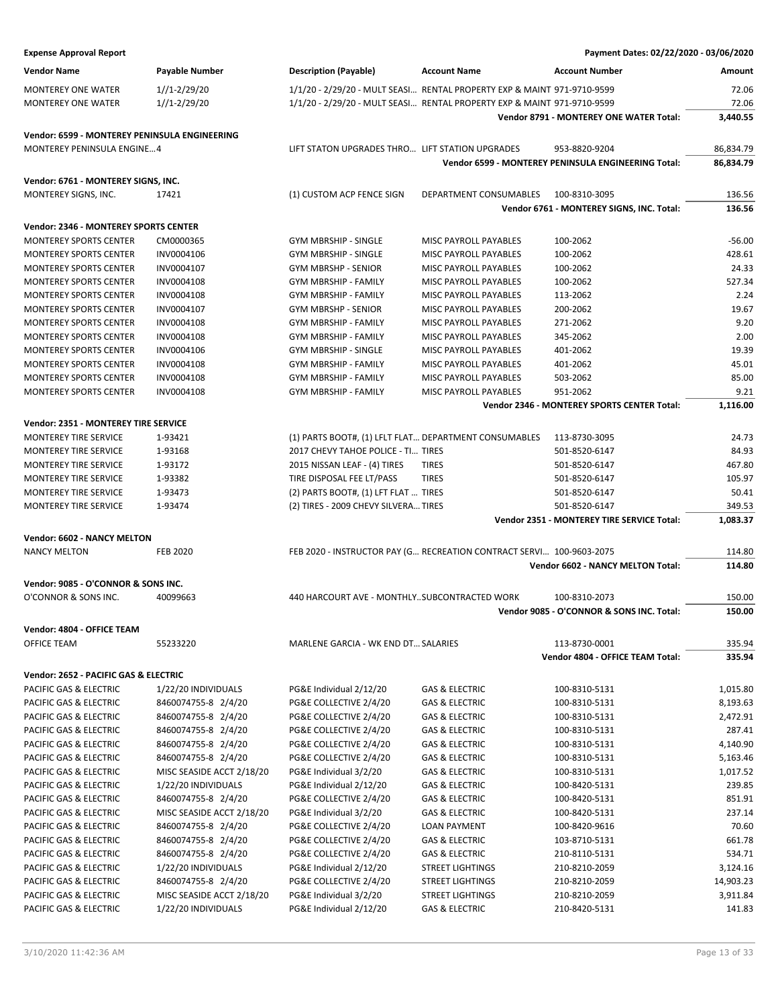| <b>Expense Approval Report</b>                |                           |                                                       |                                                                          | Payment Dates: 02/22/2020 - 03/06/2020              |           |
|-----------------------------------------------|---------------------------|-------------------------------------------------------|--------------------------------------------------------------------------|-----------------------------------------------------|-----------|
| <b>Vendor Name</b>                            | Payable Number            | <b>Description (Payable)</b>                          | <b>Account Name</b>                                                      | <b>Account Number</b>                               | Amount    |
| <b>MONTEREY ONE WATER</b>                     | $1//1-2/29/20$            |                                                       | 1/1/20 - 2/29/20 - MULT SEASI  RENTAL PROPERTY EXP & MAINT 971-9710-9599 |                                                     | 72.06     |
| <b>MONTEREY ONE WATER</b>                     | $1//1 - 2/29/20$          |                                                       | 1/1/20 - 2/29/20 - MULT SEASI RENTAL PROPERTY EXP & MAINT 971-9710-9599  |                                                     | 72.06     |
|                                               |                           |                                                       |                                                                          | Vendor 8791 - MONTEREY ONE WATER Total:             | 3,440.55  |
| Vendor: 6599 - MONTEREY PENINSULA ENGINEERING |                           |                                                       |                                                                          |                                                     |           |
| <b>MONTEREY PENINSULA ENGINE4</b>             |                           | LIFT STATON UPGRADES THRO LIFT STATION UPGRADES       |                                                                          | 953-8820-9204                                       | 86,834.79 |
|                                               |                           |                                                       |                                                                          | Vendor 6599 - MONTEREY PENINSULA ENGINEERING Total: | 86,834.79 |
| Vendor: 6761 - MONTEREY SIGNS, INC.           |                           |                                                       |                                                                          |                                                     |           |
| MONTEREY SIGNS, INC.                          | 17421                     | (1) CUSTOM ACP FENCE SIGN                             | DEPARTMENT CONSUMABLES                                                   | 100-8310-3095                                       | 136.56    |
|                                               |                           |                                                       |                                                                          | Vendor 6761 - MONTEREY SIGNS, INC. Total:           | 136.56    |
| Vendor: 2346 - MONTEREY SPORTS CENTER         |                           |                                                       |                                                                          |                                                     |           |
| <b>MONTEREY SPORTS CENTER</b>                 | CM0000365                 | <b>GYM MBRSHIP - SINGLE</b>                           | MISC PAYROLL PAYABLES                                                    | 100-2062                                            | $-56.00$  |
| <b>MONTEREY SPORTS CENTER</b>                 | INV0004106                | <b>GYM MBRSHIP - SINGLE</b>                           | MISC PAYROLL PAYABLES                                                    | 100-2062                                            | 428.61    |
| <b>MONTEREY SPORTS CENTER</b>                 | INV0004107                | GYM MBRSHP - SENIOR                                   | MISC PAYROLL PAYABLES                                                    | 100-2062                                            | 24.33     |
| <b>MONTEREY SPORTS CENTER</b>                 | INV0004108                | <b>GYM MBRSHIP - FAMILY</b>                           | MISC PAYROLL PAYABLES                                                    | 100-2062                                            | 527.34    |
| <b>MONTEREY SPORTS CENTER</b>                 | INV0004108                | GYM MBRSHIP - FAMILY                                  | MISC PAYROLL PAYABLES                                                    | 113-2062                                            | 2.24      |
| <b>MONTEREY SPORTS CENTER</b>                 | INV0004107                | <b>GYM MBRSHP - SENIOR</b>                            | MISC PAYROLL PAYABLES                                                    | 200-2062                                            | 19.67     |
| <b>MONTEREY SPORTS CENTER</b>                 | INV0004108                | <b>GYM MBRSHIP - FAMILY</b>                           | MISC PAYROLL PAYABLES                                                    | 271-2062                                            | 9.20      |
| <b>MONTEREY SPORTS CENTER</b>                 | INV0004108                | GYM MBRSHIP - FAMILY                                  | MISC PAYROLL PAYABLES                                                    | 345-2062                                            | 2.00      |
| <b>MONTEREY SPORTS CENTER</b>                 | INV0004106                | <b>GYM MBRSHIP - SINGLE</b>                           | MISC PAYROLL PAYABLES                                                    | 401-2062                                            | 19.39     |
| <b>MONTEREY SPORTS CENTER</b>                 | INV0004108                | <b>GYM MBRSHIP - FAMILY</b>                           | MISC PAYROLL PAYABLES                                                    | 401-2062                                            | 45.01     |
| <b>MONTEREY SPORTS CENTER</b>                 | INV0004108                | <b>GYM MBRSHIP - FAMILY</b>                           | MISC PAYROLL PAYABLES                                                    | 503-2062                                            | 85.00     |
| <b>MONTEREY SPORTS CENTER</b>                 | INV0004108                | <b>GYM MBRSHIP - FAMILY</b>                           | MISC PAYROLL PAYABLES                                                    | 951-2062                                            | 9.21      |
|                                               |                           |                                                       |                                                                          | Vendor 2346 - MONTEREY SPORTS CENTER Total:         | 1,116.00  |
| Vendor: 2351 - MONTEREY TIRE SERVICE          |                           |                                                       |                                                                          |                                                     |           |
| MONTEREY TIRE SERVICE                         | 1-93421                   | (1) PARTS BOOT#, (1) LFLT FLAT DEPARTMENT CONSUMABLES |                                                                          | 113-8730-3095                                       | 24.73     |
| MONTEREY TIRE SERVICE                         | 1-93168                   | 2017 CHEVY TAHOE POLICE - TI TIRES                    |                                                                          | 501-8520-6147                                       | 84.93     |
| MONTEREY TIRE SERVICE                         | 1-93172                   | 2015 NISSAN LEAF - (4) TIRES                          | <b>TIRES</b>                                                             | 501-8520-6147                                       | 467.80    |
| MONTEREY TIRE SERVICE                         | 1-93382                   | TIRE DISPOSAL FEE LT/PASS                             | <b>TIRES</b>                                                             | 501-8520-6147                                       | 105.97    |
| MONTEREY TIRE SERVICE                         | 1-93473                   | (2) PARTS BOOT#, (1) LFT FLAT  TIRES                  |                                                                          | 501-8520-6147                                       | 50.41     |
| MONTEREY TIRE SERVICE                         | 1-93474                   | (2) TIRES - 2009 CHEVY SILVERA TIRES                  |                                                                          | 501-8520-6147                                       | 349.53    |
|                                               |                           |                                                       |                                                                          | Vendor 2351 - MONTEREY TIRE SERVICE Total:          | 1,083.37  |
| Vendor: 6602 - NANCY MELTON                   |                           |                                                       |                                                                          |                                                     |           |
| <b>NANCY MELTON</b>                           | <b>FEB 2020</b>           |                                                       | FEB 2020 - INSTRUCTOR PAY (G RECREATION CONTRACT SERVI 100-9603-2075     |                                                     | 114.80    |
|                                               |                           |                                                       |                                                                          | Vendor 6602 - NANCY MELTON Total:                   | 114.80    |
| Vendor: 9085 - O'CONNOR & SONS INC.           |                           |                                                       |                                                                          |                                                     |           |
| O'CONNOR & SONS INC.                          | 40099663                  | 440 HARCOURT AVE - MONTHLYSUBCONTRACTED WORK          |                                                                          | 100-8310-2073                                       | 150.00    |
|                                               |                           |                                                       |                                                                          | Vendor 9085 - O'CONNOR & SONS INC. Total:           | 150.00    |
| Vendor: 4804 - OFFICE TEAM                    |                           |                                                       |                                                                          |                                                     |           |
| OFFICE TEAM                                   | 55233220                  | <b>MARLENE GARCIA - WK END DT SALARIES</b>            |                                                                          | 113-8730-0001                                       | 335.94    |
|                                               |                           |                                                       |                                                                          | Vendor 4804 - OFFICE TEAM Total:                    | 335.94    |
| Vendor: 2652 - PACIFIC GAS & ELECTRIC         |                           |                                                       |                                                                          |                                                     |           |
| PACIFIC GAS & ELECTRIC                        | 1/22/20 INDIVIDUALS       | PG&E Individual 2/12/20                               | <b>GAS &amp; ELECTRIC</b>                                                | 100-8310-5131                                       | 1,015.80  |
| PACIFIC GAS & ELECTRIC                        | 8460074755-8 2/4/20       | PG&E COLLECTIVE 2/4/20                                | <b>GAS &amp; ELECTRIC</b>                                                | 100-8310-5131                                       | 8,193.63  |
| PACIFIC GAS & ELECTRIC                        | 8460074755-8 2/4/20       | PG&E COLLECTIVE 2/4/20                                | <b>GAS &amp; ELECTRIC</b>                                                | 100-8310-5131                                       | 2,472.91  |
| PACIFIC GAS & ELECTRIC                        | 8460074755-8 2/4/20       | PG&E COLLECTIVE 2/4/20                                | <b>GAS &amp; ELECTRIC</b>                                                | 100-8310-5131                                       | 287.41    |
| PACIFIC GAS & ELECTRIC                        | 8460074755-8 2/4/20       | PG&E COLLECTIVE 2/4/20                                | GAS & ELECTRIC                                                           | 100-8310-5131                                       | 4,140.90  |
| PACIFIC GAS & ELECTRIC                        | 8460074755-8 2/4/20       | PG&E COLLECTIVE 2/4/20                                | <b>GAS &amp; ELECTRIC</b>                                                | 100-8310-5131                                       | 5,163.46  |
| PACIFIC GAS & ELECTRIC                        | MISC SEASIDE ACCT 2/18/20 | PG&E Individual 3/2/20                                | <b>GAS &amp; ELECTRIC</b>                                                | 100-8310-5131                                       | 1,017.52  |
| PACIFIC GAS & ELECTRIC                        | 1/22/20 INDIVIDUALS       | PG&E Individual 2/12/20                               | <b>GAS &amp; ELECTRIC</b>                                                | 100-8420-5131                                       | 239.85    |
| PACIFIC GAS & ELECTRIC                        | 8460074755-8 2/4/20       | PG&E COLLECTIVE 2/4/20                                | GAS & ELECTRIC                                                           | 100-8420-5131                                       | 851.91    |
| PACIFIC GAS & ELECTRIC                        | MISC SEASIDE ACCT 2/18/20 | PG&E Individual 3/2/20                                | <b>GAS &amp; ELECTRIC</b>                                                | 100-8420-5131                                       | 237.14    |
| PACIFIC GAS & ELECTRIC                        | 8460074755-8 2/4/20       | PG&E COLLECTIVE 2/4/20                                | LOAN PAYMENT                                                             | 100-8420-9616                                       | 70.60     |
| PACIFIC GAS & ELECTRIC                        | 8460074755-8 2/4/20       | PG&E COLLECTIVE 2/4/20                                | GAS & ELECTRIC                                                           | 103-8710-5131                                       | 661.78    |
| PACIFIC GAS & ELECTRIC                        | 8460074755-8 2/4/20       | PG&E COLLECTIVE 2/4/20                                | <b>GAS &amp; ELECTRIC</b>                                                | 210-8110-5131                                       | 534.71    |
| PACIFIC GAS & ELECTRIC                        | 1/22/20 INDIVIDUALS       | PG&E Individual 2/12/20                               | <b>STREET LIGHTINGS</b>                                                  | 210-8210-2059                                       | 3,124.16  |
| PACIFIC GAS & ELECTRIC                        | 8460074755-8 2/4/20       | PG&E COLLECTIVE 2/4/20                                | <b>STREET LIGHTINGS</b>                                                  | 210-8210-2059                                       | 14,903.23 |
| PACIFIC GAS & ELECTRIC                        | MISC SEASIDE ACCT 2/18/20 | PG&E Individual 3/2/20                                | <b>STREET LIGHTINGS</b>                                                  | 210-8210-2059                                       | 3,911.84  |
| PACIFIC GAS & ELECTRIC                        | 1/22/20 INDIVIDUALS       | PG&E Individual 2/12/20                               | GAS & ELECTRIC                                                           | 210-8420-5131                                       | 141.83    |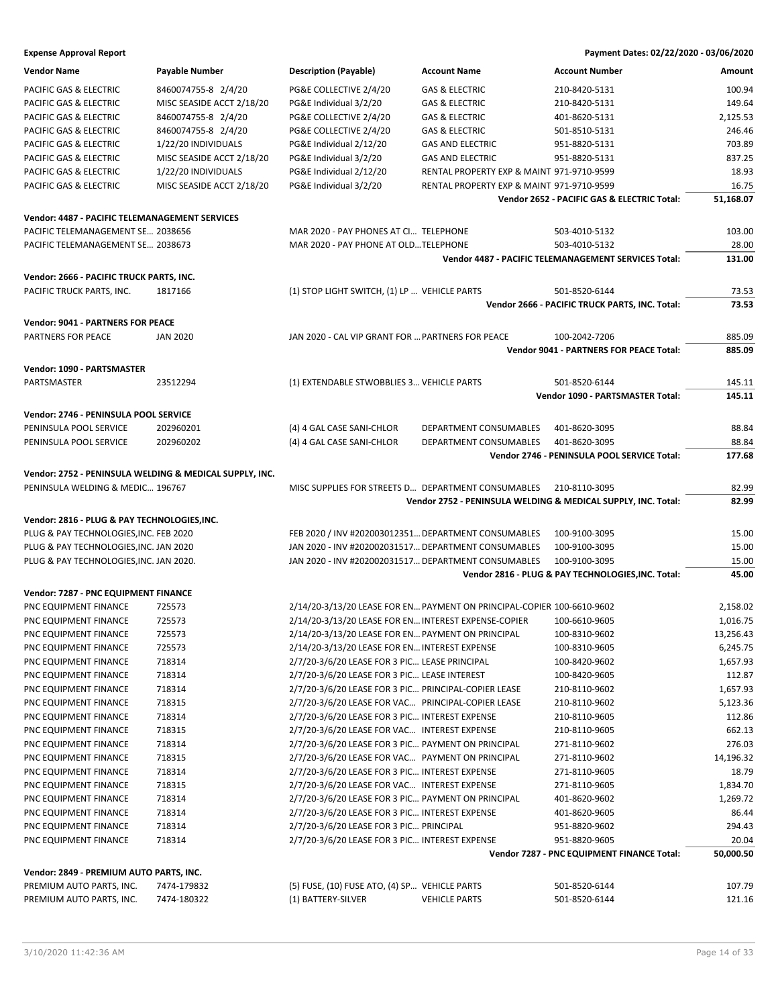| <b>Vendor Name</b>                                      | <b>Payable Number</b>     | <b>Description (Payable)</b>                         | <b>Account Name</b>                                                    | <b>Account Number</b>                                         | Amount    |
|---------------------------------------------------------|---------------------------|------------------------------------------------------|------------------------------------------------------------------------|---------------------------------------------------------------|-----------|
| PACIFIC GAS & ELECTRIC                                  | 8460074755-8 2/4/20       | PG&E COLLECTIVE 2/4/20                               | <b>GAS &amp; ELECTRIC</b>                                              | 210-8420-5131                                                 | 100.94    |
| PACIFIC GAS & ELECTRIC                                  | MISC SEASIDE ACCT 2/18/20 | PG&E Individual 3/2/20                               | <b>GAS &amp; ELECTRIC</b>                                              | 210-8420-5131                                                 | 149.64    |
| PACIFIC GAS & ELECTRIC                                  | 8460074755-8 2/4/20       | PG&E COLLECTIVE 2/4/20                               | <b>GAS &amp; ELECTRIC</b>                                              | 401-8620-5131                                                 | 2,125.53  |
| PACIFIC GAS & ELECTRIC                                  | 8460074755-8 2/4/20       | PG&E COLLECTIVE 2/4/20                               | <b>GAS &amp; ELECTRIC</b>                                              | 501-8510-5131                                                 | 246.46    |
| PACIFIC GAS & ELECTRIC                                  | 1/22/20 INDIVIDUALS       | PG&E Individual 2/12/20                              | <b>GAS AND ELECTRIC</b>                                                | 951-8820-5131                                                 | 703.89    |
| PACIFIC GAS & ELECTRIC                                  | MISC SEASIDE ACCT 2/18/20 | PG&E Individual 3/2/20                               | <b>GAS AND ELECTRIC</b>                                                | 951-8820-5131                                                 | 837.25    |
| PACIFIC GAS & ELECTRIC                                  | 1/22/20 INDIVIDUALS       | PG&E Individual 2/12/20                              | RENTAL PROPERTY EXP & MAINT 971-9710-9599                              |                                                               | 18.93     |
| PACIFIC GAS & ELECTRIC                                  | MISC SEASIDE ACCT 2/18/20 | PG&E Individual 3/2/20                               | RENTAL PROPERTY EXP & MAINT 971-9710-9599                              |                                                               | 16.75     |
|                                                         |                           |                                                      |                                                                        | Vendor 2652 - PACIFIC GAS & ELECTRIC Total:                   | 51,168.07 |
| Vendor: 4487 - PACIFIC TELEMANAGEMENT SERVICES          |                           |                                                      |                                                                        |                                                               |           |
| PACIFIC TELEMANAGEMENT SE 2038656                       |                           | MAR 2020 - PAY PHONES AT CI TELEPHONE                |                                                                        | 503-4010-5132                                                 | 103.00    |
| PACIFIC TELEMANAGEMENT SE 2038673                       |                           | MAR 2020 - PAY PHONE AT OLDTELEPHONE                 |                                                                        | 503-4010-5132                                                 | 28.00     |
|                                                         |                           |                                                      |                                                                        | Vendor 4487 - PACIFIC TELEMANAGEMENT SERVICES Total:          | 131.00    |
| Vendor: 2666 - PACIFIC TRUCK PARTS, INC.                |                           |                                                      |                                                                        |                                                               |           |
| PACIFIC TRUCK PARTS, INC.                               | 1817166                   | (1) STOP LIGHT SWITCH, (1) LP  VEHICLE PARTS         |                                                                        | 501-8520-6144                                                 | 73.53     |
|                                                         |                           |                                                      |                                                                        | Vendor 2666 - PACIFIC TRUCK PARTS, INC. Total:                | 73.53     |
|                                                         |                           |                                                      |                                                                        |                                                               |           |
| <b>Vendor: 9041 - PARTNERS FOR PEACE</b>                |                           |                                                      |                                                                        |                                                               |           |
| PARTNERS FOR PEACE                                      | <b>JAN 2020</b>           | JAN 2020 - CAL VIP GRANT FOR  PARTNERS FOR PEACE     |                                                                        | 100-2042-7206                                                 | 885.09    |
|                                                         |                           |                                                      |                                                                        | <b>Vendor 9041 - PARTNERS FOR PEACE Total:</b>                | 885.09    |
| <b>Vendor: 1090 - PARTSMASTER</b>                       |                           |                                                      |                                                                        |                                                               |           |
| PARTSMASTER                                             | 23512294                  | (1) EXTENDABLE STWOBBLIES 3 VEHICLE PARTS            |                                                                        | 501-8520-6144                                                 | 145.11    |
|                                                         |                           |                                                      |                                                                        | <b>Vendor 1090 - PARTSMASTER Total:</b>                       | 145.11    |
| Vendor: 2746 - PENINSULA POOL SERVICE                   |                           |                                                      |                                                                        |                                                               |           |
| PENINSULA POOL SERVICE                                  | 202960201                 | (4) 4 GAL CASE SANI-CHLOR                            | DEPARTMENT CONSUMABLES                                                 | 401-8620-3095                                                 | 88.84     |
| PENINSULA POOL SERVICE                                  | 202960202                 | (4) 4 GAL CASE SANI-CHLOR                            | DEPARTMENT CONSUMABLES                                                 | 401-8620-3095                                                 | 88.84     |
|                                                         |                           |                                                      |                                                                        | Vendor 2746 - PENINSULA POOL SERVICE Total:                   | 177.68    |
| Vendor: 2752 - PENINSULA WELDING & MEDICAL SUPPLY, INC. |                           |                                                      |                                                                        |                                                               |           |
| PENINSULA WELDING & MEDIC 196767                        |                           | MISC SUPPLIES FOR STREETS D DEPARTMENT CONSUMABLES   |                                                                        | 210-8110-3095                                                 | 82.99     |
|                                                         |                           |                                                      |                                                                        | Vendor 2752 - PENINSULA WELDING & MEDICAL SUPPLY, INC. Total: | 82.99     |
| Vendor: 2816 - PLUG & PAY TECHNOLOGIES, INC.            |                           |                                                      |                                                                        |                                                               |           |
| PLUG & PAY TECHNOLOGIES, INC. FEB 2020                  |                           | FEB 2020 / INV #202003012351 DEPARTMENT CONSUMABLES  |                                                                        | 100-9100-3095                                                 | 15.00     |
| PLUG & PAY TECHNOLOGIES, INC. JAN 2020                  |                           | JAN 2020 - INV #202002031517 DEPARTMENT CONSUMABLES  |                                                                        | 100-9100-3095                                                 | 15.00     |
| PLUG & PAY TECHNOLOGIES, INC. JAN 2020.                 |                           | JAN 2020 - INV #202002031517 DEPARTMENT CONSUMABLES  |                                                                        | 100-9100-3095                                                 | 15.00     |
|                                                         |                           |                                                      |                                                                        | Vendor 2816 - PLUG & PAY TECHNOLOGIES, INC. Total:            | 45.00     |
| Vendor: 7287 - PNC EQUIPMENT FINANCE                    |                           |                                                      |                                                                        |                                                               |           |
| PNC EQUIPMENT FINANCE                                   | 725573                    |                                                      | 2/14/20-3/13/20 LEASE FOR EN PAYMENT ON PRINCIPAL-COPIER 100-6610-9602 |                                                               | 2,158.02  |
| PNC EQUIPMENT FINANCE                                   | 725573                    | 2/14/20-3/13/20 LEASE FOR EN INTEREST EXPENSE-COPIER |                                                                        | 100-6610-9605                                                 | 1,016.75  |
| PNC EQUIPMENT FINANCE                                   | 725573                    | 2/14/20-3/13/20 LEASE FOR EN PAYMENT ON PRINCIPAL    |                                                                        | 100-8310-9602                                                 | 13,256.43 |
| PNC EQUIPMENT FINANCE                                   | 725573                    | 2/14/20-3/13/20 LEASE FOR EN INTEREST EXPENSE        |                                                                        | 100-8310-9605                                                 | 6,245.75  |
| PNC EQUIPMENT FINANCE                                   | 718314                    | 2/7/20-3/6/20 LEASE FOR 3 PIC LEASE PRINCIPAL        |                                                                        | 100-8420-9602                                                 | 1,657.93  |
| PNC EQUIPMENT FINANCE                                   | 718314                    | 2/7/20-3/6/20 LEASE FOR 3 PIC LEASE INTEREST         |                                                                        | 100-8420-9605                                                 | 112.87    |
| PNC EQUIPMENT FINANCE                                   | 718314                    | 2/7/20-3/6/20 LEASE FOR 3 PIC PRINCIPAL-COPIER LEASE |                                                                        | 210-8110-9602                                                 | 1,657.93  |
| PNC EQUIPMENT FINANCE                                   | 718315                    | 2/7/20-3/6/20 LEASE FOR VAC PRINCIPAL-COPIER LEASE   |                                                                        | 210-8110-9602                                                 | 5,123.36  |
| PNC EQUIPMENT FINANCE                                   | 718314                    | 2/7/20-3/6/20 LEASE FOR 3 PIC INTEREST EXPENSE       |                                                                        | 210-8110-9605                                                 | 112.86    |
| PNC EQUIPMENT FINANCE                                   | 718315                    | 2/7/20-3/6/20 LEASE FOR VAC INTEREST EXPENSE         |                                                                        | 210-8110-9605                                                 | 662.13    |
| PNC EQUIPMENT FINANCE                                   | 718314                    | 2/7/20-3/6/20 LEASE FOR 3 PIC PAYMENT ON PRINCIPAL   |                                                                        | 271-8110-9602                                                 | 276.03    |
| PNC EQUIPMENT FINANCE                                   | 718315                    | 2/7/20-3/6/20 LEASE FOR VAC PAYMENT ON PRINCIPAL     |                                                                        | 271-8110-9602                                                 | 14,196.32 |
| PNC EQUIPMENT FINANCE                                   | 718314                    | 2/7/20-3/6/20 LEASE FOR 3 PIC INTEREST EXPENSE       |                                                                        | 271-8110-9605                                                 | 18.79     |
| PNC EQUIPMENT FINANCE                                   | 718315                    | 2/7/20-3/6/20 LEASE FOR VAC INTEREST EXPENSE         |                                                                        | 271-8110-9605                                                 | 1,834.70  |
| PNC EQUIPMENT FINANCE                                   | 718314                    | 2/7/20-3/6/20 LEASE FOR 3 PIC PAYMENT ON PRINCIPAL   |                                                                        | 401-8620-9602                                                 | 1,269.72  |
| PNC EQUIPMENT FINANCE                                   | 718314                    | 2/7/20-3/6/20 LEASE FOR 3 PIC INTEREST EXPENSE       |                                                                        | 401-8620-9605                                                 | 86.44     |
| PNC EQUIPMENT FINANCE                                   | 718314                    | 2/7/20-3/6/20 LEASE FOR 3 PIC PRINCIPAL              |                                                                        | 951-8820-9602                                                 | 294.43    |
| PNC EQUIPMENT FINANCE                                   | 718314                    | 2/7/20-3/6/20 LEASE FOR 3 PIC INTEREST EXPENSE       |                                                                        | 951-8820-9605                                                 | 20.04     |
|                                                         |                           |                                                      |                                                                        | Vendor 7287 - PNC EQUIPMENT FINANCE Total:                    | 50,000.50 |
| Vendor: 2849 - PREMIUM AUTO PARTS, INC.                 |                           |                                                      |                                                                        |                                                               |           |
| PREMIUM AUTO PARTS, INC.                                | 7474-179832               | (5) FUSE, (10) FUSE ATO, (4) SP VEHICLE PARTS        |                                                                        | 501-8520-6144                                                 | 107.79    |
| PREMIUM AUTO PARTS, INC.                                | 7474-180322               | (1) BATTERY-SILVER                                   | <b>VEHICLE PARTS</b>                                                   | 501-8520-6144                                                 | 121.16    |
|                                                         |                           |                                                      |                                                                        |                                                               |           |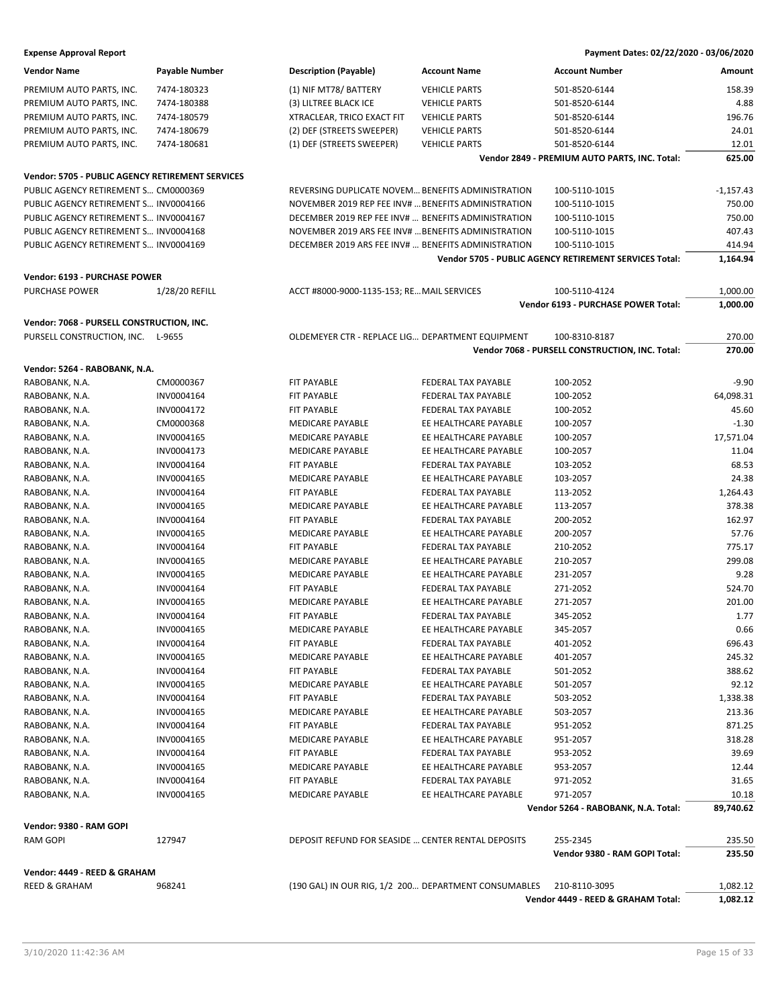| <b>Vendor Name</b>                               | <b>Payable Number</b> | <b>Description (Payable)</b>                        | <b>Account Name</b>                                  | <b>Account Number</b>                                  | Amount          |
|--------------------------------------------------|-----------------------|-----------------------------------------------------|------------------------------------------------------|--------------------------------------------------------|-----------------|
| PREMIUM AUTO PARTS, INC.                         | 7474-180323           | (1) NIF MT78/ BATTERY                               | <b>VEHICLE PARTS</b>                                 | 501-8520-6144                                          | 158.39          |
| PREMIUM AUTO PARTS, INC.                         | 7474-180388           | (3) LILTREE BLACK ICE                               | <b>VEHICLE PARTS</b>                                 | 501-8520-6144                                          | 4.88            |
| PREMIUM AUTO PARTS, INC.                         | 7474-180579           | XTRACLEAR, TRICO EXACT FIT                          | <b>VEHICLE PARTS</b>                                 | 501-8520-6144                                          | 196.76          |
| PREMIUM AUTO PARTS, INC.                         | 7474-180679           | (2) DEF (STREETS SWEEPER)                           | <b>VEHICLE PARTS</b>                                 | 501-8520-6144                                          | 24.01           |
| PREMIUM AUTO PARTS, INC.                         | 7474-180681           | (1) DEF (STREETS SWEEPER)                           | <b>VEHICLE PARTS</b>                                 | 501-8520-6144                                          | 12.01           |
|                                                  |                       |                                                     |                                                      | Vendor 2849 - PREMIUM AUTO PARTS, INC. Total:          | 625.00          |
|                                                  |                       |                                                     |                                                      |                                                        |                 |
| Vendor: 5705 - PUBLIC AGENCY RETIREMENT SERVICES |                       |                                                     |                                                      |                                                        |                 |
| PUBLIC AGENCY RETIREMENT S CM0000369             |                       | REVERSING DUPLICATE NOVEM BENEFITS ADMINISTRATION   |                                                      | 100-5110-1015                                          | $-1,157.43$     |
| PUBLIC AGENCY RETIREMENT S INV0004166            |                       | NOVEMBER 2019 REP FEE INV#  BENEFITS ADMINISTRATION |                                                      | 100-5110-1015                                          | 750.00          |
| PUBLIC AGENCY RETIREMENT S INV0004167            |                       | DECEMBER 2019 REP FEE INV#  BENEFITS ADMINISTRATION |                                                      | 100-5110-1015                                          | 750.00          |
| PUBLIC AGENCY RETIREMENT S INV0004168            |                       | NOVEMBER 2019 ARS FEE INV#  BENEFITS ADMINISTRATION |                                                      | 100-5110-1015                                          | 407.43          |
| PUBLIC AGENCY RETIREMENT S INV0004169            |                       | DECEMBER 2019 ARS FEE INV#  BENEFITS ADMINISTRATION |                                                      | 100-5110-1015                                          | 414.94          |
|                                                  |                       |                                                     |                                                      | Vendor 5705 - PUBLIC AGENCY RETIREMENT SERVICES Total: | 1,164.94        |
| Vendor: 6193 - PURCHASE POWER                    |                       |                                                     |                                                      |                                                        |                 |
| <b>PURCHASE POWER</b>                            | 1/28/20 REFILL        | ACCT #8000-9000-1135-153; RE MAIL SERVICES          |                                                      | 100-5110-4124                                          | 1,000.00        |
|                                                  |                       |                                                     |                                                      | Vendor 6193 - PURCHASE POWER Total:                    | 1,000.00        |
|                                                  |                       |                                                     |                                                      |                                                        |                 |
| Vendor: 7068 - PURSELL CONSTRUCTION, INC.        |                       |                                                     |                                                      |                                                        |                 |
| PURSELL CONSTRUCTION, INC. L-9655                |                       | OLDEMEYER CTR - REPLACE LIG DEPARTMENT EQUIPMENT    |                                                      | 100-8310-8187                                          | 270.00          |
|                                                  |                       |                                                     |                                                      | Vendor 7068 - PURSELL CONSTRUCTION, INC. Total:        | 270.00          |
| Vendor: 5264 - RABOBANK, N.A.                    |                       |                                                     |                                                      |                                                        |                 |
| RABOBANK, N.A.                                   | CM0000367             | FIT PAYABLE                                         | FEDERAL TAX PAYABLE                                  | 100-2052                                               | $-9.90$         |
| RABOBANK, N.A.                                   | INV0004164            | FIT PAYABLE                                         | FEDERAL TAX PAYABLE                                  | 100-2052                                               | 64,098.31       |
| RABOBANK, N.A.                                   | INV0004172            | FIT PAYABLE                                         | FEDERAL TAX PAYABLE                                  | 100-2052                                               | 45.60           |
| RABOBANK, N.A.                                   | CM0000368             | MEDICARE PAYABLE                                    | EE HEALTHCARE PAYABLE                                | 100-2057                                               | $-1.30$         |
| RABOBANK, N.A.                                   | INV0004165            | <b>MEDICARE PAYABLE</b>                             | EE HEALTHCARE PAYABLE                                | 100-2057                                               | 17,571.04       |
| RABOBANK, N.A.                                   | INV0004173            | <b>MEDICARE PAYABLE</b>                             | EE HEALTHCARE PAYABLE                                | 100-2057                                               | 11.04           |
| RABOBANK, N.A.                                   | INV0004164            | FIT PAYABLE                                         | FEDERAL TAX PAYABLE                                  | 103-2052                                               | 68.53           |
| RABOBANK, N.A.                                   | INV0004165            | <b>MEDICARE PAYABLE</b>                             | EE HEALTHCARE PAYABLE                                | 103-2057                                               | 24.38           |
| RABOBANK, N.A.                                   | INV0004164            | FIT PAYABLE                                         | FEDERAL TAX PAYABLE                                  | 113-2052                                               | 1,264.43        |
| RABOBANK, N.A.                                   | INV0004165            | MEDICARE PAYABLE                                    | EE HEALTHCARE PAYABLE                                | 113-2057                                               | 378.38          |
| RABOBANK, N.A.                                   | INV0004164            | FIT PAYABLE                                         | FEDERAL TAX PAYABLE                                  | 200-2052                                               | 162.97          |
| RABOBANK, N.A.                                   | INV0004165            | <b>MEDICARE PAYABLE</b>                             | EE HEALTHCARE PAYABLE                                | 200-2057                                               | 57.76           |
| RABOBANK, N.A.                                   | INV0004164            | FIT PAYABLE                                         | FEDERAL TAX PAYABLE                                  | 210-2052                                               | 775.17          |
| RABOBANK, N.A.                                   | INV0004165            | MEDICARE PAYABLE                                    | EE HEALTHCARE PAYABLE                                | 210-2057                                               | 299.08          |
| RABOBANK, N.A.                                   | INV0004165            | <b>MEDICARE PAYABLE</b>                             | EE HEALTHCARE PAYABLE                                | 231-2057                                               | 9.28            |
| RABOBANK, N.A.                                   | INV0004164            | FIT PAYABLE                                         | FEDERAL TAX PAYABLE                                  | 271-2052                                               | 524.70          |
| RABOBANK, N.A.                                   | INV0004165            | MEDICARE PAYABLE                                    | EE HEALTHCARE PAYABLE                                | 271-2057                                               | 201.00          |
| RABOBANK, N.A.                                   | INV0004164            | FIT PAYABLE                                         | FEDERAL TAX PAYABLE                                  | 345-2052                                               | 1.77            |
| RABOBANK, N.A.                                   | INV0004165            | <b>MEDICARE PAYABLE</b>                             | EE HEALTHCARE PAYABLE                                | 345-2057                                               | 0.66            |
| RABOBANK, N.A.                                   | INV0004164            | FIT PAYABLE                                         | FEDERAL TAX PAYABLE                                  | 401-2052                                               | 696.43          |
| RABOBANK, N.A.                                   | INV0004165            | MEDICARE PAYABLE                                    | EE HEALTHCARE PAYABLE                                | 401-2057                                               | 245.32          |
| RABOBANK, N.A.                                   | INV0004164            | FIT PAYABLE                                         | FEDERAL TAX PAYABLE                                  | 501-2052                                               | 388.62          |
| RABOBANK, N.A.                                   | INV0004165            | MEDICARE PAYABLE                                    | EE HEALTHCARE PAYABLE                                | 501-2057                                               | 92.12           |
| RABOBANK, N.A.                                   | INV0004164            | FIT PAYABLE                                         | FEDERAL TAX PAYABLE                                  | 503-2052                                               | 1,338.38        |
| RABOBANK, N.A.                                   | INV0004165            | MEDICARE PAYABLE                                    | EE HEALTHCARE PAYABLE                                | 503-2057                                               | 213.36          |
| RABOBANK, N.A.                                   | INV0004164            | FIT PAYABLE                                         | FEDERAL TAX PAYABLE                                  | 951-2052                                               | 871.25          |
|                                                  |                       |                                                     |                                                      |                                                        |                 |
| RABOBANK, N.A.                                   | INV0004165            | MEDICARE PAYABLE                                    | EE HEALTHCARE PAYABLE                                | 951-2057                                               | 318.28<br>39.69 |
| RABOBANK, N.A.                                   | INV0004164            | FIT PAYABLE                                         | FEDERAL TAX PAYABLE                                  | 953-2052                                               |                 |
| RABOBANK, N.A.                                   | INV0004165            | MEDICARE PAYABLE                                    | EE HEALTHCARE PAYABLE                                | 953-2057                                               | 12.44           |
| RABOBANK, N.A.                                   | INV0004164            | FIT PAYABLE                                         | FEDERAL TAX PAYABLE                                  | 971-2052                                               | 31.65           |
| RABOBANK, N.A.                                   | INV0004165            | <b>MEDICARE PAYABLE</b>                             | EE HEALTHCARE PAYABLE                                | 971-2057                                               | 10.18           |
|                                                  |                       |                                                     |                                                      | Vendor 5264 - RABOBANK, N.A. Total:                    | 89,740.62       |
| Vendor: 9380 - RAM GOPI                          |                       |                                                     |                                                      |                                                        |                 |
| RAM GOPI                                         | 127947                | DEPOSIT REFUND FOR SEASIDE  CENTER RENTAL DEPOSITS  |                                                      | 255-2345                                               | 235.50          |
|                                                  |                       |                                                     |                                                      | Vendor 9380 - RAM GOPI Total:                          | 235.50          |
| Vendor: 4449 - REED & GRAHAM                     |                       |                                                     |                                                      |                                                        |                 |
| <b>REED &amp; GRAHAM</b>                         | 968241                |                                                     | (190 GAL) IN OUR RIG, 1/2 200 DEPARTMENT CONSUMABLES | 210-8110-3095                                          | 1,082.12        |
|                                                  |                       |                                                     |                                                      | Vendor 4449 - REED & GRAHAM Total:                     | 1,082.12        |
|                                                  |                       |                                                     |                                                      |                                                        |                 |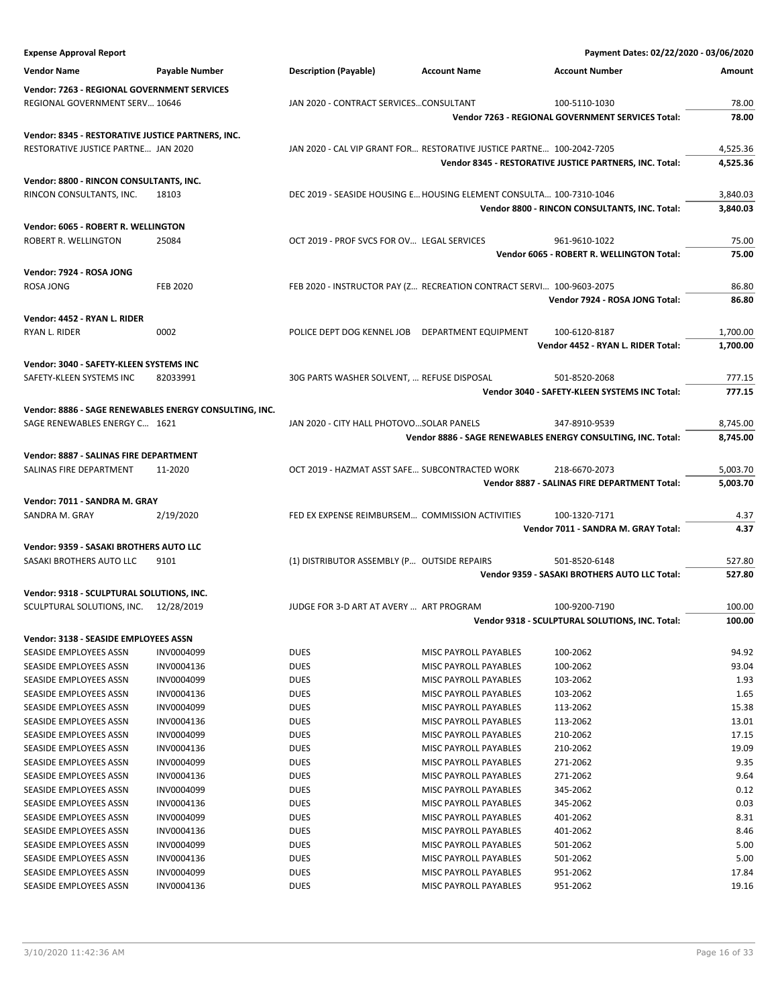| <b>Expense Approval Report</b>                         |                       |                                                                       |                       | Payment Dates: 02/22/2020 - 03/06/2020                       |          |
|--------------------------------------------------------|-----------------------|-----------------------------------------------------------------------|-----------------------|--------------------------------------------------------------|----------|
| <b>Vendor Name</b>                                     | <b>Payable Number</b> | <b>Description (Payable)</b>                                          | <b>Account Name</b>   | <b>Account Number</b>                                        | Amount   |
| Vendor: 7263 - REGIONAL GOVERNMENT SERVICES            |                       |                                                                       |                       |                                                              |          |
| REGIONAL GOVERNMENT SERV 10646                         |                       | JAN 2020 - CONTRACT SERVICESCONSULTANT                                |                       | 100-5110-1030                                                | 78.00    |
|                                                        |                       |                                                                       |                       | Vendor 7263 - REGIONAL GOVERNMENT SERVICES Total:            | 78.00    |
|                                                        |                       |                                                                       |                       |                                                              |          |
| Vendor: 8345 - RESTORATIVE JUSTICE PARTNERS, INC.      |                       |                                                                       |                       |                                                              |          |
| RESTORATIVE JUSTICE PARTNE JAN 2020                    |                       | JAN 2020 - CAL VIP GRANT FOR RESTORATIVE JUSTICE PARTNE 100-2042-7205 |                       |                                                              | 4,525.36 |
|                                                        |                       |                                                                       |                       | Vendor 8345 - RESTORATIVE JUSTICE PARTNERS, INC. Total:      | 4,525.36 |
| Vendor: 8800 - RINCON CONSULTANTS, INC.                |                       |                                                                       |                       |                                                              |          |
| RINCON CONSULTANTS, INC.                               | 18103                 | DEC 2019 - SEASIDE HOUSING E HOUSING ELEMENT CONSULTA 100-7310-1046   |                       |                                                              | 3,840.03 |
|                                                        |                       |                                                                       |                       | Vendor 8800 - RINCON CONSULTANTS, INC. Total:                | 3,840.03 |
| Vendor: 6065 - ROBERT R. WELLINGTON                    |                       |                                                                       |                       |                                                              |          |
| ROBERT R. WELLINGTON                                   | 25084                 | OCT 2019 - PROF SVCS FOR OV LEGAL SERVICES                            |                       | 961-9610-1022                                                | 75.00    |
|                                                        |                       |                                                                       |                       | Vendor 6065 - ROBERT R. WELLINGTON Total:                    | 75.00    |
| Vendor: 7924 - ROSA JONG                               |                       |                                                                       |                       |                                                              |          |
| ROSA JONG                                              | <b>FEB 2020</b>       | FEB 2020 - INSTRUCTOR PAY (Z RECREATION CONTRACT SERVI 100-9603-2075  |                       |                                                              | 86.80    |
|                                                        |                       |                                                                       |                       | Vendor 7924 - ROSA JONG Total:                               | 86.80    |
|                                                        |                       |                                                                       |                       |                                                              |          |
| Vendor: 4452 - RYAN L. RIDER                           |                       |                                                                       |                       |                                                              |          |
| RYAN L. RIDER                                          | 0002                  | POLICE DEPT DOG KENNEL JOB DEPARTMENT EQUIPMENT                       |                       | 100-6120-8187                                                | 1,700.00 |
|                                                        |                       |                                                                       |                       | Vendor 4452 - RYAN L. RIDER Total:                           | 1,700.00 |
| Vendor: 3040 - SAFETY-KLEEN SYSTEMS INC                |                       |                                                                       |                       |                                                              |          |
| SAFETY-KLEEN SYSTEMS INC                               | 82033991              | 30G PARTS WASHER SOLVENT,  REFUSE DISPOSAL                            |                       | 501-8520-2068                                                | 777.15   |
|                                                        |                       |                                                                       |                       | Vendor 3040 - SAFETY-KLEEN SYSTEMS INC Total:                | 777.15   |
| Vendor: 8886 - SAGE RENEWABLES ENERGY CONSULTING, INC. |                       |                                                                       |                       |                                                              |          |
|                                                        |                       | JAN 2020 - CITY HALL PHOTOVOSOLAR PANELS                              |                       |                                                              |          |
| SAGE RENEWABLES ENERGY C 1621                          |                       |                                                                       |                       | 347-8910-9539                                                | 8,745.00 |
|                                                        |                       |                                                                       |                       | Vendor 8886 - SAGE RENEWABLES ENERGY CONSULTING, INC. Total: | 8,745.00 |
| Vendor: 8887 - SALINAS FIRE DEPARTMENT                 |                       |                                                                       |                       |                                                              |          |
| SALINAS FIRE DEPARTMENT                                | 11-2020               | OCT 2019 - HAZMAT ASST SAFE SUBCONTRACTED WORK                        |                       | 218-6670-2073                                                | 5,003.70 |
|                                                        |                       |                                                                       |                       | Vendor 8887 - SALINAS FIRE DEPARTMENT Total:                 | 5,003.70 |
| Vendor: 7011 - SANDRA M. GRAY                          |                       |                                                                       |                       |                                                              |          |
| SANDRA M. GRAY                                         | 2/19/2020             | FED EX EXPENSE REIMBURSEM COMMISSION ACTIVITIES                       |                       | 100-1320-7171                                                | 4.37     |
|                                                        |                       |                                                                       |                       | Vendor 7011 - SANDRA M. GRAY Total:                          | 4.37     |
| Vendor: 9359 - SASAKI BROTHERS AUTO LLC                |                       |                                                                       |                       |                                                              |          |
| SASAKI BROTHERS AUTO LLC                               | 9101                  | (1) DISTRIBUTOR ASSEMBLY (P OUTSIDE REPAIRS                           |                       | 501-8520-6148                                                | 527.80   |
|                                                        |                       |                                                                       |                       | Vendor 9359 - SASAKI BROTHERS AUTO LLC Total:                | 527.80   |
|                                                        |                       |                                                                       |                       |                                                              |          |
| Vendor: 9318 - SCULPTURAL SOLUTIONS, INC.              |                       |                                                                       |                       |                                                              |          |
| SCULPTURAL SOLUTIONS, INC. 12/28/2019                  |                       | JUDGE FOR 3-D ART AT AVERY  ART PROGRAM                               |                       | 100-9200-7190                                                | 100.00   |
|                                                        |                       |                                                                       |                       | Vendor 9318 - SCULPTURAL SOLUTIONS, INC. Total:              | 100.00   |
| Vendor: 3138 - SEASIDE EMPLOYEES ASSN                  |                       |                                                                       |                       |                                                              |          |
| SEASIDE EMPLOYEES ASSN                                 | INV0004099            | <b>DUES</b>                                                           | MISC PAYROLL PAYABLES | 100-2062                                                     | 94.92    |
| SEASIDE EMPLOYEES ASSN                                 | INV0004136            | <b>DUES</b>                                                           | MISC PAYROLL PAYABLES | 100-2062                                                     | 93.04    |
| SEASIDE EMPLOYEES ASSN                                 | INV0004099            | <b>DUES</b>                                                           | MISC PAYROLL PAYABLES | 103-2062                                                     | 1.93     |
| SEASIDE EMPLOYEES ASSN                                 | INV0004136            | <b>DUES</b>                                                           | MISC PAYROLL PAYABLES | 103-2062                                                     | 1.65     |
| SEASIDE EMPLOYEES ASSN                                 | INV0004099            | DUES                                                                  | MISC PAYROLL PAYABLES | 113-2062                                                     | 15.38    |
| SEASIDE EMPLOYEES ASSN                                 | INV0004136            | <b>DUES</b>                                                           | MISC PAYROLL PAYABLES | 113-2062                                                     | 13.01    |
| SEASIDE EMPLOYEES ASSN                                 | INV0004099            | <b>DUES</b>                                                           | MISC PAYROLL PAYABLES | 210-2062                                                     | 17.15    |
| SEASIDE EMPLOYEES ASSN                                 | INV0004136            | <b>DUES</b>                                                           | MISC PAYROLL PAYABLES | 210-2062                                                     | 19.09    |
| SEASIDE EMPLOYEES ASSN                                 | INV0004099            | <b>DUES</b>                                                           | MISC PAYROLL PAYABLES | 271-2062                                                     | 9.35     |
| SEASIDE EMPLOYEES ASSN                                 | INV0004136            | DUES                                                                  | MISC PAYROLL PAYABLES | 271-2062                                                     | 9.64     |
| SEASIDE EMPLOYEES ASSN                                 | INV0004099            | <b>DUES</b>                                                           | MISC PAYROLL PAYABLES | 345-2062                                                     | 0.12     |
| SEASIDE EMPLOYEES ASSN                                 | INV0004136            | <b>DUES</b>                                                           | MISC PAYROLL PAYABLES | 345-2062                                                     | 0.03     |
| SEASIDE EMPLOYEES ASSN                                 | INV0004099            | <b>DUES</b>                                                           | MISC PAYROLL PAYABLES | 401-2062                                                     | 8.31     |
| SEASIDE EMPLOYEES ASSN                                 | INV0004136            | <b>DUES</b>                                                           | MISC PAYROLL PAYABLES | 401-2062                                                     | 8.46     |
| SEASIDE EMPLOYEES ASSN                                 | INV0004099            | <b>DUES</b>                                                           | MISC PAYROLL PAYABLES | 501-2062                                                     | 5.00     |
| SEASIDE EMPLOYEES ASSN                                 | INV0004136            | <b>DUES</b>                                                           | MISC PAYROLL PAYABLES | 501-2062                                                     | 5.00     |
| SEASIDE EMPLOYEES ASSN                                 | INV0004099            | <b>DUES</b>                                                           | MISC PAYROLL PAYABLES | 951-2062                                                     | 17.84    |
| SEASIDE EMPLOYEES ASSN                                 | INV0004136            | <b>DUES</b>                                                           | MISC PAYROLL PAYABLES | 951-2062                                                     | 19.16    |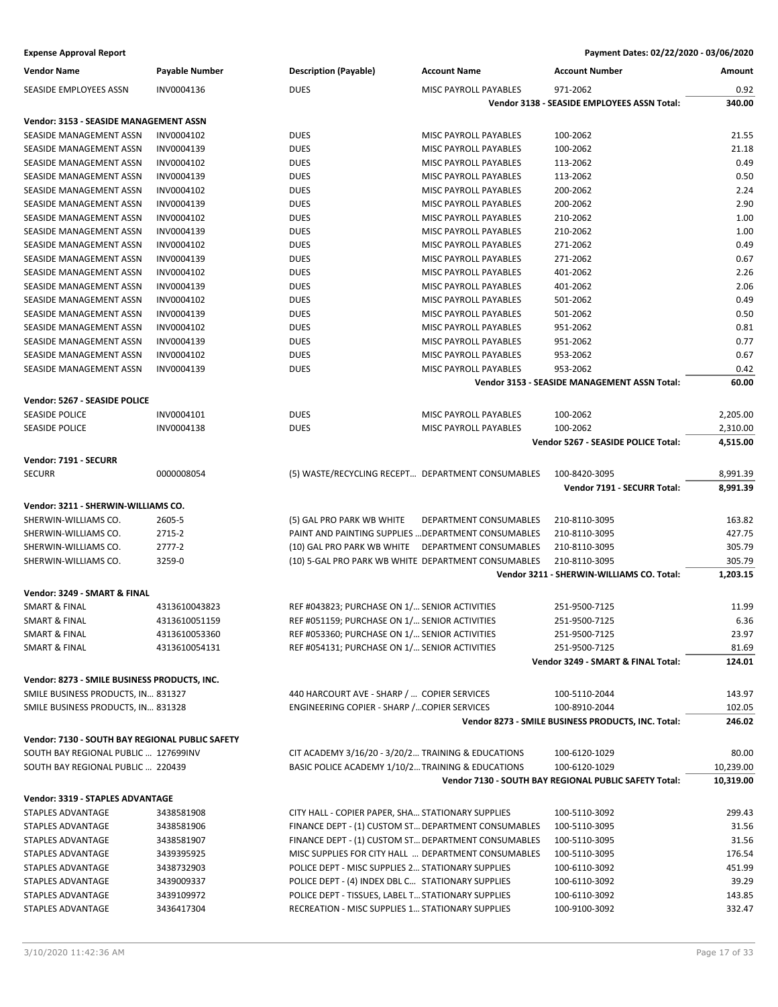| <b>Vendor Name</b>                              | Payable Number | <b>Description (Payable)</b>                        | <b>Account Name</b>          | <b>Account Number</b>                                 | Amount    |
|-------------------------------------------------|----------------|-----------------------------------------------------|------------------------------|-------------------------------------------------------|-----------|
| SEASIDE EMPLOYEES ASSN                          | INV0004136     | <b>DUES</b>                                         | MISC PAYROLL PAYABLES        | 971-2062                                              | 0.92      |
|                                                 |                |                                                     |                              | Vendor 3138 - SEASIDE EMPLOYEES ASSN Total:           | 340.00    |
| Vendor: 3153 - SEASIDE MANAGEMENT ASSN          |                |                                                     |                              |                                                       |           |
| SEASIDE MANAGEMENT ASSN                         | INV0004102     | <b>DUES</b>                                         | MISC PAYROLL PAYABLES        | 100-2062                                              | 21.55     |
| SEASIDE MANAGEMENT ASSN                         | INV0004139     | <b>DUES</b>                                         | MISC PAYROLL PAYABLES        | 100-2062                                              | 21.18     |
| SEASIDE MANAGEMENT ASSN                         | INV0004102     | <b>DUES</b>                                         | MISC PAYROLL PAYABLES        | 113-2062                                              | 0.49      |
| SEASIDE MANAGEMENT ASSN                         | INV0004139     | <b>DUES</b>                                         | MISC PAYROLL PAYABLES        | 113-2062                                              | 0.50      |
| <b>SEASIDE MANAGEMENT ASSN</b>                  | INV0004102     | <b>DUES</b>                                         | <b>MISC PAYROLL PAYABLES</b> | 200-2062                                              | 2.24      |
| SEASIDE MANAGEMENT ASSN                         | INV0004139     | <b>DUES</b>                                         | MISC PAYROLL PAYABLES        | 200-2062                                              | 2.90      |
| SEASIDE MANAGEMENT ASSN                         | INV0004102     | <b>DUES</b>                                         | MISC PAYROLL PAYABLES        | 210-2062                                              | 1.00      |
| SEASIDE MANAGEMENT ASSN                         | INV0004139     | <b>DUES</b>                                         | MISC PAYROLL PAYABLES        | 210-2062                                              | 1.00      |
| SEASIDE MANAGEMENT ASSN                         | INV0004102     | <b>DUES</b>                                         | <b>MISC PAYROLL PAYABLES</b> | 271-2062                                              | 0.49      |
| SEASIDE MANAGEMENT ASSN                         | INV0004139     | <b>DUES</b>                                         | MISC PAYROLL PAYABLES        | 271-2062                                              | 0.67      |
| SEASIDE MANAGEMENT ASSN                         | INV0004102     | <b>DUES</b>                                         | MISC PAYROLL PAYABLES        | 401-2062                                              | 2.26      |
| SEASIDE MANAGEMENT ASSN                         | INV0004139     | <b>DUES</b>                                         | MISC PAYROLL PAYABLES        | 401-2062                                              | 2.06      |
| SEASIDE MANAGEMENT ASSN                         | INV0004102     | <b>DUES</b>                                         | MISC PAYROLL PAYABLES        | 501-2062                                              | 0.49      |
| SEASIDE MANAGEMENT ASSN                         | INV0004139     | <b>DUES</b>                                         | <b>MISC PAYROLL PAYABLES</b> | 501-2062                                              | 0.50      |
| SEASIDE MANAGEMENT ASSN                         | INV0004102     | <b>DUES</b>                                         | MISC PAYROLL PAYABLES        | 951-2062                                              | 0.81      |
| SEASIDE MANAGEMENT ASSN                         | INV0004139     | <b>DUES</b>                                         | MISC PAYROLL PAYABLES        | 951-2062                                              | 0.77      |
| SEASIDE MANAGEMENT ASSN                         | INV0004102     | <b>DUES</b>                                         | MISC PAYROLL PAYABLES        | 953-2062                                              | 0.67      |
| SEASIDE MANAGEMENT ASSN                         | INV0004139     | <b>DUES</b>                                         | MISC PAYROLL PAYABLES        | 953-2062                                              | 0.42      |
|                                                 |                |                                                     |                              | Vendor 3153 - SEASIDE MANAGEMENT ASSN Total:          | 60.00     |
| Vendor: 5267 - SEASIDE POLICE                   |                |                                                     |                              |                                                       |           |
| <b>SEASIDE POLICE</b>                           | INV0004101     | <b>DUES</b>                                         | MISC PAYROLL PAYABLES        | 100-2062                                              | 2,205.00  |
| <b>SEASIDE POLICE</b>                           | INV0004138     | <b>DUES</b>                                         | MISC PAYROLL PAYABLES        | 100-2062                                              | 2,310.00  |
|                                                 |                |                                                     |                              | Vendor 5267 - SEASIDE POLICE Total:                   | 4,515.00  |
|                                                 |                |                                                     |                              |                                                       |           |
| Vendor: 7191 - SECURR                           |                |                                                     |                              |                                                       |           |
| <b>SECURR</b>                                   | 0000008054     | (5) WASTE/RECYCLING RECEPT DEPARTMENT CONSUMABLES   |                              | 100-8420-3095                                         | 8,991.39  |
|                                                 |                |                                                     |                              | Vendor 7191 - SECURR Total:                           | 8,991.39  |
| Vendor: 3211 - SHERWIN-WILLIAMS CO.             |                |                                                     |                              |                                                       |           |
| SHERWIN-WILLIAMS CO.                            | 2605-5         | (5) GAL PRO PARK WB WHITE                           | DEPARTMENT CONSUMABLES       | 210-8110-3095                                         | 163.82    |
| SHERWIN-WILLIAMS CO.                            | 2715-2         | PAINT AND PAINTING SUPPLIES  DEPARTMENT CONSUMABLES |                              | 210-8110-3095                                         | 427.75    |
| SHERWIN-WILLIAMS CO.                            | 2777-2         | (10) GAL PRO PARK WB WHITE DEPARTMENT CONSUMABLES   |                              | 210-8110-3095                                         | 305.79    |
| SHERWIN-WILLIAMS CO.                            | 3259-0         | (10) 5-GAL PRO PARK WB WHITE DEPARTMENT CONSUMABLES |                              | 210-8110-3095                                         | 305.79    |
|                                                 |                |                                                     |                              | Vendor 3211 - SHERWIN-WILLIAMS CO. Total:             | 1,203.15  |
| Vendor: 3249 - SMART & FINAL                    |                |                                                     |                              |                                                       |           |
| <b>SMART &amp; FINAL</b>                        | 4313610043823  | REF #043823; PURCHASE ON 1/ SENIOR ACTIVITIES       |                              | 251-9500-7125                                         | 11.99     |
| <b>SMART &amp; FINAL</b>                        | 4313610051159  | REF #051159; PURCHASE ON 1/ SENIOR ACTIVITIES       |                              | 251-9500-7125                                         | 6.36      |
| <b>SMART &amp; FINAL</b>                        | 4313610053360  | REF #053360; PURCHASE ON 1/ SENIOR ACTIVITIES       |                              | 251-9500-7125                                         | 23.97     |
| SMART & FINAL                                   | 4313610054131  | REF #054131; PURCHASE ON 1/ SENIOR ACTIVITIES       |                              | 251-9500-7125                                         | 81.69     |
|                                                 |                |                                                     |                              | Vendor 3249 - SMART & FINAL Total:                    | 124.01    |
| Vendor: 8273 - SMILE BUSINESS PRODUCTS, INC.    |                |                                                     |                              |                                                       |           |
| SMILE BUSINESS PRODUCTS, IN 831327              |                | 440 HARCOURT AVE - SHARP /  COPIER SERVICES         |                              | 100-5110-2044                                         | 143.97    |
| SMILE BUSINESS PRODUCTS, IN 831328              |                | ENGINEERING COPIER - SHARP /COPIER SERVICES         |                              | 100-8910-2044                                         | 102.05    |
|                                                 |                |                                                     |                              | Vendor 8273 - SMILE BUSINESS PRODUCTS, INC. Total:    | 246.02    |
|                                                 |                |                                                     |                              |                                                       |           |
| Vendor: 7130 - SOUTH BAY REGIONAL PUBLIC SAFETY |                |                                                     |                              |                                                       |           |
| SOUTH BAY REGIONAL PUBLIC  127699INV            |                | CIT ACADEMY 3/16/20 - 3/20/2 TRAINING & EDUCATIONS  |                              | 100-6120-1029                                         | 80.00     |
| SOUTH BAY REGIONAL PUBLIC  220439               |                | BASIC POLICE ACADEMY 1/10/2 TRAINING & EDUCATIONS   |                              | 100-6120-1029                                         | 10,239.00 |
|                                                 |                |                                                     |                              | Vendor 7130 - SOUTH BAY REGIONAL PUBLIC SAFETY Total: | 10,319.00 |
| Vendor: 3319 - STAPLES ADVANTAGE                |                |                                                     |                              |                                                       |           |
| STAPLES ADVANTAGE                               | 3438581908     | CITY HALL - COPIER PAPER, SHA STATIONARY SUPPLIES   |                              | 100-5110-3092                                         | 299.43    |
| STAPLES ADVANTAGE                               | 3438581906     | FINANCE DEPT - (1) CUSTOM ST DEPARTMENT CONSUMABLES |                              | 100-5110-3095                                         | 31.56     |
| STAPLES ADVANTAGE                               | 3438581907     | FINANCE DEPT - (1) CUSTOM ST DEPARTMENT CONSUMABLES |                              | 100-5110-3095                                         | 31.56     |
| STAPLES ADVANTAGE                               | 3439395925     | MISC SUPPLIES FOR CITY HALL  DEPARTMENT CONSUMABLES |                              | 100-5110-3095                                         | 176.54    |
| STAPLES ADVANTAGE                               | 3438732903     | POLICE DEPT - MISC SUPPLIES 2 STATIONARY SUPPLIES   |                              | 100-6110-3092                                         | 451.99    |
| STAPLES ADVANTAGE                               | 3439009337     | POLICE DEPT - (4) INDEX DBL C STATIONARY SUPPLIES   |                              | 100-6110-3092                                         | 39.29     |
| STAPLES ADVANTAGE                               | 3439109972     | POLICE DEPT - TISSUES, LABEL T STATIONARY SUPPLIES  |                              | 100-6110-3092                                         | 143.85    |
| STAPLES ADVANTAGE                               | 3436417304     | RECREATION - MISC SUPPLIES 1 STATIONARY SUPPLIES    |                              | 100-9100-3092                                         | 332.47    |
|                                                 |                |                                                     |                              |                                                       |           |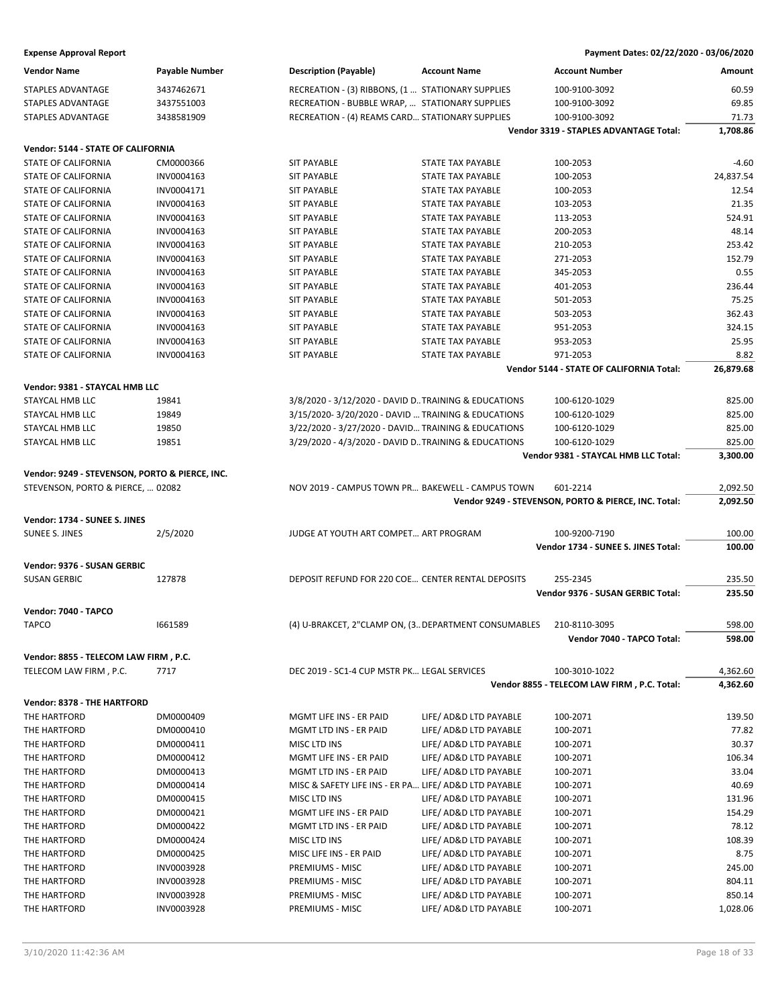| <b>Vendor Name</b>                             | <b>Payable Number</b>    | <b>Description (Payable)</b>                                          | <b>Account Name</b>                              | <b>Account Number</b>                                       | Amount             |
|------------------------------------------------|--------------------------|-----------------------------------------------------------------------|--------------------------------------------------|-------------------------------------------------------------|--------------------|
| STAPLES ADVANTAGE                              | 3437462671               | RECREATION - (3) RIBBONS, (1  STATIONARY SUPPLIES                     |                                                  | 100-9100-3092                                               | 60.59              |
| STAPLES ADVANTAGE                              | 3437551003               | RECREATION - BUBBLE WRAP,  STATIONARY SUPPLIES                        |                                                  | 100-9100-3092                                               | 69.85              |
| STAPLES ADVANTAGE                              | 3438581909               | RECREATION - (4) REAMS CARD STATIONARY SUPPLIES                       |                                                  | 100-9100-3092                                               | 71.73              |
|                                                |                          |                                                                       |                                                  | Vendor 3319 - STAPLES ADVANTAGE Total:                      | 1,708.86           |
| Vendor: 5144 - STATE OF CALIFORNIA             |                          |                                                                       |                                                  |                                                             |                    |
| STATE OF CALIFORNIA                            | CM0000366                | <b>SIT PAYABLE</b>                                                    | <b>STATE TAX PAYABLE</b>                         | 100-2053                                                    | $-4.60$            |
| STATE OF CALIFORNIA                            | INV0004163               | <b>SIT PAYABLE</b>                                                    | <b>STATE TAX PAYABLE</b>                         | 100-2053                                                    | 24,837.54          |
| STATE OF CALIFORNIA                            | INV0004171               | <b>SIT PAYABLE</b>                                                    | <b>STATE TAX PAYABLE</b>                         | 100-2053                                                    | 12.54              |
| <b>STATE OF CALIFORNIA</b>                     | INV0004163               | <b>SIT PAYABLE</b>                                                    | <b>STATE TAX PAYABLE</b>                         | 103-2053                                                    | 21.35              |
| STATE OF CALIFORNIA                            | INV0004163               | <b>SIT PAYABLE</b>                                                    | STATE TAX PAYABLE                                | 113-2053                                                    | 524.91             |
| STATE OF CALIFORNIA                            | INV0004163               | <b>SIT PAYABLE</b>                                                    | <b>STATE TAX PAYABLE</b>                         | 200-2053                                                    | 48.14              |
| <b>STATE OF CALIFORNIA</b>                     | INV0004163               | <b>SIT PAYABLE</b>                                                    | <b>STATE TAX PAYABLE</b>                         | 210-2053                                                    | 253.42             |
| STATE OF CALIFORNIA                            | INV0004163               | <b>SIT PAYABLE</b>                                                    | <b>STATE TAX PAYABLE</b>                         | 271-2053                                                    | 152.79             |
| STATE OF CALIFORNIA                            | INV0004163               | <b>SIT PAYABLE</b>                                                    | <b>STATE TAX PAYABLE</b>                         | 345-2053                                                    | 0.55               |
| STATE OF CALIFORNIA                            | INV0004163               | <b>SIT PAYABLE</b>                                                    | STATE TAX PAYABLE                                | 401-2053                                                    | 236.44             |
| STATE OF CALIFORNIA                            | INV0004163               | <b>SIT PAYABLE</b>                                                    | <b>STATE TAX PAYABLE</b>                         | 501-2053                                                    | 75.25              |
| STATE OF CALIFORNIA                            | INV0004163               | <b>SIT PAYABLE</b>                                                    | <b>STATE TAX PAYABLE</b>                         | 503-2053                                                    | 362.43             |
| STATE OF CALIFORNIA                            | INV0004163               | <b>SIT PAYABLE</b>                                                    | <b>STATE TAX PAYABLE</b>                         |                                                             | 324.15             |
|                                                |                          |                                                                       |                                                  | 951-2053                                                    | 25.95              |
| STATE OF CALIFORNIA                            | INV0004163               | <b>SIT PAYABLE</b>                                                    | STATE TAX PAYABLE<br><b>STATE TAX PAYABLE</b>    | 953-2053                                                    |                    |
| STATE OF CALIFORNIA                            | INV0004163               | <b>SIT PAYABLE</b>                                                    |                                                  | 971-2053<br><b>Vendor 5144 - STATE OF CALIFORNIA Total:</b> | 8.82<br>26,879.68  |
|                                                |                          |                                                                       |                                                  |                                                             |                    |
| Vendor: 9381 - STAYCAL HMB LLC                 |                          |                                                                       |                                                  |                                                             |                    |
| STAYCAL HMB LLC                                | 19841                    | 3/8/2020 - 3/12/2020 - DAVID D. TRAINING & EDUCATIONS                 |                                                  | 100-6120-1029                                               | 825.00             |
| STAYCAL HMB LLC                                | 19849                    | 3/15/2020-3/20/2020 - DAVID  TRAINING & EDUCATIONS                    |                                                  | 100-6120-1029                                               | 825.00             |
| STAYCAL HMB LLC                                | 19850                    | 3/22/2020 - 3/27/2020 - DAVID TRAINING & EDUCATIONS                   |                                                  | 100-6120-1029                                               | 825.00             |
| STAYCAL HMB LLC                                | 19851                    | 3/29/2020 - 4/3/2020 - DAVID D. TRAINING & EDUCATIONS                 |                                                  | 100-6120-1029                                               | 825.00             |
|                                                |                          |                                                                       |                                                  | Vendor 9381 - STAYCAL HMB LLC Total:                        | 3,300.00           |
| Vendor: 9249 - STEVENSON, PORTO & PIERCE, INC. |                          |                                                                       |                                                  |                                                             |                    |
| STEVENSON, PORTO & PIERCE,  02082              |                          | NOV 2019 - CAMPUS TOWN PR BAKEWELL - CAMPUS TOWN                      |                                                  | 601-2214                                                    | 2,092.50           |
|                                                |                          |                                                                       |                                                  |                                                             |                    |
|                                                |                          |                                                                       |                                                  | Vendor 9249 - STEVENSON, PORTO & PIERCE, INC. Total:        | 2,092.50           |
|                                                |                          |                                                                       |                                                  |                                                             |                    |
| Vendor: 1734 - SUNEE S. JINES                  |                          |                                                                       |                                                  |                                                             |                    |
| <b>SUNEE S. JINES</b>                          | 2/5/2020                 | JUDGE AT YOUTH ART COMPET ART PROGRAM                                 |                                                  | 100-9200-7190<br>Vendor 1734 - SUNEE S. JINES Total:        | 100.00<br>100.00   |
|                                                |                          |                                                                       |                                                  |                                                             |                    |
| Vendor: 9376 - SUSAN GERBIC                    |                          |                                                                       |                                                  |                                                             |                    |
| <b>SUSAN GERBIC</b>                            | 127878                   | DEPOSIT REFUND FOR 220 COE CENTER RENTAL DEPOSITS                     |                                                  | 255-2345                                                    | 235.50             |
|                                                |                          |                                                                       |                                                  | Vendor 9376 - SUSAN GERBIC Total:                           | 235.50             |
| Vendor: 7040 - TAPCO                           |                          |                                                                       |                                                  |                                                             |                    |
| <b>TAPCO</b>                                   | 1661589                  | (4) U-BRAKCET, 2"CLAMP ON, (3. DEPARTMENT CONSUMABLES                 |                                                  | 210-8110-3095                                               | 598.00             |
|                                                |                          |                                                                       |                                                  | Vendor 7040 - TAPCO Total:                                  | 598.00             |
| Vendor: 8855 - TELECOM LAW FIRM, P.C.          |                          |                                                                       |                                                  |                                                             |                    |
| TELECOM LAW FIRM, P.C.                         | 7717                     | DEC 2019 - SC1-4 CUP MSTR PK LEGAL SERVICES                           |                                                  | 100-3010-1022                                               | 4,362.60           |
|                                                |                          |                                                                       |                                                  | Vendor 8855 - TELECOM LAW FIRM, P.C. Total:                 | 4,362.60           |
|                                                |                          |                                                                       |                                                  |                                                             |                    |
| Vendor: 8378 - THE HARTFORD                    |                          |                                                                       |                                                  |                                                             |                    |
| THE HARTFORD                                   | DM0000409                | MGMT LIFE INS - ER PAID                                               | LIFE/ AD&D LTD PAYABLE                           | 100-2071                                                    | 139.50             |
| THE HARTFORD                                   | DM0000410                | MGMT LTD INS - ER PAID                                                | LIFE/ AD&D LTD PAYABLE                           | 100-2071                                                    | 77.82              |
| THE HARTFORD                                   | DM0000411                | MISC LTD INS                                                          | LIFE/ AD&D LTD PAYABLE                           | 100-2071                                                    | 30.37              |
| THE HARTFORD                                   | DM0000412                | MGMT LIFE INS - ER PAID                                               | LIFE/ AD&D LTD PAYABLE                           | 100-2071                                                    | 106.34             |
| THE HARTFORD                                   | DM0000413                | MGMT LTD INS - ER PAID                                                | LIFE/ AD&D LTD PAYABLE                           | 100-2071                                                    | 33.04              |
| THE HARTFORD<br>THE HARTFORD                   | DM0000414                | MISC & SAFETY LIFE INS - ER PA LIFE/ AD&D LTD PAYABLE<br>MISC LTD INS |                                                  | 100-2071                                                    | 40.69              |
|                                                | DM0000415                |                                                                       | LIFE/ AD&D LTD PAYABLE                           | 100-2071                                                    | 131.96             |
| THE HARTFORD                                   | DM0000421                | MGMT LIFE INS - ER PAID                                               | LIFE/ AD&D LTD PAYABLE                           | 100-2071                                                    | 154.29             |
| THE HARTFORD                                   | DM0000422                | MGMT LTD INS - ER PAID                                                | LIFE/ AD&D LTD PAYABLE                           | 100-2071                                                    | 78.12              |
| THE HARTFORD                                   | DM0000424                | MISC LTD INS                                                          | LIFE/ AD&D LTD PAYABLE                           | 100-2071                                                    | 108.39             |
| THE HARTFORD                                   | DM0000425                | MISC LIFE INS - ER PAID                                               | LIFE/ AD&D LTD PAYABLE                           | 100-2071                                                    | 8.75               |
| THE HARTFORD                                   | INV0003928               | PREMIUMS - MISC                                                       | LIFE/ AD&D LTD PAYABLE                           | 100-2071                                                    | 245.00             |
| THE HARTFORD                                   | INV0003928               | PREMIUMS - MISC                                                       | LIFE/ AD&D LTD PAYABLE                           | 100-2071                                                    | 804.11             |
| THE HARTFORD<br>THE HARTFORD                   | INV0003928<br>INV0003928 | PREMIUMS - MISC<br>PREMIUMS - MISC                                    | LIFE/ AD&D LTD PAYABLE<br>LIFE/ AD&D LTD PAYABLE | 100-2071<br>100-2071                                        | 850.14<br>1,028.06 |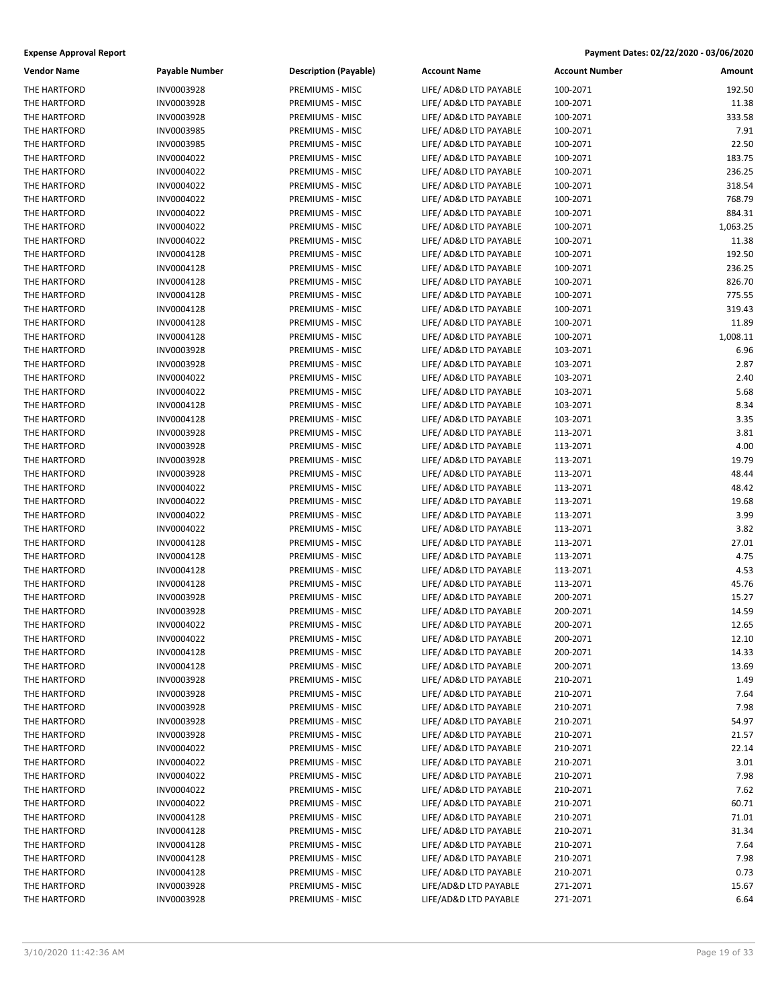| <b>Vendor Name</b> | Payable Number | <b>Description (Payable)</b> | <b>Account Name</b>    | <b>Account Number</b> | Amount   |
|--------------------|----------------|------------------------------|------------------------|-----------------------|----------|
| THE HARTFORD       | INV0003928     | PREMIUMS - MISC              | LIFE/ AD&D LTD PAYABLE | 100-2071              | 192.50   |
| THE HARTFORD       | INV0003928     | PREMIUMS - MISC              | LIFE/ AD&D LTD PAYABLE | 100-2071              | 11.38    |
| THE HARTFORD       | INV0003928     | PREMIUMS - MISC              | LIFE/ AD&D LTD PAYABLE | 100-2071              | 333.58   |
| THE HARTFORD       | INV0003985     | PREMIUMS - MISC              | LIFE/ AD&D LTD PAYABLE | 100-2071              | 7.91     |
| THE HARTFORD       | INV0003985     | PREMIUMS - MISC              | LIFE/ AD&D LTD PAYABLE | 100-2071              | 22.50    |
| THE HARTFORD       | INV0004022     | PREMIUMS - MISC              | LIFE/ AD&D LTD PAYABLE | 100-2071              | 183.75   |
| THE HARTFORD       | INV0004022     | PREMIUMS - MISC              | LIFE/ AD&D LTD PAYABLE | 100-2071              | 236.25   |
| THE HARTFORD       | INV0004022     | PREMIUMS - MISC              | LIFE/ AD&D LTD PAYABLE | 100-2071              | 318.54   |
| THE HARTFORD       | INV0004022     | PREMIUMS - MISC              | LIFE/ AD&D LTD PAYABLE | 100-2071              | 768.79   |
| THE HARTFORD       | INV0004022     | PREMIUMS - MISC              | LIFE/ AD&D LTD PAYABLE | 100-2071              | 884.31   |
| THE HARTFORD       | INV0004022     | PREMIUMS - MISC              | LIFE/ AD&D LTD PAYABLE | 100-2071              | 1,063.25 |
| THE HARTFORD       | INV0004022     | PREMIUMS - MISC              | LIFE/ AD&D LTD PAYABLE | 100-2071              | 11.38    |
| THE HARTFORD       | INV0004128     | PREMIUMS - MISC              | LIFE/ AD&D LTD PAYABLE | 100-2071              | 192.50   |
| THE HARTFORD       | INV0004128     | PREMIUMS - MISC              | LIFE/ AD&D LTD PAYABLE | 100-2071              | 236.25   |
| THE HARTFORD       | INV0004128     | PREMIUMS - MISC              | LIFE/ AD&D LTD PAYABLE | 100-2071              | 826.70   |
| THE HARTFORD       | INV0004128     | PREMIUMS - MISC              | LIFE/ AD&D LTD PAYABLE | 100-2071              | 775.55   |
| THE HARTFORD       | INV0004128     | PREMIUMS - MISC              | LIFE/ AD&D LTD PAYABLE | 100-2071              | 319.43   |
| THE HARTFORD       | INV0004128     | PREMIUMS - MISC              | LIFE/ AD&D LTD PAYABLE | 100-2071              | 11.89    |
| THE HARTFORD       | INV0004128     | PREMIUMS - MISC              | LIFE/ AD&D LTD PAYABLE | 100-2071              | 1,008.11 |
| THE HARTFORD       | INV0003928     | PREMIUMS - MISC              | LIFE/ AD&D LTD PAYABLE | 103-2071              | 6.96     |
| THE HARTFORD       | INV0003928     | PREMIUMS - MISC              | LIFE/ AD&D LTD PAYABLE | 103-2071              | 2.87     |
| THE HARTFORD       | INV0004022     | PREMIUMS - MISC              | LIFE/ AD&D LTD PAYABLE | 103-2071              | 2.40     |
| THE HARTFORD       | INV0004022     | PREMIUMS - MISC              | LIFE/ AD&D LTD PAYABLE | 103-2071              | 5.68     |
| THE HARTFORD       | INV0004128     | PREMIUMS - MISC              | LIFE/ AD&D LTD PAYABLE | 103-2071              | 8.34     |
| THE HARTFORD       | INV0004128     | PREMIUMS - MISC              | LIFE/ AD&D LTD PAYABLE | 103-2071              | 3.35     |
| THE HARTFORD       | INV0003928     | PREMIUMS - MISC              | LIFE/ AD&D LTD PAYABLE | 113-2071              | 3.81     |
| THE HARTFORD       | INV0003928     | PREMIUMS - MISC              | LIFE/ AD&D LTD PAYABLE | 113-2071              | 4.00     |
| THE HARTFORD       | INV0003928     | PREMIUMS - MISC              | LIFE/ AD&D LTD PAYABLE | 113-2071              | 19.79    |
| THE HARTFORD       | INV0003928     | PREMIUMS - MISC              | LIFE/ AD&D LTD PAYABLE | 113-2071              | 48.44    |
| THE HARTFORD       | INV0004022     | PREMIUMS - MISC              | LIFE/ AD&D LTD PAYABLE | 113-2071              | 48.42    |
| THE HARTFORD       | INV0004022     | PREMIUMS - MISC              | LIFE/ AD&D LTD PAYABLE | 113-2071              | 19.68    |
| THE HARTFORD       | INV0004022     | PREMIUMS - MISC              | LIFE/ AD&D LTD PAYABLE | 113-2071              | 3.99     |
| THE HARTFORD       | INV0004022     | PREMIUMS - MISC              | LIFE/ AD&D LTD PAYABLE | 113-2071              | 3.82     |
| THE HARTFORD       | INV0004128     | PREMIUMS - MISC              | LIFE/ AD&D LTD PAYABLE | 113-2071              | 27.01    |
| THE HARTFORD       | INV0004128     | PREMIUMS - MISC              | LIFE/ AD&D LTD PAYABLE | 113-2071              | 4.75     |
| THE HARTFORD       | INV0004128     | PREMIUMS - MISC              | LIFE/ AD&D LTD PAYABLE | 113-2071              | 4.53     |
| THE HARTFORD       | INV0004128     | PREMIUMS - MISC              | LIFE/ AD&D LTD PAYABLE | 113-2071              | 45.76    |
| THE HARTFORD       | INV0003928     | PREMIUMS - MISC              | LIFE/ AD&D LTD PAYABLE | 200-2071              | 15.27    |
| THE HARTFORD       | INV0003928     | PREMIUMS - MISC              | LIFE/ AD&D LTD PAYABLE | 200-2071              | 14.59    |
| THE HARTFORD       | INV0004022     | PREMIUMS - MISC              | LIFE/ AD&D LTD PAYABLE | 200-2071              | 12.65    |
| THE HARTFORD       | INV0004022     | PREMIUMS - MISC              | LIFE/ AD&D LTD PAYABLE | 200-2071              | 12.10    |
| THE HARTFORD       | INV0004128     | PREMIUMS - MISC              | LIFE/ AD&D LTD PAYABLE | 200-2071              | 14.33    |
| THE HARTFORD       | INV0004128     | PREMIUMS - MISC              | LIFE/ AD&D LTD PAYABLE | 200-2071              | 13.69    |
| THE HARTFORD       | INV0003928     | PREMIUMS - MISC              | LIFE/ AD&D LTD PAYABLE | 210-2071              | 1.49     |
| THE HARTFORD       | INV0003928     | PREMIUMS - MISC              | LIFE/ AD&D LTD PAYABLE | 210-2071              | 7.64     |
| THE HARTFORD       | INV0003928     | PREMIUMS - MISC              | LIFE/ AD&D LTD PAYABLE | 210-2071              | 7.98     |
| THE HARTFORD       | INV0003928     | PREMIUMS - MISC              | LIFE/ AD&D LTD PAYABLE | 210-2071              | 54.97    |
| THE HARTFORD       | INV0003928     | PREMIUMS - MISC              | LIFE/ AD&D LTD PAYABLE | 210-2071              | 21.57    |
| THE HARTFORD       | INV0004022     | PREMIUMS - MISC              | LIFE/ AD&D LTD PAYABLE | 210-2071              | 22.14    |
| THE HARTFORD       | INV0004022     | PREMIUMS - MISC              | LIFE/ AD&D LTD PAYABLE | 210-2071              | 3.01     |
| THE HARTFORD       | INV0004022     | PREMIUMS - MISC              | LIFE/ AD&D LTD PAYABLE | 210-2071              | 7.98     |
| THE HARTFORD       | INV0004022     | PREMIUMS - MISC              | LIFE/ AD&D LTD PAYABLE | 210-2071              | 7.62     |
| THE HARTFORD       | INV0004022     | PREMIUMS - MISC              | LIFE/ AD&D LTD PAYABLE | 210-2071              | 60.71    |
| THE HARTFORD       | INV0004128     | PREMIUMS - MISC              | LIFE/ AD&D LTD PAYABLE | 210-2071              | 71.01    |
| THE HARTFORD       | INV0004128     | PREMIUMS - MISC              | LIFE/ AD&D LTD PAYABLE | 210-2071              | 31.34    |
| THE HARTFORD       | INV0004128     | PREMIUMS - MISC              | LIFE/ AD&D LTD PAYABLE | 210-2071              | 7.64     |
| THE HARTFORD       | INV0004128     | PREMIUMS - MISC              | LIFE/ AD&D LTD PAYABLE | 210-2071              | 7.98     |
| THE HARTFORD       | INV0004128     | PREMIUMS - MISC              | LIFE/ AD&D LTD PAYABLE | 210-2071              | 0.73     |
| THE HARTFORD       | INV0003928     | PREMIUMS - MISC              | LIFE/AD&D LTD PAYABLE  | 271-2071              | 15.67    |
| THE HARTFORD       | INV0003928     | PREMIUMS - MISC              | LIFE/AD&D LTD PAYABLE  | 271-2071              | 6.64     |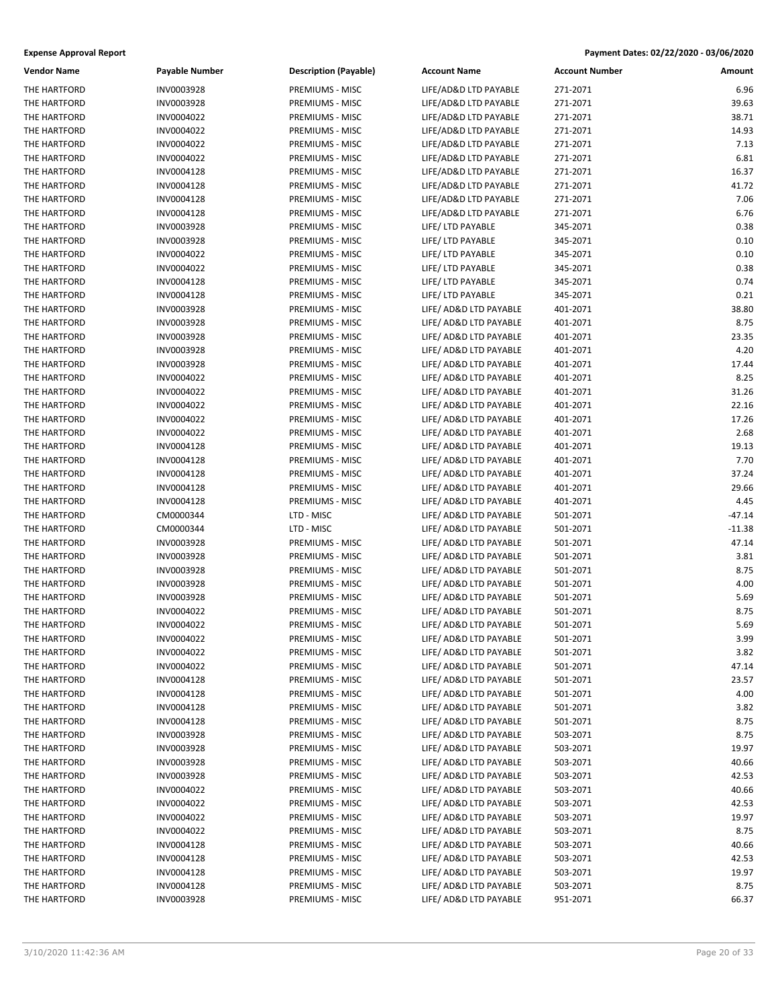| <b>Vendor Name</b> | Payable Number | <b>Description (Payable)</b> | <b>Account Name</b>    | <b>Account Number</b> | Amount   |
|--------------------|----------------|------------------------------|------------------------|-----------------------|----------|
| THE HARTFORD       | INV0003928     | PREMIUMS - MISC              | LIFE/AD&D LTD PAYABLE  | 271-2071              | 6.96     |
| THE HARTFORD       | INV0003928     | PREMIUMS - MISC              | LIFE/AD&D LTD PAYABLE  | 271-2071              | 39.63    |
| THE HARTFORD       | INV0004022     | PREMIUMS - MISC              | LIFE/AD&D LTD PAYABLE  | 271-2071              | 38.71    |
| THE HARTFORD       | INV0004022     | PREMIUMS - MISC              | LIFE/AD&D LTD PAYABLE  | 271-2071              | 14.93    |
| THE HARTFORD       | INV0004022     | PREMIUMS - MISC              | LIFE/AD&D LTD PAYABLE  | 271-2071              | 7.13     |
| THE HARTFORD       | INV0004022     | PREMIUMS - MISC              | LIFE/AD&D LTD PAYABLE  | 271-2071              | 6.81     |
| THE HARTFORD       | INV0004128     | PREMIUMS - MISC              | LIFE/AD&D LTD PAYABLE  | 271-2071              | 16.37    |
| THE HARTFORD       | INV0004128     | PREMIUMS - MISC              | LIFE/AD&D LTD PAYABLE  | 271-2071              | 41.72    |
| THE HARTFORD       | INV0004128     | PREMIUMS - MISC              | LIFE/AD&D LTD PAYABLE  | 271-2071              | 7.06     |
| THE HARTFORD       | INV0004128     | PREMIUMS - MISC              | LIFE/AD&D LTD PAYABLE  | 271-2071              | 6.76     |
| THE HARTFORD       | INV0003928     | PREMIUMS - MISC              | LIFE/ LTD PAYABLE      | 345-2071              | 0.38     |
| THE HARTFORD       | INV0003928     | PREMIUMS - MISC              | LIFE/ LTD PAYABLE      | 345-2071              | 0.10     |
| THE HARTFORD       | INV0004022     | PREMIUMS - MISC              | LIFE/ LTD PAYABLE      | 345-2071              | 0.10     |
| THE HARTFORD       | INV0004022     | PREMIUMS - MISC              | LIFE/ LTD PAYABLE      | 345-2071              | 0.38     |
| THE HARTFORD       | INV0004128     | PREMIUMS - MISC              | LIFE/ LTD PAYABLE      | 345-2071              | 0.74     |
| THE HARTFORD       | INV0004128     | PREMIUMS - MISC              | LIFE/ LTD PAYABLE      | 345-2071              | 0.21     |
| THE HARTFORD       | INV0003928     | PREMIUMS - MISC              | LIFE/ AD&D LTD PAYABLE | 401-2071              | 38.80    |
| THE HARTFORD       | INV0003928     | PREMIUMS - MISC              | LIFE/ AD&D LTD PAYABLE | 401-2071              | 8.75     |
| THE HARTFORD       | INV0003928     | <b>PREMIUMS - MISC</b>       | LIFE/ AD&D LTD PAYABLE | 401-2071              | 23.35    |
| THE HARTFORD       | INV0003928     | PREMIUMS - MISC              | LIFE/ AD&D LTD PAYABLE | 401-2071              | 4.20     |
| THE HARTFORD       | INV0003928     | PREMIUMS - MISC              | LIFE/ AD&D LTD PAYABLE | 401-2071              | 17.44    |
| THE HARTFORD       | INV0004022     | PREMIUMS - MISC              | LIFE/ AD&D LTD PAYABLE | 401-2071              | 8.25     |
| THE HARTFORD       | INV0004022     | PREMIUMS - MISC              | LIFE/ AD&D LTD PAYABLE | 401-2071              | 31.26    |
| THE HARTFORD       | INV0004022     | PREMIUMS - MISC              | LIFE/ AD&D LTD PAYABLE | 401-2071              | 22.16    |
| THE HARTFORD       | INV0004022     | PREMIUMS - MISC              | LIFE/ AD&D LTD PAYABLE | 401-2071              | 17.26    |
| THE HARTFORD       | INV0004022     | PREMIUMS - MISC              | LIFE/ AD&D LTD PAYABLE | 401-2071              | 2.68     |
| THE HARTFORD       | INV0004128     | PREMIUMS - MISC              | LIFE/ AD&D LTD PAYABLE | 401-2071              | 19.13    |
| THE HARTFORD       | INV0004128     | PREMIUMS - MISC              | LIFE/ AD&D LTD PAYABLE | 401-2071              | 7.70     |
| THE HARTFORD       | INV0004128     | PREMIUMS - MISC              | LIFE/ AD&D LTD PAYABLE | 401-2071              | 37.24    |
| THE HARTFORD       | INV0004128     | PREMIUMS - MISC              | LIFE/ AD&D LTD PAYABLE | 401-2071              | 29.66    |
| THE HARTFORD       | INV0004128     | PREMIUMS - MISC              | LIFE/ AD&D LTD PAYABLE | 401-2071              | 4.45     |
| THE HARTFORD       | CM0000344      | LTD - MISC                   | LIFE/ AD&D LTD PAYABLE | 501-2071              | -47.14   |
| THE HARTFORD       | CM0000344      | LTD - MISC                   | LIFE/ AD&D LTD PAYABLE | 501-2071              | $-11.38$ |
| THE HARTFORD       | INV0003928     | PREMIUMS - MISC              | LIFE/ AD&D LTD PAYABLE | 501-2071              | 47.14    |
| THE HARTFORD       | INV0003928     | PREMIUMS - MISC              | LIFE/ AD&D LTD PAYABLE | 501-2071              | 3.81     |
| THE HARTFORD       | INV0003928     | PREMIUMS - MISC              | LIFE/ AD&D LTD PAYABLE | 501-2071              | 8.75     |
| THE HARTFORD       | INV0003928     | PREMIUMS - MISC              | LIFE/ AD&D LTD PAYABLE | 501-2071              | 4.00     |
| THE HARTFORD       | INV0003928     | PREMIUMS - MISC              | LIFE/ AD&D LTD PAYABLE | 501-2071              | 5.69     |
| THE HARTFORD       | INV0004022     | PREMIUMS - MISC              | LIFE/ AD&D LTD PAYABLE | 501-2071              | 8.75     |
| THE HARTFORD       | INV0004022     | PREMIUMS - MISC              | LIFE/ AD&D LTD PAYABLE | 501-2071              | 5.69     |
| THE HARTFORD       | INV0004022     | PREMIUMS - MISC              | LIFE/ AD&D LTD PAYABLE | 501-2071              | 3.99     |
| THE HARTFORD       | INV0004022     | PREMIUMS - MISC              | LIFE/ AD&D LTD PAYABLE | 501-2071              | 3.82     |
| THE HARTFORD       | INV0004022     | PREMIUMS - MISC              | LIFE/ AD&D LTD PAYABLE | 501-2071              | 47.14    |
| THE HARTFORD       | INV0004128     | PREMIUMS - MISC              | LIFE/ AD&D LTD PAYABLE | 501-2071              | 23.57    |
| THE HARTFORD       | INV0004128     | PREMIUMS - MISC              | LIFE/ AD&D LTD PAYABLE | 501-2071              | 4.00     |
| THE HARTFORD       | INV0004128     | PREMIUMS - MISC              | LIFE/ AD&D LTD PAYABLE | 501-2071              | 3.82     |
| THE HARTFORD       | INV0004128     | PREMIUMS - MISC              | LIFE/ AD&D LTD PAYABLE | 501-2071              | 8.75     |
| THE HARTFORD       | INV0003928     | PREMIUMS - MISC              | LIFE/ AD&D LTD PAYABLE | 503-2071              | 8.75     |
| THE HARTFORD       | INV0003928     | PREMIUMS - MISC              | LIFE/ AD&D LTD PAYABLE | 503-2071              | 19.97    |
| THE HARTFORD       | INV0003928     | PREMIUMS - MISC              | LIFE/ AD&D LTD PAYABLE | 503-2071              | 40.66    |
| THE HARTFORD       | INV0003928     | PREMIUMS - MISC              | LIFE/ AD&D LTD PAYABLE | 503-2071              | 42.53    |
| THE HARTFORD       | INV0004022     | PREMIUMS - MISC              | LIFE/ AD&D LTD PAYABLE | 503-2071              | 40.66    |
| THE HARTFORD       | INV0004022     | PREMIUMS - MISC              | LIFE/ AD&D LTD PAYABLE | 503-2071              | 42.53    |
| THE HARTFORD       | INV0004022     | PREMIUMS - MISC              | LIFE/ AD&D LTD PAYABLE | 503-2071              | 19.97    |
| THE HARTFORD       | INV0004022     | PREMIUMS - MISC              | LIFE/ AD&D LTD PAYABLE | 503-2071              | 8.75     |
| THE HARTFORD       | INV0004128     | PREMIUMS - MISC              | LIFE/ AD&D LTD PAYABLE | 503-2071              | 40.66    |
| THE HARTFORD       | INV0004128     | PREMIUMS - MISC              | LIFE/ AD&D LTD PAYABLE | 503-2071              | 42.53    |
| THE HARTFORD       | INV0004128     | PREMIUMS - MISC              | LIFE/ AD&D LTD PAYABLE | 503-2071              | 19.97    |
| THE HARTFORD       | INV0004128     | PREMIUMS - MISC              | LIFE/ AD&D LTD PAYABLE | 503-2071              | 8.75     |
| THE HARTFORD       | INV0003928     | PREMIUMS - MISC              | LIFE/ AD&D LTD PAYABLE | 951-2071              | 66.37    |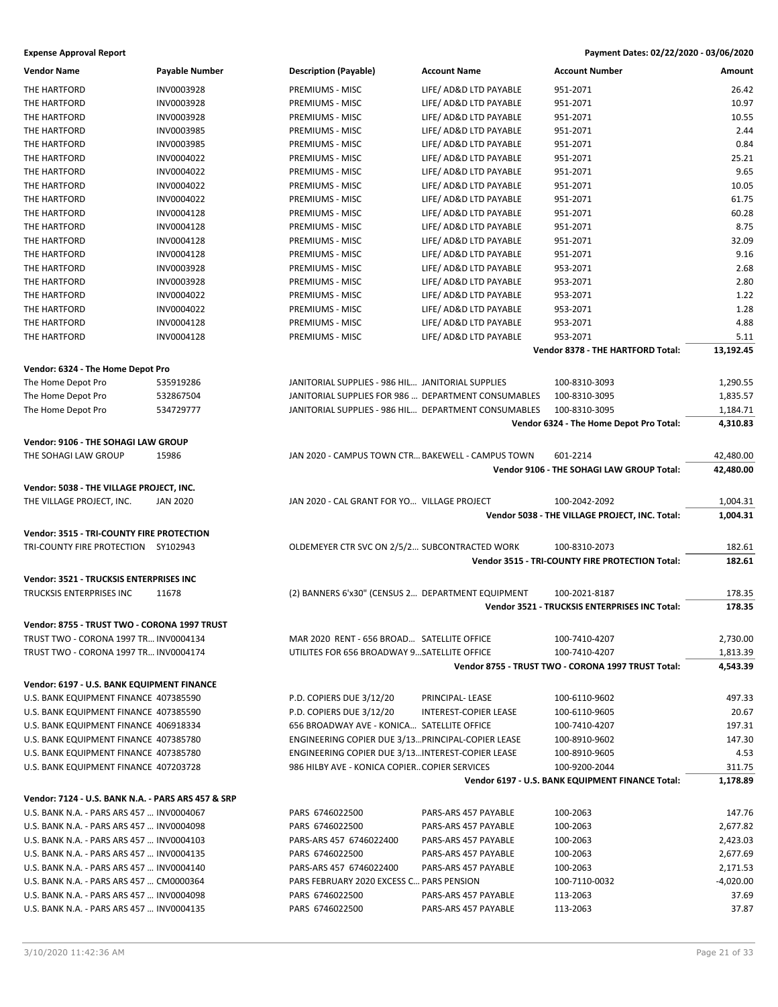| <b>Vendor Name</b>                                 | <b>Payable Number</b> | <b>Description (Payable)</b>                         | <b>Account Name</b>    | <b>Account Number</b>                              | Amount      |
|----------------------------------------------------|-----------------------|------------------------------------------------------|------------------------|----------------------------------------------------|-------------|
| THE HARTFORD                                       | INV0003928            | PREMIUMS - MISC                                      | LIFE/ AD&D LTD PAYABLE | 951-2071                                           | 26.42       |
| THE HARTFORD                                       | INV0003928            | <b>PREMIUMS - MISC</b>                               | LIFE/ AD&D LTD PAYABLE | 951-2071                                           | 10.97       |
| THE HARTFORD                                       | INV0003928            | PREMIUMS - MISC                                      | LIFE/ AD&D LTD PAYABLE | 951-2071                                           | 10.55       |
| THE HARTFORD                                       | INV0003985            | PREMIUMS - MISC                                      | LIFE/ AD&D LTD PAYABLE | 951-2071                                           | 2.44        |
| THE HARTFORD                                       | INV0003985            | <b>PREMIUMS - MISC</b>                               | LIFE/ AD&D LTD PAYABLE | 951-2071                                           | 0.84        |
| THE HARTFORD                                       | INV0004022            | PREMIUMS - MISC                                      | LIFE/ AD&D LTD PAYABLE | 951-2071                                           | 25.21       |
| THE HARTFORD                                       | INV0004022            | PREMIUMS - MISC                                      | LIFE/ AD&D LTD PAYABLE | 951-2071                                           | 9.65        |
| THE HARTFORD                                       | INV0004022            | PREMIUMS - MISC                                      | LIFE/ AD&D LTD PAYABLE | 951-2071                                           | 10.05       |
| THE HARTFORD                                       | INV0004022            | PREMIUMS - MISC                                      | LIFE/ AD&D LTD PAYABLE | 951-2071                                           | 61.75       |
| THE HARTFORD                                       | INV0004128            | PREMIUMS - MISC                                      | LIFE/ AD&D LTD PAYABLE | 951-2071                                           | 60.28       |
| THE HARTFORD                                       | INV0004128            | PREMIUMS - MISC                                      | LIFE/ AD&D LTD PAYABLE | 951-2071                                           | 8.75        |
| THE HARTFORD                                       | INV0004128            | PREMIUMS - MISC                                      | LIFE/ AD&D LTD PAYABLE | 951-2071                                           | 32.09       |
| THE HARTFORD                                       | INV0004128            | PREMIUMS - MISC                                      | LIFE/ AD&D LTD PAYABLE | 951-2071                                           | 9.16        |
| THE HARTFORD                                       | INV0003928            | PREMIUMS - MISC                                      | LIFE/ AD&D LTD PAYABLE | 953-2071                                           | 2.68        |
| THE HARTFORD                                       | INV0003928            | PREMIUMS - MISC                                      | LIFE/ AD&D LTD PAYABLE | 953-2071                                           | 2.80        |
| THE HARTFORD                                       | INV0004022            | PREMIUMS - MISC                                      | LIFE/ AD&D LTD PAYABLE | 953-2071                                           | 1.22        |
| THE HARTFORD                                       | INV0004022            | PREMIUMS - MISC                                      | LIFE/ AD&D LTD PAYABLE | 953-2071                                           | 1.28        |
| THE HARTFORD                                       | INV0004128            | PREMIUMS - MISC                                      | LIFE/ AD&D LTD PAYABLE | 953-2071                                           | 4.88        |
| THE HARTFORD                                       | INV0004128            | PREMIUMS - MISC                                      | LIFE/ AD&D LTD PAYABLE | 953-2071                                           | 5.11        |
|                                                    |                       |                                                      |                        | Vendor 8378 - THE HARTFORD Total:                  | 13,192.45   |
| Vendor: 6324 - The Home Depot Pro                  |                       |                                                      |                        |                                                    |             |
| The Home Depot Pro                                 | 535919286             | JANITORIAL SUPPLIES - 986 HIL JANITORIAL SUPPLIES    |                        | 100-8310-3093                                      | 1,290.55    |
| The Home Depot Pro                                 | 532867504             | JANITORIAL SUPPLIES FOR 986  DEPARTMENT CONSUMABLES  |                        | 100-8310-3095                                      | 1,835.57    |
| The Home Depot Pro                                 | 534729777             | JANITORIAL SUPPLIES - 986 HIL DEPARTMENT CONSUMABLES |                        | 100-8310-3095                                      | 1,184.71    |
|                                                    |                       |                                                      |                        | Vendor 6324 - The Home Depot Pro Total:            | 4,310.83    |
| Vendor: 9106 - THE SOHAGI LAW GROUP                |                       |                                                      |                        |                                                    |             |
| THE SOHAGI LAW GROUP                               | 15986                 | JAN 2020 - CAMPUS TOWN CTR BAKEWELL - CAMPUS TOWN    |                        | 601-2214                                           | 42,480.00   |
|                                                    |                       |                                                      |                        | Vendor 9106 - THE SOHAGI LAW GROUP Total:          | 42,480.00   |
| Vendor: 5038 - THE VILLAGE PROJECT, INC.           |                       |                                                      |                        |                                                    |             |
| THE VILLAGE PROJECT, INC.                          | <b>JAN 2020</b>       | JAN 2020 - CAL GRANT FOR YO VILLAGE PROJECT          |                        | 100-2042-2092                                      | 1,004.31    |
|                                                    |                       |                                                      |                        | Vendor 5038 - THE VILLAGE PROJECT, INC. Total:     | 1,004.31    |
| Vendor: 3515 - TRI-COUNTY FIRE PROTECTION          |                       |                                                      |                        |                                                    |             |
| TRI-COUNTY FIRE PROTECTION SY102943                |                       | OLDEMEYER CTR SVC ON 2/5/2 SUBCONTRACTED WORK        |                        | 100-8310-2073                                      | 182.61      |
|                                                    |                       |                                                      |                        | Vendor 3515 - TRI-COUNTY FIRE PROTECTION Total:    | 182.61      |
|                                                    |                       |                                                      |                        |                                                    |             |
| Vendor: 3521 - TRUCKSIS ENTERPRISES INC            |                       |                                                      |                        |                                                    |             |
| <b>TRUCKSIS ENTERPRISES INC</b>                    | 11678                 | (2) BANNERS 6'x30" (CENSUS 2 DEPARTMENT EQUIPMENT    |                        | 100-2021-8187                                      | 178.35      |
|                                                    |                       |                                                      |                        | Vendor 3521 - TRUCKSIS ENTERPRISES INC Total:      | 178.35      |
| Vendor: 8755 - TRUST TWO - CORONA 1997 TRUST       |                       |                                                      |                        |                                                    |             |
| TRUST TWO - CORONA 1997 TR INV0004134              |                       | MAR 2020 RENT - 656 BROAD SATELLITE OFFICE           |                        | 100-7410-4207                                      | 2,730.00    |
| TRUST TWO - CORONA 1997 TR INV0004174              |                       | UTILITES FOR 656 BROADWAY 9SATELLITE OFFICE          |                        | 100-7410-4207                                      | 1,813.39    |
|                                                    |                       |                                                      |                        | Vendor 8755 - TRUST TWO - CORONA 1997 TRUST Total: | 4,543.39    |
| Vendor: 6197 - U.S. BANK EQUIPMENT FINANCE         |                       |                                                      |                        |                                                    |             |
| U.S. BANK EQUIPMENT FINANCE 407385590              |                       | P.D. COPIERS DUE 3/12/20                             | PRINCIPAL-LEASE        | 100-6110-9602                                      | 497.33      |
| U.S. BANK EQUIPMENT FINANCE 407385590              |                       | P.D. COPIERS DUE 3/12/20                             | INTEREST-COPIER LEASE  | 100-6110-9605                                      | 20.67       |
| U.S. BANK EQUIPMENT FINANCE 406918334              |                       | 656 BROADWAY AVE - KONICA SATELLITE OFFICE           |                        | 100-7410-4207                                      | 197.31      |
| U.S. BANK EQUIPMENT FINANCE 407385780              |                       | ENGINEERING COPIER DUE 3/13 PRINCIPAL-COPIER LEASE   |                        | 100-8910-9602                                      | 147.30      |
| U.S. BANK EQUIPMENT FINANCE 407385780              |                       | ENGINEERING COPIER DUE 3/13 INTEREST-COPIER LEASE    |                        | 100-8910-9605                                      | 4.53        |
| U.S. BANK EQUIPMENT FINANCE 407203728              |                       | 986 HILBY AVE - KONICA COPIER COPIER SERVICES        |                        | 100-9200-2044                                      | 311.75      |
|                                                    |                       |                                                      |                        | Vendor 6197 - U.S. BANK EQUIPMENT FINANCE Total:   | 1,178.89    |
| Vendor: 7124 - U.S. BANK N.A. - PARS ARS 457 & SRP |                       |                                                      |                        |                                                    |             |
| U.S. BANK N.A. - PARS ARS 457  INV0004067          |                       | PARS 6746022500                                      | PARS-ARS 457 PAYABLE   | 100-2063                                           | 147.76      |
| U.S. BANK N.A. - PARS ARS 457  INV0004098          |                       | PARS 6746022500                                      | PARS-ARS 457 PAYABLE   | 100-2063                                           | 2,677.82    |
| U.S. BANK N.A. - PARS ARS 457  INV0004103          |                       | PARS-ARS 457 6746022400                              | PARS-ARS 457 PAYABLE   | 100-2063                                           | 2,423.03    |
| U.S. BANK N.A. - PARS ARS 457  INV0004135          |                       | PARS 6746022500                                      | PARS-ARS 457 PAYABLE   | 100-2063                                           | 2,677.69    |
| U.S. BANK N.A. - PARS ARS 457  INV0004140          |                       | PARS-ARS 457 6746022400                              | PARS-ARS 457 PAYABLE   | 100-2063                                           | 2,171.53    |
| U.S. BANK N.A. - PARS ARS 457  CM0000364           |                       | PARS FEBRUARY 2020 EXCESS C PARS PENSION             |                        | 100-7110-0032                                      | $-4,020.00$ |
| U.S. BANK N.A. - PARS ARS 457  INV0004098          |                       | PARS 6746022500                                      | PARS-ARS 457 PAYABLE   | 113-2063                                           | 37.69       |
| U.S. BANK N.A. - PARS ARS 457  INV0004135          |                       | PARS 6746022500                                      | PARS-ARS 457 PAYABLE   | 113-2063                                           | 37.87       |
|                                                    |                       |                                                      |                        |                                                    |             |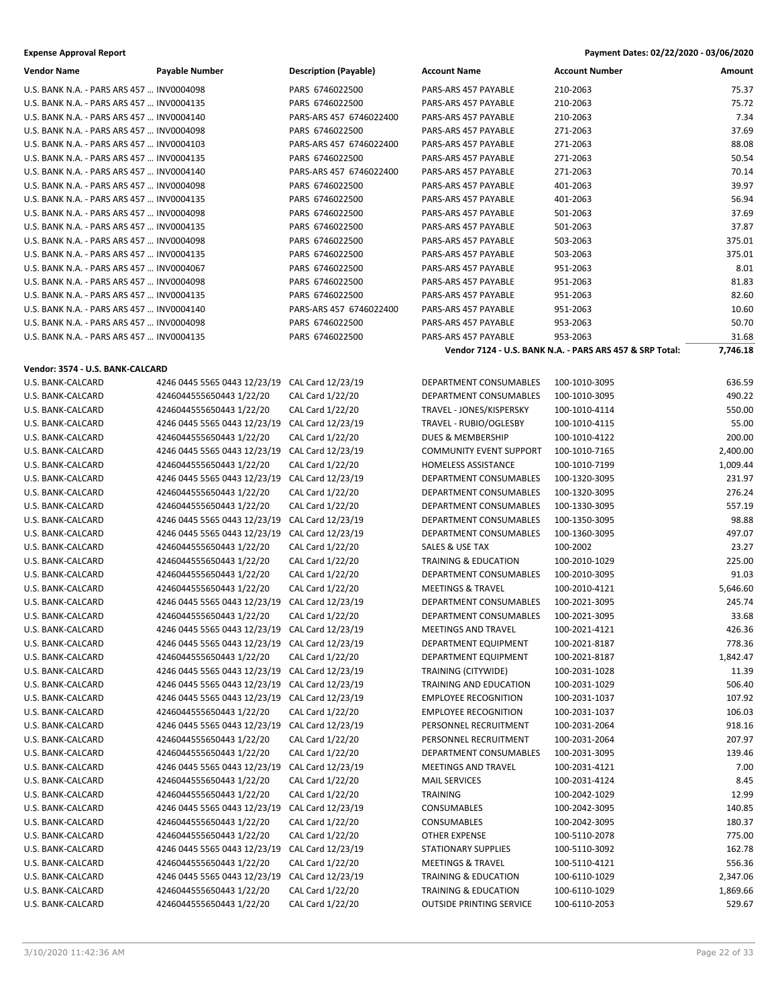| <b>Vendor Name</b>                        | Payable Number | <b>Description (Payable)</b> | <b>Account Name</b>         | <b>Account Number</b> | Amount |
|-------------------------------------------|----------------|------------------------------|-----------------------------|-----------------------|--------|
| U.S. BANK N.A. - PARS ARS 457  INV0004098 |                | PARS 6746022500              | PARS-ARS 457 PAYABLE        | 210-2063              | 75.37  |
| U.S. BANK N.A. - PARS ARS 457  INV0004135 |                | PARS 6746022500              | PARS-ARS 457 PAYABLE        | 210-2063              | 75.72  |
| U.S. BANK N.A. - PARS ARS 457  INV0004140 |                | PARS-ARS 457 6746022400      | <b>PARS-ARS 457 PAYABLE</b> | 210-2063              | 7.34   |
| U.S. BANK N.A. - PARS ARS 457  INV0004098 |                | PARS 6746022500              | PARS-ARS 457 PAYABLE        | 271-2063              | 37.69  |
| U.S. BANK N.A. - PARS ARS 457  INV0004103 |                | PARS-ARS 457 6746022400      | PARS-ARS 457 PAYABLE        | 271-2063              | 88.08  |
| U.S. BANK N.A. - PARS ARS 457  INV0004135 |                | PARS 6746022500              | PARS-ARS 457 PAYABLE        | 271-2063              | 50.54  |
| U.S. BANK N.A. - PARS ARS 457  INV0004140 |                | PARS-ARS 457 6746022400      | PARS-ARS 457 PAYABLE        | 271-2063              | 70.14  |
| U.S. BANK N.A. - PARS ARS 457  INV0004098 |                | PARS 6746022500              | PARS-ARS 457 PAYABLE        | 401-2063              | 39.97  |
| U.S. BANK N.A. - PARS ARS 457  INV0004135 |                | PARS 6746022500              | <b>PARS-ARS 457 PAYABLE</b> | 401-2063              | 56.94  |
| U.S. BANK N.A. - PARS ARS 457  INV0004098 |                | PARS 6746022500              | PARS-ARS 457 PAYABLE        | 501-2063              | 37.69  |
| U.S. BANK N.A. - PARS ARS 457  INV0004135 |                | PARS 6746022500              | PARS-ARS 457 PAYABLE        | 501-2063              | 37.87  |
| U.S. BANK N.A. - PARS ARS 457  INV0004098 |                | PARS 6746022500              | PARS-ARS 457 PAYABLE        | 503-2063              | 375.01 |
| U.S. BANK N.A. - PARS ARS 457  INV0004135 |                | PARS 6746022500              | PARS-ARS 457 PAYABLE        | 503-2063              | 375.01 |
| U.S. BANK N.A. - PARS ARS 457  INV0004067 |                | PARS 6746022500              | PARS-ARS 457 PAYABLE        | 951-2063              | 8.01   |
| U.S. BANK N.A. - PARS ARS 457  INV0004098 |                | PARS 6746022500              | PARS-ARS 457 PAYABLE        | 951-2063              | 81.83  |
| U.S. BANK N.A. - PARS ARS 457  INV0004135 |                | PARS 6746022500              | PARS-ARS 457 PAYABLE        | 951-2063              | 82.60  |
| U.S. BANK N.A. - PARS ARS 457  INV0004140 |                | PARS-ARS 457 6746022400      | PARS-ARS 457 PAYABLE        | 951-2063              | 10.60  |
| U.S. BANK N.A. - PARS ARS 457  INV0004098 |                | PARS 6746022500              | PARS-ARS 457 PAYABLE        | 953-2063              | 50.70  |
| U.S. BANK N.A. - PARS ARS 457 UNVOO04135  |                | PARS 6746022500              | PARS-ARS 457 PAYARI F       | 953-2063              | 31.68  |

## Vendor: 3574 - U.S. BANK-CALCA

| U.S. BANK N.A. - PARS ARS 457  INV0004067 |                              | PARS 6746022500         | PARS-ARS 457 PAYABLE           | 951-2063                                                 | 8.01       |
|-------------------------------------------|------------------------------|-------------------------|--------------------------------|----------------------------------------------------------|------------|
| U.S. BANK N.A. - PARS ARS 457  INV0004098 |                              | PARS 6746022500         | PARS-ARS 457 PAYABLE           | 951-2063                                                 | 81.83      |
| U.S. BANK N.A. - PARS ARS 457  INV0004135 |                              | PARS 6746022500         | PARS-ARS 457 PAYABLE           | 951-2063                                                 | 82.60      |
| U.S. BANK N.A. - PARS ARS 457  INV0004140 |                              | PARS-ARS 457 6746022400 | PARS-ARS 457 PAYABLE           | 951-2063                                                 | 10.60      |
| U.S. BANK N.A. - PARS ARS 457  INV0004098 |                              | PARS 6746022500         | PARS-ARS 457 PAYABLE           | 953-2063                                                 | 50.70      |
| U.S. BANK N.A. - PARS ARS 457  INV0004135 |                              | PARS 6746022500         | PARS-ARS 457 PAYABLE           | 953-2063                                                 | 31.68      |
|                                           |                              |                         |                                | Vendor 7124 - U.S. BANK N.A. - PARS ARS 457 & SRP Total: | 7,746.18   |
| Vendor: 3574 - U.S. BANK-CALCARD          |                              |                         |                                |                                                          |            |
| U.S. BANK-CALCARD                         | 4246 0445 5565 0443 12/23/19 | CAL Card 12/23/19       | DEPARTMENT CONSUMABLES         | 100-1010-3095                                            | 636.59     |
| U.S. BANK-CALCARD                         | 4246044555650443 1/22/20     | CAL Card 1/22/20        | DEPARTMENT CONSUMABLES         | 100-1010-3095                                            | 490.22     |
| U.S. BANK-CALCARD                         | 4246044555650443 1/22/20     | CAL Card 1/22/20        | TRAVEL - JONES/KISPERSKY       | 100-1010-4114                                            | 550.00     |
| U.S. BANK-CALCARD                         | 4246 0445 5565 0443 12/23/19 | CAL Card 12/23/19       | TRAVEL - RUBIO/OGLESBY         | 100-1010-4115                                            | 55.00      |
| U.S. BANK-CALCARD                         | 4246044555650443 1/22/20     | CAL Card 1/22/20        | DUES & MEMBERSHIP              | 100-1010-4122                                            | 200.00     |
| U.S. BANK-CALCARD                         | 4246 0445 5565 0443 12/23/19 | CAL Card 12/23/19       | <b>COMMUNITY EVENT SUPPORT</b> | 100-1010-7165                                            | 2,400.00   |
| U.S. BANK-CALCARD                         | 4246044555650443 1/22/20     | CAL Card 1/22/20        | <b>HOMELESS ASSISTANCE</b>     | 100-1010-7199                                            | 1,009.44   |
| U.S. BANK-CALCARD                         | 4246 0445 5565 0443 12/23/19 | CAL Card 12/23/19       | DEPARTMENT CONSUMABLES         | 100-1320-3095                                            | 231.97     |
| $\overline{11}$ C DANIV CALCADO           | 121501155550112471220        | $CMC2 + 1/22/20$        | DEDADTMENT CONCLIMANDLES       | 100 1220 200E                                            | $77C$ $71$ |

|                   |                              |                   |                                 |               | -----    |
|-------------------|------------------------------|-------------------|---------------------------------|---------------|----------|
| U.S. BANK-CALCARD | 4246 0445 5565 0443 12/23/19 | CAL Card 12/23/19 | <b>COMMUNITY EVENT SUPPORT</b>  | 100-1010-7165 | 2,400.00 |
| U.S. BANK-CALCARD | 4246044555650443 1/22/20     | CAL Card 1/22/20  | <b>HOMELESS ASSISTANCE</b>      | 100-1010-7199 | 1,009.44 |
| U.S. BANK-CALCARD | 4246 0445 5565 0443 12/23/19 | CAL Card 12/23/19 | DEPARTMENT CONSUMABLES          | 100-1320-3095 | 231.97   |
| U.S. BANK-CALCARD | 4246044555650443 1/22/20     | CAL Card 1/22/20  | DEPARTMENT CONSUMABLES          | 100-1320-3095 | 276.24   |
| U.S. BANK-CALCARD | 4246044555650443 1/22/20     | CAL Card 1/22/20  | <b>DEPARTMENT CONSUMABLES</b>   | 100-1330-3095 | 557.19   |
| U.S. BANK-CALCARD | 4246 0445 5565 0443 12/23/19 | CAL Card 12/23/19 | DEPARTMENT CONSUMABLES          | 100-1350-3095 | 98.88    |
| U.S. BANK-CALCARD | 4246 0445 5565 0443 12/23/19 | CAL Card 12/23/19 | DEPARTMENT CONSUMABLES          | 100-1360-3095 | 497.07   |
| U.S. BANK-CALCARD | 4246044555650443 1/22/20     | CAL Card 1/22/20  | SALES & USE TAX                 | 100-2002      | 23.27    |
| U.S. BANK-CALCARD | 4246044555650443 1/22/20     | CAL Card 1/22/20  | <b>TRAINING &amp; EDUCATION</b> | 100-2010-1029 | 225.00   |
| U.S. BANK-CALCARD | 4246044555650443 1/22/20     | CAL Card 1/22/20  | DEPARTMENT CONSUMABLES          | 100-2010-3095 | 91.03    |
| U.S. BANK-CALCARD | 4246044555650443 1/22/20     | CAL Card 1/22/20  | <b>MEETINGS &amp; TRAVEL</b>    | 100-2010-4121 | 5,646.60 |
| U.S. BANK-CALCARD | 4246 0445 5565 0443 12/23/19 | CAL Card 12/23/19 | DEPARTMENT CONSUMABLES          | 100-2021-3095 | 245.74   |
| U.S. BANK-CALCARD | 4246044555650443 1/22/20     | CAL Card 1/22/20  | DEPARTMENT CONSUMABLES          | 100-2021-3095 | 33.68    |
| U.S. BANK-CALCARD | 4246 0445 5565 0443 12/23/19 | CAL Card 12/23/19 | <b>MEETINGS AND TRAVEL</b>      | 100-2021-4121 | 426.36   |
| U.S. BANK-CALCARD | 4246 0445 5565 0443 12/23/19 | CAL Card 12/23/19 | DEPARTMENT EQUIPMENT            | 100-2021-8187 | 778.36   |
| U.S. BANK-CALCARD | 4246044555650443 1/22/20     | CAL Card 1/22/20  | DEPARTMENT EQUIPMENT            | 100-2021-8187 | 1,842.47 |
| U.S. BANK-CALCARD | 4246 0445 5565 0443 12/23/19 | CAL Card 12/23/19 | TRAINING (CITYWIDE)             | 100-2031-1028 | 11.39    |
| U.S. BANK-CALCARD | 4246 0445 5565 0443 12/23/19 | CAL Card 12/23/19 | TRAINING AND EDUCATION          | 100-2031-1029 | 506.40   |
| U.S. BANK-CALCARD | 4246 0445 5565 0443 12/23/19 | CAL Card 12/23/19 | <b>EMPLOYEE RECOGNITION</b>     | 100-2031-1037 | 107.92   |
| U.S. BANK-CALCARD | 4246044555650443 1/22/20     | CAL Card 1/22/20  | <b>EMPLOYEE RECOGNITION</b>     | 100-2031-1037 | 106.03   |
| U.S. BANK-CALCARD | 4246 0445 5565 0443 12/23/19 | CAL Card 12/23/19 | PERSONNEL RECRUITMENT           | 100-2031-2064 | 918.16   |
| U.S. BANK-CALCARD | 4246044555650443 1/22/20     | CAL Card 1/22/20  | PERSONNEL RECRUITMENT           | 100-2031-2064 | 207.97   |
| U.S. BANK-CALCARD | 4246044555650443 1/22/20     | CAL Card 1/22/20  | DEPARTMENT CONSUMABLES          | 100-2031-3095 | 139.46   |
| U.S. BANK-CALCARD | 4246 0445 5565 0443 12/23/19 | CAL Card 12/23/19 | <b>MEETINGS AND TRAVEL</b>      | 100-2031-4121 | 7.00     |
| U.S. BANK-CALCARD | 4246044555650443 1/22/20     | CAL Card 1/22/20  | <b>MAIL SERVICES</b>            | 100-2031-4124 | 8.45     |
| U.S. BANK-CALCARD | 4246044555650443 1/22/20     | CAL Card 1/22/20  | TRAINING                        | 100-2042-1029 | 12.99    |
| U.S. BANK-CALCARD | 4246 0445 5565 0443 12/23/19 | CAL Card 12/23/19 | <b>CONSUMABLES</b>              | 100-2042-3095 | 140.85   |
| U.S. BANK-CALCARD | 4246044555650443 1/22/20     | CAL Card 1/22/20  | <b>CONSUMABLES</b>              | 100-2042-3095 | 180.37   |
| U.S. BANK-CALCARD | 4246044555650443 1/22/20     | CAL Card 1/22/20  | <b>OTHER EXPENSE</b>            | 100-5110-2078 | 775.00   |
| U.S. BANK-CALCARD | 4246 0445 5565 0443 12/23/19 | CAL Card 12/23/19 | <b>STATIONARY SUPPLIES</b>      | 100-5110-3092 | 162.78   |
| U.S. BANK-CALCARD | 4246044555650443 1/22/20     | CAL Card 1/22/20  | <b>MEETINGS &amp; TRAVEL</b>    | 100-5110-4121 | 556.36   |
| U.S. BANK-CALCARD | 4246 0445 5565 0443 12/23/19 | CAL Card 12/23/19 | <b>TRAINING &amp; EDUCATION</b> | 100-6110-1029 | 2,347.06 |
| U.S. BANK-CALCARD | 4246044555650443 1/22/20     | CAL Card 1/22/20  | <b>TRAINING &amp; EDUCATION</b> | 100-6110-1029 | 1,869.66 |
| U.S. BANK-CALCARD | 4246044555650443 1/22/20     | CAL Card 1/22/20  | <b>OUTSIDE PRINTING SERVICE</b> | 100-6110-2053 | 529.67   |
|                   |                              |                   |                                 |               |          |

| כבןי | DLI ANTIVILINT CONJONIADLLJ        | <u>⊥ບບ-⊥ປ∠ບ-ປບປປ</u> |
|------|------------------------------------|----------------------|
| 20   | DEPARTMENT CONSUMABLES             | 100-1320-3095        |
| 20   | DEPARTMENT CONSUMABLES             | 100-1330-3095        |
| /19  | DEPARTMENT CONSUMABLES             | 100-1350-3095        |
| /19  | DEPARTMENT CONSUMABLES             | 100-1360-3095        |
| 20   | SALES & USE TAX                    | 100-2002             |
| 20   | TRAINING & EDUCATION               | 100-2010-1029        |
| 20   | DEPARTMENT CONSUMABLES             | 100-2010-3095        |
| 20   | MEETINGS & TRAVEL                  | 100-2010-4121        |
| /19  | DEPARTMENT CONSUMABLES             | 100-2021-3095        |
| 20   | DEPARTMENT CONSUMABLES             | 100-2021-3095        |
| /19  | MEETINGS AND TRAVEL                | 100-2021-4121        |
| :/19 | DEPARTMENT EQUIPMENT               | 100-2021-8187        |
| 20   | DEPARTMENT EQUIPMENT 100-2021-8187 |                      |
| :/19 | TRAINING (CITYWIDE)                | 100-2031-1028        |
| :/19 | TRAINING AND EDUCATION             | 100-2031-1029        |
| /19  | EMPLOYEE RECOGNITION               | 100-2031-1037        |
| 20   | EMPLOYEE RECOGNITION               | 100-2031-1037        |
| :/19 | PERSONNEL RECRUITMENT              | 100-2031-2064        |
| 20   | PERSONNEL RECRUITMENT              | 100-2031-2064        |
| 20   | DEPARTMENT CONSUMABLES             | 100-2031-3095        |
| /19  | MEETINGS AND TRAVEL                | 100-2031-4121        |
| 20   | <b>MAIL SERVICES</b>               | 100-2031-4124        |
| 20   | <b>TRAINING</b>                    | 100-2042-1029        |
| /19  | CONSUMABLES                        | 100-2042-3095        |
| 20   | CONSUMABLES                        | 100-2042-3095        |
| 20   | <b>OTHER EXPENSE</b>               | 100-5110-2078        |
| /19  | STATIONARY SUPPLIES                | 100-5110-3092        |

## **Expense Approval Report Payment Dates: 02/22/2020 - 03/06/2020**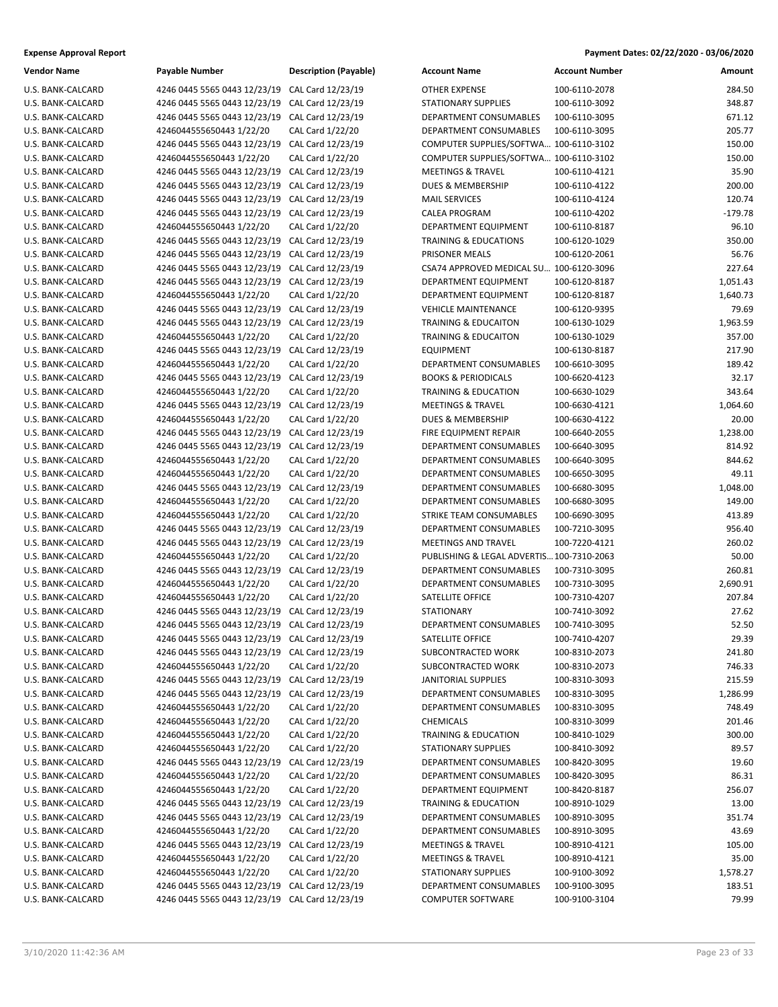| Vendor Name              | Payable Number                            | Description  |
|--------------------------|-------------------------------------------|--------------|
| U.S. BANK-CALCARD        | 4246 0445 5565 0443 12/23/19              | CAL Card 12  |
| <b>U.S. BANK-CALCARD</b> | 4246 0445 5565 0443 12/23/19              | CAL Card 12  |
| <b>U.S. BANK-CALCARD</b> | 4246 0445 5565 0443 12/23/19              | CAL Card 12  |
| <b>U.S. BANK-CALCARD</b> | 4246044555650443 1/22/20                  | CAL Card 1/2 |
| <b>U.S. BANK-CALCARD</b> | 4246 0445 5565 0443 12/23/19              | CAL Card 12  |
| <b>U.S. BANK-CALCARD</b> | 4246044555650443 1/22/20                  | CAL Card 1/2 |
| <b>U.S. BANK-CALCARD</b> | 4246 0445 5565 0443 12/23/19              | CAL Card 12  |
| U.S. BANK-CALCARD        | 4246 0445 5565 0443 12/23/19              | CAL Card 12  |
| <b>U.S. BANK-CALCARD</b> | 4246 0445 5565 0443 12/23/19              | CAL Card 12  |
| <b>U.S. BANK-CALCARD</b> | 4246 0445 5565 0443 12/23/19              | CAL Card 12  |
| U.S. BANK-CALCARD        | 4246044555650443 1/22/20                  | CAL Card 1/2 |
| U.S. BANK-CALCARD        | 4246 0445 5565 0443 12/23/19              | CAL Card 12  |
| <b>U.S. BANK-CALCARD</b> | 4246 0445 5565 0443 12/23/19              | CAL Card 12  |
| <b>U.S. BANK-CALCARD</b> | 4246 0445 5565 0443 12/23/19              | CAL Card 12  |
| <b>U.S. BANK-CALCARD</b> | 4246 0445 5565 0443 12/23/19              | CAL Card 12  |
| <b>U.S. BANK-CALCARD</b> | 4246044555650443 1/22/20                  | CAL Card 1/2 |
| <b>U.S. BANK-CALCARD</b> | 4246 0445 5565 0443 12/23/19              | CAL Card 12  |
| <b>U.S. BANK-CALCARD</b> | 4246 0445 5565 0443 12/23/19              | CAL Card 12  |
| <b>U.S. BANK-CALCARD</b> | 4246044555650443 1/22/20                  | CAL Card 1/2 |
| <b>U.S. BANK-CALCARD</b> | 4246 0445 5565 0443 12/23/19              | CAL Card 12  |
| U.S. BANK-CALCARD        | 4246044555650443 1/22/20                  | CAL Card 1/2 |
| U.S. BANK-CALCARD        | 4246 0445 5565 0443 12/23/19              | CAL Card 12  |
| <b>U.S. BANK-CALCARD</b> | 4246044555650443 1/22/20                  | CAL Card 1/2 |
| <b>U.S. BANK-CALCARD</b> | 4246 0445 5565 0443 12/23/19              | CAL Card 12  |
| <b>U.S. BANK-CALCARD</b> | 4246044555650443 1/22/20                  | CAL Card 1/2 |
| <b>U.S. BANK-CALCARD</b> | 4246 0445 5565 0443 12/23/19              | CAL Card 12  |
| <b>U.S. BANK-CALCARD</b> | 4246 0445 5565 0443 12/23/19              | CAL Card 12  |
| <b>U.S. BANK-CALCARD</b> | 4246044555650443 1/22/20                  | CAL Card 1/2 |
| <b>U.S. BANK-CALCARD</b> | 4246044555650443 1/22/20                  | CAL Card 1/2 |
| <b>U.S. BANK-CALCARD</b> | 4246 0445 5565 0443 12/23/19              | CAL Card 12  |
| U.S. BANK-CALCARD        | 4246044555650443 1/22/20                  | CAL Card 1/2 |
| U.S. BANK-CALCARD        | 4246044555650443 1/22/20                  | CAL Card 1/2 |
| U.S. BANK-CALCARD        | 4246 0445 5565 0443 12/23/19              | CAL Card 12  |
| <b>U.S. BANK-CALCARD</b> | 4246 0445 5565 0443 12/23/19              | CAL Card 12  |
| <b>U.S. BANK-CALCARD</b> | 4246044555650443 1/22/20                  | CAL Card 1/2 |
| <b>U.S. BANK-CALCARD</b> | 4246 0445 5565 0443 12/23/19              | CAL Card 12  |
| <b>U.S. BANK-CALCARD</b> | 4246044555650443 1/22/20                  | CAL Card 1/2 |
| <b>U.S. BANK-CALCARD</b> | 4246044555650443 1/22/20                  | CAL Card 1/2 |
| <b>U.S. BANK-CALCARD</b> | 4246 0445 5565 0443 12/23/19              | CAL Card 12  |
| <b>U.S. BANK-CALCARD</b> | 4246 0445 5565 0443 12/23/19              | CAL Card 12  |
| <b>U.S. BANK-CALCARD</b> | 4246 0445 5565 0443 12/23/19 CAL Card 12, |              |
| U.S. BANK-CALCARD        | 4246 0445 5565 0443 12/23/19              | CAL Card 12  |
| U.S. BANK-CALCARD        | 4246044555650443 1/22/20                  | CAL Card 1/2 |
| U.S. BANK-CALCARD        | 4246 0445 5565 0443 12/23/19              | CAL Card 12  |
| U.S. BANK-CALCARD        | 4246 0445 5565 0443 12/23/19              | CAL Card 12  |
| U.S. BANK-CALCARD        | 4246044555650443 1/22/20                  | CAL Card 1/2 |
| U.S. BANK-CALCARD        | 4246044555650443 1/22/20                  | CAL Card 1/2 |
| U.S. BANK-CALCARD        | 4246044555650443 1/22/20                  | CAL Card 1/2 |
| U.S. BANK-CALCARD        | 4246044555650443 1/22/20                  | CAL Card 1/2 |
| U.S. BANK-CALCARD        | 4246 0445 5565 0443 12/23/19              | CAL Card 12  |
| U.S. BANK-CALCARD        | 4246044555650443 1/22/20                  | CAL Card 1/2 |
| U.S. BANK-CALCARD        | 4246044555650443 1/22/20                  | CAL Card 1/2 |
| U.S. BANK-CALCARD        | 4246 0445 5565 0443 12/23/19              | CAL Card 12  |
| U.S. BANK-CALCARD        | 4246 0445 5565 0443 12/23/19              | CAL Card 12  |
| U.S. BANK-CALCARD        | 4246044555650443 1/22/20                  | CAL Card 1/2 |
| U.S. BANK-CALCARD        | 4246 0445 5565 0443 12/23/19              | CAL Card 12  |
| U.S. BANK-CALCARD        | 4246044555650443 1/22/20                  | CAL Card 1/2 |
| U.S. BANK-CALCARD        | 4246044555650443 1/22/20                  | CAL Card 1/2 |
| U.S. BANK-CALCARD        | 4246 0445 5565 0443 12/23/19              | CAL Card 12  |
| U.S. BANK-CALCARD        | 4246 0445 5565 0443 12/23/19              | CAL Card 12  |
|                          |                                           |              |

| Vendor Name       | <b>Payable Number</b>                          | <b>Description (Payable)</b> | <b>Account Name</b>                       | <b>Account Number</b> | Amount    |
|-------------------|------------------------------------------------|------------------------------|-------------------------------------------|-----------------------|-----------|
| U.S. BANK-CALCARD | 4246 0445 5565 0443 12/23/19                   | CAL Card 12/23/19            | <b>OTHER EXPENSE</b>                      | 100-6110-2078         | 284.50    |
| U.S. BANK-CALCARD | 4246 0445 5565 0443 12/23/19                   | CAL Card 12/23/19            | <b>STATIONARY SUPPLIES</b>                | 100-6110-3092         | 348.87    |
| U.S. BANK-CALCARD | 4246 0445 5565 0443 12/23/19                   | CAL Card 12/23/19            | DEPARTMENT CONSUMABLES                    | 100-6110-3095         | 671.12    |
| U.S. BANK-CALCARD | 4246044555650443 1/22/20                       | CAL Card 1/22/20             | DEPARTMENT CONSUMABLES                    | 100-6110-3095         | 205.77    |
| U.S. BANK-CALCARD | 4246 0445 5565 0443 12/23/19                   | CAL Card 12/23/19            | COMPUTER SUPPLIES/SOFTWA 100-6110-3102    |                       | 150.00    |
| U.S. BANK-CALCARD | 4246044555650443 1/22/20                       | CAL Card 1/22/20             | COMPUTER SUPPLIES/SOFTWA 100-6110-3102    |                       | 150.00    |
| U.S. BANK-CALCARD | 4246 0445 5565 0443 12/23/19                   | CAL Card 12/23/19            | <b>MEETINGS &amp; TRAVEL</b>              | 100-6110-4121         | 35.90     |
| U.S. BANK-CALCARD | 4246 0445 5565 0443 12/23/19                   | CAL Card 12/23/19            | <b>DUES &amp; MEMBERSHIP</b>              | 100-6110-4122         | 200.00    |
| U.S. BANK-CALCARD | 4246 0445 5565 0443 12/23/19                   | CAL Card 12/23/19            | <b>MAIL SERVICES</b>                      | 100-6110-4124         | 120.74    |
| U.S. BANK-CALCARD | 4246 0445 5565 0443 12/23/19                   | CAL Card 12/23/19            | <b>CALEA PROGRAM</b>                      | 100-6110-4202         | $-179.78$ |
| U.S. BANK-CALCARD | 4246044555650443 1/22/20                       | CAL Card 1/22/20             | DEPARTMENT EQUIPMENT                      | 100-6110-8187         | 96.10     |
| U.S. BANK-CALCARD | 4246 0445 5565 0443 12/23/19                   | CAL Card 12/23/19            | <b>TRAINING &amp; EDUCATIONS</b>          | 100-6120-1029         | 350.00    |
| U.S. BANK-CALCARD | 4246 0445 5565 0443 12/23/19                   | CAL Card 12/23/19            | PRISONER MEALS                            | 100-6120-2061         | 56.76     |
| U.S. BANK-CALCARD | 4246 0445 5565 0443 12/23/19                   | CAL Card 12/23/19            | CSA74 APPROVED MEDICAL SU 100-6120-3096   |                       | 227.64    |
| U.S. BANK-CALCARD | 4246 0445 5565 0443 12/23/19                   | CAL Card 12/23/19            | DEPARTMENT EQUIPMENT                      | 100-6120-8187         | 1,051.43  |
| U.S. BANK-CALCARD | 4246044555650443 1/22/20                       | CAL Card 1/22/20             | DEPARTMENT EQUIPMENT                      | 100-6120-8187         | 1,640.73  |
| U.S. BANK-CALCARD | 4246 0445 5565 0443 12/23/19                   | CAL Card 12/23/19            | <b>VEHICLE MAINTENANCE</b>                | 100-6120-9395         | 79.69     |
| U.S. BANK-CALCARD | 4246 0445 5565 0443 12/23/19                   | CAL Card 12/23/19            | <b>TRAINING &amp; EDUCAITON</b>           | 100-6130-1029         | 1,963.59  |
| U.S. BANK-CALCARD | 4246044555650443 1/22/20                       | CAL Card 1/22/20             | <b>TRAINING &amp; EDUCAITON</b>           | 100-6130-1029         | 357.00    |
| U.S. BANK-CALCARD | 4246 0445 5565 0443 12/23/19                   | CAL Card 12/23/19            | <b>EQUIPMENT</b>                          | 100-6130-8187         | 217.90    |
| U.S. BANK-CALCARD | 4246044555650443 1/22/20                       | CAL Card 1/22/20             | DEPARTMENT CONSUMABLES                    | 100-6610-3095         | 189.42    |
| U.S. BANK-CALCARD | 4246 0445 5565 0443 12/23/19                   | CAL Card 12/23/19            | <b>BOOKS &amp; PERIODICALS</b>            | 100-6620-4123         | 32.17     |
| U.S. BANK-CALCARD | 4246044555650443 1/22/20                       | CAL Card 1/22/20             | <b>TRAINING &amp; EDUCATION</b>           | 100-6630-1029         | 343.64    |
| U.S. BANK-CALCARD | 4246 0445 5565 0443 12/23/19                   | CAL Card 12/23/19            | <b>MEETINGS &amp; TRAVEL</b>              | 100-6630-4121         | 1,064.60  |
| U.S. BANK-CALCARD | 4246044555650443 1/22/20                       | CAL Card 1/22/20             | <b>DUES &amp; MEMBERSHIP</b>              | 100-6630-4122         | 20.00     |
| U.S. BANK-CALCARD | 4246 0445 5565 0443 12/23/19                   | CAL Card 12/23/19            | FIRE EQUIPMENT REPAIR                     | 100-6640-2055         | 1,238.00  |
| U.S. BANK-CALCARD | 4246 0445 5565 0443 12/23/19                   | CAL Card 12/23/19            | DEPARTMENT CONSUMABLES                    | 100-6640-3095         | 814.92    |
| U.S. BANK-CALCARD | 4246044555650443 1/22/20                       | CAL Card 1/22/20             | DEPARTMENT CONSUMABLES                    | 100-6640-3095         | 844.62    |
| U.S. BANK-CALCARD | 4246044555650443 1/22/20                       | CAL Card 1/22/20             | DEPARTMENT CONSUMABLES                    | 100-6650-3095         | 49.11     |
| U.S. BANK-CALCARD | 4246 0445 5565 0443 12/23/19                   | CAL Card 12/23/19            | DEPARTMENT CONSUMABLES                    | 100-6680-3095         | 1,048.00  |
| U.S. BANK-CALCARD | 4246044555650443 1/22/20                       | CAL Card 1/22/20             | DEPARTMENT CONSUMABLES                    | 100-6680-3095         | 149.00    |
| U.S. BANK-CALCARD | 4246044555650443 1/22/20                       | CAL Card 1/22/20             | STRIKE TEAM CONSUMABLES                   | 100-6690-3095         | 413.89    |
| U.S. BANK-CALCARD | 4246 0445 5565 0443 12/23/19                   | CAL Card 12/23/19            | DEPARTMENT CONSUMABLES                    | 100-7210-3095         | 956.40    |
| U.S. BANK-CALCARD | 4246 0445 5565 0443 12/23/19                   | CAL Card 12/23/19            | <b>MEETINGS AND TRAVEL</b>                | 100-7220-4121         | 260.02    |
| U.S. BANK-CALCARD | 4246044555650443 1/22/20                       | CAL Card 1/22/20             | PUBLISHING & LEGAL ADVERTIS 100-7310-2063 |                       | 50.00     |
| U.S. BANK-CALCARD | 4246 0445 5565 0443 12/23/19                   | CAL Card 12/23/19            | <b>DEPARTMENT CONSUMABLES</b>             | 100-7310-3095         | 260.81    |
| U.S. BANK-CALCARD | 4246044555650443 1/22/20                       | CAL Card 1/22/20             | DEPARTMENT CONSUMABLES                    | 100-7310-3095         | 2,690.91  |
| U.S. BANK-CALCARD | 4246044555650443 1/22/20                       | CAL Card 1/22/20             | SATELLITE OFFICE                          | 100-7310-4207         | 207.84    |
| U.S. BANK-CALCARD | 4246 0445 5565 0443 12/23/19                   | CAL Card 12/23/19            | <b>STATIONARY</b>                         | 100-7410-3092         | 27.62     |
| U.S. BANK-CALCARD | 4246 0445 5565 0443 12/23/19                   | CAL Card 12/23/19            | <b>DEPARTMENT CONSUMABLES</b>             | 100-7410-3095         | 52.50     |
| U.S. BANK-CALCARD | 4246 0445 5565 0443 12/23/19                   | CAL Card 12/23/19            | SATELLITE OFFICE                          | 100-7410-4207         | 29.39     |
| U.S. BANK-CALCARD | 4246 0445 5565 0443 12/23/19                   | CAL Card 12/23/19            | SUBCONTRACTED WORK                        | 100-8310-2073         | 241.80    |
| U.S. BANK-CALCARD | 4246044555650443 1/22/20                       | CAL Card 1/22/20             | SUBCONTRACTED WORK                        | 100-8310-2073         | 746.33    |
| U.S. BANK-CALCARD | 4246 0445 5565 0443 12/23/19                   | CAL Card 12/23/19            | JANITORIAL SUPPLIES                       | 100-8310-3093         | 215.59    |
| U.S. BANK-CALCARD | 4246 0445 5565 0443 12/23/19                   | CAL Card 12/23/19            | DEPARTMENT CONSUMABLES                    | 100-8310-3095         | 1,286.99  |
| U.S. BANK-CALCARD | 4246044555650443 1/22/20                       | CAL Card 1/22/20             | DEPARTMENT CONSUMABLES                    | 100-8310-3095         | 748.49    |
| U.S. BANK-CALCARD | 4246044555650443 1/22/20                       | CAL Card 1/22/20             | <b>CHEMICALS</b>                          | 100-8310-3099         | 201.46    |
| U.S. BANK-CALCARD | 4246044555650443 1/22/20                       | CAL Card 1/22/20             | TRAINING & EDUCATION                      | 100-8410-1029         | 300.00    |
| U.S. BANK-CALCARD | 4246044555650443 1/22/20                       | CAL Card 1/22/20             | STATIONARY SUPPLIES                       | 100-8410-3092         | 89.57     |
| U.S. BANK-CALCARD | 4246 0445 5565 0443 12/23/19                   | CAL Card 12/23/19            | DEPARTMENT CONSUMABLES                    | 100-8420-3095         | 19.60     |
| U.S. BANK-CALCARD | 4246044555650443 1/22/20                       | CAL Card 1/22/20             | DEPARTMENT CONSUMABLES                    | 100-8420-3095         | 86.31     |
| U.S. BANK-CALCARD | 4246044555650443 1/22/20                       | CAL Card 1/22/20             | DEPARTMENT EQUIPMENT                      | 100-8420-8187         | 256.07    |
| U.S. BANK-CALCARD | 4246 0445 5565 0443 12/23/19                   | CAL Card 12/23/19            | <b>TRAINING &amp; EDUCATION</b>           | 100-8910-1029         | 13.00     |
| U.S. BANK-CALCARD | 4246 0445 5565 0443 12/23/19                   | CAL Card 12/23/19            | DEPARTMENT CONSUMABLES                    | 100-8910-3095         | 351.74    |
| U.S. BANK-CALCARD | 4246044555650443 1/22/20                       | CAL Card 1/22/20             | DEPARTMENT CONSUMABLES                    | 100-8910-3095         | 43.69     |
| U.S. BANK-CALCARD | 4246 0445 5565 0443 12/23/19                   | CAL Card 12/23/19            | <b>MEETINGS &amp; TRAVEL</b>              | 100-8910-4121         | 105.00    |
| U.S. BANK-CALCARD | 4246044555650443 1/22/20                       | CAL Card 1/22/20             | <b>MEETINGS &amp; TRAVEL</b>              | 100-8910-4121         | 35.00     |
| U.S. BANK-CALCARD | 4246044555650443 1/22/20                       | CAL Card 1/22/20             | <b>STATIONARY SUPPLIES</b>                | 100-9100-3092         | 1,578.27  |
| U.S. BANK-CALCARD | 4246 0445 5565 0443 12/23/19                   | CAL Card 12/23/19            | DEPARTMENT CONSUMABLES                    | 100-9100-3095         | 183.51    |
| U.S. BANK-CALCARD | 4246 0445 5565 0443 12/23/19 CAL Card 12/23/19 |                              | <b>COMPUTER SOFTWARE</b>                  | 100-9100-3104         | 79.99     |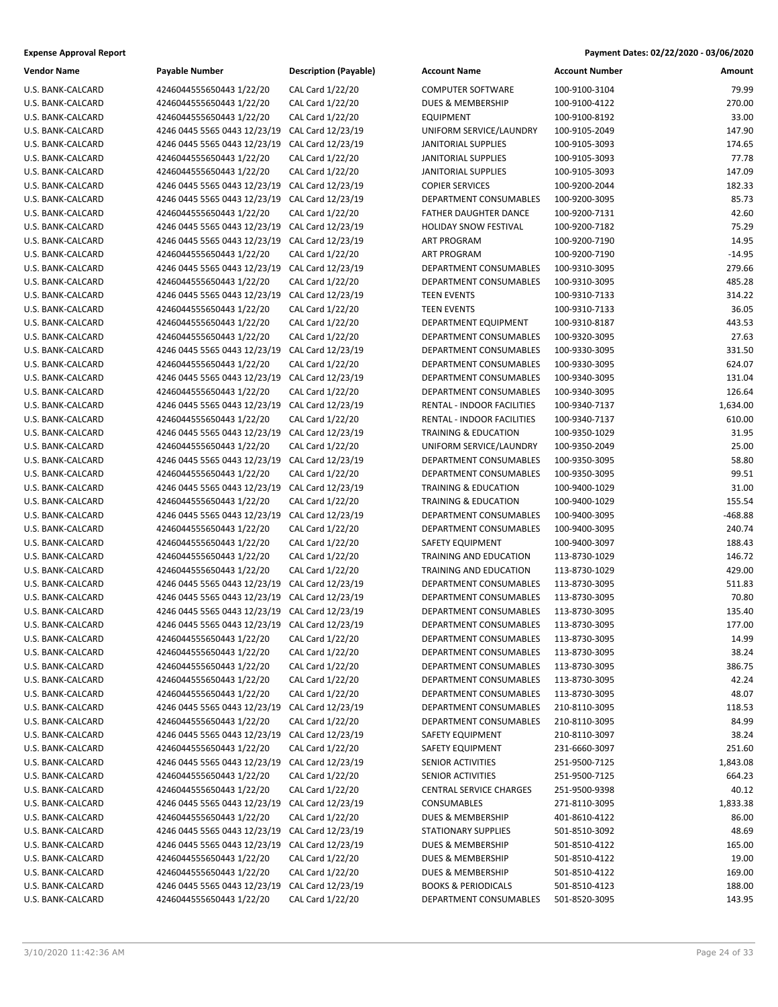| Vendor Name                            | Payable Number                                           | Descrij          |
|----------------------------------------|----------------------------------------------------------|------------------|
| U.S. BANK-CALCARD                      | 4246044555650443 1/22/20                                 | CAL Ca           |
| U.S. BANK-CALCARD                      | 4246044555650443 1/22/20                                 | CAL Ca           |
| U.S. BANK-CALCARD                      | 4246044555650443 1/22/20                                 | CAL Ca           |
| U.S. BANK-CALCARD                      | 4246 0445 5565 0443 12/23/19                             | CAL Ca           |
| U.S. BANK-CALCARD                      | 4246 0445 5565 0443 12/23/19                             | CAL Ca           |
| U.S. BANK-CALCARD                      | 4246044555650443 1/22/20                                 | CAL Ca           |
| U.S. BANK-CALCARD                      | 4246044555650443 1/22/20                                 | CAL Ca           |
| U.S. BANK-CALCARD                      | 4246 0445 5565 0443 12/23/19                             | CAL Ca           |
| U.S. BANK-CALCARD                      | 4246 0445 5565 0443 12/23/19                             | CAL Ca           |
| U.S. BANK-CALCARD                      | 4246044555650443 1/22/20                                 | CAL Ca           |
| U.S. BANK-CALCARD                      | 4246 0445 5565 0443 12/23/19                             | CAL Ca           |
| U.S. BANK-CALCARD                      | 4246 0445 5565 0443 12/23/19                             | CAL Ca           |
| U.S. BANK-CALCARD                      | 4246044555650443 1/22/20                                 | CAL Ca           |
| U.S. BANK-CALCARD                      | 4246 0445 5565 0443 12/23/19                             | CAL Ca           |
| U.S. BANK-CALCARD                      | 4246044555650443 1/22/20                                 | CAL Ca           |
| U.S. BANK-CALCARD                      | 4246 0445 5565 0443 12/23/19                             | CAL Ca           |
| U.S. BANK-CALCARD                      | 4246044555650443 1/22/20                                 | CAL Ca           |
| U.S. BANK-CALCARD                      | 4246044555650443 1/22/20                                 | CAL Ca           |
| U.S. BANK-CALCARD                      | 4246044555650443 1/22/20                                 | CAL Ca           |
| U.S. BANK-CALCARD                      | 4246 0445 5565 0443 12/23/19                             | CAL Ca           |
| U.S. BANK-CALCARD                      | 4246044555650443 1/22/20                                 | CAL Ca           |
| U.S. BANK-CALCARD                      | 4246 0445 5565 0443 12/23/19                             | CAL Ca           |
| U.S. BANK-CALCARD                      | 4246044555650443 1/22/20                                 | CAL Ca           |
| U.S. BANK-CALCARD                      | 4246 0445 5565 0443 12/23/19                             | CAL Ca           |
| U.S. BANK-CALCARD                      | 4246044555650443 1/22/20                                 | CAL Ca           |
| U.S. BANK-CALCARD                      | 4246 0445 5565 0443 12/23/19                             | CAL Ca           |
| U.S. BANK-CALCARD                      | 4246044555650443 1/22/20                                 | CAL Ca           |
| U.S. BANK-CALCARD                      | 4246 0445 5565 0443 12/23/19<br>4246044555650443 1/22/20 | CAL Ca           |
| U.S. BANK-CALCARD<br>U.S. BANK-CALCARD | 4246 0445 5565 0443 12/23/19                             | CAL Ca<br>CAL Ca |
| U.S. BANK-CALCARD                      | 4246044555650443 1/22/20                                 | CAL Ca           |
| U.S. BANK-CALCARD                      | 4246 0445 5565 0443 12/23/19                             | CAL Ca           |
| U.S. BANK-CALCARD                      | 4246044555650443 1/22/20                                 | CAL Ca           |
| U.S. BANK-CALCARD                      | 4246044555650443 1/22/20                                 | CAL Ca           |
| U.S. BANK-CALCARD                      | 4246044555650443 1/22/20                                 | CAL Ca           |
| U.S. BANK-CALCARD                      | 4246044555650443 1/22/20                                 | CAL Ca           |
| U.S. BANK-CALCARD                      | 4246 0445 5565 0443 12/23/19                             | CAL Ca           |
| U.S. BANK-CALCARD                      | 4246 0445 5565 0443 12/23/19                             | CAL Ca           |
| U.S. BANK-CALCARD                      | 4246 0445 5565 0443 12/23/19                             | CAL Ca           |
| U.S. BANK-CALCARD                      | 4246 0445 5565 0443 12/23/19                             | CAL Ca           |
| U.S. BANK-CALCARD                      | 4246044555650443 1/22/20                                 | CAL Ca           |
| U.S. BANK-CALCARD                      | 4246044555650443 1/22/20                                 | CAL Ca           |
| U.S. BANK-CALCARD                      | 4246044555650443 1/22/20                                 | CAL Ca           |
| U.S. BANK-CALCARD                      | 4246044555650443 1/22/20                                 | CAL Ca           |
| U.S. BANK-CALCARD                      | 4246044555650443 1/22/20                                 | CAL Ca           |
| U.S. BANK-CALCARD                      | 4246 0445 5565 0443 12/23/19                             | CAL Ca           |
| U.S. BANK-CALCARD                      | 4246044555650443 1/22/20                                 | CAL Ca           |
| U.S. BANK-CALCARD                      | 4246 0445 5565 0443 12/23/19                             | CAL Ca           |
| U.S. BANK-CALCARD                      | 4246044555650443 1/22/20                                 | CAL Ca           |
| U.S. BANK-CALCARD                      | 4246 0445 5565 0443 12/23/19                             | CAL Ca           |
| U.S. BANK-CALCARD                      | 4246044555650443 1/22/20                                 | CAL Ca           |
| U.S. BANK-CALCARD                      | 4246044555650443 1/22/20                                 | CAL Ca           |
| U.S. BANK-CALCARD                      | 4246 0445 5565 0443 12/23/19                             | CAL Ca           |
| U.S. BANK-CALCARD                      | 4246044555650443 1/22/20                                 | CAL Ca           |
| U.S. BANK-CALCARD                      | 4246 0445 5565 0443 12/23/19                             | CAL Ca           |
| U.S. BANK-CALCARD                      | 4246 0445 5565 0443 12/23/19                             | CAL Ca           |
| U.S. BANK-CALCARD                      | 4246044555650443 1/22/20                                 | CAL Ca           |
| U.S. BANK-CALCARD                      | 4246044555650443 1/22/20                                 | CAL Ca           |
| U.S. BANK-CALCARD                      | 4246 0445 5565 0443 12/23/19                             | CAL Ca           |
| U.S. BANK-CALCARD                      | 4246044555650443 1/22/20                                 | CAL Ca           |

| Vendor Name       | <b>Payable Number</b>        | <b>Description (Payable)</b> | <b>Account Name</b>             | <b>Account Number</b> | Amount    |
|-------------------|------------------------------|------------------------------|---------------------------------|-----------------------|-----------|
| U.S. BANK-CALCARD | 4246044555650443 1/22/20     | CAL Card 1/22/20             | <b>COMPUTER SOFTWARE</b>        | 100-9100-3104         | 79.99     |
| U.S. BANK-CALCARD | 4246044555650443 1/22/20     | CAL Card 1/22/20             | <b>DUES &amp; MEMBERSHIP</b>    | 100-9100-4122         | 270.00    |
| U.S. BANK-CALCARD | 4246044555650443 1/22/20     | CAL Card 1/22/20             | <b>EQUIPMENT</b>                | 100-9100-8192         | 33.00     |
| U.S. BANK-CALCARD | 4246 0445 5565 0443 12/23/19 | CAL Card 12/23/19            | UNIFORM SERVICE/LAUNDRY         | 100-9105-2049         | 147.90    |
| U.S. BANK-CALCARD | 4246 0445 5565 0443 12/23/19 | CAL Card 12/23/19            | <b>JANITORIAL SUPPLIES</b>      | 100-9105-3093         | 174.65    |
| U.S. BANK-CALCARD | 4246044555650443 1/22/20     | CAL Card 1/22/20             | <b>JANITORIAL SUPPLIES</b>      | 100-9105-3093         | 77.78     |
| U.S. BANK-CALCARD | 4246044555650443 1/22/20     | CAL Card 1/22/20             | <b>JANITORIAL SUPPLIES</b>      | 100-9105-3093         | 147.09    |
| U.S. BANK-CALCARD | 4246 0445 5565 0443 12/23/19 | CAL Card 12/23/19            | <b>COPIER SERVICES</b>          | 100-9200-2044         | 182.33    |
| U.S. BANK-CALCARD | 4246 0445 5565 0443 12/23/19 | CAL Card 12/23/19            | DEPARTMENT CONSUMABLES          | 100-9200-3095         | 85.73     |
| U.S. BANK-CALCARD | 4246044555650443 1/22/20     | CAL Card 1/22/20             | <b>FATHER DAUGHTER DANCE</b>    | 100-9200-7131         | 42.60     |
| U.S. BANK-CALCARD | 4246 0445 5565 0443 12/23/19 | CAL Card 12/23/19            | <b>HOLIDAY SNOW FESTIVAL</b>    | 100-9200-7182         | 75.29     |
| U.S. BANK-CALCARD | 4246 0445 5565 0443 12/23/19 | CAL Card 12/23/19            | <b>ART PROGRAM</b>              | 100-9200-7190         | 14.95     |
| U.S. BANK-CALCARD | 4246044555650443 1/22/20     | CAL Card 1/22/20             | ART PROGRAM                     | 100-9200-7190         | $-14.95$  |
| U.S. BANK-CALCARD | 4246 0445 5565 0443 12/23/19 | CAL Card 12/23/19            | DEPARTMENT CONSUMABLES          | 100-9310-3095         | 279.66    |
| U.S. BANK-CALCARD | 4246044555650443 1/22/20     | CAL Card 1/22/20             | DEPARTMENT CONSUMABLES          | 100-9310-3095         | 485.28    |
| U.S. BANK-CALCARD | 4246 0445 5565 0443 12/23/19 | CAL Card 12/23/19            | <b>TEEN EVENTS</b>              | 100-9310-7133         | 314.22    |
| U.S. BANK-CALCARD | 4246044555650443 1/22/20     | CAL Card 1/22/20             | <b>TEEN EVENTS</b>              | 100-9310-7133         | 36.05     |
| U.S. BANK-CALCARD | 4246044555650443 1/22/20     | CAL Card 1/22/20             | DEPARTMENT EQUIPMENT            | 100-9310-8187         | 443.53    |
| U.S. BANK-CALCARD | 4246044555650443 1/22/20     | CAL Card 1/22/20             | DEPARTMENT CONSUMABLES          | 100-9320-3095         | 27.63     |
| U.S. BANK-CALCARD | 4246 0445 5565 0443 12/23/19 | CAL Card 12/23/19            | DEPARTMENT CONSUMABLES          | 100-9330-3095         | 331.50    |
| U.S. BANK-CALCARD | 4246044555650443 1/22/20     | CAL Card 1/22/20             | DEPARTMENT CONSUMABLES          | 100-9330-3095         | 624.07    |
| U.S. BANK-CALCARD | 4246 0445 5565 0443 12/23/19 | CAL Card 12/23/19            | <b>DEPARTMENT CONSUMABLES</b>   | 100-9340-3095         | 131.04    |
| U.S. BANK-CALCARD | 4246044555650443 1/22/20     | CAL Card 1/22/20             | DEPARTMENT CONSUMABLES          | 100-9340-3095         | 126.64    |
| U.S. BANK-CALCARD | 4246 0445 5565 0443 12/23/19 | CAL Card 12/23/19            | RENTAL - INDOOR FACILITIES      | 100-9340-7137         | 1,634.00  |
| U.S. BANK-CALCARD | 4246044555650443 1/22/20     | CAL Card 1/22/20             | RENTAL - INDOOR FACILITIES      | 100-9340-7137         | 610.00    |
| U.S. BANK-CALCARD | 4246 0445 5565 0443 12/23/19 | CAL Card 12/23/19            | <b>TRAINING &amp; EDUCATION</b> | 100-9350-1029         | 31.95     |
| U.S. BANK-CALCARD | 4246044555650443 1/22/20     | CAL Card 1/22/20             | UNIFORM SERVICE/LAUNDRY         | 100-9350-2049         | 25.00     |
| U.S. BANK-CALCARD | 4246 0445 5565 0443 12/23/19 | CAL Card 12/23/19            | DEPARTMENT CONSUMABLES          | 100-9350-3095         | 58.80     |
| U.S. BANK-CALCARD | 4246044555650443 1/22/20     | CAL Card 1/22/20             | DEPARTMENT CONSUMABLES          | 100-9350-3095         | 99.51     |
| U.S. BANK-CALCARD | 4246 0445 5565 0443 12/23/19 | CAL Card 12/23/19            | <b>TRAINING &amp; EDUCATION</b> | 100-9400-1029         | 31.00     |
| U.S. BANK-CALCARD | 4246044555650443 1/22/20     | CAL Card 1/22/20             | <b>TRAINING &amp; EDUCATION</b> | 100-9400-1029         | 155.54    |
| U.S. BANK-CALCARD | 4246 0445 5565 0443 12/23/19 | CAL Card 12/23/19            | DEPARTMENT CONSUMABLES          | 100-9400-3095         | $-468.88$ |
| U.S. BANK-CALCARD | 4246044555650443 1/22/20     | CAL Card 1/22/20             | DEPARTMENT CONSUMABLES          | 100-9400-3095         | 240.74    |
| U.S. BANK-CALCARD | 4246044555650443 1/22/20     | CAL Card 1/22/20             | SAFETY EQUIPMENT                | 100-9400-3097         | 188.43    |
| U.S. BANK-CALCARD | 4246044555650443 1/22/20     | CAL Card 1/22/20             | TRAINING AND EDUCATION          | 113-8730-1029         | 146.72    |
| U.S. BANK-CALCARD | 4246044555650443 1/22/20     | CAL Card 1/22/20             | TRAINING AND EDUCATION          | 113-8730-1029         | 429.00    |
| U.S. BANK-CALCARD | 4246 0445 5565 0443 12/23/19 | CAL Card 12/23/19            | DEPARTMENT CONSUMABLES          | 113-8730-3095         | 511.83    |
| U.S. BANK-CALCARD | 4246 0445 5565 0443 12/23/19 | CAL Card 12/23/19            | DEPARTMENT CONSUMABLES          | 113-8730-3095         | 70.80     |
| U.S. BANK-CALCARD | 4246 0445 5565 0443 12/23/19 | CAL Card 12/23/19            | DEPARTMENT CONSUMABLES          | 113-8730-3095         | 135.40    |
| U.S. BANK-CALCARD | 4246 0445 5565 0443 12/23/19 | CAL Card 12/23/19            | DEPARTMENT CONSUMABLES          | 113-8730-3095         | 177.00    |
| U.S. BANK-CALCARD | 4246044555650443 1/22/20     | CAL Card 1/22/20             | DEPARTMENT CONSUMABLES          | 113-8730-3095         | 14.99     |
| U.S. BANK-CALCARD | 4246044555650443 1/22/20     | CAL Card 1/22/20             | DEPARTMENT CONSUMABLES          | 113-8730-3095         | 38.24     |
| U.S. BANK-CALCARD | 4246044555650443 1/22/20     | CAL Card 1/22/20             | DEPARTMENT CONSUMABLES          | 113-8730-3095         | 386.75    |
| U.S. BANK-CALCARD | 4246044555650443 1/22/20     | CAL Card 1/22/20             | DEPARTMENT CONSUMABLES          | 113-8730-3095         | 42.24     |
| U.S. BANK-CALCARD | 4246044555650443 1/22/20     | CAL Card 1/22/20             | DEPARTMENT CONSUMABLES          | 113-8730-3095         | 48.07     |
| U.S. BANK-CALCARD | 4246 0445 5565 0443 12/23/19 | CAL Card 12/23/19            | DEPARTMENT CONSUMABLES          | 210-8110-3095         | 118.53    |
| U.S. BANK-CALCARD | 4246044555650443 1/22/20     | CAL Card 1/22/20             | DEPARTMENT CONSUMABLES          | 210-8110-3095         | 84.99     |
| U.S. BANK-CALCARD | 4246 0445 5565 0443 12/23/19 | CAL Card 12/23/19            | SAFETY EQUIPMENT                | 210-8110-3097         | 38.24     |
| U.S. BANK-CALCARD | 4246044555650443 1/22/20     | CAL Card 1/22/20             | SAFETY EQUIPMENT                | 231-6660-3097         | 251.60    |
| U.S. BANK-CALCARD | 4246 0445 5565 0443 12/23/19 | CAL Card 12/23/19            | SENIOR ACTIVITIES               | 251-9500-7125         | 1,843.08  |
| U.S. BANK-CALCARD | 4246044555650443 1/22/20     | CAL Card 1/22/20             | SENIOR ACTIVITIES               | 251-9500-7125         | 664.23    |
| U.S. BANK-CALCARD | 4246044555650443 1/22/20     | CAL Card 1/22/20             | <b>CENTRAL SERVICE CHARGES</b>  | 251-9500-9398         | 40.12     |
| U.S. BANK-CALCARD | 4246 0445 5565 0443 12/23/19 | CAL Card 12/23/19            | CONSUMABLES                     | 271-8110-3095         | 1,833.38  |
| U.S. BANK-CALCARD | 4246044555650443 1/22/20     | CAL Card 1/22/20             | DUES & MEMBERSHIP               | 401-8610-4122         | 86.00     |
| U.S. BANK-CALCARD | 4246 0445 5565 0443 12/23/19 | CAL Card 12/23/19            | <b>STATIONARY SUPPLIES</b>      | 501-8510-3092         | 48.69     |
| U.S. BANK-CALCARD | 4246 0445 5565 0443 12/23/19 | CAL Card 12/23/19            | DUES & MEMBERSHIP               | 501-8510-4122         | 165.00    |
| U.S. BANK-CALCARD | 4246044555650443 1/22/20     | CAL Card 1/22/20             | DUES & MEMBERSHIP               | 501-8510-4122         | 19.00     |
| U.S. BANK-CALCARD | 4246044555650443 1/22/20     | CAL Card 1/22/20             | DUES & MEMBERSHIP               | 501-8510-4122         | 169.00    |
| U.S. BANK-CALCARD | 4246 0445 5565 0443 12/23/19 | CAL Card 12/23/19            | <b>BOOKS &amp; PERIODICALS</b>  | 501-8510-4123         | 188.00    |
| U.S. BANK-CALCARD | 4246044555650443 1/22/20     | CAL Card 1/22/20             | DEPARTMENT CONSUMABLES          | 501-8520-3095         | 143.95    |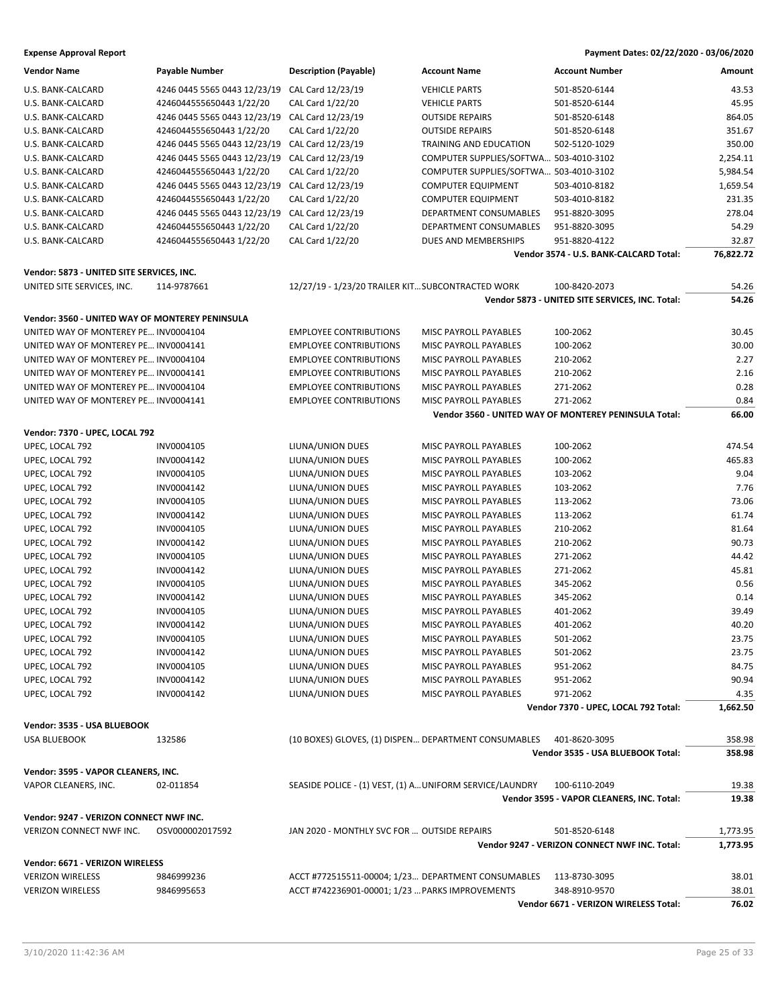| <b>Vendor Name</b>                              | Payable Number                                 | <b>Description (Payable)</b>                             | <b>Account Name</b>                    | <b>Account Number</b>                                 | Amount    |
|-------------------------------------------------|------------------------------------------------|----------------------------------------------------------|----------------------------------------|-------------------------------------------------------|-----------|
| U.S. BANK-CALCARD                               | 4246 0445 5565 0443 12/23/19                   | CAL Card 12/23/19                                        | <b>VEHICLE PARTS</b>                   | 501-8520-6144                                         | 43.53     |
| U.S. BANK-CALCARD                               | 4246044555650443 1/22/20                       | CAL Card 1/22/20                                         | <b>VEHICLE PARTS</b>                   | 501-8520-6144                                         | 45.95     |
| U.S. BANK-CALCARD                               | 4246 0445 5565 0443 12/23/19                   | CAL Card 12/23/19                                        | <b>OUTSIDE REPAIRS</b>                 | 501-8520-6148                                         | 864.05    |
| U.S. BANK-CALCARD                               | 4246044555650443 1/22/20                       | CAL Card 1/22/20                                         | <b>OUTSIDE REPAIRS</b>                 | 501-8520-6148                                         | 351.67    |
| U.S. BANK-CALCARD                               | 4246 0445 5565 0443 12/23/19                   | CAL Card 12/23/19                                        | TRAINING AND EDUCATION                 | 502-5120-1029                                         | 350.00    |
| U.S. BANK-CALCARD                               | 4246 0445 5565 0443 12/23/19 CAL Card 12/23/19 |                                                          | COMPUTER SUPPLIES/SOFTWA 503-4010-3102 |                                                       | 2,254.11  |
| U.S. BANK-CALCARD                               | 4246044555650443 1/22/20                       | CAL Card 1/22/20                                         | COMPUTER SUPPLIES/SOFTWA 503-4010-3102 |                                                       | 5,984.54  |
| U.S. BANK-CALCARD                               | 4246 0445 5565 0443 12/23/19                   | CAL Card 12/23/19                                        | <b>COMPUTER EQUIPMENT</b>              | 503-4010-8182                                         | 1,659.54  |
| U.S. BANK-CALCARD                               | 4246044555650443 1/22/20                       | CAL Card 1/22/20                                         | <b>COMPUTER EQUIPMENT</b>              | 503-4010-8182                                         | 231.35    |
| U.S. BANK-CALCARD                               | 4246 0445 5565 0443 12/23/19                   | CAL Card 12/23/19                                        | DEPARTMENT CONSUMABLES                 | 951-8820-3095                                         | 278.04    |
| U.S. BANK-CALCARD                               | 4246044555650443 1/22/20                       | CAL Card 1/22/20                                         | DEPARTMENT CONSUMABLES                 | 951-8820-3095                                         | 54.29     |
| U.S. BANK-CALCARD                               | 4246044555650443 1/22/20                       | CAL Card 1/22/20                                         | DUES AND MEMBERSHIPS                   | 951-8820-4122                                         | 32.87     |
|                                                 |                                                |                                                          |                                        | Vendor 3574 - U.S. BANK-CALCARD Total:                | 76,822.72 |
|                                                 |                                                |                                                          |                                        |                                                       |           |
| Vendor: 5873 - UNITED SITE SERVICES, INC.       |                                                |                                                          |                                        |                                                       |           |
| UNITED SITE SERVICES, INC.                      | 114-9787661                                    | 12/27/19 - 1/23/20 TRAILER KIT SUBCONTRACTED WORK        |                                        | 100-8420-2073                                         | 54.26     |
|                                                 |                                                |                                                          |                                        | Vendor 5873 - UNITED SITE SERVICES, INC. Total:       | 54.26     |
| Vendor: 3560 - UNITED WAY OF MONTEREY PENINSULA |                                                |                                                          |                                        |                                                       |           |
| UNITED WAY OF MONTEREY PE INV0004104            |                                                | <b>EMPLOYEE CONTRIBUTIONS</b>                            | MISC PAYROLL PAYABLES                  | 100-2062                                              | 30.45     |
| UNITED WAY OF MONTEREY PE INV0004141            |                                                | <b>EMPLOYEE CONTRIBUTIONS</b>                            | MISC PAYROLL PAYABLES                  | 100-2062                                              | 30.00     |
| UNITED WAY OF MONTEREY PE INV0004104            |                                                | <b>EMPLOYEE CONTRIBUTIONS</b>                            | MISC PAYROLL PAYABLES                  | 210-2062                                              | 2.27      |
| UNITED WAY OF MONTEREY PE INV0004141            |                                                | <b>EMPLOYEE CONTRIBUTIONS</b>                            | MISC PAYROLL PAYABLES                  | 210-2062                                              | 2.16      |
| UNITED WAY OF MONTEREY PE INV0004104            |                                                | <b>EMPLOYEE CONTRIBUTIONS</b>                            | MISC PAYROLL PAYABLES                  | 271-2062                                              | 0.28      |
| UNITED WAY OF MONTEREY PE INV0004141            |                                                | <b>EMPLOYEE CONTRIBUTIONS</b>                            | MISC PAYROLL PAYABLES                  | 271-2062                                              | 0.84      |
|                                                 |                                                |                                                          |                                        | Vendor 3560 - UNITED WAY OF MONTEREY PENINSULA Total: | 66.00     |
| Vendor: 7370 - UPEC, LOCAL 792                  |                                                |                                                          |                                        |                                                       |           |
| UPEC, LOCAL 792                                 | INV0004105                                     | LIUNA/UNION DUES                                         | MISC PAYROLL PAYABLES                  | 100-2062                                              | 474.54    |
| UPEC, LOCAL 792                                 | INV0004142                                     | LIUNA/UNION DUES                                         | MISC PAYROLL PAYABLES                  | 100-2062                                              | 465.83    |
| UPEC, LOCAL 792                                 | INV0004105                                     | LIUNA/UNION DUES                                         | MISC PAYROLL PAYABLES                  | 103-2062                                              | 9.04      |
| UPEC, LOCAL 792                                 | INV0004142                                     | LIUNA/UNION DUES                                         | MISC PAYROLL PAYABLES                  | 103-2062                                              | 7.76      |
| UPEC, LOCAL 792                                 | INV0004105                                     | LIUNA/UNION DUES                                         | MISC PAYROLL PAYABLES                  | 113-2062                                              | 73.06     |
| UPEC, LOCAL 792                                 | INV0004142                                     | LIUNA/UNION DUES                                         | MISC PAYROLL PAYABLES                  | 113-2062                                              | 61.74     |
| UPEC, LOCAL 792                                 | INV0004105                                     | LIUNA/UNION DUES                                         | MISC PAYROLL PAYABLES                  | 210-2062                                              | 81.64     |
| UPEC, LOCAL 792                                 | INV0004142                                     | LIUNA/UNION DUES                                         | MISC PAYROLL PAYABLES                  | 210-2062                                              | 90.73     |
| UPEC, LOCAL 792                                 | INV0004105                                     | LIUNA/UNION DUES                                         | MISC PAYROLL PAYABLES                  | 271-2062                                              | 44.42     |
| UPEC, LOCAL 792                                 | INV0004142                                     | LIUNA/UNION DUES                                         | MISC PAYROLL PAYABLES                  | 271-2062                                              | 45.81     |
| UPEC, LOCAL 792                                 | INV0004105                                     | LIUNA/UNION DUES                                         | MISC PAYROLL PAYABLES                  | 345-2062                                              | 0.56      |
| UPEC, LOCAL 792                                 | INV0004142                                     | LIUNA/UNION DUES                                         | MISC PAYROLL PAYABLES                  | 345-2062                                              | 0.14      |
| UPEC, LOCAL 792                                 | INV0004105                                     | LIUNA/UNION DUES                                         | MISC PAYROLL PAYABLES                  | 401-2062                                              | 39.49     |
| UPEC, LOCAL 792                                 | INV0004142                                     | LIUNA/UNION DUES                                         | MISC PAYROLL PAYABLES                  | 401-2062                                              | 40.20     |
| UPEC, LOCAL 792                                 | INV0004105                                     | LIUNA/UNION DUES                                         | MISC PAYROLL PAYABLES                  | 501-2062                                              | 23.75     |
| UPEC, LOCAL 792                                 | INV0004142                                     | LIUNA/UNION DUES                                         | MISC PAYROLL PAYABLES                  | 501-2062                                              | 23.75     |
| UPEC, LOCAL 792                                 | INV0004105                                     | LIUNA/UNION DUES                                         | MISC PAYROLL PAYABLES                  | 951-2062                                              | 84.75     |
| UPEC, LOCAL 792                                 | INV0004142                                     | LIUNA/UNION DUES                                         | MISC PAYROLL PAYABLES                  | 951-2062                                              | 90.94     |
| UPEC, LOCAL 792                                 | INV0004142                                     | LIUNA/UNION DUES                                         | MISC PAYROLL PAYABLES                  | 971-2062                                              | 4.35      |
|                                                 |                                                |                                                          |                                        | Vendor 7370 - UPEC, LOCAL 792 Total:                  | 1,662.50  |
|                                                 |                                                |                                                          |                                        |                                                       |           |
| Vendor: 3535 - USA BLUEBOOK                     |                                                |                                                          |                                        |                                                       |           |
| <b>USA BLUEBOOK</b>                             | 132586                                         | (10 BOXES) GLOVES, (1) DISPEN DEPARTMENT CONSUMABLES     |                                        | 401-8620-3095                                         | 358.98    |
|                                                 |                                                |                                                          |                                        | Vendor 3535 - USA BLUEBOOK Total:                     | 358.98    |
| Vendor: 3595 - VAPOR CLEANERS, INC.             |                                                |                                                          |                                        |                                                       |           |
| VAPOR CLEANERS, INC.                            | 02-011854                                      | SEASIDE POLICE - (1) VEST, (1) A UNIFORM SERVICE/LAUNDRY |                                        | 100-6110-2049                                         | 19.38     |
|                                                 |                                                |                                                          |                                        | Vendor 3595 - VAPOR CLEANERS, INC. Total:             | 19.38     |
| Vendor: 9247 - VERIZON CONNECT NWF INC.         |                                                |                                                          |                                        |                                                       |           |
| VERIZON CONNECT NWF INC.                        | OSV000002017592                                | JAN 2020 - MONTHLY SVC FOR  OUTSIDE REPAIRS              |                                        | 501-8520-6148                                         | 1,773.95  |
|                                                 |                                                |                                                          |                                        | Vendor 9247 - VERIZON CONNECT NWF INC. Total:         | 1,773.95  |
|                                                 |                                                |                                                          |                                        |                                                       |           |
| Vendor: 6671 - VERIZON WIRELESS                 |                                                |                                                          |                                        |                                                       |           |
| <b>VERIZON WIRELESS</b>                         | 9846999236                                     | ACCT #772515511-00004; 1/23 DEPARTMENT CONSUMABLES       |                                        | 113-8730-3095                                         | 38.01     |
| <b>VERIZON WIRELESS</b>                         | 9846995653                                     | ACCT #742236901-00001; 1/23  PARKS IMPROVEMENTS          |                                        | 348-8910-9570                                         | 38.01     |
|                                                 |                                                |                                                          |                                        | Vendor 6671 - VERIZON WIRELESS Total:                 | 76.02     |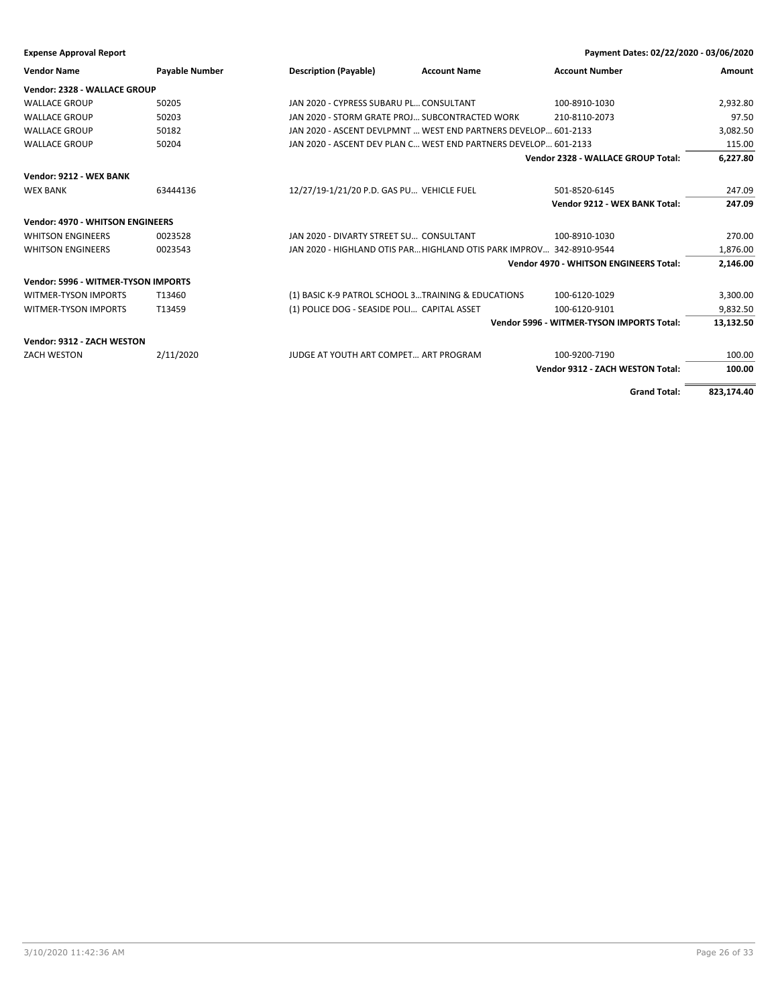| <b>Expense Approval Report</b>          |                       |                                                                      | Payment Dates: 02/22/2020 - 03/06/2020           |            |
|-----------------------------------------|-----------------------|----------------------------------------------------------------------|--------------------------------------------------|------------|
| <b>Vendor Name</b>                      | <b>Payable Number</b> | <b>Description (Payable)</b><br><b>Account Name</b>                  | <b>Account Number</b>                            | Amount     |
| Vendor: 2328 - WALLACE GROUP            |                       |                                                                      |                                                  |            |
| <b>WALLACE GROUP</b>                    | 50205                 | JAN 2020 - CYPRESS SUBARU PL CONSULTANT                              | 100-8910-1030                                    | 2,932.80   |
| <b>WALLACE GROUP</b>                    | 50203                 | JAN 2020 - STORM GRATE PROJ SUBCONTRACTED WORK                       | 210-8110-2073                                    | 97.50      |
| <b>WALLACE GROUP</b>                    | 50182                 | JAN 2020 - ASCENT DEVLPMNT  WEST END PARTNERS DEVELOP 601-2133       |                                                  | 3,082.50   |
| <b>WALLACE GROUP</b>                    | 50204                 | JAN 2020 - ASCENT DEV PLAN C WEST END PARTNERS DEVELOP 601-2133      |                                                  | 115.00     |
|                                         |                       |                                                                      | Vendor 2328 - WALLACE GROUP Total:               | 6,227.80   |
| Vendor: 9212 - WEX BANK                 |                       |                                                                      |                                                  |            |
| <b>WEX BANK</b>                         | 63444136              | 12/27/19-1/21/20 P.D. GAS PU VEHICLE FUEL                            | 501-8520-6145                                    | 247.09     |
|                                         |                       |                                                                      | Vendor 9212 - WEX BANK Total:                    | 247.09     |
| <b>Vendor: 4970 - WHITSON ENGINEERS</b> |                       |                                                                      |                                                  |            |
| <b>WHITSON ENGINEERS</b>                | 0023528               | JAN 2020 - DIVARTY STREET SU CONSULTANT                              | 100-8910-1030                                    | 270.00     |
| <b>WHITSON ENGINEERS</b>                | 0023543               | JAN 2020 - HIGHLAND OTIS PAR HIGHLAND OTIS PARK IMPROV 342-8910-9544 |                                                  | 1,876.00   |
|                                         |                       |                                                                      | <b>Vendor 4970 - WHITSON ENGINEERS Total:</b>    | 2,146.00   |
| Vendor: 5996 - WITMER-TYSON IMPORTS     |                       |                                                                      |                                                  |            |
| <b>WITMER-TYSON IMPORTS</b>             | T13460                | (1) BASIC K-9 PATROL SCHOOL 3 TRAINING & EDUCATIONS                  | 100-6120-1029                                    | 3,300.00   |
| <b>WITMER-TYSON IMPORTS</b>             | T13459                | (1) POLICE DOG - SEASIDE POLI CAPITAL ASSET                          | 100-6120-9101                                    | 9,832.50   |
|                                         |                       |                                                                      | <b>Vendor 5996 - WITMER-TYSON IMPORTS Total:</b> | 13,132.50  |
| Vendor: 9312 - ZACH WESTON              |                       |                                                                      |                                                  |            |
| <b>ZACH WESTON</b>                      | 2/11/2020             | JUDGE AT YOUTH ART COMPET ART PROGRAM                                | 100-9200-7190                                    | 100.00     |
|                                         |                       |                                                                      | Vendor 9312 - ZACH WESTON Total:                 | 100.00     |
|                                         |                       |                                                                      | <b>Grand Total:</b>                              | 823,174.40 |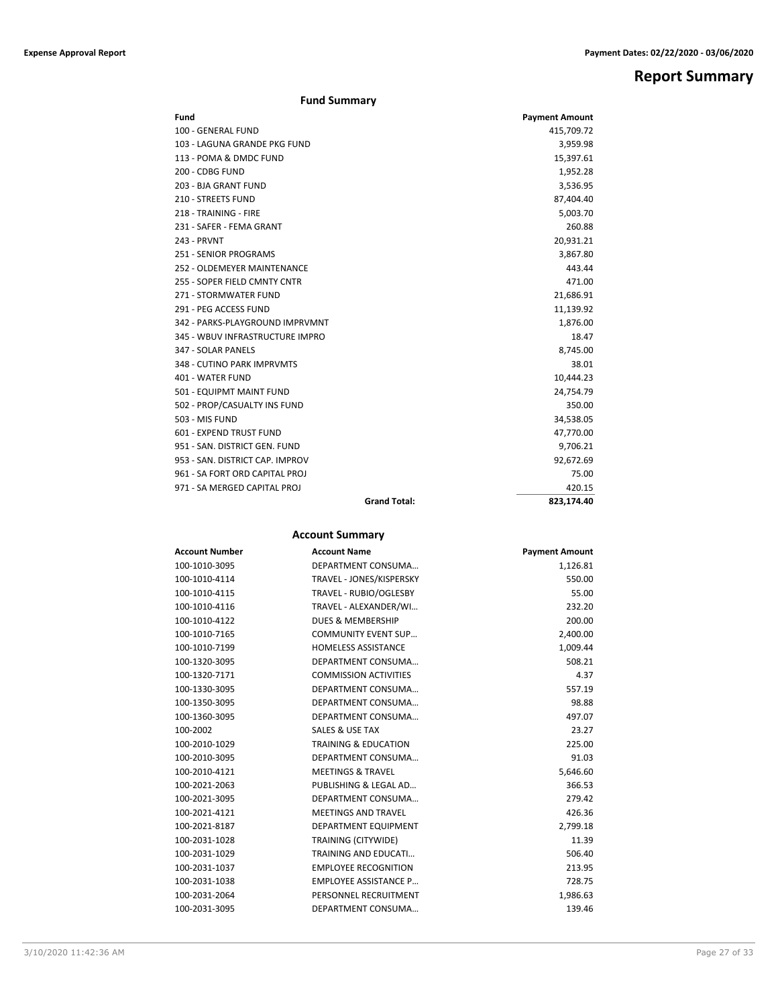## **Report Summary**

|  | <b>Fund Summary</b> |
|--|---------------------|
|--|---------------------|

| Fund                            |                     | <b>Payment Amount</b> |
|---------------------------------|---------------------|-----------------------|
| 100 - GENERAL FUND              |                     | 415,709.72            |
| 103 - LAGUNA GRANDE PKG FUND    |                     | 3,959.98              |
| 113 - POMA & DMDC FUND          |                     | 15,397.61             |
| 200 - CDBG FUND                 |                     | 1,952.28              |
| 203 - BJA GRANT FUND            |                     | 3,536.95              |
| 210 - STREETS FUND              |                     | 87,404.40             |
| 218 - TRAINING - FIRE           |                     | 5,003.70              |
| 231 - SAFER - FEMA GRANT        |                     | 260.88                |
| 243 - PRVNT                     |                     | 20,931.21             |
| <b>251 - SENIOR PROGRAMS</b>    |                     | 3,867.80              |
| 252 - OLDEMEYER MAINTENANCE     |                     | 443.44                |
| 255 - SOPER FIELD CMNTY CNTR    |                     | 471.00                |
| 271 - STORMWATER FUND           |                     | 21,686.91             |
| 291 - PEG ACCESS FUND           |                     | 11,139.92             |
| 342 - PARKS-PLAYGROUND IMPRVMNT |                     | 1,876.00              |
| 345 - WBUV INFRASTRUCTURE IMPRO |                     | 18.47                 |
| 347 - SOLAR PANELS              |                     | 8,745.00              |
| 348 - CUTINO PARK IMPRVMTS      |                     | 38.01                 |
| 401 - WATER FUND                |                     | 10,444.23             |
| 501 - EQUIPMT MAINT FUND        |                     | 24,754.79             |
| 502 - PROP/CASUALTY INS FUND    |                     | 350.00                |
| 503 - MIS FUND                  |                     | 34,538.05             |
| 601 - EXPEND TRUST FUND         |                     | 47,770.00             |
| 951 - SAN, DISTRICT GEN, FUND   |                     | 9,706.21              |
| 953 - SAN. DISTRICT CAP. IMPROV |                     | 92,672.69             |
| 961 - SA FORT ORD CAPITAL PROJ  |                     | 75.00                 |
| 971 - SA MERGED CAPITAL PROJ    |                     | 420.15                |
|                                 | <b>Grand Total:</b> | 823.174.40            |

## **Account Summary**

| <b>Account Number</b> | <b>Account Name</b>             | <b>Payment Amount</b> |
|-----------------------|---------------------------------|-----------------------|
| 100-1010-3095         | DEPARTMENT CONSUMA              | 1,126.81              |
| 100-1010-4114         | TRAVEL - JONES/KISPERSKY        | 550.00                |
| 100-1010-4115         | TRAVEL - RUBIO/OGLESBY          | 55.00                 |
| 100-1010-4116         | TRAVEL - ALEXANDER/WI           | 232.20                |
| 100-1010-4122         | <b>DUES &amp; MEMBERSHIP</b>    | 200.00                |
| 100-1010-7165         | <b>COMMUNITY EVENT SUP</b>      | 2,400.00              |
| 100-1010-7199         | <b>HOMELESS ASSISTANCE</b>      | 1,009.44              |
| 100-1320-3095         | DEPARTMENT CONSUMA              | 508.21                |
| 100-1320-7171         | <b>COMMISSION ACTIVITIES</b>    | 4.37                  |
| 100-1330-3095         | DEPARTMENT CONSUMA              | 557.19                |
| 100-1350-3095         | DEPARTMENT CONSUMA              | 98.88                 |
| 100-1360-3095         | DEPARTMENT CONSUMA              | 497.07                |
| 100-2002              | <b>SALES &amp; USE TAX</b>      | 23.27                 |
| 100-2010-1029         | <b>TRAINING &amp; EDUCATION</b> | 225.00                |
| 100-2010-3095         | DEPARTMENT CONSUMA              | 91.03                 |
| 100-2010-4121         | <b>MEETINGS &amp; TRAVEL</b>    | 5,646.60              |
| 100-2021-2063         | PUBLISHING & LEGAL AD           | 366.53                |
| 100-2021-3095         | DEPARTMENT CONSUMA              | 279.42                |
| 100-2021-4121         | <b>MEETINGS AND TRAVEL</b>      | 426.36                |
| 100-2021-8187         | DEPARTMENT EQUIPMENT            | 2,799.18              |
| 100-2031-1028         | TRAINING (CITYWIDE)             | 11.39                 |
| 100-2031-1029         | <b>TRAINING AND EDUCATI</b>     | 506.40                |
| 100-2031-1037         | <b>EMPLOYEE RECOGNITION</b>     | 213.95                |
| 100-2031-1038         | <b>EMPLOYEE ASSISTANCE P</b>    | 728.75                |
| 100-2031-2064         | PERSONNEL RECRUITMENT           | 1,986.63              |
| 100-2031-3095         | DEPARTMENT CONSUMA              | 139.46                |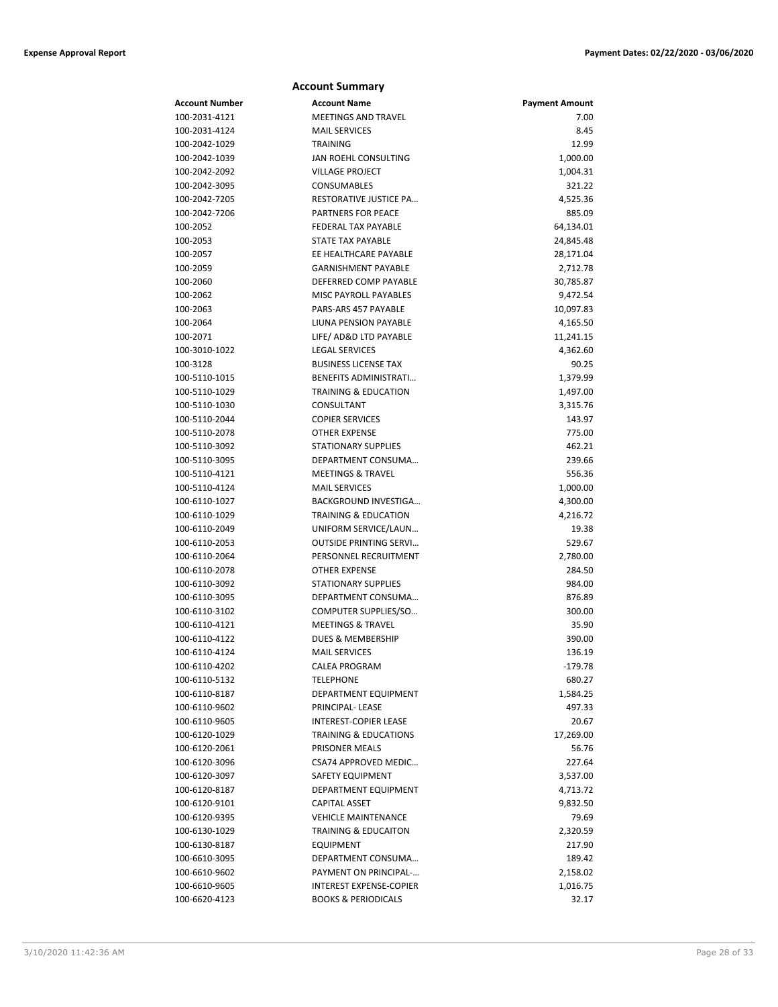|                                | <b>Account Summary</b>                               |                       |
|--------------------------------|------------------------------------------------------|-----------------------|
| Account Number                 | <b>Account Name</b>                                  | <b>Payment Amount</b> |
| 100-2031-4121                  | <b>MEETINGS AND TRAVEL</b>                           | 7.00                  |
| 100-2031-4124                  | <b>MAIL SERVICES</b>                                 | 8.45                  |
| 100-2042-1029                  | <b>TRAINING</b>                                      | 12.99                 |
| 100-2042-1039                  | JAN ROEHL CONSULTING                                 | 1,000.00              |
| 100-2042-2092                  | <b>VILLAGE PROJECT</b>                               | 1,004.31              |
| 100-2042-3095                  | CONSUMABLES                                          | 321.22                |
| 100-2042-7205                  | RESTORATIVE JUSTICE PA                               | 4,525.36              |
| 100-2042-7206                  | PARTNERS FOR PEACE                                   | 885.09                |
| 100-2052                       | <b>FEDERAL TAX PAYABLE</b>                           | 64,134.01             |
| 100-2053                       | <b>STATE TAX PAYABLE</b>                             | 24,845.48             |
| 100-2057                       | EE HEALTHCARE PAYABLE                                | 28,171.04             |
| 100-2059                       | <b>GARNISHMENT PAYABLE</b>                           | 2,712.78              |
| 100-2060                       | DEFERRED COMP PAYABLE                                | 30,785.87             |
| 100-2062                       | MISC PAYROLL PAYABLES                                | 9,472.54              |
| 100-2063                       | PARS-ARS 457 PAYABLE                                 | 10,097.83             |
| 100-2064                       | LIUNA PENSION PAYABLE                                | 4,165.50              |
| 100-2071                       | LIFE/ AD&D LTD PAYABLE                               | 11,241.15             |
| 100-3010-1022                  | <b>LEGAL SERVICES</b>                                | 4,362.60              |
| 100-3128                       | <b>BUSINESS LICENSE TAX</b>                          | 90.25                 |
| 100-5110-1015                  | BENEFITS ADMINISTRATI                                | 1,379.99              |
| 100-5110-1029                  | <b>TRAINING &amp; EDUCATION</b>                      | 1,497.00              |
| 100-5110-1030                  | CONSULTANT                                           | 3,315.76              |
| 100-5110-2044                  | <b>COPIER SERVICES</b>                               | 143.97                |
| 100-5110-2078                  | <b>OTHER EXPENSE</b>                                 | 775.00                |
| 100-5110-3092                  | <b>STATIONARY SUPPLIES</b>                           | 462.21                |
| 100-5110-3095                  | DEPARTMENT CONSUMA                                   | 239.66                |
| 100-5110-4121                  | <b>MEETINGS &amp; TRAVEL</b>                         | 556.36                |
| 100-5110-4124                  | <b>MAIL SERVICES</b>                                 | 1,000.00              |
| 100-6110-1027                  | BACKGROUND INVESTIGA                                 | 4,300.00              |
| 100-6110-1029                  | <b>TRAINING &amp; EDUCATION</b>                      | 4,216.72              |
| 100-6110-2049                  | UNIFORM SERVICE/LAUN                                 | 19.38                 |
| 100-6110-2053                  | <b>OUTSIDE PRINTING SERVI</b>                        | 529.67                |
| 100-6110-2064                  | PERSONNEL RECRUITMENT                                | 2,780.00              |
| 100-6110-2078                  | <b>OTHER EXPENSE</b>                                 | 284.50                |
| 100-6110-3092<br>100-6110-3095 | <b>STATIONARY SUPPLIES</b><br>DEPARTMENT CONSUMA     | 984.00                |
|                                |                                                      | 876.89                |
| 100-6110-3102<br>100-6110-4121 | COMPUTER SUPPLIES/SO<br><b>MEETINGS &amp; TRAVEL</b> | 300.00<br>35.90       |
| 100-6110-4122                  | <b>DUES &amp; MEMBERSHIP</b>                         | 390.00                |
| 100-6110-4124                  | <b>MAIL SERVICES</b>                                 | 136.19                |
| 100-6110-4202                  | CALEA PROGRAM                                        | -179.78               |
| 100-6110-5132                  | <b>TELEPHONE</b>                                     | 680.27                |
| 100-6110-8187                  | DEPARTMENT EQUIPMENT                                 | 1,584.25              |
| 100-6110-9602                  | PRINCIPAL-LEASE                                      | 497.33                |
| 100-6110-9605                  | INTEREST-COPIER LEASE                                | 20.67                 |
| 100-6120-1029                  | <b>TRAINING &amp; EDUCATIONS</b>                     | 17,269.00             |
| 100-6120-2061                  | PRISONER MEALS                                       | 56.76                 |
| 100-6120-3096                  | CSA74 APPROVED MEDIC                                 | 227.64                |
| 100-6120-3097                  | SAFETY EQUIPMENT                                     | 3,537.00              |
| 100-6120-8187                  | DEPARTMENT EQUIPMENT                                 | 4,713.72              |
| 100-6120-9101                  | <b>CAPITAL ASSET</b>                                 | 9,832.50              |
| 100-6120-9395                  | <b>VEHICLE MAINTENANCE</b>                           | 79.69                 |
| 100-6130-1029                  | <b>TRAINING &amp; EDUCAITON</b>                      | 2,320.59              |
| 100-6130-8187                  | <b>EQUIPMENT</b>                                     | 217.90                |
| 100-6610-3095                  | DEPARTMENT CONSUMA                                   | 189.42                |
| 100-6610-9602                  | PAYMENT ON PRINCIPAL-                                | 2,158.02              |
| 100-6610-9605                  | <b>INTEREST EXPENSE-COPIER</b>                       | 1,016.75              |
| 100-6620-4123                  | <b>BOOKS &amp; PERIODICALS</b>                       | 32.17                 |
|                                |                                                      |                       |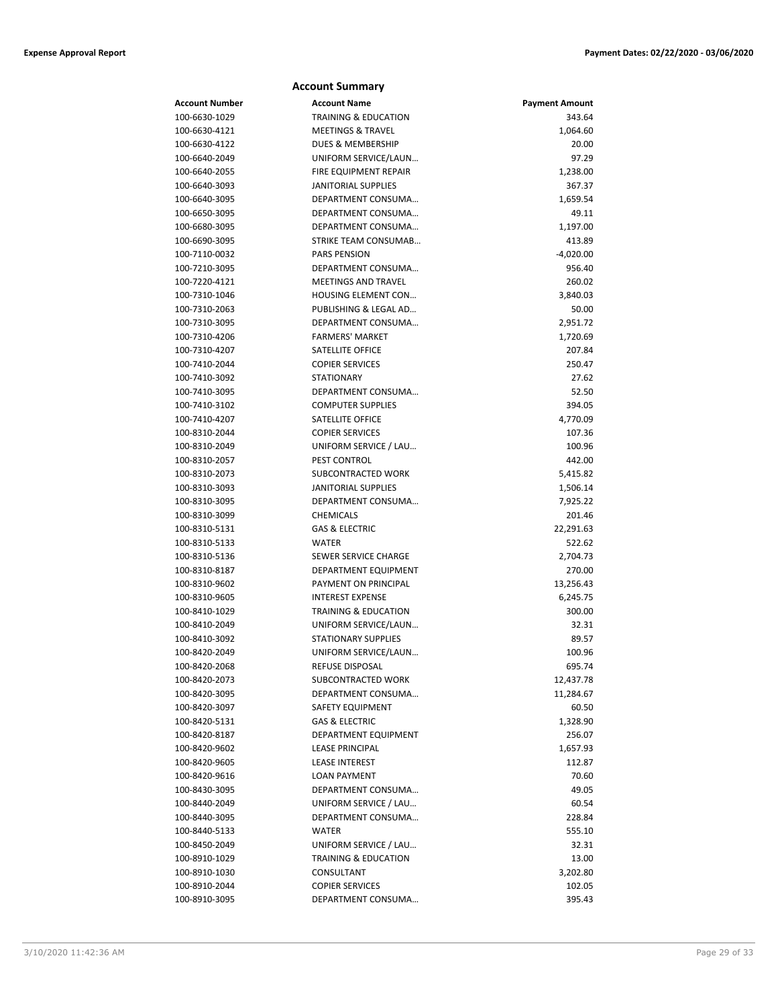| <b>Account Summary</b> |                                 |                       |
|------------------------|---------------------------------|-----------------------|
| <b>Account Number</b>  | <b>Account Name</b>             | <b>Payment Amount</b> |
| 100-6630-1029          | <b>TRAINING &amp; EDUCATION</b> | 343.64                |
| 100-6630-4121          | <b>MEETINGS &amp; TRAVEL</b>    | 1,064.60              |
| 100-6630-4122          | <b>DUES &amp; MEMBERSHIP</b>    | 20.00                 |
| 100-6640-2049          | UNIFORM SERVICE/LAUN            | 97.29                 |
| 100-6640-2055          | <b>FIRE EQUIPMENT REPAIR</b>    | 1,238.00              |
| 100-6640-3093          | <b>JANITORIAL SUPPLIES</b>      | 367.37                |
| 100-6640-3095          | DEPARTMENT CONSUMA              | 1,659.54              |
| 100-6650-3095          | DEPARTMENT CONSUMA              | 49.11                 |
| 100-6680-3095          | DEPARTMENT CONSUMA              | 1,197.00              |
| 100-6690-3095          | STRIKE TEAM CONSUMAB            | 413.89                |
| 100-7110-0032          | <b>PARS PENSION</b>             | $-4,020.00$           |
| 100-7210-3095          | DEPARTMENT CONSUMA              | 956.40                |
| 100-7220-4121          | MEETINGS AND TRAVEL             | 260.02                |
| 100-7310-1046          | <b>HOUSING ELEMENT CON</b>      | 3,840.03              |
| 100-7310-2063          | PUBLISHING & LEGAL AD           | 50.00                 |
| 100-7310-3095          | DEPARTMENT CONSUMA              | 2,951.72              |
| 100-7310-4206          | <b>FARMERS' MARKET</b>          | 1,720.69              |
| 100-7310-4207          | SATELLITE OFFICE                | 207.84                |
| 100-7410-2044          | <b>COPIER SERVICES</b>          | 250.47                |
| 100-7410-3092          | <b>STATIONARY</b>               | 27.62                 |
| 100-7410-3095          | DEPARTMENT CONSUMA              | 52.50                 |
| 100-7410-3102          | <b>COMPUTER SUPPLIES</b>        | 394.05                |
| 100-7410-4207          | SATELLITE OFFICE                | 4,770.09              |
| 100-8310-2044          | <b>COPIER SERVICES</b>          | 107.36                |
| 100-8310-2049          | UNIFORM SERVICE / LAU           | 100.96                |
| 100-8310-2057          | PEST CONTROL                    | 442.00                |
| 100-8310-2073          | SUBCONTRACTED WORK              | 5,415.82              |
| 100-8310-3093          | <b>JANITORIAL SUPPLIES</b>      | 1,506.14              |
| 100-8310-3095          | DEPARTMENT CONSUMA              | 7,925.22              |
| 100-8310-3099          | <b>CHEMICALS</b>                | 201.46                |
| 100-8310-5131          | <b>GAS &amp; ELECTRIC</b>       | 22,291.63             |
| 100-8310-5133          | <b>WATER</b>                    | 522.62                |
| 100-8310-5136          | SEWER SERVICE CHARGE            | 2,704.73              |
| 100-8310-8187          | DEPARTMENT EQUIPMENT            | 270.00                |
| 100-8310-9602          | PAYMENT ON PRINCIPAL            | 13,256.43             |
| 100-8310-9605          | <b>INTEREST EXPENSE</b>         | 6,245.75              |
| 100-8410-1029          | <b>TRAINING &amp; EDUCATION</b> | 300.00                |
| 100-8410-2049          | UNIFORM SERVICE/LAUN            | 32.31                 |
| 100-8410-3092          | <b>STATIONARY SUPPLIES</b>      | 89.57                 |
| 100-8420-2049          | UNIFORM SERVICE/LAUN            | 100.96                |
| 100-8420-2068          | REFUSE DISPOSAL                 | 695.74                |
| 100-8420-2073          | SUBCONTRACTED WORK              | 12,437.78             |
| 100-8420-3095          | DEPARTMENT CONSUMA              | 11,284.67             |
| 100-8420-3097          | SAFETY EQUIPMENT                | 60.50                 |
| 100-8420-5131          | <b>GAS &amp; ELECTRIC</b>       | 1,328.90              |
| 100-8420-8187          | DEPARTMENT EQUIPMENT            | 256.07                |
| 100-8420-9602          | <b>LEASE PRINCIPAL</b>          | 1,657.93              |
| 100-8420-9605          | <b>LEASE INTEREST</b>           | 112.87                |
| 100-8420-9616          | <b>LOAN PAYMENT</b>             | 70.60                 |
| 100-8430-3095          | DEPARTMENT CONSUMA              | 49.05                 |
| 100-8440-2049          | UNIFORM SERVICE / LAU           | 60.54                 |
| 100-8440-3095          | DEPARTMENT CONSUMA              | 228.84                |
| 100-8440-5133          | WATER                           | 555.10                |
| 100-8450-2049          | UNIFORM SERVICE / LAU           | 32.31                 |
| 100-8910-1029          | <b>TRAINING &amp; EDUCATION</b> | 13.00                 |
| 100-8910-1030          | CONSULTANT                      | 3,202.80              |
| 100-8910-2044          | <b>COPIER SERVICES</b>          | 102.05                |
| 100-8910-3095          | DEPARTMENT CONSUMA              | 395.43                |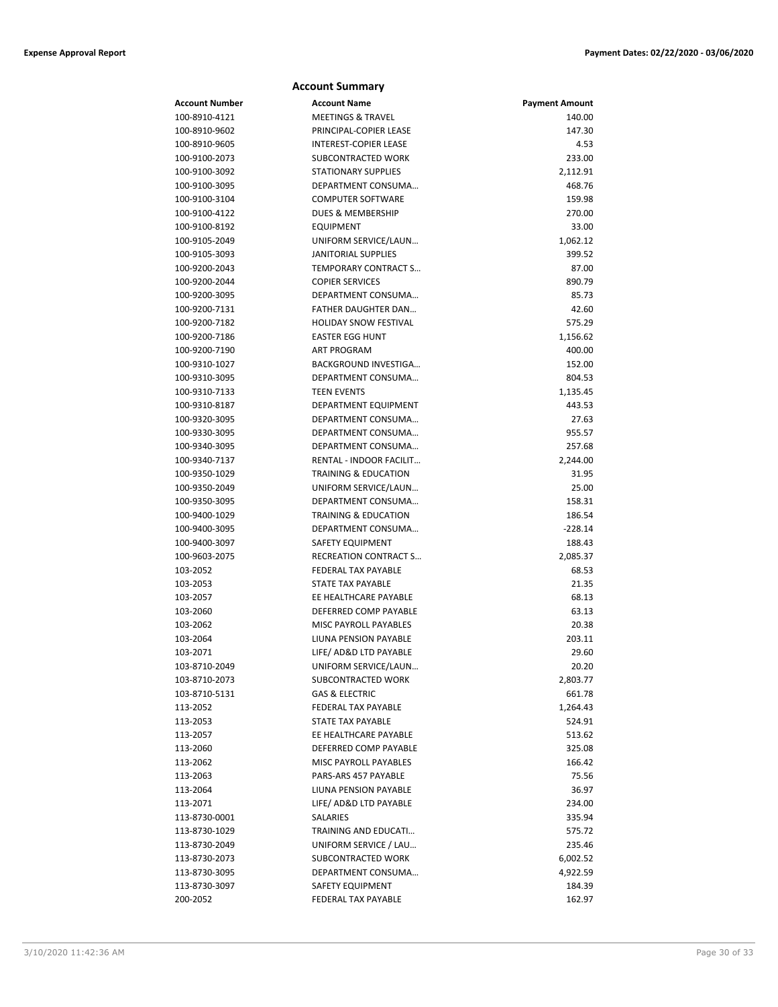## **Account Number Account Name Payment Amount** 100-8910-4121 MEETINGS & TRAVEL 140.00 100-8910-9602 PRINCIPAL-COPIER LEASE 147.30 100-8910-9605 INTEREST-COPIER LEASE 4.53 100-9100-2073 SUBCONTRACTED WORK 233.00 100-9100-3092 STATIONARY SUPPLIES 2,112.91 100-9100-3095 DEPARTMENT CONSUMA… 468.76 100-9100-3104 COMPUTER SOFTWARE 159.98 100-9100-4122 DUES & MEMBERSHIP 270.00 100-9100-8192 EQUIPMENT 33.00 100-9105-2049 UNIFORM SERVICE/LAUN… 1,062.12 100-9105-3093 JANITORIAL SUPPLIES 399.52 100-9200-2043 TEMPORARY CONTRACT S… 87.00 100-9200-2044 COPIER SERVICES 890.79 100-9200-3095 DEPARTMENT CONSUMA… 85.73 100-9200-7131 FATHER DAUGHTER DAN… 42.60 100-9200-7182 HOLIDAY SNOW FESTIVAL 575.29 100-9200-7186 EASTER EGG HUNT 1,156.62 100-9200-7190 ART PROGRAM 400.00 100-9310-1027 BACKGROUND INVESTIGA… 152.00 100-9310-3095 DEPARTMENT CONSUMA… 804.53 100-9310-7133 TEEN EVENTS 1,135.45 100-9310-8187 DEPARTMENT EQUIPMENT 443.53 100-9320-3095 DEPARTMENT CONSUMA… 27.63 100-9330-3095 DEPARTMENT CONSUMA… 955.57 100-9340-3095 DEPARTMENT CONSUMA… 257.68 100-9340-7137 RENTAL - INDOOR FACILIT… 2,244.00 100-9350-1029 TRAINING & EDUCATION 31.95 100-9350-2049 UNIFORM SERVICE/LAUN… 25.00 100-9350-3095 DEPARTMENT CONSUMA… 158.31 100-9400-1029 TRAINING & EDUCATION 186.54 100-9400-3095 DEPARTMENT CONSUMA… -228.14 100-9400-3097 SAFETY EQUIPMENT 188.43 100-9603-2075 RECREATION CONTRACT S… 2,085.37 103-2052 FEDERAL TAX PAYABLE 68.53 103-2053 STATE TAX PAYABLE 21.35 103-2057 EE HEALTHCARE PAYABLE 68.13 103-2060 DEFERRED COMP PAYABLE 63.13 103-2062 MISC PAYROLL PAYABLES 20.38 103-2064 LIUNA PENSION PAYABLE 203.11 103-2071 LIFE/ AD&D LTD PAYABLE 29.60 103-8710-2049 UNIFORM SERVICE/LAUN… 20.20 103-8710-2073 SUBCONTRACTED WORK 2,803.77 103-8710-5131 GAS & ELECTRIC 661.78 113-2052 FEDERAL TAX PAYABLE 1,264.43 113-2053 STATE TAX PAYABLE 524.91 113-2057 EE HEALTHCARE PAYABLE 513.62 113-2060 DEFERRED COMP PAYABLE 325.08 113-2062 MISC PAYROLL PAYABLES 166.42 113-2063 **PARS-ARS 457 PAYABLE** 75.56 113-2064 LIUNA PENSION PAYABLE 36.97 113-2071 LIFE/ AD&D LTD PAYABLE 234.00 113-8730-0001 SALARIES 335.94 113-8730-1029 TRAINING AND EDUCATI… 575.72 113-8730-2049 UNIFORM SERVICE / LAU… 235.46 113-8730-2073 SUBCONTRACTED WORK 6,002.52 113-8730-3095 DEPARTMENT CONSUMA… 4,922.59 113-8730-3097 SAFETY EQUIPMENT 184.39

200-2052 FEDERAL TAX PAYABLE 162.97

**Account Summary**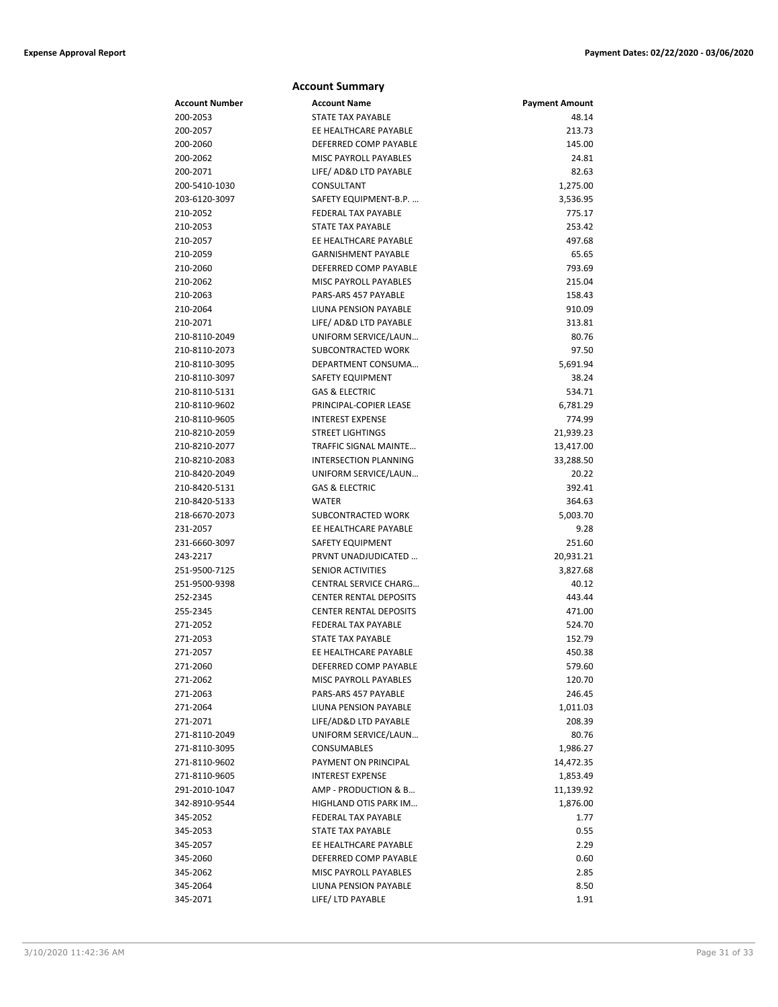| <b>Account Summary</b> |                               |                       |  |
|------------------------|-------------------------------|-----------------------|--|
| <b>Account Number</b>  | <b>Account Name</b>           | <b>Payment Amount</b> |  |
| 200-2053               | <b>STATE TAX PAYABLE</b>      | 48.14                 |  |
| 200-2057               | EE HEALTHCARE PAYABLE         | 213.73                |  |
| 200-2060               | DEFERRED COMP PAYABLE         | 145.00                |  |
| 200-2062               | <b>MISC PAYROLL PAYABLES</b>  | 24.81                 |  |
| 200-2071               | LIFE/ AD&D LTD PAYABLE        | 82.63                 |  |
| 200-5410-1030          | CONSULTANT                    | 1,275.00              |  |
| 203-6120-3097          | SAFETY EQUIPMENT-B.P.         | 3,536.95              |  |
| 210-2052               | <b>FEDERAL TAX PAYABLE</b>    | 775.17                |  |
| 210-2053               | STATE TAX PAYABLE             | 253.42                |  |
| 210-2057               | EE HEALTHCARE PAYABLE         | 497.68                |  |
| 210-2059               | <b>GARNISHMENT PAYABLE</b>    | 65.65                 |  |
| 210-2060               | DEFERRED COMP PAYABLE         | 793.69                |  |
| 210-2062               | <b>MISC PAYROLL PAYABLES</b>  | 215.04                |  |
| 210-2063               | PARS-ARS 457 PAYABLE          | 158.43                |  |
| 210-2064               | LIUNA PENSION PAYABLE         | 910.09                |  |
| 210-2071               | LIFE/ AD&D LTD PAYABLE        | 313.81                |  |
| 210-8110-2049          | UNIFORM SERVICE/LAUN          | 80.76                 |  |
| 210-8110-2073          | <b>SUBCONTRACTED WORK</b>     | 97.50                 |  |
| 210-8110-3095          | DEPARTMENT CONSUMA            | 5,691.94              |  |
| 210-8110-3097          | <b>SAFETY EQUIPMENT</b>       | 38.24                 |  |
| 210-8110-5131          | <b>GAS &amp; ELECTRIC</b>     | 534.71                |  |
| 210-8110-9602          | PRINCIPAL-COPIER LEASE        | 6,781.29              |  |
| 210-8110-9605          | <b>INTEREST EXPENSE</b>       | 774.99                |  |
| 210-8210-2059          | <b>STREET LIGHTINGS</b>       | 21,939.23             |  |
| 210-8210-2077          | <b>TRAFFIC SIGNAL MAINTE</b>  | 13,417.00             |  |
| 210-8210-2083          | <b>INTERSECTION PLANNING</b>  | 33,288.50             |  |
| 210-8420-2049          | UNIFORM SERVICE/LAUN          | 20.22                 |  |
| 210-8420-5131          | <b>GAS &amp; ELECTRIC</b>     | 392.41                |  |
| 210-8420-5133          | <b>WATER</b>                  | 364.63                |  |
| 218-6670-2073          | SUBCONTRACTED WORK            | 5,003.70              |  |
| 231-2057               | EE HEALTHCARE PAYABLE         | 9.28                  |  |
| 231-6660-3097          | SAFETY EQUIPMENT              | 251.60                |  |
| 243-2217               | PRVNT UNADJUDICATED           | 20,931.21             |  |
| 251-9500-7125          | <b>SENIOR ACTIVITIES</b>      | 3,827.68              |  |
| 251-9500-9398          | <b>CENTRAL SERVICE CHARG</b>  | 40.12                 |  |
| 252-2345               | <b>CENTER RENTAL DEPOSITS</b> | 443.44                |  |
| 255-2345               | <b>CENTER RENTAL DEPOSITS</b> | 471.00                |  |
| 271-2052               | <b>FEDERAL TAX PAYABLE</b>    | 524.70                |  |
| 271-2053               | STATE TAX PAYABLE             | 152.79                |  |
| 271-2057               | EE HEALTHCARE PAYABLE         | 450.38                |  |
| 271-2060               | DEFERRED COMP PAYABLE         | 579.60                |  |
| 271-2062               | MISC PAYROLL PAYABLES         | 120.70                |  |
| 271-2063               | PARS-ARS 457 PAYABLE          | 246.45                |  |
| 271-2064               | LIUNA PENSION PAYABLE         | 1,011.03              |  |
| 271-2071               | LIFE/AD&D LTD PAYABLE         | 208.39                |  |
| 271-8110-2049          | UNIFORM SERVICE/LAUN          | 80.76                 |  |
| 271-8110-3095          | <b>CONSUMABLES</b>            | 1,986.27              |  |
| 271-8110-9602          | PAYMENT ON PRINCIPAL          | 14,472.35             |  |
| 271-8110-9605          | <b>INTEREST EXPENSE</b>       | 1,853.49              |  |
| 291-2010-1047          | AMP - PRODUCTION & B          | 11,139.92             |  |
| 342-8910-9544          | HIGHLAND OTIS PARK IM         | 1,876.00              |  |
| 345-2052               | FEDERAL TAX PAYABLE           | 1.77                  |  |
| 345-2053               | <b>STATE TAX PAYABLE</b>      | 0.55                  |  |
| 345-2057               | EE HEALTHCARE PAYABLE         | 2.29                  |  |
| 345-2060               | DEFERRED COMP PAYABLE         | 0.60                  |  |
| 345-2062               | MISC PAYROLL PAYABLES         | 2.85                  |  |
| 345-2064               | LIUNA PENSION PAYABLE         | 8.50                  |  |
| 345-2071               | LIFE/ LTD PAYABLE             | 1.91                  |  |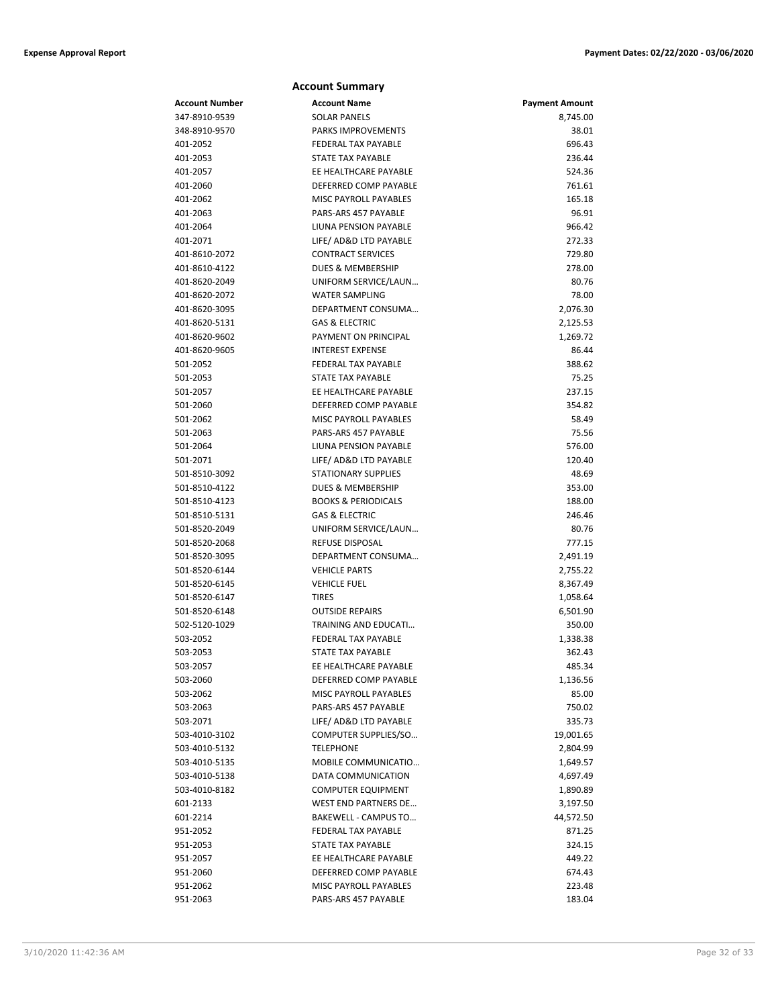| <b>Account Summary</b>         |                                                            |                       |  |
|--------------------------------|------------------------------------------------------------|-----------------------|--|
| <b>Account Number</b>          | <b>Account Name</b>                                        | <b>Payment Amount</b> |  |
| 347-8910-9539                  | <b>SOLAR PANELS</b>                                        | 8,745.00              |  |
| 348-8910-9570                  | <b>PARKS IMPROVEMENTS</b>                                  | 38.01                 |  |
| 401-2052                       | <b>FEDERAL TAX PAYABLE</b>                                 | 696.43                |  |
| 401-2053                       | <b>STATE TAX PAYABLE</b>                                   | 236.44                |  |
| 401-2057                       | EE HEALTHCARE PAYABLE                                      | 524.36                |  |
| 401-2060                       | DEFERRED COMP PAYABLE                                      | 761.61                |  |
| 401-2062                       | <b>MISC PAYROLL PAYABLES</b>                               | 165.18                |  |
| 401-2063                       | PARS-ARS 457 PAYABLE                                       | 96.91                 |  |
| 401-2064                       | LIUNA PENSION PAYABLE                                      | 966.42                |  |
| 401-2071                       | LIFE/ AD&D LTD PAYABLE                                     | 272.33                |  |
| 401-8610-2072                  | <b>CONTRACT SERVICES</b>                                   | 729.80                |  |
| 401-8610-4122                  | <b>DUES &amp; MEMBERSHIP</b>                               | 278.00                |  |
| 401-8620-2049                  | UNIFORM SERVICE/LAUN                                       | 80.76                 |  |
| 401-8620-2072                  | <b>WATER SAMPLING</b>                                      | 78.00                 |  |
| 401-8620-3095                  | DEPARTMENT CONSUMA                                         | 2,076.30              |  |
| 401-8620-5131                  | <b>GAS &amp; ELECTRIC</b>                                  | 2,125.53              |  |
| 401-8620-9602                  | PAYMENT ON PRINCIPAL                                       | 1,269.72              |  |
| 401-8620-9605                  | <b>INTEREST EXPENSE</b>                                    | 86.44                 |  |
| 501-2052                       | <b>FEDERAL TAX PAYABLE</b>                                 | 388.62                |  |
| 501-2053                       | <b>STATE TAX PAYABLE</b>                                   | 75.25                 |  |
| 501-2057                       | EE HEALTHCARE PAYABLE                                      | 237.15                |  |
| 501-2060                       | DEFERRED COMP PAYABLE                                      | 354.82                |  |
| 501-2062                       | MISC PAYROLL PAYABLES                                      | 58.49                 |  |
| 501-2063                       | PARS-ARS 457 PAYABLE                                       | 75.56                 |  |
| 501-2064                       | <b>LIUNA PENSION PAYABLE</b>                               | 576.00                |  |
| 501-2071                       | LIFE/ AD&D LTD PAYABLE                                     | 120.40                |  |
| 501-8510-3092                  | <b>STATIONARY SUPPLIES</b><br><b>DUES &amp; MEMBERSHIP</b> | 48.69                 |  |
| 501-8510-4122<br>501-8510-4123 | <b>BOOKS &amp; PERIODICALS</b>                             | 353.00<br>188.00      |  |
| 501-8510-5131                  | <b>GAS &amp; ELECTRIC</b>                                  | 246.46                |  |
| 501-8520-2049                  | UNIFORM SERVICE/LAUN                                       | 80.76                 |  |
| 501-8520-2068                  | <b>REFUSE DISPOSAL</b>                                     | 777.15                |  |
| 501-8520-3095                  | DEPARTMENT CONSUMA                                         | 2,491.19              |  |
| 501-8520-6144                  | <b>VEHICLE PARTS</b>                                       | 2,755.22              |  |
| 501-8520-6145                  | <b>VEHICLE FUEL</b>                                        | 8,367.49              |  |
| 501-8520-6147                  | <b>TIRES</b>                                               | 1,058.64              |  |
| 501-8520-6148                  | <b>OUTSIDE REPAIRS</b>                                     | 6,501.90              |  |
| 502-5120-1029                  | <b>TRAINING AND EDUCATI</b>                                | 350.00                |  |
| 503-2052                       | FEDERAL TAX PAYABLE                                        | 1,338.38              |  |
| 503-2053                       | <b>STATE TAX PAYABLE</b>                                   | 362.43                |  |
| 503-2057                       | EE HEALTHCARE PAYABLE                                      | 485.34                |  |
| 503-2060                       | DEFERRED COMP PAYABLE                                      | 1,136.56              |  |
| 503-2062                       | MISC PAYROLL PAYABLES                                      | 85.00                 |  |
| 503-2063                       | PARS-ARS 457 PAYABLE                                       | 750.02                |  |
| 503-2071                       | LIFE/ AD&D LTD PAYABLE                                     | 335.73                |  |
| 503-4010-3102                  | COMPUTER SUPPLIES/SO                                       | 19,001.65             |  |
| 503-4010-5132                  | <b>TELEPHONE</b>                                           | 2,804.99              |  |
| 503-4010-5135                  | MOBILE COMMUNICATIO                                        | 1,649.57              |  |
| 503-4010-5138                  | DATA COMMUNICATION                                         | 4,697.49              |  |
| 503-4010-8182                  | <b>COMPUTER EQUIPMENT</b>                                  | 1,890.89              |  |
| 601-2133                       | WEST END PARTNERS DE                                       | 3,197.50              |  |
| 601-2214                       | BAKEWELL - CAMPUS TO                                       | 44,572.50             |  |
| 951-2052                       | FEDERAL TAX PAYABLE                                        | 871.25                |  |
| 951-2053                       | STATE TAX PAYABLE                                          | 324.15                |  |
| 951-2057                       | EE HEALTHCARE PAYABLE                                      | 449.22                |  |
| 951-2060                       | DEFERRED COMP PAYABLE                                      | 674.43                |  |
| 951-2062                       | MISC PAYROLL PAYABLES                                      | 223.48                |  |
| 951-2063                       | PARS-ARS 457 PAYABLE                                       | 183.04                |  |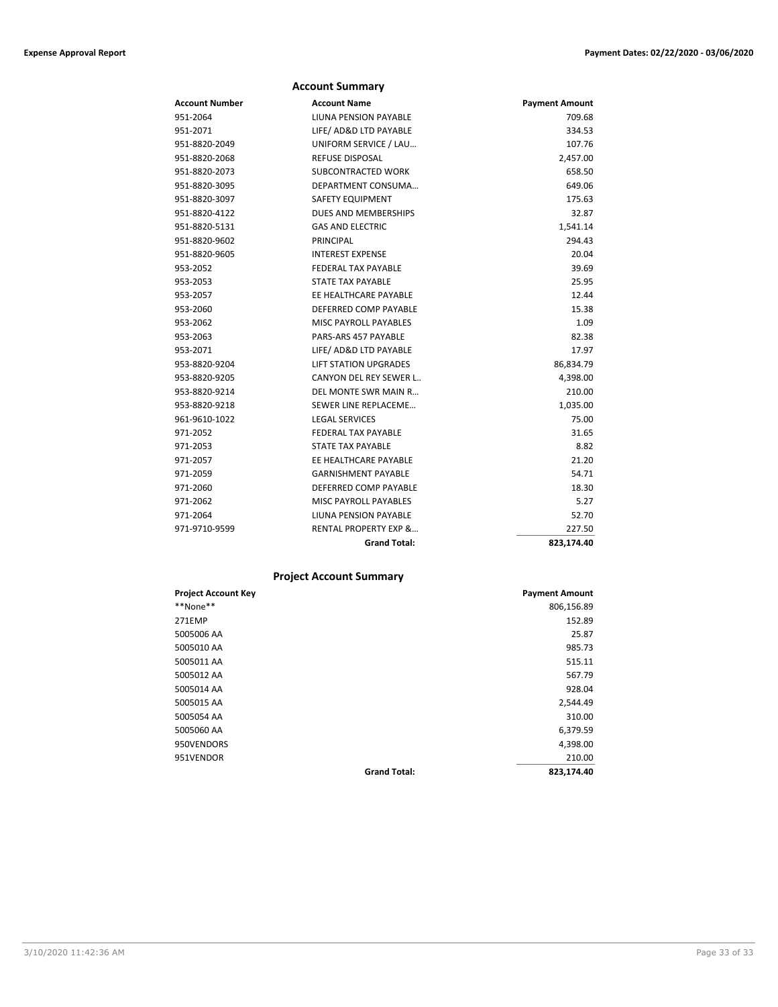| <b>Account Summary</b> |                                  |                       |  |
|------------------------|----------------------------------|-----------------------|--|
| <b>Account Number</b>  | <b>Account Name</b>              | <b>Payment Amount</b> |  |
| 951-2064               | LIUNA PENSION PAYABLE            | 709.68                |  |
| 951-2071               | LIFE/ AD&D LTD PAYABLE           | 334.53                |  |
| 951-8820-2049          | UNIFORM SERVICE / LAU            | 107.76                |  |
| 951-8820-2068          | <b>REFUSE DISPOSAL</b>           | 2,457.00              |  |
| 951-8820-2073          | <b>SUBCONTRACTED WORK</b>        | 658.50                |  |
| 951-8820-3095          | DEPARTMENT CONSUMA               | 649.06                |  |
| 951-8820-3097          | <b>SAFETY EQUIPMENT</b>          | 175.63                |  |
| 951-8820-4122          | DUES AND MEMBERSHIPS             | 32.87                 |  |
| 951-8820-5131          | <b>GAS AND ELECTRIC</b>          | 1,541.14              |  |
| 951-8820-9602          | PRINCIPAL                        | 294.43                |  |
| 951-8820-9605          | <b>INTEREST EXPENSE</b>          | 20.04                 |  |
| 953-2052               | <b>FEDERAL TAX PAYABLE</b>       | 39.69                 |  |
| 953-2053               | <b>STATE TAX PAYABLE</b>         | 25.95                 |  |
| 953-2057               | EE HEALTHCARE PAYABLE            | 12.44                 |  |
| 953-2060               | DEFERRED COMP PAYABLE            | 15.38                 |  |
| 953-2062               | <b>MISC PAYROLL PAYABLES</b>     | 1.09                  |  |
| 953-2063               | PARS-ARS 457 PAYABLE             | 82.38                 |  |
| 953-2071               | LIFE/ AD&D LTD PAYABLE           | 17.97                 |  |
| 953-8820-9204          | <b>LIFT STATION UPGRADES</b>     | 86,834.79             |  |
| 953-8820-9205          | CANYON DEL REY SEWER L           | 4,398.00              |  |
| 953-8820-9214          | DEL MONTE SWR MAIN R             | 210.00                |  |
| 953-8820-9218          | SEWER LINE REPLACEME             | 1,035.00              |  |
| 961-9610-1022          | <b>LEGAL SERVICES</b>            | 75.00                 |  |
| 971-2052               | <b>FEDERAL TAX PAYABLE</b>       | 31.65                 |  |
| 971-2053               | <b>STATE TAX PAYABLE</b>         | 8.82                  |  |
| 971-2057               | EE HEALTHCARE PAYABLE            | 21.20                 |  |
| 971-2059               | <b>GARNISHMENT PAYABLE</b>       | 54.71                 |  |
| 971-2060               | DEFERRED COMP PAYABLE            | 18.30                 |  |
| 971-2062               | <b>MISC PAYROLL PAYABLES</b>     | 5.27                  |  |
| 971-2064               | LIUNA PENSION PAYABLE            | 52.70                 |  |
| 971-9710-9599          | <b>RENTAL PROPERTY EXP &amp;</b> | 227.50                |  |
|                        | <b>Grand Total:</b>              | 823,174.40            |  |

## **Project Account Summary**

| <b>Project Account Key</b> |                     | <b>Payment Amount</b> |
|----------------------------|---------------------|-----------------------|
| **None**                   |                     | 806,156.89            |
| <b>271EMP</b>              |                     | 152.89                |
| 5005006 AA                 |                     | 25.87                 |
| 5005010 AA                 |                     | 985.73                |
| 5005011 AA                 |                     | 515.11                |
| 5005012 AA                 |                     | 567.79                |
| 5005014 AA                 |                     | 928.04                |
| 5005015 AA                 |                     | 2,544.49              |
| 5005054 AA                 |                     | 310.00                |
| 5005060 AA                 |                     | 6,379.59              |
| 950VENDORS                 |                     | 4,398.00              |
| 951VENDOR                  |                     | 210.00                |
|                            | <b>Grand Total:</b> | 823,174.40            |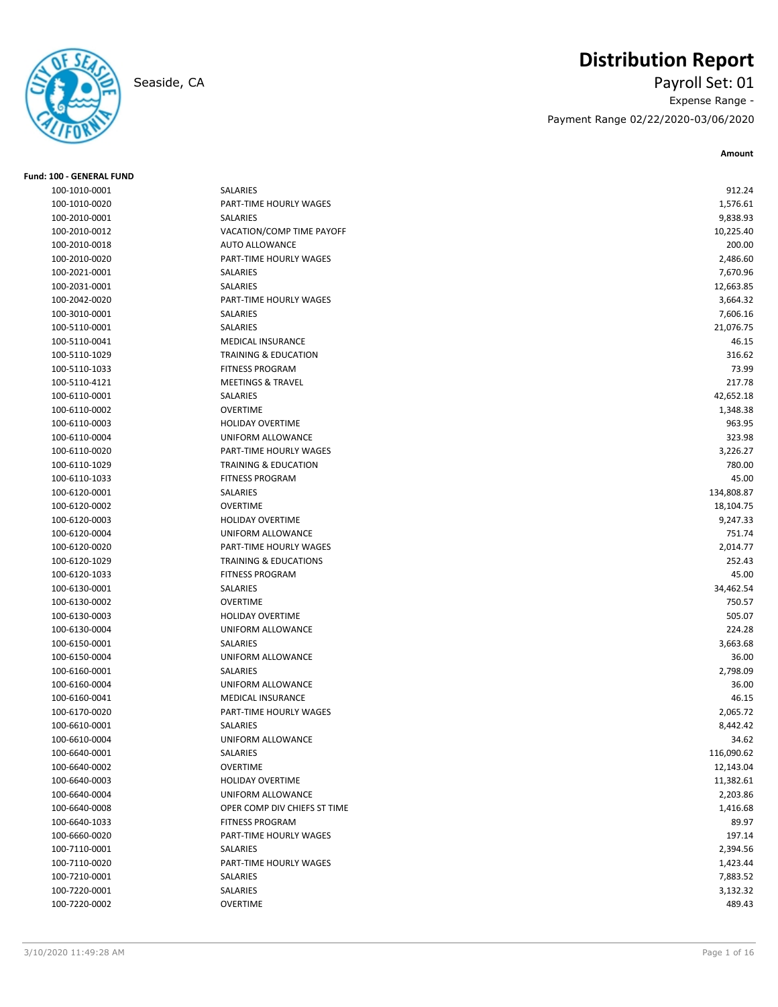

# **Distribution Report**

Seaside, CA Payroll Set: 01 Expense Range - Payment Range 02/22/2020-03/06/2020

**Amount**

| <b>Fund: 100 - GENERAL FUND</b> |                                  |            |
|---------------------------------|----------------------------------|------------|
| 100-1010-0001                   | <b>SALARIES</b>                  | 912.24     |
| 100-1010-0020                   | PART-TIME HOURLY WAGES           | 1,576.61   |
| 100-2010-0001                   | SALARIES                         | 9,838.93   |
| 100-2010-0012                   | VACATION/COMP TIME PAYOFF        | 10,225.40  |
| 100-2010-0018                   | <b>AUTO ALLOWANCE</b>            | 200.00     |
| 100-2010-0020                   | PART-TIME HOURLY WAGES           | 2,486.60   |
| 100-2021-0001                   | SALARIES                         | 7,670.96   |
| 100-2031-0001                   | SALARIES                         | 12,663.85  |
| 100-2042-0020                   | PART-TIME HOURLY WAGES           | 3,664.32   |
| 100-3010-0001                   | SALARIES                         | 7,606.16   |
| 100-5110-0001                   | SALARIES                         | 21,076.75  |
| 100-5110-0041                   | MEDICAL INSURANCE                | 46.15      |
| 100-5110-1029                   | <b>TRAINING &amp; EDUCATION</b>  | 316.62     |
| 100-5110-1033                   | <b>FITNESS PROGRAM</b>           | 73.99      |
| 100-5110-4121                   | <b>MEETINGS &amp; TRAVEL</b>     | 217.78     |
| 100-6110-0001                   | SALARIES                         | 42,652.18  |
| 100-6110-0002                   | <b>OVERTIME</b>                  | 1,348.38   |
| 100-6110-0003                   | <b>HOLIDAY OVERTIME</b>          | 963.95     |
| 100-6110-0004                   | UNIFORM ALLOWANCE                | 323.98     |
| 100-6110-0020                   | <b>PART-TIME HOURLY WAGES</b>    | 3,226.27   |
| 100-6110-1029                   | <b>TRAINING &amp; EDUCATION</b>  | 780.00     |
| 100-6110-1033                   | <b>FITNESS PROGRAM</b>           | 45.00      |
| 100-6120-0001                   | SALARIES                         | 134,808.87 |
| 100-6120-0002                   | <b>OVERTIME</b>                  | 18,104.75  |
| 100-6120-0003                   | <b>HOLIDAY OVERTIME</b>          | 9,247.33   |
| 100-6120-0004                   | UNIFORM ALLOWANCE                | 751.74     |
| 100-6120-0020                   | PART-TIME HOURLY WAGES           | 2,014.77   |
| 100-6120-1029                   | <b>TRAINING &amp; EDUCATIONS</b> | 252.43     |
| 100-6120-1033                   | <b>FITNESS PROGRAM</b>           | 45.00      |
| 100-6130-0001                   | SALARIES                         | 34,462.54  |
| 100-6130-0002                   | <b>OVERTIME</b>                  | 750.57     |
| 100-6130-0003                   | <b>HOLIDAY OVERTIME</b>          | 505.07     |
| 100-6130-0004                   | UNIFORM ALLOWANCE                | 224.28     |
| 100-6150-0001                   | SALARIES                         | 3,663.68   |
| 100-6150-0004                   | UNIFORM ALLOWANCE                | 36.00      |
| 100-6160-0001                   | SALARIES                         | 2,798.09   |
| 100-6160-0004                   | UNIFORM ALLOWANCE                | 36.00      |
| 100-6160-0041                   | <b>MEDICAL INSURANCE</b>         | 46.15      |
| 100-6170-0020                   | PART-TIME HOURLY WAGES           | 2,065.72   |
| 100-6610-0001                   | SALARIES                         | 8,442.42   |
| 100-6610-0004                   | UNIFORM ALLOWANCE                | 34.62      |
| 100-6640-0001                   | SALARIES                         | 116,090.62 |
| 100-6640-0002                   | <b>OVERTIME</b>                  | 12,143.04  |
| 100-6640-0003                   | HOLIDAY OVERTIME                 | 11,382.61  |
| 100-6640-0004                   | UNIFORM ALLOWANCE                | 2,203.86   |
| 100-6640-0008                   | OPER COMP DIV CHIEFS ST TIME     | 1,416.68   |
| 100-6640-1033                   | <b>FITNESS PROGRAM</b>           | 89.97      |
| 100-6660-0020                   | PART-TIME HOURLY WAGES           | 197.14     |
| 100-7110-0001                   | SALARIES                         | 2,394.56   |
| 100-7110-0020                   | PART-TIME HOURLY WAGES           | 1,423.44   |
| 100-7210-0001                   | SALARIES                         | 7,883.52   |
| 100-7220-0001                   | SALARIES                         | 3,132.32   |
| 100-7220-0002                   | OVERTIME                         | 489.43     |
|                                 |                                  |            |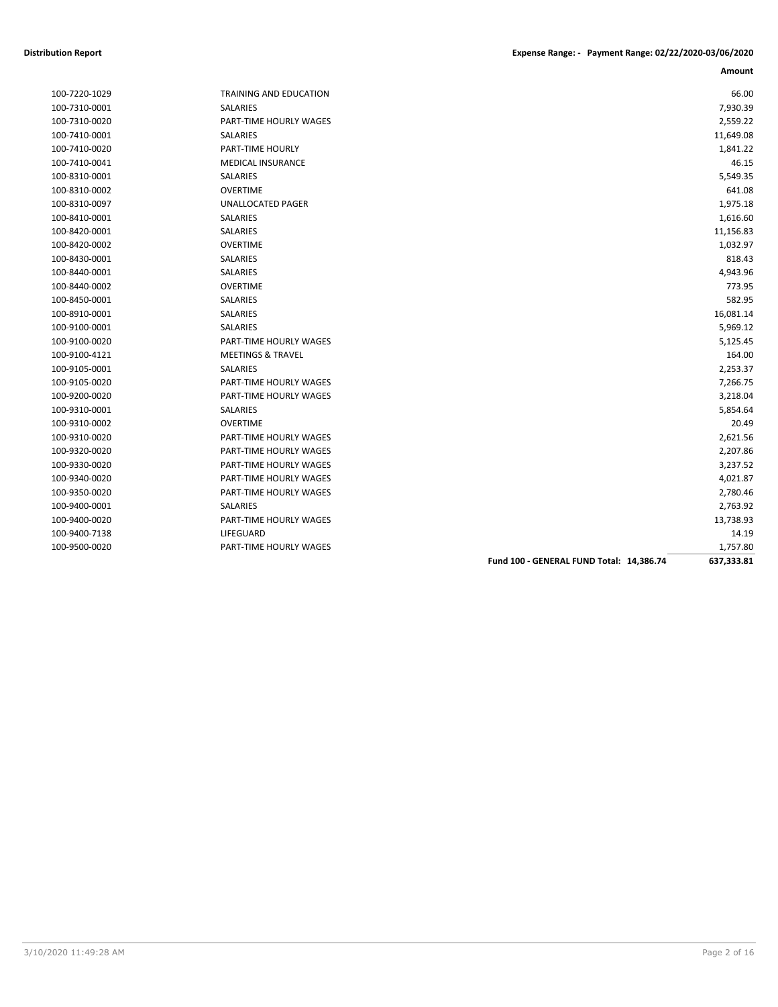| 100-7220-1029 |
|---------------|
| 100-7310-0001 |
| 100-7310-0020 |
| 100-7410-0001 |
| 100-7410-0020 |
| 100-7410-0041 |
| 100-8310-0001 |
| 100-8310-0002 |
| 100-8310-0097 |
| 100-8410-0001 |
| 100-8420-0001 |
| 100-8420-0002 |
| 100-8430-0001 |
| 100-8440-0001 |
| 100-8440-0002 |
| 100-8450-0001 |
| 100-8910-0001 |
| 100-9100-0001 |
| 100-9100-0020 |
| 100-9100-4121 |
| 100-9105-0001 |
| 100-9105-0020 |
| 100-9200-0020 |
| 100-9310-0001 |
| 100-9310-0002 |
| 100-9310-0020 |
| 100-9320-0020 |
| 100-9330-0020 |
| 100-9340-0020 |
| 100-9350-0020 |
| 100-9400-0001 |
| 100-9400-0020 |
| 100-9400-7138 |
|               |

| 100-7220-1029 | <b>TRAINING AND EDUCATION</b> | 66.00     |
|---------------|-------------------------------|-----------|
| 100-7310-0001 | SALARIES                      | 7,930.39  |
| 100-7310-0020 | PART-TIME HOURLY WAGES        | 2,559.22  |
| 100-7410-0001 | SALARIES                      | 11,649.08 |
| 100-7410-0020 | <b>PART-TIME HOURLY</b>       | 1,841.22  |
| 100-7410-0041 | <b>MEDICAL INSURANCE</b>      | 46.15     |
| 100-8310-0001 | SALARIES                      | 5,549.35  |
| 100-8310-0002 | <b>OVERTIME</b>               | 641.08    |
| 100-8310-0097 | <b>UNALLOCATED PAGER</b>      | 1,975.18  |
| 100-8410-0001 | <b>SALARIES</b>               | 1,616.60  |
| 100-8420-0001 | SALARIES                      | 11,156.83 |
| 100-8420-0002 | <b>OVERTIME</b>               | 1,032.97  |
| 100-8430-0001 | SALARIES                      | 818.43    |
| 100-8440-0001 | SALARIES                      | 4,943.96  |
| 100-8440-0002 | <b>OVERTIME</b>               | 773.95    |
| 100-8450-0001 | SALARIES                      | 582.95    |
| 100-8910-0001 | SALARIES                      | 16,081.14 |
| 100-9100-0001 | <b>SALARIES</b>               | 5,969.12  |
| 100-9100-0020 | <b>PART-TIME HOURLY WAGES</b> | 5,125.45  |
| 100-9100-4121 | <b>MEETINGS &amp; TRAVEL</b>  | 164.00    |
| 100-9105-0001 | SALARIES                      | 2,253.37  |
| 100-9105-0020 | PART-TIME HOURLY WAGES        | 7,266.75  |
| 100-9200-0020 | PART-TIME HOURLY WAGES        | 3,218.04  |
| 100-9310-0001 | <b>SALARIES</b>               | 5,854.64  |
| 100-9310-0002 | <b>OVERTIME</b>               | 20.49     |
| 100-9310-0020 | <b>PART-TIME HOURLY WAGES</b> | 2,621.56  |
| 100-9320-0020 | PART-TIME HOURLY WAGES        | 2,207.86  |
| 100-9330-0020 | <b>PART-TIME HOURLY WAGES</b> | 3,237.52  |
| 100-9340-0020 | PART-TIME HOURLY WAGES        | 4,021.87  |
| 100-9350-0020 | PART-TIME HOURLY WAGES        | 2,780.46  |
| 100-9400-0001 | <b>SALARIES</b>               | 2,763.92  |
| 100-9400-0020 | PART-TIME HOURLY WAGES        | 13,738.93 |
| 100-9400-7138 | LIFEGUARD                     | 14.19     |
| 100-9500-0020 | PART-TIME HOURLY WAGES        | 1.757.80  |

|               |                               |                                          | Amount     |
|---------------|-------------------------------|------------------------------------------|------------|
| 100-7220-1029 | <b>TRAINING AND EDUCATION</b> |                                          | 66.00      |
| 100-7310-0001 | <b>SALARIES</b>               |                                          | 7,930.39   |
| 100-7310-0020 | PART-TIME HOURLY WAGES        |                                          | 2,559.22   |
| 100-7410-0001 | SALARIES                      |                                          | 11,649.08  |
| 100-7410-0020 | PART-TIME HOURLY              |                                          | 1,841.22   |
| 100-7410-0041 | <b>MEDICAL INSURANCE</b>      |                                          | 46.15      |
| 100-8310-0001 | <b>SALARIES</b>               |                                          | 5,549.35   |
| 100-8310-0002 | <b>OVERTIME</b>               |                                          | 641.08     |
| 100-8310-0097 | UNALLOCATED PAGER             |                                          | 1,975.18   |
| 100-8410-0001 | SALARIES                      |                                          | 1,616.60   |
| 100-8420-0001 | SALARIES                      |                                          | 11,156.83  |
| 100-8420-0002 | <b>OVERTIME</b>               |                                          | 1,032.97   |
| 100-8430-0001 | SALARIES                      |                                          | 818.43     |
| 100-8440-0001 | SALARIES                      |                                          | 4,943.96   |
| 100-8440-0002 | <b>OVERTIME</b>               |                                          | 773.95     |
| 100-8450-0001 | SALARIES                      |                                          | 582.95     |
| 100-8910-0001 | SALARIES                      |                                          | 16,081.14  |
| 100-9100-0001 | SALARIES                      |                                          | 5,969.12   |
| 100-9100-0020 | PART-TIME HOURLY WAGES        |                                          | 5,125.45   |
| 100-9100-4121 | <b>MEETINGS &amp; TRAVEL</b>  |                                          | 164.00     |
| 100-9105-0001 | <b>SALARIES</b>               |                                          | 2,253.37   |
| 100-9105-0020 | PART-TIME HOURLY WAGES        |                                          | 7,266.75   |
| 100-9200-0020 | PART-TIME HOURLY WAGES        |                                          | 3,218.04   |
| 100-9310-0001 | SALARIES                      |                                          | 5,854.64   |
| 100-9310-0002 | <b>OVERTIME</b>               |                                          | 20.49      |
| 100-9310-0020 | <b>PART-TIME HOURLY WAGES</b> |                                          | 2,621.56   |
| 100-9320-0020 | PART-TIME HOURLY WAGES        |                                          | 2,207.86   |
| 100-9330-0020 | PART-TIME HOURLY WAGES        |                                          | 3,237.52   |
| 100-9340-0020 | PART-TIME HOURLY WAGES        |                                          | 4,021.87   |
| 100-9350-0020 | PART-TIME HOURLY WAGES        |                                          | 2,780.46   |
| 100-9400-0001 | <b>SALARIES</b>               |                                          | 2,763.92   |
| 100-9400-0020 | PART-TIME HOURLY WAGES        |                                          | 13,738.93  |
| 100-9400-7138 | LIFEGUARD                     |                                          | 14.19      |
| 100-9500-0020 | PART-TIME HOURLY WAGES        |                                          | 1,757.80   |
|               |                               | Fund 100 - GENERAL FUND Total: 14,386.74 | 637,333.81 |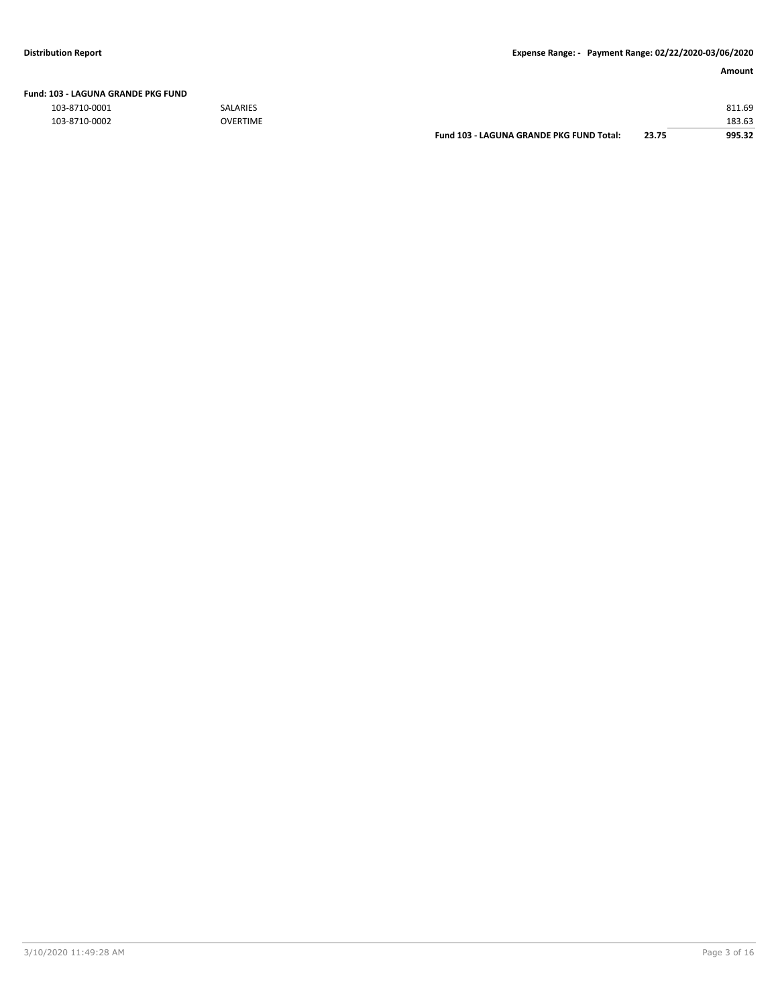|               |                 | Fund 103 - LAGUNA GRANDE PKG FUND Total: | 23.75 | 995.32 |
|---------------|-----------------|------------------------------------------|-------|--------|
| 103-8710-0002 | <b>OVERTIME</b> |                                          |       | 183.63 |
| 103-8710-0001 | <b>SALARIES</b> |                                          |       | 811.69 |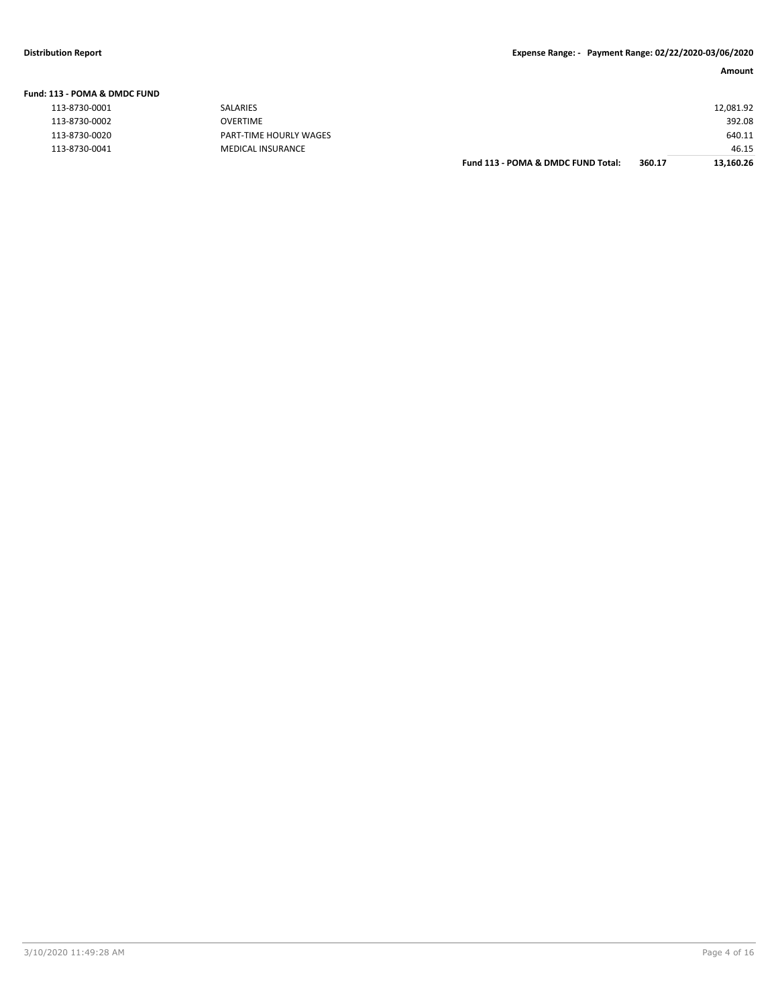| Fund: 113 - POMA & DMDC FUND |  |
|------------------------------|--|
| 112.0720.0001                |  |

| $+ + +$       | <b>JALAINLJ</b>    |
|---------------|--------------------|
| 113-8730-0002 | OVERTIME           |
| 113-8730-0020 | PART-TIME HOURLY W |
| 113-8730-0041 | MEDICAL INSURANCE  |
|               |                    |

| 12,081.92 |
|-----------|
|           |
| 392.08    |
| 640.11    |
| 46.15     |
| 13,160.26 |
|           |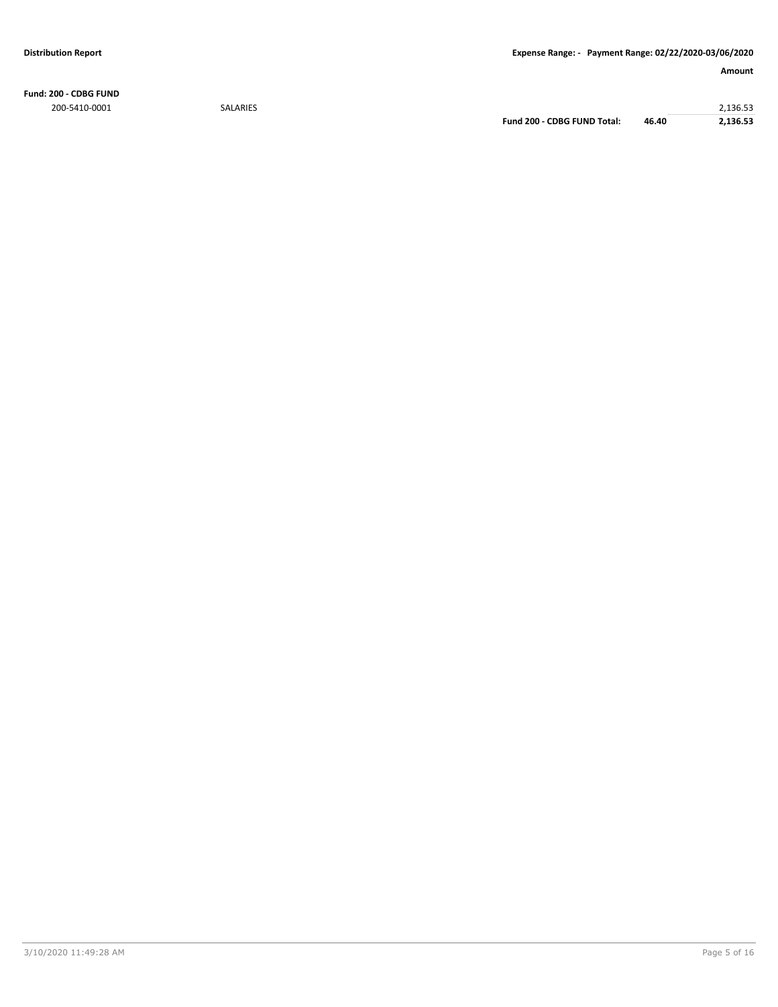**Fund: 200 - CDBG FUND** 200-5410-0001 SALARIES 2,136.53

**Fund 200 - CDBG FUND Total: 46.40 2,136.53**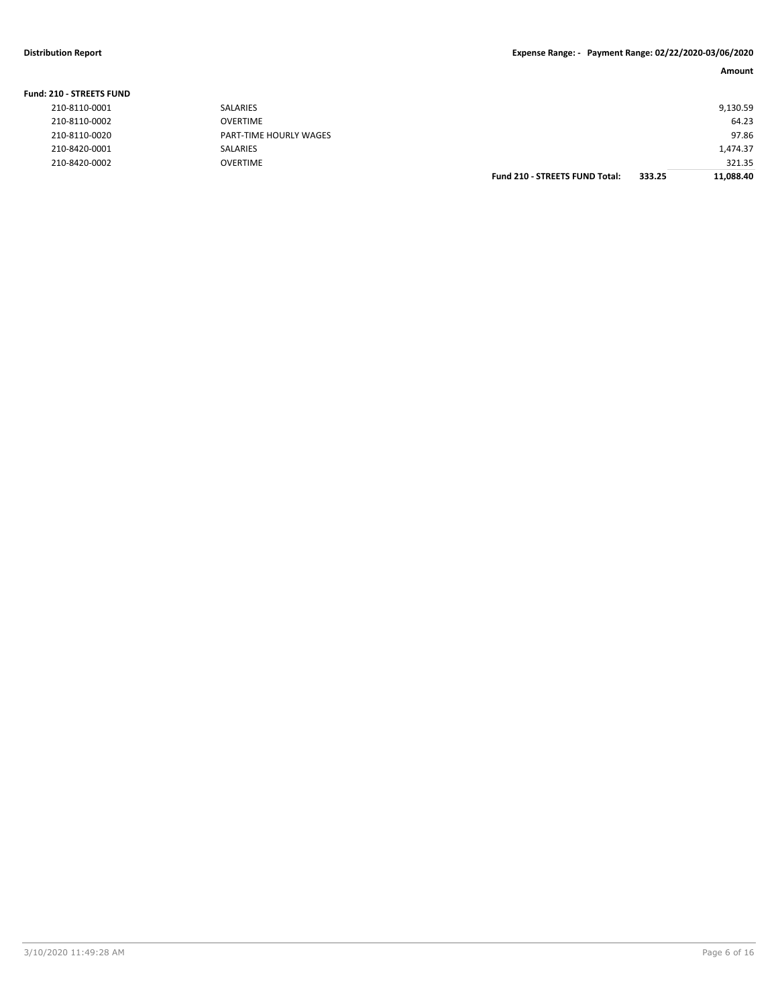| <b>Fund: 210 - STREETS FUND</b> |                        |                                       |        |           |
|---------------------------------|------------------------|---------------------------------------|--------|-----------|
| 210-8110-0001                   | <b>SALARIES</b>        |                                       |        | 9,130.59  |
| 210-8110-0002                   | <b>OVERTIME</b>        |                                       |        | 64.23     |
| 210-8110-0020                   | PART-TIME HOURLY WAGES |                                       |        | 97.86     |
| 210-8420-0001                   | <b>SALARIES</b>        |                                       |        | 1,474.37  |
| 210-8420-0002                   | <b>OVERTIME</b>        |                                       |        | 321.35    |
|                                 |                        | <b>Fund 210 - STREETS FUND Total:</b> | 333.25 | 11,088.40 |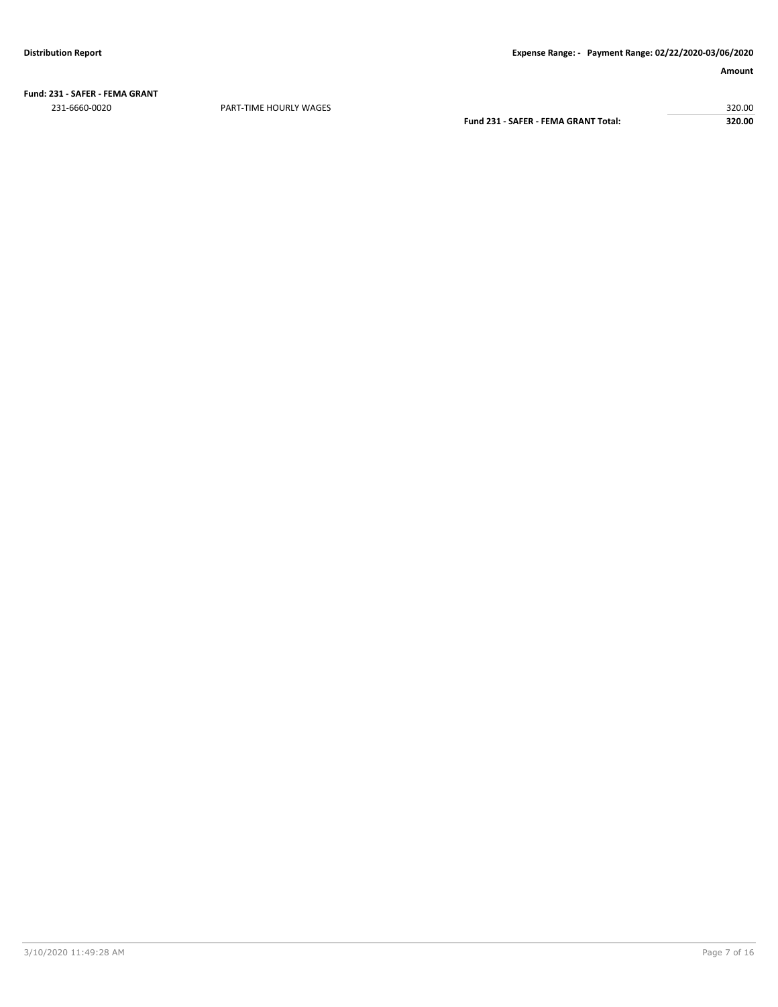**Fund: 231 - SAFER - FEMA GRANT** 231-6660-0020 PART-TIME HOURLY WAGES 320.00

**Fund 231 - SAFER - FEMA GRANT Total: 320.00**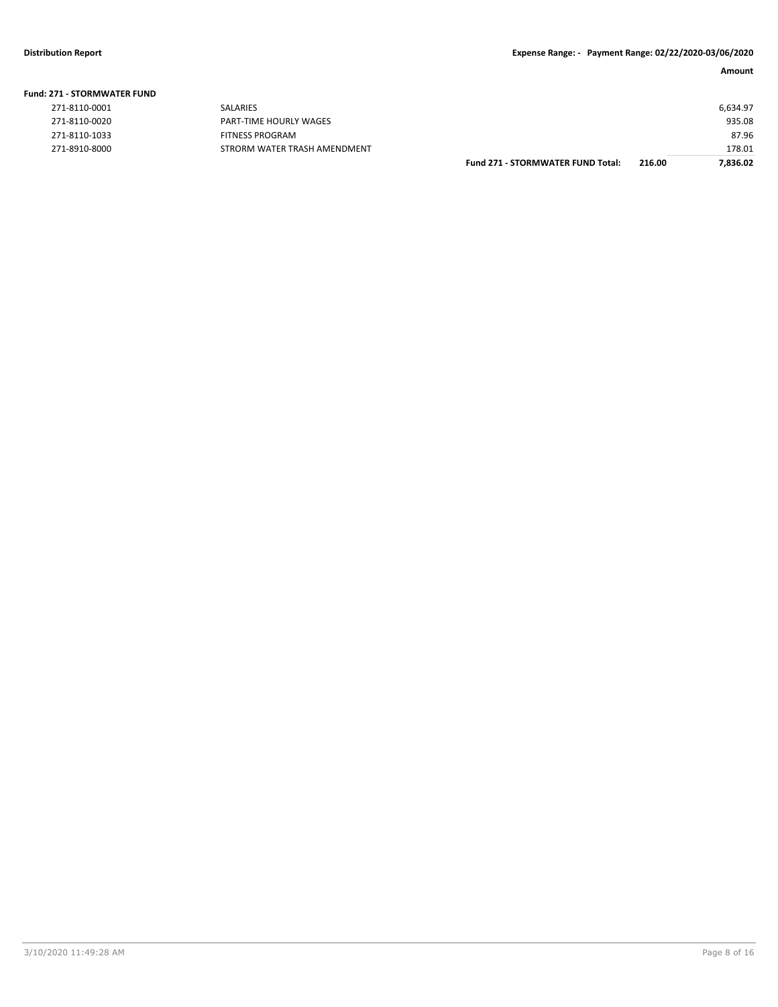## **Fund: 271 - STORMWATER FUND**

|               |                              | <b>Fund 271 - STORMWATER FUND Total:</b> | 216.00 | 7,836.02 |
|---------------|------------------------------|------------------------------------------|--------|----------|
| 271-8910-8000 | STRORM WATER TRASH AMENDMENT |                                          |        | 178.01   |
| 271-8110-1033 | FITNESS PROGRAM              |                                          |        | 87.96    |
| 271-8110-0020 | PART-TIME HOURLY WAGES       |                                          |        | 935.08   |
| 271-8110-0001 | <b>SALARIES</b>              |                                          |        | 6.634.97 |
|               |                              |                                          |        |          |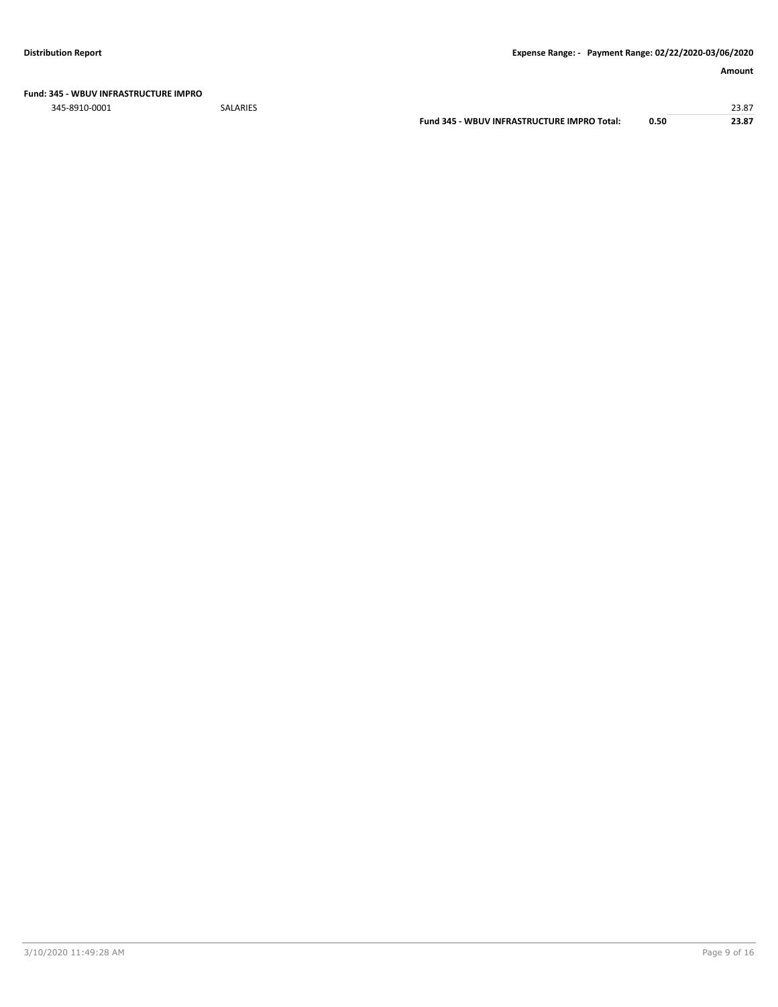## **Fund: 345 - WBUV INFRASTRUCTURE IMPRO**

345-8910-0001 SALARIES 23.87

**Fund 345 - WBUV INFRASTRUCTURE IMPRO Total: 0.50 23.87**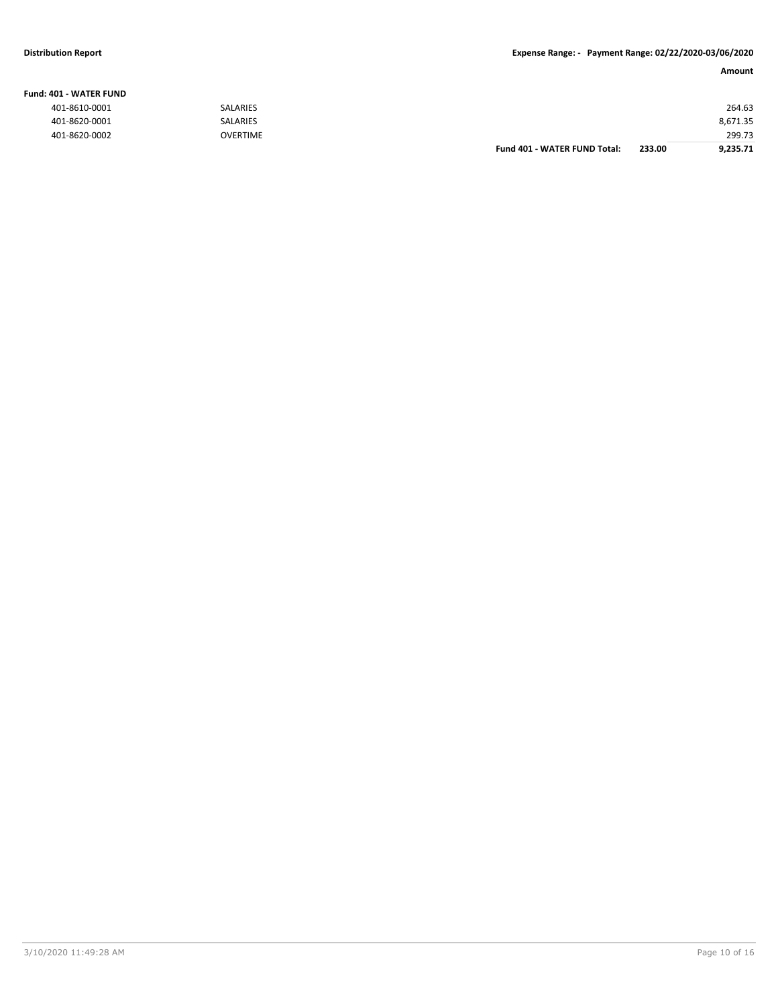## **Fund: 401 - WATER FUND**

**Amount**

| ------------- |                 |                              |        |          |
|---------------|-----------------|------------------------------|--------|----------|
| 401-8610-0001 | <b>SALARIES</b> |                              |        | 264.63   |
| 401-8620-0001 | <b>SALARIES</b> |                              |        | 8,671.35 |
| 401-8620-0002 | <b>OVERTIME</b> |                              |        | 299.73   |
|               |                 | Fund 401 - WATER FUND Total: | 233.00 | 9,235.71 |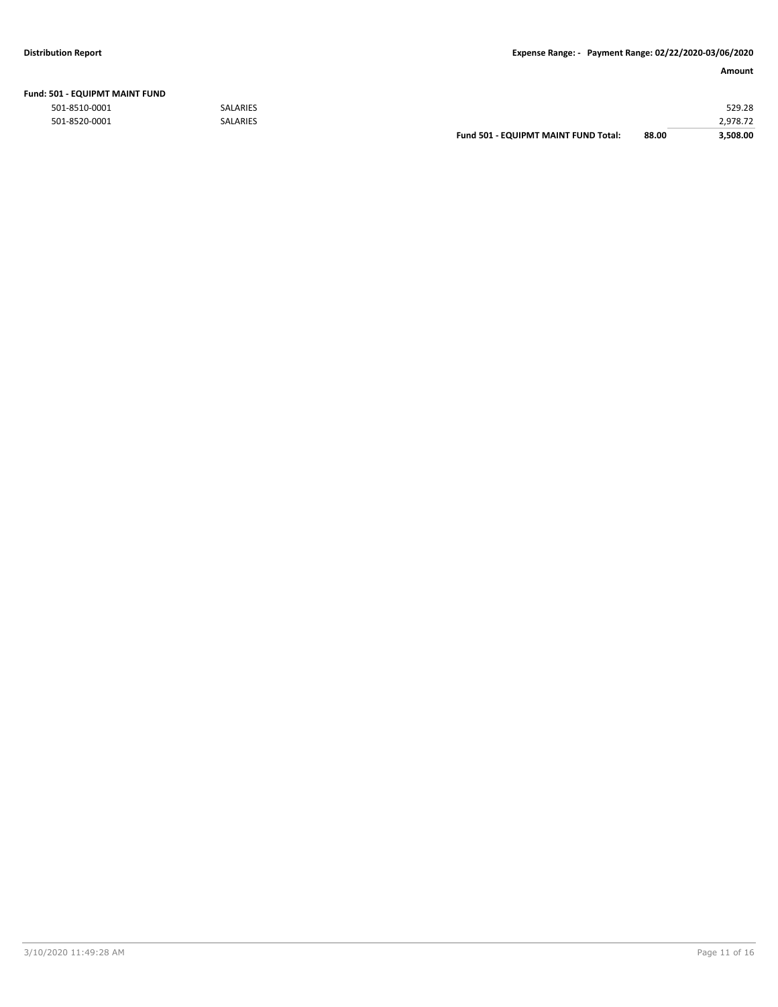| <b>Fund: 501 - EQUIPMT MAINT FUND</b> |                 |                                      |       |          |
|---------------------------------------|-----------------|--------------------------------------|-------|----------|
| 501-8510-0001                         | <b>SALARIES</b> |                                      |       | 529.28   |
| 501-8520-0001                         | <b>SALARIES</b> |                                      |       | 2.978.72 |
|                                       |                 | Fund 501 - EQUIPMT MAINT FUND Total: | 88.00 | 3.508.00 |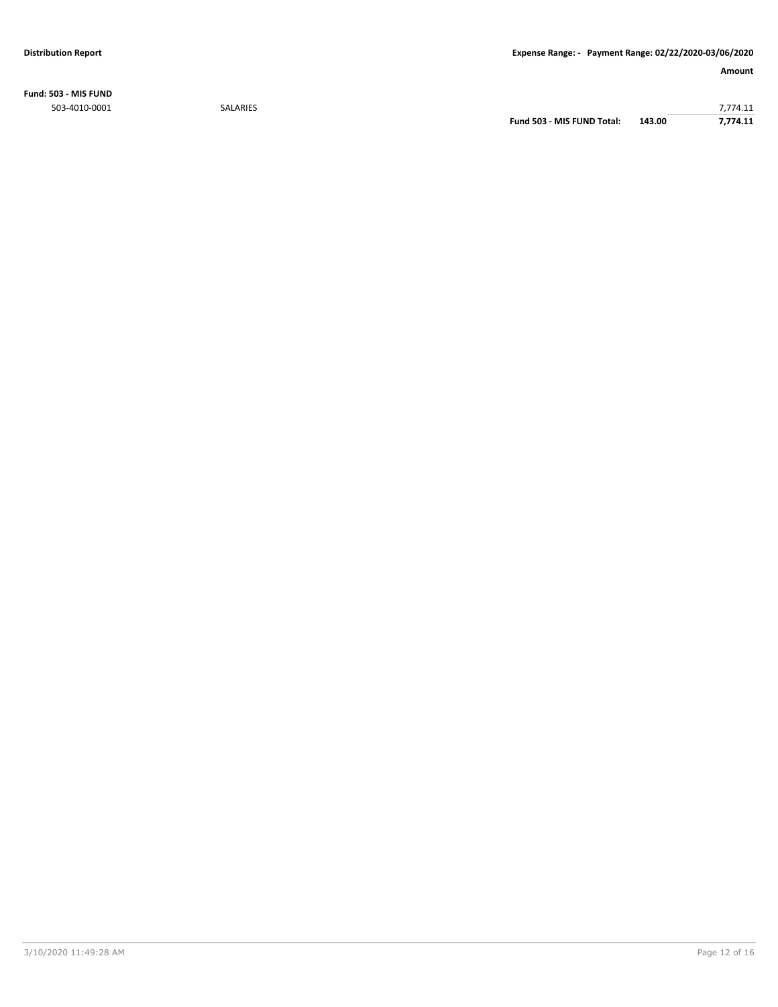**Fund: 503 - MIS FUND**

503-4010-0001 SALARIES 7,774.11 **Fund 503 - MIS FUND Total: 143.00 7,774.11**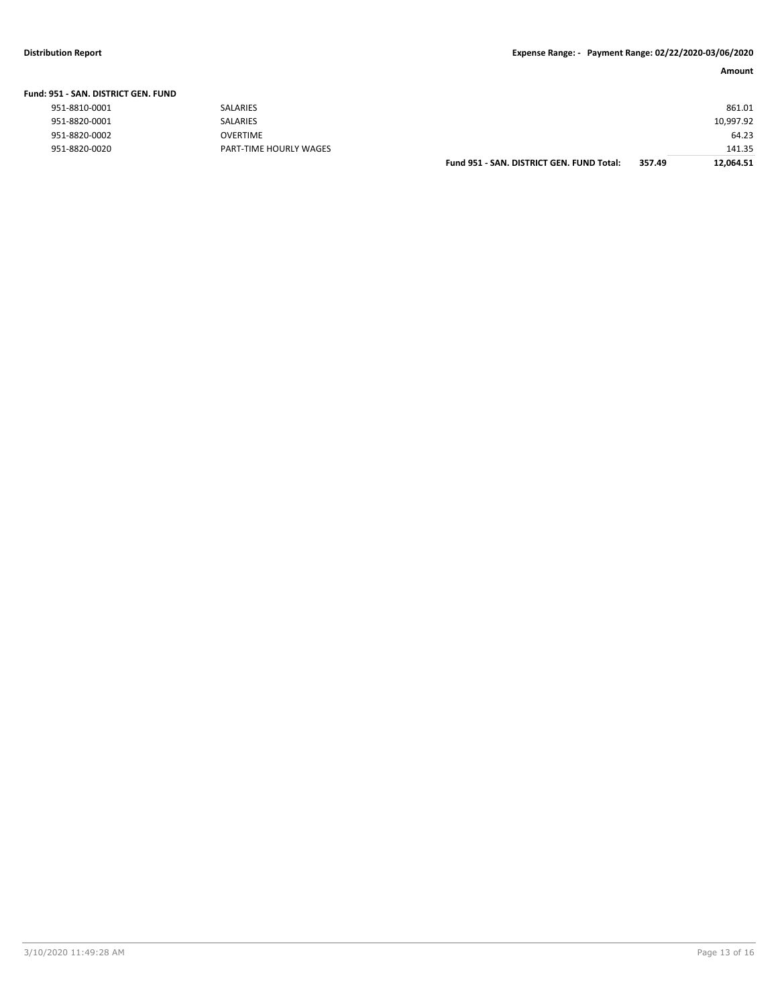**Fund 951 - SAN. DISTRICT GEN. FUND Total: 357.49 12,064.51**

| Fund: 951 - SAN. DISTRICT GEN. FUND |                        |                                           |        |           |
|-------------------------------------|------------------------|-------------------------------------------|--------|-----------|
| 951-8810-0001                       | <b>SALARIES</b>        |                                           |        | 861.01    |
| 951-8820-0001                       | SALARIES               |                                           |        | 10,997.92 |
| 951-8820-0002                       | <b>OVERTIME</b>        |                                           |        | 64.23     |
| 951-8820-0020                       | PART-TIME HOURLY WAGES |                                           |        | 141.35    |
|                                     |                        | Fund 951 - SAN. DISTRICT GEN. FUND Total: | 357.49 | 12.064.51 |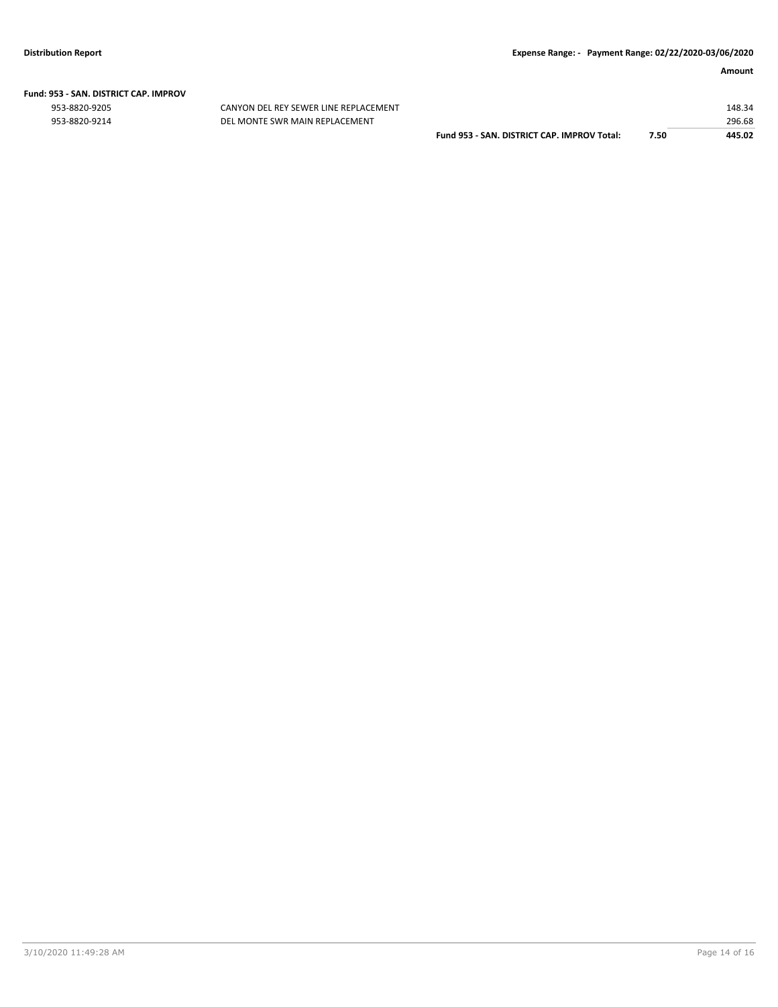# **Fund: 953 - SAN. DISTRICT CAP. IMPROV**

CANYON DEL REY SEWER LINE REPLACEMENT 953-8820-9214 DEL MONTE SWR MAIN REPLACEMENT

|                                             |      | 148.34 |
|---------------------------------------------|------|--------|
|                                             |      | 296.68 |
| Fund 953 - SAN, DISTRICT CAP, IMPROV Total: | 7.50 | 445.02 |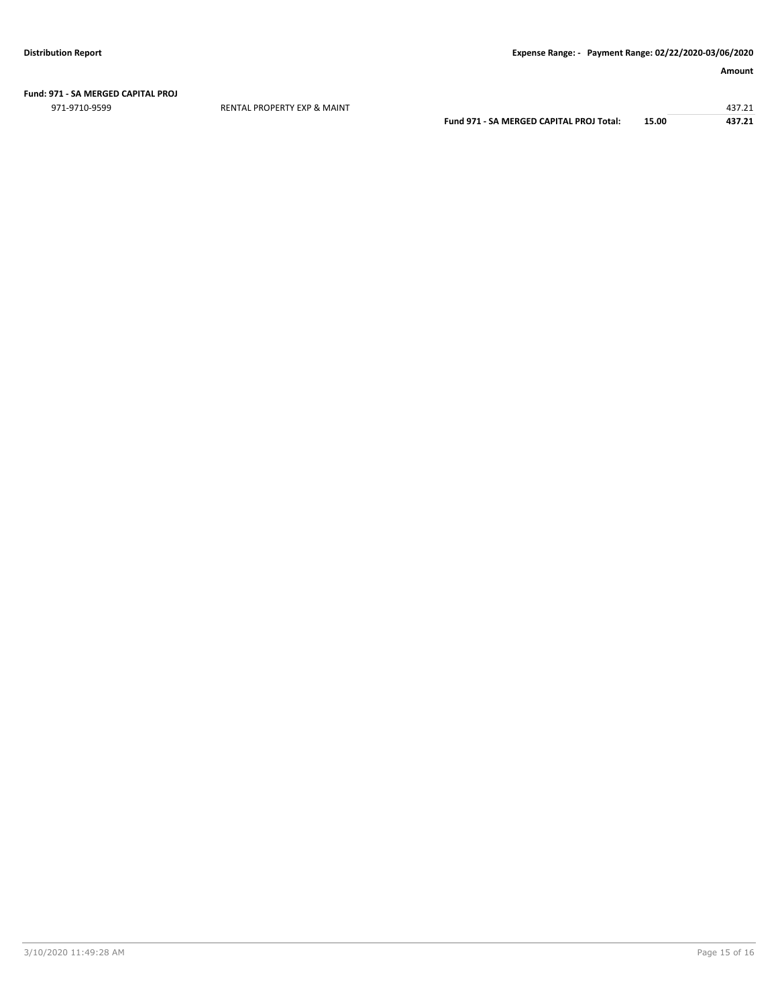## **Fund: 971 - SA MERGED CAPITAL PROJ**

971-9710-9599 RENTAL PROPERTY EXP & MAINT 437.21

**Fund 971 - SA MERGED CAPITAL PROJ Total: 15.00 437.21**